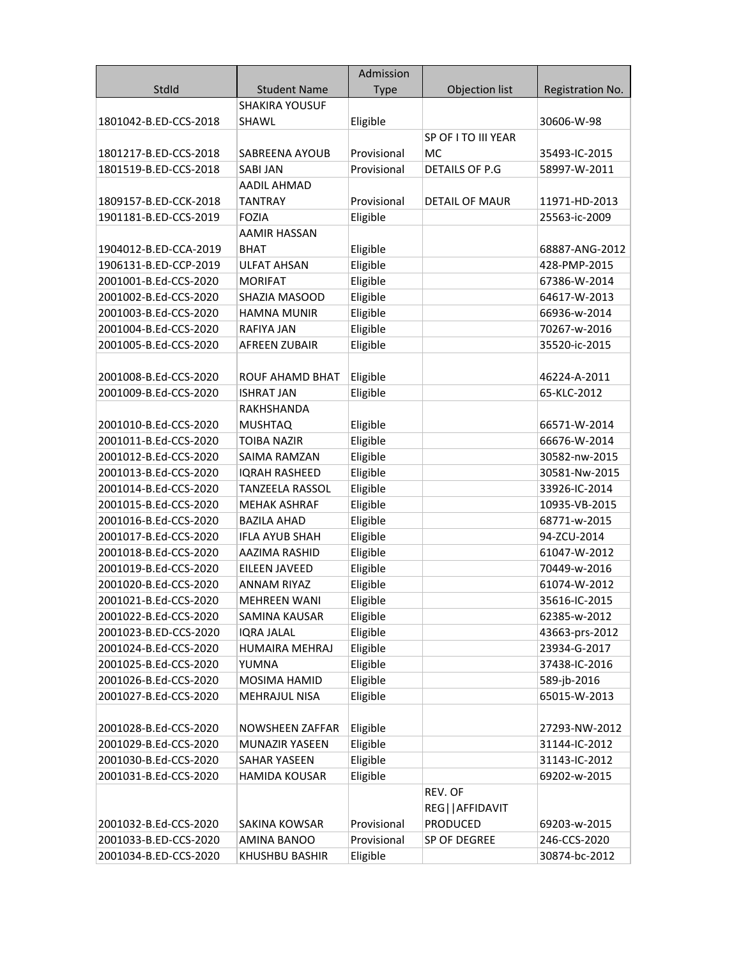|                       |                        | Admission   |                       |                  |
|-----------------------|------------------------|-------------|-----------------------|------------------|
| StdId                 | <b>Student Name</b>    | <b>Type</b> | Objection list        | Registration No. |
|                       | <b>SHAKIRA YOUSUF</b>  |             |                       |                  |
| 1801042-B.ED-CCS-2018 | SHAWL                  | Eligible    |                       | 30606-W-98       |
|                       |                        |             | SP OF ITO III YEAR    |                  |
| 1801217-B.ED-CCS-2018 | SABREENA AYOUB         | Provisional | MC                    | 35493-IC-2015    |
| 1801519-B.ED-CCS-2018 | <b>SABI JAN</b>        | Provisional | DETAILS OF P.G        | 58997-W-2011     |
|                       | <b>AADIL AHMAD</b>     |             |                       |                  |
| 1809157-B.ED-CCK-2018 | <b>TANTRAY</b>         | Provisional | <b>DETAIL OF MAUR</b> | 11971-HD-2013    |
| 1901181-B.ED-CCS-2019 | <b>FOZIA</b>           | Eligible    |                       | 25563-ic-2009    |
|                       | <b>AAMIR HASSAN</b>    |             |                       |                  |
| 1904012-B.ED-CCA-2019 | <b>BHAT</b>            | Eligible    |                       | 68887-ANG-2012   |
| 1906131-B.ED-CCP-2019 | <b>ULFAT AHSAN</b>     | Eligible    |                       | 428-PMP-2015     |
| 2001001-B.Ed-CCS-2020 | <b>MORIFAT</b>         | Eligible    |                       | 67386-W-2014     |
| 2001002-B.Ed-CCS-2020 | SHAZIA MASOOD          | Eligible    |                       | 64617-W-2013     |
| 2001003-B.Ed-CCS-2020 | <b>HAMNA MUNIR</b>     | Eligible    |                       | 66936-w-2014     |
| 2001004-B.Ed-CCS-2020 | <b>RAFIYA JAN</b>      | Eligible    |                       | 70267-w-2016     |
| 2001005-B.Ed-CCS-2020 | <b>AFREEN ZUBAIR</b>   | Eligible    |                       | 35520-ic-2015    |
|                       |                        |             |                       |                  |
| 2001008-B.Ed-CCS-2020 | <b>ROUF AHAMD BHAT</b> | Eligible    |                       | 46224-A-2011     |
| 2001009-B.Ed-CCS-2020 | <b>ISHRAT JAN</b>      | Eligible    |                       | 65-KLC-2012      |
|                       | RAKHSHANDA             |             |                       |                  |
| 2001010-B.Ed-CCS-2020 | <b>MUSHTAQ</b>         | Eligible    |                       | 66571-W-2014     |
| 2001011-B.Ed-CCS-2020 | <b>TOIBA NAZIR</b>     | Eligible    |                       | 66676-W-2014     |
| 2001012-B.Ed-CCS-2020 | SAIMA RAMZAN           | Eligible    |                       | 30582-nw-2015    |
| 2001013-B.Ed-CCS-2020 | <b>IQRAH RASHEED</b>   | Eligible    |                       | 30581-Nw-2015    |
| 2001014-B.Ed-CCS-2020 | <b>TANZEELA RASSOL</b> | Eligible    |                       | 33926-IC-2014    |
| 2001015-B.Ed-CCS-2020 | <b>MEHAK ASHRAF</b>    | Eligible    |                       | 10935-VB-2015    |
| 2001016-B.Ed-CCS-2020 | <b>BAZILA AHAD</b>     | Eligible    |                       | 68771-w-2015     |
| 2001017-B.Ed-CCS-2020 | <b>IFLA AYUB SHAH</b>  | Eligible    |                       | 94-ZCU-2014      |
| 2001018-B.Ed-CCS-2020 | <b>AAZIMA RASHID</b>   | Eligible    |                       | 61047-W-2012     |
| 2001019-B.Ed-CCS-2020 | EILEEN JAVEED          | Eligible    |                       | 70449-w-2016     |
| 2001020-B.Ed-CCS-2020 | <b>ANNAM RIYAZ</b>     | Eligible    |                       | 61074-W-2012     |
| 2001021-B.Ed-CCS-2020 | <b>MEHREEN WANI</b>    | Eligible    |                       | 35616-IC-2015    |
| 2001022-B.Ed-CCS-2020 | SAMINA KAUSAR          | Eligible    |                       | 62385-w-2012     |
| 2001023-B.ED-CCS-2020 | <b>IORA JALAL</b>      | Eligible    |                       | 43663-prs-2012   |
| 2001024-B.Ed-CCS-2020 | HUMAIRA MEHRAJ         | Eligible    |                       | 23934-G-2017     |
| 2001025-B.Ed-CCS-2020 | YUMNA                  | Eligible    |                       | 37438-IC-2016    |
| 2001026-B.Ed-CCS-2020 | MOSIMA HAMID           | Eligible    |                       | 589-jb-2016      |
| 2001027-B.Ed-CCS-2020 | <b>MEHRAJUL NISA</b>   | Eligible    |                       | 65015-W-2013     |
|                       |                        |             |                       |                  |
| 2001028-B.Ed-CCS-2020 | NOWSHEEN ZAFFAR        | Eligible    |                       | 27293-NW-2012    |
| 2001029-B.Ed-CCS-2020 | MUNAZIR YASEEN         | Eligible    |                       | 31144-IC-2012    |
| 2001030-B.Ed-CCS-2020 | <b>SAHAR YASEEN</b>    | Eligible    |                       | 31143-IC-2012    |
| 2001031-B.Ed-CCS-2020 | <b>HAMIDA KOUSAR</b>   | Eligible    |                       | 69202-w-2015     |
|                       |                        |             | REV. OF               |                  |
|                       |                        |             | REG  AFFIDAVIT        |                  |
| 2001032-B.Ed-CCS-2020 | SAKINA KOWSAR          | Provisional | PRODUCED              | 69203-w-2015     |
| 2001033-B.ED-CCS-2020 | AMINA BANOO            | Provisional | SP OF DEGREE          | 246-CCS-2020     |
| 2001034-B.ED-CCS-2020 | KHUSHBU BASHIR         | Eligible    |                       | 30874-bc-2012    |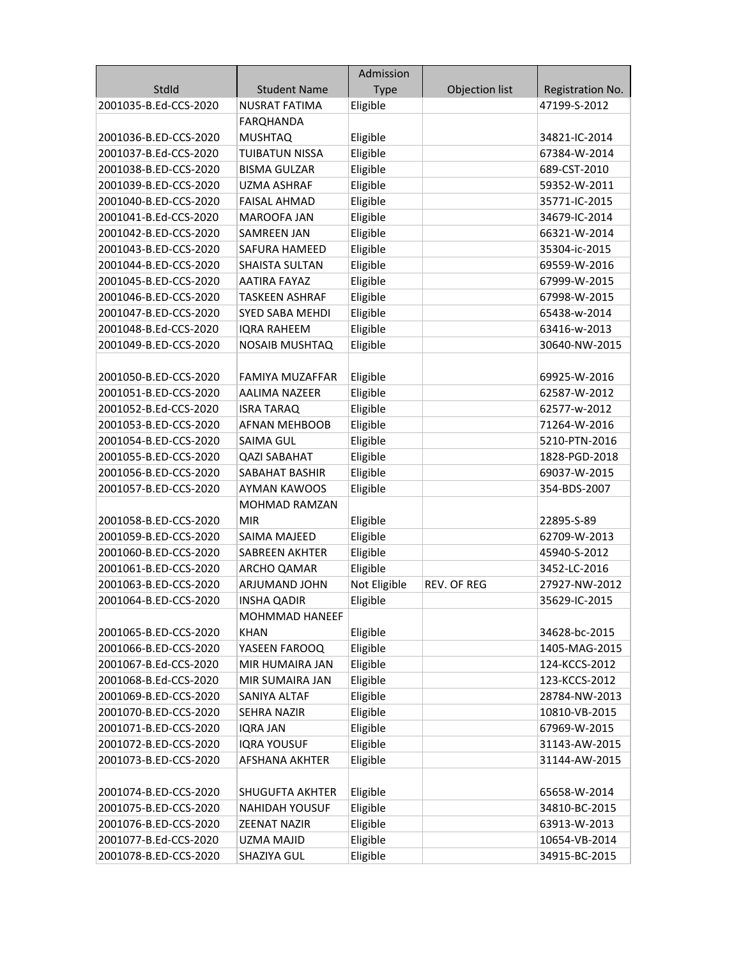|                       |                       | Admission    |                |                  |
|-----------------------|-----------------------|--------------|----------------|------------------|
| StdId                 | <b>Student Name</b>   | <b>Type</b>  | Objection list | Registration No. |
| 2001035-B.Ed-CCS-2020 | <b>NUSRAT FATIMA</b>  | Eligible     |                | 47199-S-2012     |
|                       | <b>FARQHANDA</b>      |              |                |                  |
| 2001036-B.ED-CCS-2020 | <b>MUSHTAQ</b>        | Eligible     |                | 34821-IC-2014    |
| 2001037-B.Ed-CCS-2020 | <b>TUIBATUN NISSA</b> | Eligible     |                | 67384-W-2014     |
| 2001038-B.ED-CCS-2020 | <b>BISMA GULZAR</b>   | Eligible     |                | 689-CST-2010     |
| 2001039-B.ED-CCS-2020 | <b>UZMA ASHRAF</b>    | Eligible     |                | 59352-W-2011     |
| 2001040-B.ED-CCS-2020 | <b>FAISAL AHMAD</b>   | Eligible     |                | 35771-IC-2015    |
| 2001041-B.Ed-CCS-2020 | MAROOFA JAN           | Eligible     |                | 34679-IC-2014    |
| 2001042-B.ED-CCS-2020 | SAMREEN JAN           | Eligible     |                | 66321-W-2014     |
| 2001043-B.ED-CCS-2020 | SAFURA HAMEED         | Eligible     |                | 35304-ic-2015    |
| 2001044-B.ED-CCS-2020 | <b>SHAISTA SULTAN</b> | Eligible     |                | 69559-W-2016     |
| 2001045-B.ED-CCS-2020 | <b>AATIRA FAYAZ</b>   | Eligible     |                | 67999-W-2015     |
| 2001046-B.ED-CCS-2020 | <b>TASKEEN ASHRAF</b> | Eligible     |                | 67998-W-2015     |
| 2001047-B.ED-CCS-2020 | SYED SABA MEHDI       | Eligible     |                | 65438-w-2014     |
| 2001048-B.Ed-CCS-2020 | <b>IQRA RAHEEM</b>    | Eligible     |                | 63416-w-2013     |
| 2001049-B.ED-CCS-2020 | <b>NOSAIB MUSHTAQ</b> | Eligible     |                | 30640-NW-2015    |
|                       |                       |              |                |                  |
| 2001050-B.ED-CCS-2020 | FAMIYA MUZAFFAR       | Eligible     |                | 69925-W-2016     |
| 2001051-B.ED-CCS-2020 | AALIMA NAZEER         | Eligible     |                | 62587-W-2012     |
| 2001052-B.Ed-CCS-2020 | <b>ISRA TARAQ</b>     | Eligible     |                | 62577-w-2012     |
| 2001053-B.ED-CCS-2020 | <b>AFNAN MEHBOOB</b>  | Eligible     |                | 71264-W-2016     |
| 2001054-B.ED-CCS-2020 | <b>SAIMA GUL</b>      | Eligible     |                | 5210-PTN-2016    |
| 2001055-B.ED-CCS-2020 | <b>QAZI SABAHAT</b>   | Eligible     |                | 1828-PGD-2018    |
| 2001056-B.ED-CCS-2020 | SABAHAT BASHIR        | Eligible     |                | 69037-W-2015     |
| 2001057-B.ED-CCS-2020 | <b>AYMAN KAWOOS</b>   | Eligible     |                | 354-BDS-2007     |
|                       | <b>MOHMAD RAMZAN</b>  |              |                |                  |
| 2001058-B.ED-CCS-2020 | <b>MIR</b>            | Eligible     |                | 22895-S-89       |
| 2001059-B.ED-CCS-2020 | SAIMA MAJEED          | Eligible     |                | 62709-W-2013     |
| 2001060-B.ED-CCS-2020 | SABREEN AKHTER        | Eligible     |                | 45940-S-2012     |
| 2001061-B.ED-CCS-2020 | ARCHO QAMAR           | Eligible     |                | 3452-LC-2016     |
| 2001063-B.ED-CCS-2020 | ARJUMAND JOHN         | Not Eligible | REV. OF REG    | 27927-NW-2012    |
| 2001064-B.ED-CCS-2020 | <b>INSHA QADIR</b>    | Eligible     |                | 35629-IC-2015    |
|                       | <b>MOHMMAD HANEEF</b> |              |                |                  |
| 2001065-B.ED-CCS-2020 | <b>KHAN</b>           | Eligible     |                | 34628-bc-2015    |
| 2001066-B.ED-CCS-2020 | YASEEN FAROOQ         | Eligible     |                | 1405-MAG-2015    |
| 2001067-B.Ed-CCS-2020 | MIR HUMAIRA JAN       | Eligible     |                | 124-KCCS-2012    |
| 2001068-B.Ed-CCS-2020 | MIR SUMAIRA JAN       | Eligible     |                | 123-KCCS-2012    |
| 2001069-B.ED-CCS-2020 | SANIYA ALTAF          | Eligible     |                | 28784-NW-2013    |
| 2001070-B.ED-CCS-2020 | SEHRA NAZIR           | Eligible     |                | 10810-VB-2015    |
| 2001071-B.ED-CCS-2020 | <b>IQRA JAN</b>       | Eligible     |                | 67969-W-2015     |
| 2001072-B.ED-CCS-2020 | <b>IQRA YOUSUF</b>    | Eligible     |                | 31143-AW-2015    |
| 2001073-B.ED-CCS-2020 | <b>AFSHANA AKHTER</b> | Eligible     |                | 31144-AW-2015    |
|                       |                       |              |                |                  |
| 2001074-B.ED-CCS-2020 | SHUGUFTA AKHTER       | Eligible     |                | 65658-W-2014     |
| 2001075-B.ED-CCS-2020 | <b>NAHIDAH YOUSUF</b> | Eligible     |                | 34810-BC-2015    |
| 2001076-B.ED-CCS-2020 | <b>ZEENAT NAZIR</b>   | Eligible     |                | 63913-W-2013     |
| 2001077-B.Ed-CCS-2020 | UZMA MAJID            | Eligible     |                | 10654-VB-2014    |
| 2001078-B.ED-CCS-2020 | SHAZIYA GUL           | Eligible     |                | 34915-BC-2015    |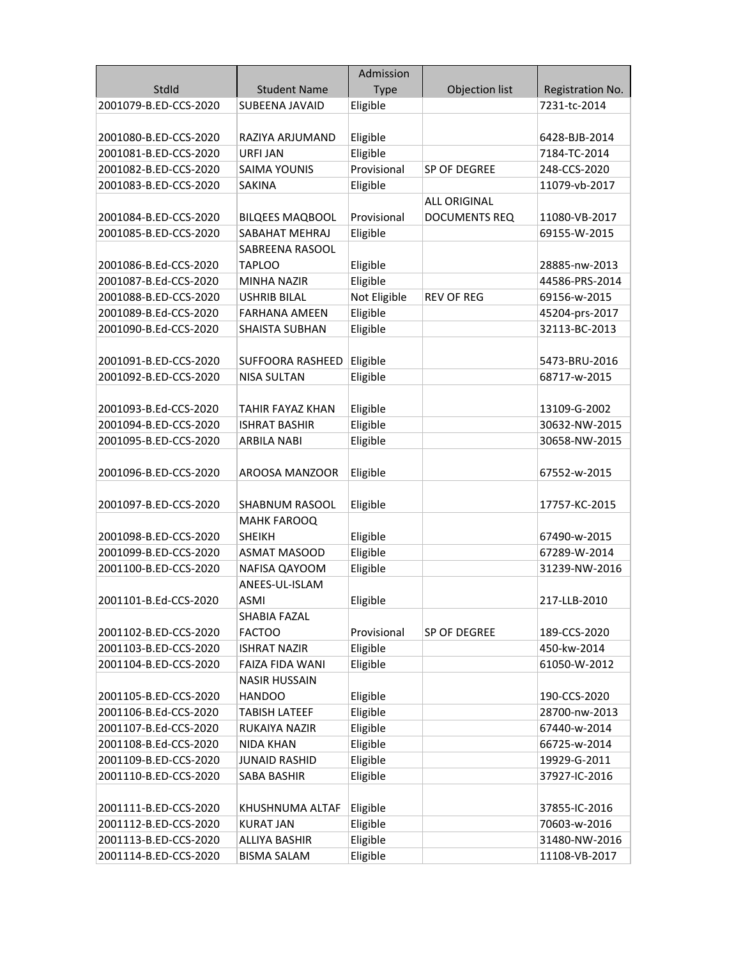|                                                |                        | Admission    |                      |                  |
|------------------------------------------------|------------------------|--------------|----------------------|------------------|
| StdId                                          | <b>Student Name</b>    | <b>Type</b>  | Objection list       | Registration No. |
| 2001079-B.ED-CCS-2020                          | SUBEENA JAVAID         | Eligible     |                      | 7231-tc-2014     |
|                                                |                        |              |                      |                  |
| 2001080-B.ED-CCS-2020                          | RAZIYA ARJUMAND        | Eligible     |                      | 6428-BJB-2014    |
| 2001081-B.ED-CCS-2020                          | URFI JAN               | Eligible     |                      | 7184-TC-2014     |
| 2001082-B.ED-CCS-2020                          | <b>SAIMA YOUNIS</b>    | Provisional  | SP OF DEGREE         | 248-CCS-2020     |
| 2001083-B.ED-CCS-2020                          | <b>SAKINA</b>          | Eligible     |                      | 11079-vb-2017    |
|                                                |                        |              | <b>ALL ORIGINAL</b>  |                  |
| 2001084-B.ED-CCS-2020                          | <b>BILQEES MAQBOOL</b> | Provisional  | <b>DOCUMENTS REQ</b> | 11080-VB-2017    |
| 2001085-B.ED-CCS-2020                          | SABAHAT MEHRAJ         | Eligible     |                      | 69155-W-2015     |
|                                                | SABREENA RASOOL        |              |                      |                  |
| 2001086-B.Ed-CCS-2020                          | <b>TAPLOO</b>          | Eligible     |                      | 28885-nw-2013    |
| 2001087-B.Ed-CCS-2020                          | <b>MINHA NAZIR</b>     | Eligible     |                      | 44586-PRS-2014   |
| 2001088-B.ED-CCS-2020                          | <b>USHRIB BILAL</b>    | Not Eligible | <b>REV OF REG</b>    | 69156-w-2015     |
| 2001089-B.Ed-CCS-2020                          | <b>FARHANA AMEEN</b>   | Eligible     |                      | 45204-prs-2017   |
| 2001090-B.Ed-CCS-2020                          | <b>SHAISTA SUBHAN</b>  | Eligible     |                      | 32113-BC-2013    |
|                                                |                        |              |                      |                  |
| 2001091-B.ED-CCS-2020                          | SUFFOORA RASHEED       | Eligible     |                      | 5473-BRU-2016    |
| 2001092-B.ED-CCS-2020                          | <b>NISA SULTAN</b>     | Eligible     |                      | 68717-w-2015     |
|                                                |                        |              |                      |                  |
| 2001093-B.Ed-CCS-2020                          | TAHIR FAYAZ KHAN       | Eligible     |                      | 13109-G-2002     |
| 2001094-B.ED-CCS-2020                          | <b>ISHRAT BASHIR</b>   | Eligible     |                      | 30632-NW-2015    |
| 2001095-B.ED-CCS-2020                          | <b>ARBILA NABI</b>     | Eligible     |                      | 30658-NW-2015    |
|                                                |                        |              |                      |                  |
| 2001096-B.ED-CCS-2020                          | AROOSA MANZOOR         | Eligible     |                      | 67552-w-2015     |
|                                                |                        |              |                      |                  |
| 2001097-B.ED-CCS-2020                          | SHABNUM RASOOL         | Eligible     |                      | 17757-KC-2015    |
|                                                | <b>MAHK FAROOQ</b>     |              |                      |                  |
| 2001098-B.ED-CCS-2020                          | <b>SHEIKH</b>          | Eligible     |                      | 67490-w-2015     |
| 2001099-B.ED-CCS-2020                          | ASMAT MASOOD           | Eligible     |                      | 67289-W-2014     |
| 2001100-B.ED-CCS-2020                          | NAFISA QAYOOM          | Eligible     |                      | 31239-NW-2016    |
|                                                | ANEES-UL-ISLAM         |              |                      |                  |
| 2001101-B.Ed-CCS-2020                          | ASMI<br>SHABIA FAZAL   | Eligible     |                      | 217-LLB-2010     |
|                                                | <b>FACTOO</b>          | Provisional  |                      | 189-CCS-2020     |
| 2001102-B.ED-CCS-2020<br>2001103-B.ED-CCS-2020 | <b>ISHRAT NAZIR</b>    | Eligible     | SP OF DEGREE         | 450-kw-2014      |
| 2001104-B.ED-CCS-2020                          | <b>FAIZA FIDA WANI</b> | Eligible     |                      | 61050-W-2012     |
|                                                | <b>NASIR HUSSAIN</b>   |              |                      |                  |
| 2001105-B.ED-CCS-2020                          | <b>HANDOO</b>          | Eligible     |                      | 190-CCS-2020     |
| 2001106-B.Ed-CCS-2020                          | <b>TABISH LATEEF</b>   | Eligible     |                      | 28700-nw-2013    |
| 2001107-B.Ed-CCS-2020                          | RUKAIYA NAZIR          | Eligible     |                      | 67440-w-2014     |
| 2001108-B.Ed-CCS-2020                          | <b>NIDA KHAN</b>       | Eligible     |                      | 66725-w-2014     |
| 2001109-B.ED-CCS-2020                          | <b>JUNAID RASHID</b>   | Eligible     |                      | 19929-G-2011     |
| 2001110-B.ED-CCS-2020                          | <b>SABA BASHIR</b>     | Eligible     |                      | 37927-IC-2016    |
|                                                |                        |              |                      |                  |
| 2001111-B.ED-CCS-2020                          | KHUSHNUMA ALTAF        | Eligible     |                      | 37855-IC-2016    |
| 2001112-B.ED-CCS-2020                          | <b>KURAT JAN</b>       | Eligible     |                      | 70603-w-2016     |
| 2001113-B.ED-CCS-2020                          | <b>ALLIYA BASHIR</b>   | Eligible     |                      | 31480-NW-2016    |
| 2001114-B.ED-CCS-2020                          | <b>BISMA SALAM</b>     | Eligible     |                      | 11108-VB-2017    |
|                                                |                        |              |                      |                  |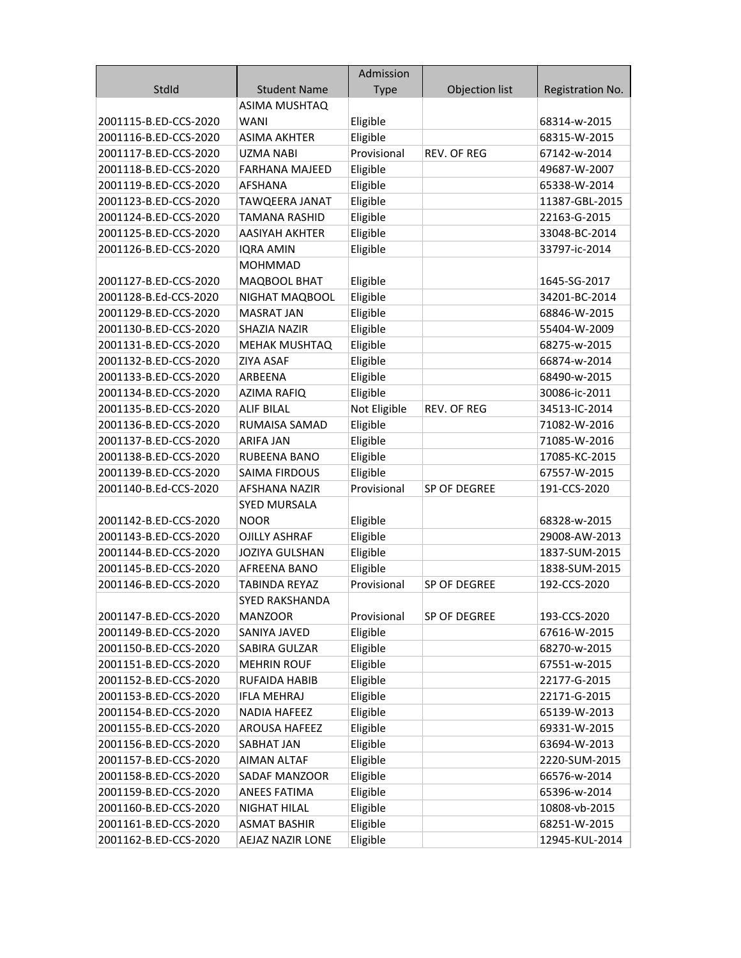|                       |                       | Admission    |                    |                  |
|-----------------------|-----------------------|--------------|--------------------|------------------|
| StdId                 | <b>Student Name</b>   | <b>Type</b>  | Objection list     | Registration No. |
|                       | <b>ASIMA MUSHTAQ</b>  |              |                    |                  |
| 2001115-B.ED-CCS-2020 | <b>WANI</b>           | Eligible     |                    | 68314-w-2015     |
| 2001116-B.ED-CCS-2020 | <b>ASIMA AKHTER</b>   | Eligible     |                    | 68315-W-2015     |
| 2001117-B.ED-CCS-2020 | <b>UZMA NABI</b>      | Provisional  | <b>REV. OF REG</b> | 67142-w-2014     |
| 2001118-B.ED-CCS-2020 | <b>FARHANA MAJEED</b> | Eligible     |                    | 49687-W-2007     |
| 2001119-B.ED-CCS-2020 | AFSHANA               | Eligible     |                    | 65338-W-2014     |
| 2001123-B.ED-CCS-2020 | <b>TAWQEERA JANAT</b> | Eligible     |                    | 11387-GBL-2015   |
| 2001124-B.ED-CCS-2020 | <b>TAMANA RASHID</b>  | Eligible     |                    | 22163-G-2015     |
| 2001125-B.ED-CCS-2020 | AASIYAH AKHTER        | Eligible     |                    | 33048-BC-2014    |
| 2001126-B.ED-CCS-2020 | <b>IQRA AMIN</b>      | Eligible     |                    | 33797-ic-2014    |
|                       | <b>MOHMMAD</b>        |              |                    |                  |
| 2001127-B.ED-CCS-2020 | MAQBOOL BHAT          | Eligible     |                    | 1645-SG-2017     |
| 2001128-B.Ed-CCS-2020 | NIGHAT MAQBOOL        | Eligible     |                    | 34201-BC-2014    |
| 2001129-B.ED-CCS-2020 | <b>MASRAT JAN</b>     | Eligible     |                    | 68846-W-2015     |
| 2001130-B.ED-CCS-2020 | SHAZIA NAZIR          | Eligible     |                    | 55404-W-2009     |
| 2001131-B.ED-CCS-2020 | <b>MEHAK MUSHTAQ</b>  | Eligible     |                    | 68275-w-2015     |
| 2001132-B.ED-CCS-2020 | <b>ZIYA ASAF</b>      | Eligible     |                    | 66874-w-2014     |
| 2001133-B.ED-CCS-2020 | ARBEENA               | Eligible     |                    | 68490-w-2015     |
| 2001134-B.ED-CCS-2020 | <b>AZIMA RAFIQ</b>    | Eligible     |                    | 30086-ic-2011    |
| 2001135-B.ED-CCS-2020 | <b>ALIF BILAL</b>     | Not Eligible | <b>REV. OF REG</b> | 34513-IC-2014    |
| 2001136-B.ED-CCS-2020 | RUMAISA SAMAD         | Eligible     |                    | 71082-W-2016     |
| 2001137-B.ED-CCS-2020 | ARIFA JAN             | Eligible     |                    | 71085-W-2016     |
| 2001138-B.ED-CCS-2020 | <b>RUBEENA BANO</b>   | Eligible     |                    | 17085-KC-2015    |
| 2001139-B.ED-CCS-2020 | <b>SAIMA FIRDOUS</b>  | Eligible     |                    | 67557-W-2015     |
| 2001140-B.Ed-CCS-2020 | <b>AFSHANA NAZIR</b>  | Provisional  | SP OF DEGREE       | 191-CCS-2020     |
|                       | <b>SYED MURSALA</b>   |              |                    |                  |
| 2001142-B.ED-CCS-2020 | <b>NOOR</b>           | Eligible     |                    | 68328-w-2015     |
| 2001143-B.ED-CCS-2020 | <b>OJILLY ASHRAF</b>  | Eligible     |                    | 29008-AW-2013    |
| 2001144-B.ED-CCS-2020 | <b>JOZIYA GULSHAN</b> | Eligible     |                    | 1837-SUM-2015    |
| 2001145-B.ED-CCS-2020 | AFREENA BANO          | Eligible     |                    | 1838-SUM-2015    |
| 2001146-B.ED-CCS-2020 | TABINDA REYAZ         | Provisional  | SP OF DEGREE       | 192-CCS-2020     |
|                       | SYED RAKSHANDA        |              |                    |                  |
| 2001147-B.ED-CCS-2020 | <b>MANZOOR</b>        | Provisional  | SP OF DEGREE       | 193-CCS-2020     |
| 2001149-B.ED-CCS-2020 | SANIYA JAVED          | Eligible     |                    | 67616-W-2015     |
| 2001150-B.ED-CCS-2020 | SABIRA GULZAR         | Eligible     |                    | 68270-w-2015     |
| 2001151-B.ED-CCS-2020 | <b>MEHRIN ROUF</b>    | Eligible     |                    | 67551-w-2015     |
| 2001152-B.ED-CCS-2020 | <b>RUFAIDA HABIB</b>  | Eligible     |                    | 22177-G-2015     |
| 2001153-B.ED-CCS-2020 | <b>IFLA MEHRAJ</b>    | Eligible     |                    | 22171-G-2015     |
| 2001154-B.ED-CCS-2020 | <b>NADIA HAFEEZ</b>   | Eligible     |                    | 65139-W-2013     |
| 2001155-B.ED-CCS-2020 | <b>AROUSA HAFEEZ</b>  | Eligible     |                    | 69331-W-2015     |
| 2001156-B.ED-CCS-2020 | SABHAT JAN            | Eligible     |                    | 63694-W-2013     |
| 2001157-B.ED-CCS-2020 | <b>AIMAN ALTAF</b>    | Eligible     |                    | 2220-SUM-2015    |
| 2001158-B.ED-CCS-2020 | <b>SADAF MANZOOR</b>  | Eligible     |                    | 66576-w-2014     |
| 2001159-B.ED-CCS-2020 | <b>ANEES FATIMA</b>   | Eligible     |                    | 65396-w-2014     |
| 2001160-B.ED-CCS-2020 | <b>NIGHAT HILAL</b>   | Eligible     |                    | 10808-vb-2015    |
| 2001161-B.ED-CCS-2020 | <b>ASMAT BASHIR</b>   | Eligible     |                    | 68251-W-2015     |
| 2001162-B.ED-CCS-2020 | AEJAZ NAZIR LONE      | Eligible     |                    | 12945-KUL-2014   |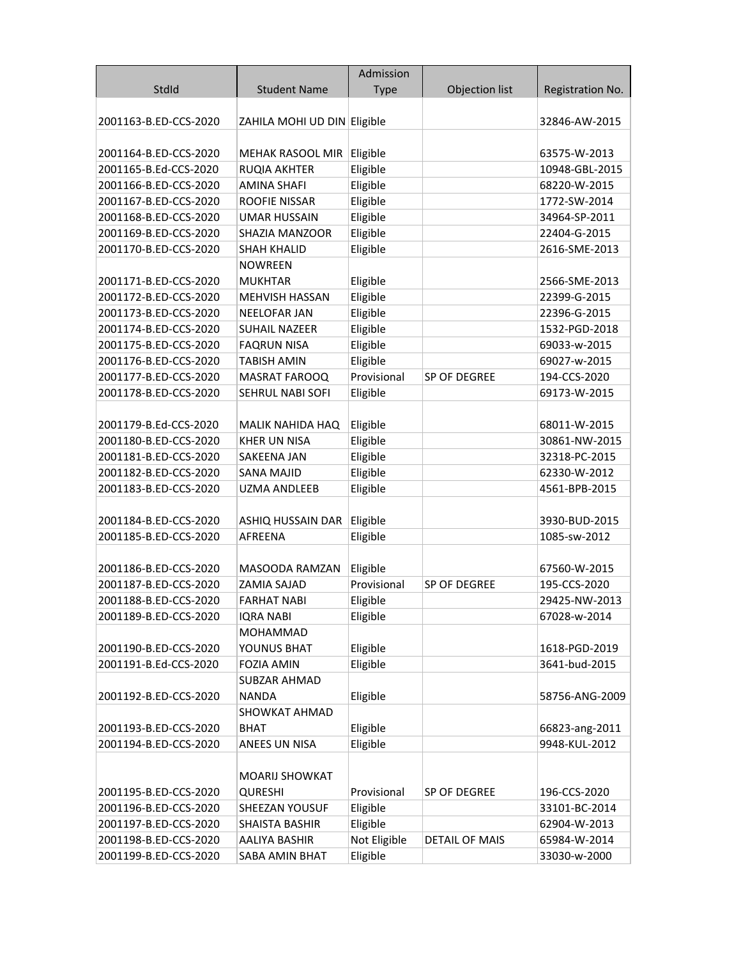|                       |                             | Admission    |                       |                  |
|-----------------------|-----------------------------|--------------|-----------------------|------------------|
| StdId                 | <b>Student Name</b>         | <b>Type</b>  | Objection list        | Registration No. |
|                       |                             |              |                       |                  |
| 2001163-B.ED-CCS-2020 | ZAHILA MOHI UD DIN Eligible |              |                       | 32846-AW-2015    |
|                       |                             |              |                       |                  |
| 2001164-B.ED-CCS-2020 | MEHAK RASOOL MIR            | Eligible     |                       | 63575-W-2013     |
| 2001165-B.Ed-CCS-2020 | RUQIA AKHTER                | Eligible     |                       | 10948-GBL-2015   |
| 2001166-B.ED-CCS-2020 | <b>AMINA SHAFI</b>          | Eligible     |                       | 68220-W-2015     |
| 2001167-B.ED-CCS-2020 | ROOFIE NISSAR               | Eligible     |                       | 1772-SW-2014     |
| 2001168-B.ED-CCS-2020 | <b>UMAR HUSSAIN</b>         | Eligible     |                       | 34964-SP-2011    |
| 2001169-B.ED-CCS-2020 | SHAZIA MANZOOR              | Eligible     |                       | 22404-G-2015     |
| 2001170-B.ED-CCS-2020 | <b>SHAH KHALID</b>          | Eligible     |                       | 2616-SME-2013    |
|                       | <b>NOWREEN</b>              |              |                       |                  |
| 2001171-B.ED-CCS-2020 | <b>MUKHTAR</b>              | Eligible     |                       | 2566-SME-2013    |
| 2001172-B.ED-CCS-2020 | MEHVISH HASSAN              | Eligible     |                       | 22399-G-2015     |
| 2001173-B.ED-CCS-2020 | <b>NEELOFAR JAN</b>         | Eligible     |                       | 22396-G-2015     |
| 2001174-B.ED-CCS-2020 | <b>SUHAIL NAZEER</b>        | Eligible     |                       | 1532-PGD-2018    |
| 2001175-B.ED-CCS-2020 | <b>FAQRUN NISA</b>          | Eligible     |                       | 69033-w-2015     |
| 2001176-B.ED-CCS-2020 | <b>TABISH AMIN</b>          | Eligible     |                       | 69027-w-2015     |
| 2001177-B.ED-CCS-2020 | <b>MASRAT FAROOQ</b>        | Provisional  | SP OF DEGREE          | 194-CCS-2020     |
| 2001178-B.ED-CCS-2020 | SEHRUL NABI SOFI            | Eligible     |                       | 69173-W-2015     |
|                       |                             |              |                       |                  |
| 2001179-B.Ed-CCS-2020 | MALIK NAHIDA HAQ            | Eligible     |                       | 68011-W-2015     |
| 2001180-B.ED-CCS-2020 | <b>KHER UN NISA</b>         | Eligible     |                       | 30861-NW-2015    |
| 2001181-B.ED-CCS-2020 | SAKEENA JAN                 | Eligible     |                       | 32318-PC-2015    |
| 2001182-B.ED-CCS-2020 | <b>SANA MAJID</b>           | Eligible     |                       | 62330-W-2012     |
| 2001183-B.ED-CCS-2020 | <b>UZMA ANDLEEB</b>         | Eligible     |                       | 4561-BPB-2015    |
|                       |                             |              |                       |                  |
| 2001184-B.ED-CCS-2020 | ASHIQ HUSSAIN DAR           | Eligible     |                       | 3930-BUD-2015    |
| 2001185-B.ED-CCS-2020 | AFREENA                     | Eligible     |                       | 1085-sw-2012     |
|                       |                             |              |                       |                  |
| 2001186-B.ED-CCS-2020 | MASOODA RAMZAN              | Eligible     |                       | 67560-W-2015     |
| 2001187-B.ED-CCS-2020 | ZAMIA SAJAD                 | Provisional  | SP OF DEGREE          | 195-CCS-2020     |
| 2001188-B.ED-CCS-2020 | FARHAT NABI                 | Eligible     |                       | 29425-NW-2013    |
| 2001189-B.ED-CCS-2020 | <b>IQRA NABI</b>            | Eligible     |                       | 67028-w-2014     |
|                       | <b>MOHAMMAD</b>             |              |                       |                  |
| 2001190-B.ED-CCS-2020 | YOUNUS BHAT                 | Eligible     |                       | 1618-PGD-2019    |
| 2001191-B.Ed-CCS-2020 | <b>FOZIA AMIN</b>           | Eligible     |                       | 3641-bud-2015    |
|                       | <b>SUBZAR AHMAD</b>         |              |                       |                  |
| 2001192-B.ED-CCS-2020 | NANDA                       | Eligible     |                       | 58756-ANG-2009   |
|                       | <b>SHOWKAT AHMAD</b>        |              |                       |                  |
| 2001193-B.ED-CCS-2020 | <b>BHAT</b>                 | Eligible     |                       | 66823-ang-2011   |
| 2001194-B.ED-CCS-2020 | ANEES UN NISA               | Eligible     |                       | 9948-KUL-2012    |
|                       |                             |              |                       |                  |
|                       | <b>MOARIJ SHOWKAT</b>       |              |                       |                  |
| 2001195-B.ED-CCS-2020 | <b>QURESHI</b>              | Provisional  | SP OF DEGREE          | 196-CCS-2020     |
| 2001196-B.ED-CCS-2020 | SHEEZAN YOUSUF              | Eligible     |                       | 33101-BC-2014    |
| 2001197-B.ED-CCS-2020 | <b>SHAISTA BASHIR</b>       | Eligible     |                       | 62904-W-2013     |
| 2001198-B.ED-CCS-2020 | AALIYA BASHIR               | Not Eligible | <b>DETAIL OF MAIS</b> | 65984-W-2014     |
| 2001199-B.ED-CCS-2020 | SABA AMIN BHAT              | Eligible     |                       | 33030-w-2000     |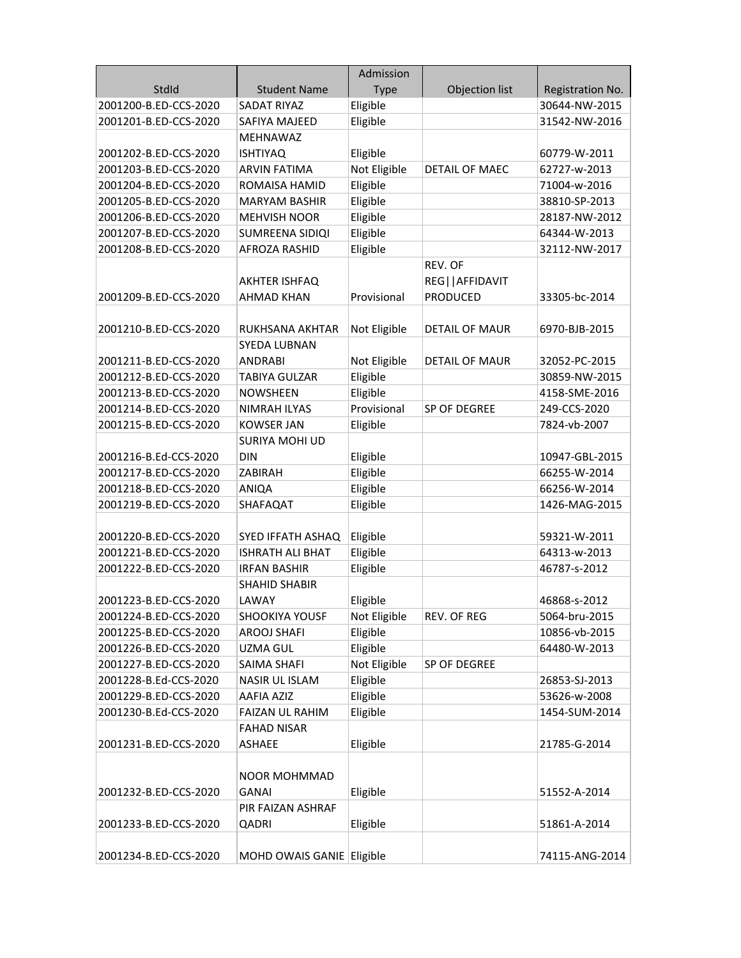|                       |                           | Admission    |                       |                  |
|-----------------------|---------------------------|--------------|-----------------------|------------------|
| StdId                 | <b>Student Name</b>       | <b>Type</b>  | <b>Objection list</b> | Registration No. |
| 2001200-B.ED-CCS-2020 | <b>SADAT RIYAZ</b>        | Eligible     |                       | 30644-NW-2015    |
| 2001201-B.ED-CCS-2020 | SAFIYA MAJEED             | Eligible     |                       | 31542-NW-2016    |
|                       | <b>MEHNAWAZ</b>           |              |                       |                  |
| 2001202-B.ED-CCS-2020 | <b>ISHTIYAQ</b>           | Eligible     |                       | 60779-W-2011     |
| 2001203-B.ED-CCS-2020 | <b>ARVIN FATIMA</b>       | Not Eligible | <b>DETAIL OF MAEC</b> | 62727-w-2013     |
| 2001204-B.ED-CCS-2020 | ROMAISA HAMID             | Eligible     |                       | 71004-w-2016     |
| 2001205-B.ED-CCS-2020 | <b>MARYAM BASHIR</b>      | Eligible     |                       | 38810-SP-2013    |
| 2001206-B.ED-CCS-2020 | <b>MEHVISH NOOR</b>       | Eligible     |                       | 28187-NW-2012    |
| 2001207-B.ED-CCS-2020 | SUMREENA SIDIQI           | Eligible     |                       | 64344-W-2013     |
| 2001208-B.ED-CCS-2020 | <b>AFROZA RASHID</b>      | Eligible     |                       | 32112-NW-2017    |
|                       |                           |              | REV. OF               |                  |
|                       | AKHTER ISHFAQ             |              | REG  AFFIDAVIT        |                  |
| 2001209-B.ED-CCS-2020 | <b>AHMAD KHAN</b>         | Provisional  | PRODUCED              | 33305-bc-2014    |
|                       |                           |              |                       |                  |
| 2001210-B.ED-CCS-2020 | <b>RUKHSANA AKHTAR</b>    | Not Eligible | <b>DETAIL OF MAUR</b> | 6970-BJB-2015    |
|                       | <b>SYEDA LUBNAN</b>       |              |                       |                  |
| 2001211-B.ED-CCS-2020 | ANDRABI                   | Not Eligible | DETAIL OF MAUR        | 32052-PC-2015    |
| 2001212-B.ED-CCS-2020 | TABIYA GULZAR             | Eligible     |                       | 30859-NW-2015    |
| 2001213-B.ED-CCS-2020 | <b>NOWSHEEN</b>           | Eligible     |                       | 4158-SME-2016    |
| 2001214-B.ED-CCS-2020 | <b>NIMRAH ILYAS</b>       | Provisional  | SP OF DEGREE          | 249-CCS-2020     |
| 2001215-B.ED-CCS-2020 | <b>KOWSER JAN</b>         | Eligible     |                       | 7824-vb-2007     |
|                       | <b>SURIYA MOHI UD</b>     |              |                       |                  |
| 2001216-B.Ed-CCS-2020 | <b>DIN</b>                | Eligible     |                       | 10947-GBL-2015   |
| 2001217-B.ED-CCS-2020 | ZABIRAH                   | Eligible     |                       | 66255-W-2014     |
| 2001218-B.ED-CCS-2020 | ANIQA                     | Eligible     |                       | 66256-W-2014     |
| 2001219-B.ED-CCS-2020 | SHAFAQAT                  | Eligible     |                       | 1426-MAG-2015    |
|                       |                           |              |                       |                  |
| 2001220-B.ED-CCS-2020 | SYED IFFATH ASHAQ         | Eligible     |                       | 59321-W-2011     |
| 2001221-B.ED-CCS-2020 | <b>ISHRATH ALI BHAT</b>   | Eligible     |                       | 64313-w-2013     |
| 2001222-B.ED-CCS-2020 | <b>IRFAN BASHIR</b>       | Eligible     |                       | 46787-s-2012     |
|                       | <b>SHAHID SHABIR</b>      |              |                       |                  |
| 2001223-B.ED-CCS-2020 | LAWAY                     | Eligible     |                       | 46868-s-2012     |
| 2001224-B.ED-CCS-2020 | <b>SHOOKIYA YOUSF</b>     | Not Eligible | REV. OF REG           | 5064-bru-2015    |
| 2001225-B.ED-CCS-2020 | <b>AROOJ SHAFI</b>        | Eligible     |                       | 10856-vb-2015    |
| 2001226-B.ED-CCS-2020 | <b>UZMA GUL</b>           | Eligible     |                       | 64480-W-2013     |
| 2001227-B.ED-CCS-2020 | SAIMA SHAFI               | Not Eligible | SP OF DEGREE          |                  |
| 2001228-B.Ed-CCS-2020 | <b>NASIR UL ISLAM</b>     | Eligible     |                       | 26853-SJ-2013    |
| 2001229-B.ED-CCS-2020 | AAFIA AZIZ                | Eligible     |                       | 53626-w-2008     |
| 2001230-B.Ed-CCS-2020 | FAIZAN UL RAHIM           | Eligible     |                       | 1454-SUM-2014    |
|                       | <b>FAHAD NISAR</b>        |              |                       |                  |
| 2001231-B.ED-CCS-2020 | ASHAEE                    | Eligible     |                       | 21785-G-2014     |
|                       |                           |              |                       |                  |
|                       | <b>NOOR MOHMMAD</b>       |              |                       |                  |
| 2001232-B.ED-CCS-2020 | GANAI                     | Eligible     |                       | 51552-A-2014     |
|                       | PIR FAIZAN ASHRAF         |              |                       |                  |
| 2001233-B.ED-CCS-2020 | QADRI                     | Eligible     |                       | 51861-A-2014     |
|                       |                           |              |                       |                  |
| 2001234-B.ED-CCS-2020 | MOHD OWAIS GANIE Eligible |              |                       | 74115-ANG-2014   |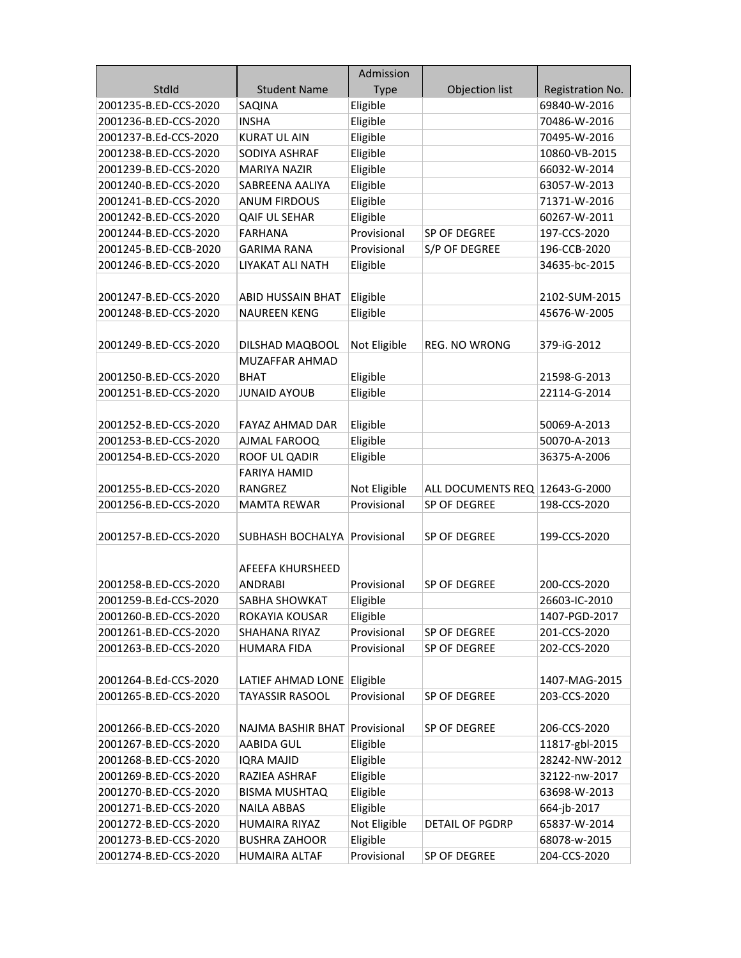|                       |                                     | Admission    |                                |                  |
|-----------------------|-------------------------------------|--------------|--------------------------------|------------------|
| StdId                 | <b>Student Name</b>                 | Type         | Objection list                 | Registration No. |
| 2001235-B.ED-CCS-2020 | SAQINA                              | Eligible     |                                | 69840-W-2016     |
| 2001236-B.ED-CCS-2020 | <b>INSHA</b>                        | Eligible     |                                | 70486-W-2016     |
| 2001237-B.Ed-CCS-2020 | <b>KURAT UL AIN</b>                 | Eligible     |                                | 70495-W-2016     |
| 2001238-B.ED-CCS-2020 | SODIYA ASHRAF                       | Eligible     |                                | 10860-VB-2015    |
| 2001239-B.ED-CCS-2020 | <b>MARIYA NAZIR</b>                 | Eligible     |                                | 66032-W-2014     |
| 2001240-B.ED-CCS-2020 | SABREENA AALIYA                     | Eligible     |                                | 63057-W-2013     |
| 2001241-B.ED-CCS-2020 | <b>ANUM FIRDOUS</b>                 | Eligible     |                                | 71371-W-2016     |
| 2001242-B.ED-CCS-2020 | <b>QAIF UL SEHAR</b>                | Eligible     |                                | 60267-W-2011     |
| 2001244-B.ED-CCS-2020 | FARHANA                             | Provisional  | SP OF DEGREE                   | 197-CCS-2020     |
| 2001245-B.ED-CCB-2020 | <b>GARIMA RANA</b>                  | Provisional  | S/P OF DEGREE                  | 196-CCB-2020     |
| 2001246-B.ED-CCS-2020 | LIYAKAT ALI NATH                    | Eligible     |                                | 34635-bc-2015    |
|                       |                                     |              |                                |                  |
| 2001247-B.ED-CCS-2020 | <b>ABID HUSSAIN BHAT</b>            | Eligible     |                                | 2102-SUM-2015    |
| 2001248-B.ED-CCS-2020 | <b>NAUREEN KENG</b>                 | Eligible     |                                | 45676-W-2005     |
|                       |                                     |              |                                |                  |
| 2001249-B.ED-CCS-2020 | DILSHAD MAQBOOL                     | Not Eligible | REG. NO WRONG                  | 379-iG-2012      |
|                       | <b>MUZAFFAR AHMAD</b>               |              |                                |                  |
| 2001250-B.ED-CCS-2020 | <b>BHAT</b>                         | Eligible     |                                | 21598-G-2013     |
| 2001251-B.ED-CCS-2020 | <b>JUNAID AYOUB</b>                 | Eligible     |                                | 22114-G-2014     |
|                       |                                     |              |                                |                  |
| 2001252-B.ED-CCS-2020 | <b>FAYAZ AHMAD DAR</b>              | Eligible     |                                | 50069-A-2013     |
| 2001253-B.ED-CCS-2020 | AJMAL FAROOQ                        | Eligible     |                                | 50070-A-2013     |
| 2001254-B.ED-CCS-2020 | ROOF UL QADIR                       | Eligible     |                                | 36375-A-2006     |
|                       | <b>FARIYA HAMID</b>                 |              |                                |                  |
| 2001255-B.ED-CCS-2020 | RANGREZ                             | Not Eligible | ALL DOCUMENTS REQ 12643-G-2000 |                  |
| 2001256-B.ED-CCS-2020 | <b>MAMTA REWAR</b>                  | Provisional  | SP OF DEGREE                   | 198-CCS-2020     |
|                       |                                     |              |                                |                  |
| 2001257-B.ED-CCS-2020 | <b>SUBHASH BOCHALYA Provisional</b> |              | SP OF DEGREE                   | 199-CCS-2020     |
|                       |                                     |              |                                |                  |
|                       | AFEEFA KHURSHEED                    |              |                                |                  |
| 2001258-B.ED-CCS-2020 | ANDRABI                             | Provisional  | SP OF DEGREE                   | 200-CCS-2020     |
| 2001259-B.Ed-CCS-2020 | <b>SABHA SHOWKAT</b>                | Eligible     |                                | 26603-IC-2010    |
| 2001260-B.ED-CCS-2020 | ROKAYIA KOUSAR                      | Eligible     |                                | 1407-PGD-2017    |
| 2001261-B.ED-CCS-2020 | SHAHANA RIYAZ                       | Provisional  | SP OF DEGREE                   | 201-CCS-2020     |
| 2001263-B.ED-CCS-2020 | HUMARA FIDA                         | Provisional  | SP OF DEGREE                   | 202-CCS-2020     |
|                       |                                     |              |                                |                  |
| 2001264-B.Ed-CCS-2020 | LATIEF AHMAD LONE Eligible          |              |                                | 1407-MAG-2015    |
| 2001265-B.ED-CCS-2020 | <b>TAYASSIR RASOOL</b>              | Provisional  | SP OF DEGREE                   | 203-CCS-2020     |
|                       |                                     |              |                                |                  |
| 2001266-B.ED-CCS-2020 | NAJMA BASHIR BHAT                   | Provisional  | SP OF DEGREE                   | 206-CCS-2020     |
| 2001267-B.ED-CCS-2020 | <b>AABIDA GUL</b>                   | Eligible     |                                | 11817-gbl-2015   |
| 2001268-B.ED-CCS-2020 | <b>IQRA MAJID</b>                   | Eligible     |                                | 28242-NW-2012    |
| 2001269-B.ED-CCS-2020 | RAZIEA ASHRAF                       | Eligible     |                                | 32122-nw-2017    |
| 2001270-B.ED-CCS-2020 | <b>BISMA MUSHTAQ</b>                | Eligible     |                                | 63698-W-2013     |
| 2001271-B.ED-CCS-2020 | <b>NAILA ABBAS</b>                  | Eligible     |                                | 664-jb-2017      |
| 2001272-B.ED-CCS-2020 |                                     |              |                                |                  |
|                       | <b>HUMAIRA RIYAZ</b>                | Not Eligible | DETAIL OF PGDRP                | 65837-W-2014     |
| 2001273-B.ED-CCS-2020 | <b>BUSHRA ZAHOOR</b>                | Eligible     |                                | 68078-w-2015     |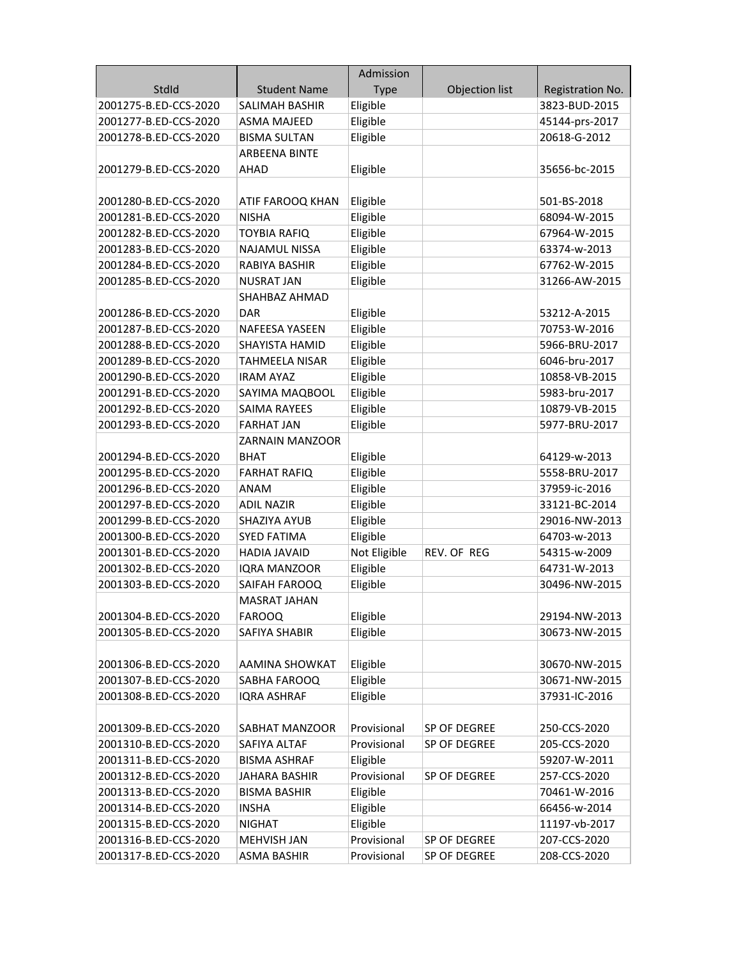|                       |                        | Admission    |                |                  |
|-----------------------|------------------------|--------------|----------------|------------------|
| StdId                 | <b>Student Name</b>    | <b>Type</b>  | Objection list | Registration No. |
| 2001275-B.ED-CCS-2020 | <b>SALIMAH BASHIR</b>  | Eligible     |                | 3823-BUD-2015    |
| 2001277-B.ED-CCS-2020 | <b>ASMA MAJEED</b>     | Eligible     |                | 45144-prs-2017   |
| 2001278-B.ED-CCS-2020 | <b>BISMA SULTAN</b>    | Eligible     |                | 20618-G-2012     |
|                       | <b>ARBEENA BINTE</b>   |              |                |                  |
| 2001279-B.ED-CCS-2020 | <b>AHAD</b>            | Eligible     |                | 35656-bc-2015    |
|                       |                        |              |                |                  |
| 2001280-B.ED-CCS-2020 | ATIF FAROOQ KHAN       | Eligible     |                | 501-BS-2018      |
| 2001281-B.ED-CCS-2020 | <b>NISHA</b>           | Eligible     |                | 68094-W-2015     |
| 2001282-B.ED-CCS-2020 | <b>TOYBIA RAFIQ</b>    | Eligible     |                | 67964-W-2015     |
| 2001283-B.ED-CCS-2020 | <b>NAJAMUL NISSA</b>   | Eligible     |                | 63374-w-2013     |
| 2001284-B.ED-CCS-2020 | RABIYA BASHIR          | Eligible     |                | 67762-W-2015     |
| 2001285-B.ED-CCS-2020 | <b>NUSRAT JAN</b>      | Eligible     |                | 31266-AW-2015    |
|                       | SHAHBAZ AHMAD          |              |                |                  |
| 2001286-B.ED-CCS-2020 | DAR                    | Eligible     |                | 53212-A-2015     |
| 2001287-B.ED-CCS-2020 | <b>NAFEESA YASEEN</b>  | Eligible     |                | 70753-W-2016     |
| 2001288-B.ED-CCS-2020 | <b>SHAYISTA HAMID</b>  | Eligible     |                | 5966-BRU-2017    |
| 2001289-B.ED-CCS-2020 | <b>TAHMEELA NISAR</b>  | Eligible     |                | 6046-bru-2017    |
| 2001290-B.ED-CCS-2020 | <b>IRAM AYAZ</b>       | Eligible     |                | 10858-VB-2015    |
| 2001291-B.ED-CCS-2020 | SAYIMA MAQBOOL         | Eligible     |                | 5983-bru-2017    |
| 2001292-B.ED-CCS-2020 | <b>SAIMA RAYEES</b>    | Eligible     |                | 10879-VB-2015    |
| 2001293-B.ED-CCS-2020 | <b>FARHAT JAN</b>      | Eligible     |                | 5977-BRU-2017    |
|                       | <b>ZARNAIN MANZOOR</b> |              |                |                  |
| 2001294-B.ED-CCS-2020 | <b>BHAT</b>            | Eligible     |                | 64129-w-2013     |
| 2001295-B.ED-CCS-2020 | <b>FARHAT RAFIQ</b>    | Eligible     |                | 5558-BRU-2017    |
| 2001296-B.ED-CCS-2020 | <b>ANAM</b>            | Eligible     |                | 37959-ic-2016    |
| 2001297-B.ED-CCS-2020 | <b>ADIL NAZIR</b>      | Eligible     |                | 33121-BC-2014    |
| 2001299-B.ED-CCS-2020 | SHAZIYA AYUB           | Eligible     |                | 29016-NW-2013    |
| 2001300-B.ED-CCS-2020 | <b>SYED FATIMA</b>     | Eligible     |                | 64703-w-2013     |
| 2001301-B.ED-CCS-2020 | <b>HADIA JAVAID</b>    | Not Eligible | REV. OF REG    | 54315-w-2009     |
| 2001302-B.ED-CCS-2020 | IQRA MANZOOR           | Eligible     |                | 64731-W-2013     |
| 2001303-B.ED-CCS-2020 | SAIFAH FAROOQ          | Eligible     |                | 30496-NW-2015    |
|                       | MASRAT JAHAN           |              |                |                  |
| 2001304-B.ED-CCS-2020 | <b>FAROOQ</b>          | Eligible     |                | 29194-NW-2013    |
| 2001305-B.ED-CCS-2020 | SAFIYA SHABIR          | Eligible     |                | 30673-NW-2015    |
|                       |                        |              |                |                  |
| 2001306-B.ED-CCS-2020 | AAMINA SHOWKAT         | Eligible     |                | 30670-NW-2015    |
| 2001307-B.ED-CCS-2020 | SABHA FAROOQ           | Eligible     |                | 30671-NW-2015    |
| 2001308-B.ED-CCS-2020 | <b>IQRA ASHRAF</b>     | Eligible     |                | 37931-IC-2016    |
|                       |                        |              |                |                  |
| 2001309-B.ED-CCS-2020 | SABHAT MANZOOR         | Provisional  | SP OF DEGREE   | 250-CCS-2020     |
| 2001310-B.ED-CCS-2020 | SAFIYA ALTAF           | Provisional  | SP OF DEGREE   | 205-CCS-2020     |
| 2001311-B.ED-CCS-2020 | <b>BISMA ASHRAF</b>    | Eligible     |                | 59207-W-2011     |
| 2001312-B.ED-CCS-2020 | JAHARA BASHIR          | Provisional  | SP OF DEGREE   | 257-CCS-2020     |
| 2001313-B.ED-CCS-2020 | <b>BISMA BASHIR</b>    | Eligible     |                | 70461-W-2016     |
| 2001314-B.ED-CCS-2020 | <b>INSHA</b>           | Eligible     |                | 66456-w-2014     |
| 2001315-B.ED-CCS-2020 | <b>NIGHAT</b>          | Eligible     |                | 11197-vb-2017    |
| 2001316-B.ED-CCS-2020 | MEHVISH JAN            | Provisional  | SP OF DEGREE   | 207-CCS-2020     |
| 2001317-B.ED-CCS-2020 | <b>ASMA BASHIR</b>     | Provisional  | SP OF DEGREE   | 208-CCS-2020     |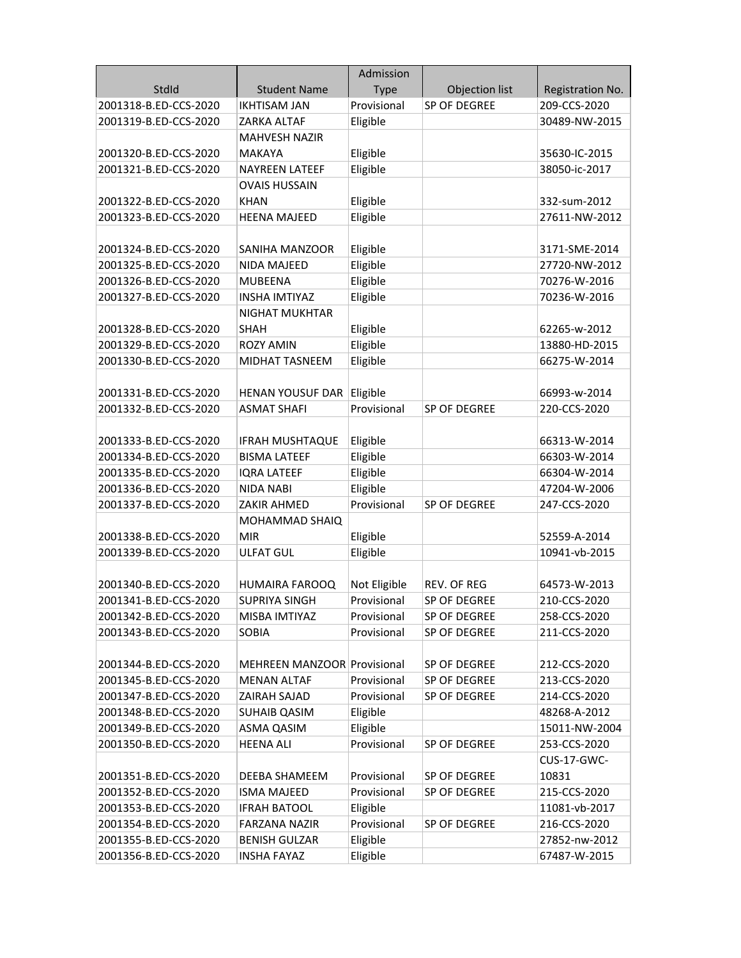|                       |                                    | Admission    |                |                    |
|-----------------------|------------------------------------|--------------|----------------|--------------------|
| StdId                 | <b>Student Name</b>                | <b>Type</b>  | Objection list | Registration No.   |
| 2001318-B.ED-CCS-2020 | <b>IKHTISAM JAN</b>                | Provisional  | SP OF DEGREE   | 209-CCS-2020       |
| 2001319-B.ED-CCS-2020 | ZARKA ALTAF                        | Eligible     |                | 30489-NW-2015      |
|                       | <b>MAHVESH NAZIR</b>               |              |                |                    |
| 2001320-B.ED-CCS-2020 | <b>MAKAYA</b>                      | Eligible     |                | 35630-IC-2015      |
| 2001321-B.ED-CCS-2020 | <b>NAYREEN LATEEF</b>              | Eligible     |                | 38050-ic-2017      |
|                       | <b>OVAIS HUSSAIN</b>               |              |                |                    |
| 2001322-B.ED-CCS-2020 | <b>KHAN</b>                        | Eligible     |                | 332-sum-2012       |
| 2001323-B.ED-CCS-2020 | <b>HEENA MAJEED</b>                | Eligible     |                | 27611-NW-2012      |
|                       |                                    |              |                |                    |
| 2001324-B.ED-CCS-2020 | SANIHA MANZOOR                     | Eligible     |                | 3171-SME-2014      |
| 2001325-B.ED-CCS-2020 | NIDA MAJEED                        | Eligible     |                | 27720-NW-2012      |
| 2001326-B.ED-CCS-2020 | <b>MUBEENA</b>                     | Eligible     |                | 70276-W-2016       |
| 2001327-B.ED-CCS-2020 | <b>INSHA IMTIYAZ</b>               | Eligible     |                | 70236-W-2016       |
|                       | <b>NIGHAT MUKHTAR</b>              |              |                |                    |
| 2001328-B.ED-CCS-2020 | <b>SHAH</b>                        | Eligible     |                | 62265-w-2012       |
| 2001329-B.ED-CCS-2020 | <b>ROZY AMIN</b>                   | Eligible     |                | 13880-HD-2015      |
| 2001330-B.ED-CCS-2020 | MIDHAT TASNEEM                     | Eligible     |                | 66275-W-2014       |
|                       |                                    |              |                |                    |
| 2001331-B.ED-CCS-2020 | HENAN YOUSUF DAR Eligible          |              |                | 66993-w-2014       |
| 2001332-B.ED-CCS-2020 | <b>ASMAT SHAFI</b>                 | Provisional  | SP OF DEGREE   | 220-CCS-2020       |
|                       |                                    |              |                |                    |
| 2001333-B.ED-CCS-2020 | <b>IFRAH MUSHTAQUE</b>             | Eligible     |                | 66313-W-2014       |
| 2001334-B.ED-CCS-2020 | <b>BISMA LATEEF</b>                | Eligible     |                | 66303-W-2014       |
| 2001335-B.ED-CCS-2020 | <b>IQRA LATEEF</b>                 | Eligible     |                | 66304-W-2014       |
| 2001336-B.ED-CCS-2020 | <b>NIDA NABI</b>                   | Eligible     |                | 47204-W-2006       |
| 2001337-B.ED-CCS-2020 | ZAKIR AHMED                        | Provisional  | SP OF DEGREE   | 247-CCS-2020       |
|                       | MOHAMMAD SHAIQ                     |              |                |                    |
| 2001338-B.ED-CCS-2020 | <b>MIR</b>                         | Eligible     |                | 52559-A-2014       |
| 2001339-B.ED-CCS-2020 | <b>ULFAT GUL</b>                   | Eligible     |                | 10941-vb-2015      |
|                       |                                    |              |                |                    |
| 2001340-B.ED-CCS-2020 | <b>HUMAIRA FAROOQ</b>              | Not Eligible | REV. OF REG    | 64573-W-2013       |
| 2001341-B.ED-CCS-2020 | <b>SUPRIYA SINGH</b>               | Provisional  | SP OF DEGREE   | 210-CCS-2020       |
| 2001342-B.ED-CCS-2020 | MISBA IMTIYAZ                      | Provisional  | SP OF DEGREE   | 258-CCS-2020       |
| 2001343-B.ED-CCS-2020 | <b>SOBIA</b>                       | Provisional  | SP OF DEGREE   | 211-CCS-2020       |
|                       |                                    |              |                |                    |
| 2001344-B.ED-CCS-2020 | <b>MEHREEN MANZOOR Provisional</b> |              | SP OF DEGREE   | 212-CCS-2020       |
| 2001345-B.ED-CCS-2020 | <b>MENAN ALTAF</b>                 | Provisional  | SP OF DEGREE   | 213-CCS-2020       |
| 2001347-B.ED-CCS-2020 | ZAIRAH SAJAD                       | Provisional  | SP OF DEGREE   | 214-CCS-2020       |
| 2001348-B.ED-CCS-2020 | SUHAIB QASIM                       | Eligible     |                | 48268-A-2012       |
| 2001349-B.ED-CCS-2020 | ASMA QASIM                         | Eligible     |                | 15011-NW-2004      |
| 2001350-B.ED-CCS-2020 | <b>HEENA ALI</b>                   | Provisional  | SP OF DEGREE   | 253-CCS-2020       |
|                       |                                    |              |                | <b>CUS-17-GWC-</b> |
| 2001351-B.ED-CCS-2020 | DEEBA SHAMEEM                      | Provisional  | SP OF DEGREE   | 10831              |
| 2001352-B.ED-CCS-2020 | <b>ISMA MAJEED</b>                 | Provisional  | SP OF DEGREE   | 215-CCS-2020       |
| 2001353-B.ED-CCS-2020 | <b>IFRAH BATOOL</b>                | Eligible     |                | 11081-vb-2017      |
| 2001354-B.ED-CCS-2020 | <b>FARZANA NAZIR</b>               | Provisional  | SP OF DEGREE   | 216-CCS-2020       |
| 2001355-B.ED-CCS-2020 | <b>BENISH GULZAR</b>               | Eligible     |                | 27852-nw-2012      |
| 2001356-B.ED-CCS-2020 | <b>INSHA FAYAZ</b>                 | Eligible     |                | 67487-W-2015       |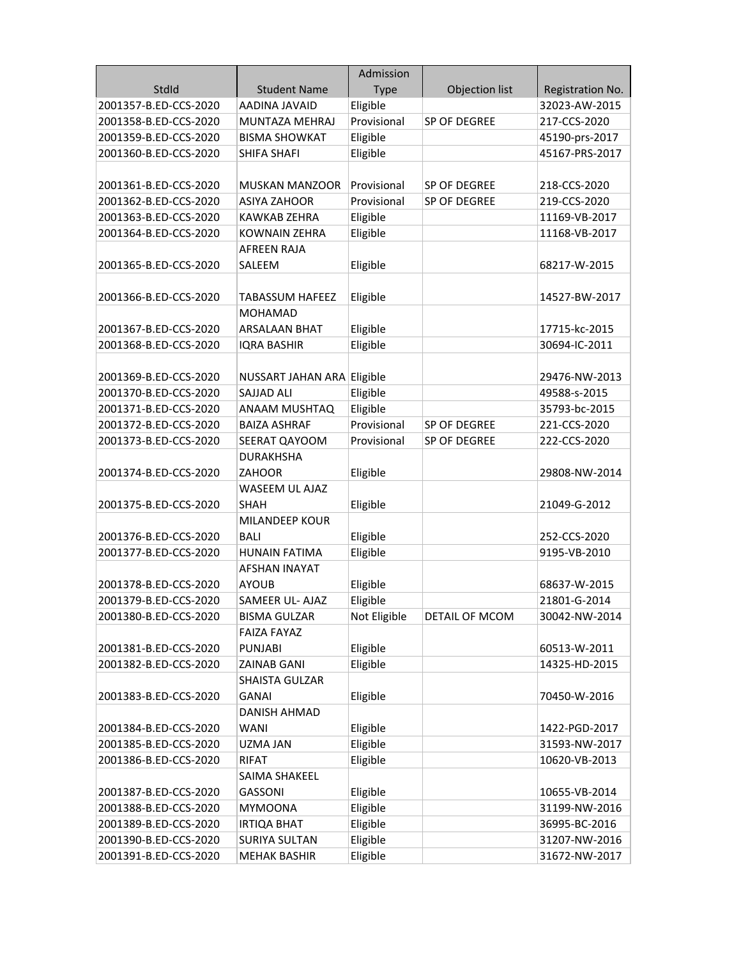|                       |                            | Admission    |                |                  |
|-----------------------|----------------------------|--------------|----------------|------------------|
| StdId                 | <b>Student Name</b>        | <b>Type</b>  | Objection list | Registration No. |
| 2001357-B.ED-CCS-2020 | AADINA JAVAID              | Eligible     |                | 32023-AW-2015    |
| 2001358-B.ED-CCS-2020 | MUNTAZA MEHRAJ             | Provisional  | SP OF DEGREE   | 217-CCS-2020     |
| 2001359-B.ED-CCS-2020 | <b>BISMA SHOWKAT</b>       | Eligible     |                | 45190-prs-2017   |
| 2001360-B.ED-CCS-2020 | SHIFA SHAFI                | Eligible     |                | 45167-PRS-2017   |
|                       |                            |              |                |                  |
| 2001361-B.ED-CCS-2020 | <b>MUSKAN MANZOOR</b>      | Provisional  | SP OF DEGREE   | 218-CCS-2020     |
| 2001362-B.ED-CCS-2020 | <b>ASIYA ZAHOOR</b>        | Provisional  | SP OF DEGREE   | 219-CCS-2020     |
| 2001363-B.ED-CCS-2020 | KAWKAB ZEHRA               | Eligible     |                | 11169-VB-2017    |
| 2001364-B.ED-CCS-2020 | KOWNAIN ZEHRA              | Eligible     |                | 11168-VB-2017    |
|                       | <b>AFREEN RAJA</b>         |              |                |                  |
| 2001365-B.ED-CCS-2020 | SALEEM                     | Eligible     |                | 68217-W-2015     |
|                       |                            |              |                |                  |
| 2001366-B.ED-CCS-2020 | <b>TABASSUM HAFEEZ</b>     | Eligible     |                | 14527-BW-2017    |
|                       | <b>MOHAMAD</b>             |              |                |                  |
| 2001367-B.ED-CCS-2020 | <b>ARSALAAN BHAT</b>       | Eligible     |                | 17715-kc-2015    |
| 2001368-B.ED-CCS-2020 | <b>IQRA BASHIR</b>         | Eligible     |                | 30694-IC-2011    |
|                       |                            |              |                |                  |
| 2001369-B.ED-CCS-2020 | NUSSART JAHAN ARA Eligible |              |                | 29476-NW-2013    |
| 2001370-B.ED-CCS-2020 | SAJJAD ALI                 | Eligible     |                | 49588-s-2015     |
| 2001371-B.ED-CCS-2020 | ANAAM MUSHTAQ              | Eligible     |                | 35793-bc-2015    |
| 2001372-B.ED-CCS-2020 | <b>BAIZA ASHRAF</b>        | Provisional  | SP OF DEGREE   | 221-CCS-2020     |
| 2001373-B.ED-CCS-2020 | SEERAT QAYOOM              | Provisional  | SP OF DEGREE   | 222-CCS-2020     |
|                       | <b>DURAKHSHA</b>           |              |                |                  |
| 2001374-B.ED-CCS-2020 | <b>ZAHOOR</b>              | Eligible     |                | 29808-NW-2014    |
|                       | WASEEM UL AJAZ             |              |                |                  |
| 2001375-B.ED-CCS-2020 | <b>SHAH</b>                | Eligible     |                | 21049-G-2012     |
|                       | <b>MILANDEEP KOUR</b>      |              |                |                  |
| 2001376-B.ED-CCS-2020 | <b>BALI</b>                | Eligible     |                | 252-CCS-2020     |
| 2001377-B.ED-CCS-2020 | <b>HUNAIN FATIMA</b>       | Eligible     |                | 9195-VB-2010     |
|                       | <b>AFSHAN INAYAT</b>       |              |                |                  |
| 2001378-B.ED-CCS-2020 | <b>AYOUB</b>               | Eligible     |                | 68637-W-2015     |
| 2001379-B.ED-CCS-2020 | SAMEER UL- AJAZ            | Eligible     |                | 21801-G-2014     |
| 2001380-B.ED-CCS-2020 | <b>BISMA GULZAR</b>        | Not Eligible | DETAIL OF MCOM | 30042-NW-2014    |
|                       | FAIZA FAYAZ                |              |                |                  |
| 2001381-B.ED-CCS-2020 | PUNJABI                    | Eligible     |                | 60513-W-2011     |
| 2001382-B.ED-CCS-2020 | <b>ZAINAB GANI</b>         | Eligible     |                | 14325-HD-2015    |
|                       | <b>SHAISTA GULZAR</b>      |              |                |                  |
| 2001383-B.ED-CCS-2020 | <b>GANAI</b>               | Eligible     |                | 70450-W-2016     |
|                       | DANISH AHMAD               |              |                |                  |
| 2001384-B.ED-CCS-2020 | <b>WANI</b>                | Eligible     |                | 1422-PGD-2017    |
| 2001385-B.ED-CCS-2020 | <b>UZMA JAN</b>            | Eligible     |                | 31593-NW-2017    |
| 2001386-B.ED-CCS-2020 | <b>RIFAT</b>               | Eligible     |                | 10620-VB-2013    |
|                       | SAIMA SHAKEEL              |              |                |                  |
| 2001387-B.ED-CCS-2020 | <b>GASSONI</b>             | Eligible     |                | 10655-VB-2014    |
| 2001388-B.ED-CCS-2020 | <b>MYMOONA</b>             | Eligible     |                | 31199-NW-2016    |
| 2001389-B.ED-CCS-2020 | <b>IRTIQA BHAT</b>         | Eligible     |                | 36995-BC-2016    |
| 2001390-B.ED-CCS-2020 | SURIYA SULTAN              | Eligible     |                | 31207-NW-2016    |
| 2001391-B.ED-CCS-2020 | <b>MEHAK BASHIR</b>        | Eligible     |                | 31672-NW-2017    |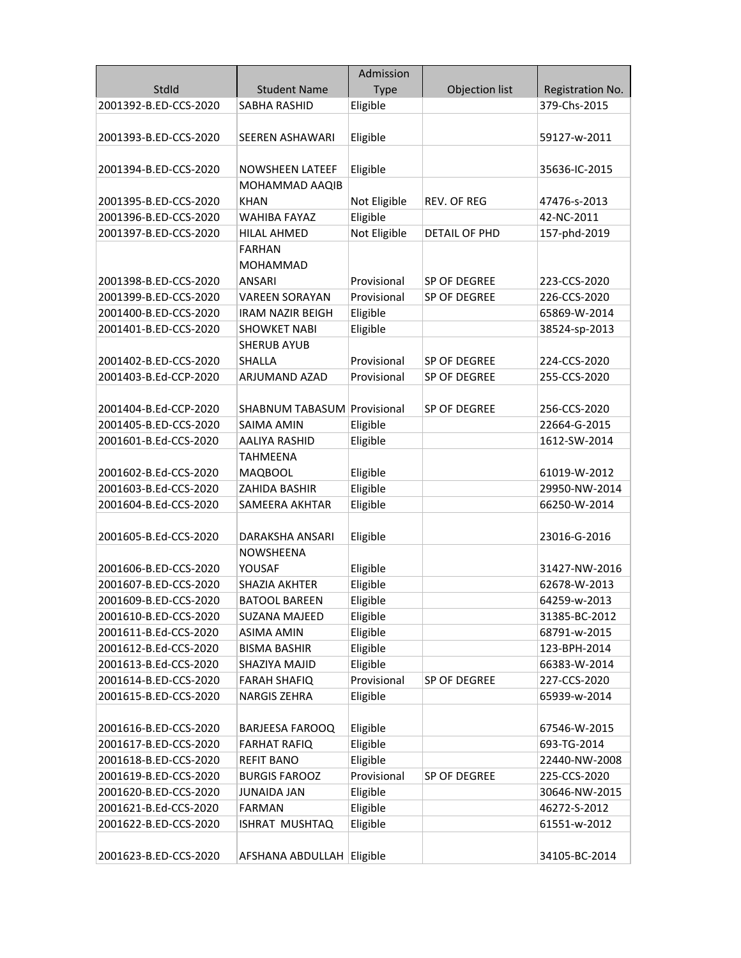|                       |                                    | Admission    |                |                  |
|-----------------------|------------------------------------|--------------|----------------|------------------|
| StdId                 | <b>Student Name</b>                | <b>Type</b>  | Objection list | Registration No. |
| 2001392-B.ED-CCS-2020 | <b>SABHA RASHID</b>                | Eligible     |                | 379-Chs-2015     |
|                       |                                    |              |                |                  |
| 2001393-B.ED-CCS-2020 | <b>SEEREN ASHAWARI</b>             | Eligible     |                | 59127-w-2011     |
|                       |                                    |              |                |                  |
| 2001394-B.ED-CCS-2020 | <b>NOWSHEEN LATEEF</b>             | Eligible     |                | 35636-IC-2015    |
|                       | MOHAMMAD AAQIB                     |              |                |                  |
| 2001395-B.ED-CCS-2020 | <b>KHAN</b>                        | Not Eligible | REV. OF REG    | 47476-s-2013     |
| 2001396-B.ED-CCS-2020 | <b>WAHIBA FAYAZ</b>                | Eligible     |                | 42-NC-2011       |
| 2001397-B.ED-CCS-2020 | <b>HILAL AHMED</b>                 | Not Eligible | DETAIL OF PHD  | 157-phd-2019     |
|                       | <b>FARHAN</b>                      |              |                |                  |
|                       | <b>MOHAMMAD</b>                    |              |                |                  |
| 2001398-B.ED-CCS-2020 | <b>ANSARI</b>                      | Provisional  | SP OF DEGREE   | 223-CCS-2020     |
| 2001399-B.ED-CCS-2020 | <b>VAREEN SORAYAN</b>              | Provisional  | SP OF DEGREE   | 226-CCS-2020     |
| 2001400-B.ED-CCS-2020 | <b>IRAM NAZIR BEIGH</b>            | Eligible     |                | 65869-W-2014     |
| 2001401-B.ED-CCS-2020 | <b>SHOWKET NABI</b>                | Eligible     |                | 38524-sp-2013    |
|                       | <b>SHERUB AYUB</b>                 |              |                |                  |
| 2001402-B.ED-CCS-2020 | <b>SHALLA</b>                      | Provisional  | SP OF DEGREE   | 224-CCS-2020     |
| 2001403-B.Ed-CCP-2020 | ARJUMAND AZAD                      | Provisional  | SP OF DEGREE   | 255-CCS-2020     |
|                       |                                    |              |                |                  |
| 2001404-B.Ed-CCP-2020 | <b>SHABNUM TABASUM Provisional</b> |              | SP OF DEGREE   | 256-CCS-2020     |
| 2001405-B.ED-CCS-2020 | SAIMA AMIN                         | Eligible     |                | 22664-G-2015     |
| 2001601-B.Ed-CCS-2020 | AALIYA RASHID                      | Eligible     |                | 1612-SW-2014     |
|                       | <b>TAHMEENA</b>                    |              |                |                  |
| 2001602-B.Ed-CCS-2020 | <b>MAQBOOL</b>                     | Eligible     |                | 61019-W-2012     |
| 2001603-B.Ed-CCS-2020 | ZAHIDA BASHIR                      | Eligible     |                | 29950-NW-2014    |
| 2001604-B.Ed-CCS-2020 | SAMEERA AKHTAR                     | Eligible     |                | 66250-W-2014     |
|                       |                                    |              |                |                  |
| 2001605-B.Ed-CCS-2020 | <b>DARAKSHA ANSARI</b>             | Eligible     |                | 23016-G-2016     |
|                       | NOWSHEENA                          |              |                |                  |
| 2001606-B.ED-CCS-2020 | YOUSAF                             | Eligible     |                | 31427-NW-2016    |
| 2001607-B.ED-CCS-2020 | SHAZIA AKHTER                      | Eligible     |                | 62678-W-2013     |
| 2001609-B.ED-CCS-2020 | BATOOL BAREEN                      | Eligible     |                | 64259-w-2013     |
| 2001610-B.ED-CCS-2020 | SUZANA MAJEED                      | Eligible     |                | 31385-BC-2012    |
| 2001611-B.Ed-CCS-2020 | <b>ASIMA AMIN</b>                  | Eligible     |                | 68791-w-2015     |
| 2001612-B.Ed-CCS-2020 | <b>BISMA BASHIR</b>                | Eligible     |                | 123-BPH-2014     |
| 2001613-B.Ed-CCS-2020 | SHAZIYA MAJID                      | Eligible     |                | 66383-W-2014     |
| 2001614-B.ED-CCS-2020 | <b>FARAH SHAFIQ</b>                | Provisional  | SP OF DEGREE   | 227-CCS-2020     |
| 2001615-B.ED-CCS-2020 | <b>NARGIS ZEHRA</b>                | Eligible     |                | 65939-w-2014     |
| 2001616-B.ED-CCS-2020 | <b>BARJEESA FAROOQ</b>             | Eligible     |                | 67546-W-2015     |
| 2001617-B.ED-CCS-2020 | <b>FARHAT RAFIQ</b>                | Eligible     |                | 693-TG-2014      |
| 2001618-B.ED-CCS-2020 | <b>REFIT BANO</b>                  | Eligible     |                | 22440-NW-2008    |
| 2001619-B.ED-CCS-2020 | <b>BURGIS FAROOZ</b>               | Provisional  | SP OF DEGREE   | 225-CCS-2020     |
| 2001620-B.ED-CCS-2020 | <b>JUNAIDA JAN</b>                 | Eligible     |                | 30646-NW-2015    |
| 2001621-B.Ed-CCS-2020 | <b>FARMAN</b>                      | Eligible     |                | 46272-S-2012     |
| 2001622-B.ED-CCS-2020 | ISHRAT MUSHTAQ                     | Eligible     |                | 61551-w-2012     |
|                       |                                    |              |                |                  |
| 2001623-B.ED-CCS-2020 | AFSHANA ABDULLAH Eligible          |              |                | 34105-BC-2014    |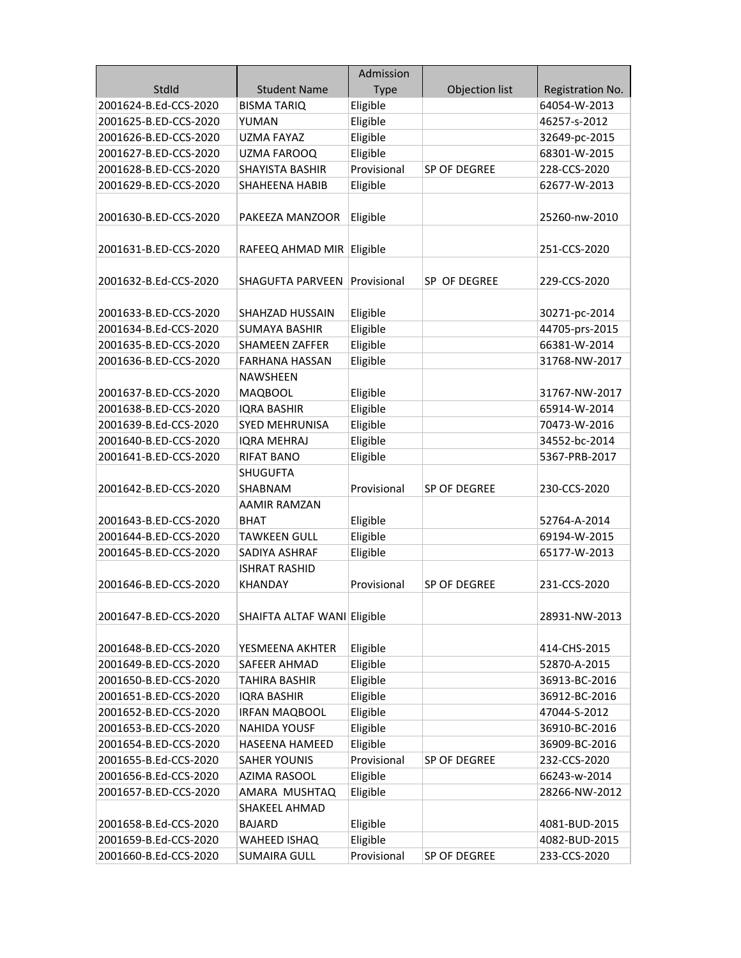|                       |                             | Admission   |                |                  |
|-----------------------|-----------------------------|-------------|----------------|------------------|
| StdId                 | <b>Student Name</b>         | <b>Type</b> | Objection list | Registration No. |
| 2001624-B.Ed-CCS-2020 | <b>BISMA TARIQ</b>          | Eligible    |                | 64054-W-2013     |
| 2001625-B.ED-CCS-2020 | YUMAN                       | Eligible    |                | 46257-s-2012     |
| 2001626-B.ED-CCS-2020 | <b>UZMA FAYAZ</b>           | Eligible    |                | 32649-pc-2015    |
| 2001627-B.ED-CCS-2020 | UZMA FAROOQ                 | Eligible    |                | 68301-W-2015     |
| 2001628-B.ED-CCS-2020 | <b>SHAYISTA BASHIR</b>      | Provisional | SP OF DEGREE   | 228-CCS-2020     |
| 2001629-B.ED-CCS-2020 | SHAHEENA HABIB              | Eligible    |                | 62677-W-2013     |
|                       |                             |             |                |                  |
| 2001630-B.ED-CCS-2020 | PAKEEZA MANZOOR             | Eligible    |                | 25260-nw-2010    |
| 2001631-B.ED-CCS-2020 | RAFEEQ AHMAD MIR            | Eligible    |                | 251-CCS-2020     |
| 2001632-B.Ed-CCS-2020 | SHAGUFTA PARVEEN            | Provisional | SP OF DEGREE   | 229-CCS-2020     |
| 2001633-B.ED-CCS-2020 | SHAHZAD HUSSAIN             | Eligible    |                | 30271-pc-2014    |
| 2001634-B.Ed-CCS-2020 | <b>SUMAYA BASHIR</b>        | Eligible    |                | 44705-prs-2015   |
| 2001635-B.ED-CCS-2020 | <b>SHAMEEN ZAFFER</b>       | Eligible    |                | 66381-W-2014     |
| 2001636-B.ED-CCS-2020 | FARHANA HASSAN              | Eligible    |                | 31768-NW-2017    |
|                       | NAWSHEEN                    |             |                |                  |
| 2001637-B.ED-CCS-2020 | <b>MAQBOOL</b>              | Eligible    |                | 31767-NW-2017    |
| 2001638-B.ED-CCS-2020 | <b>IQRA BASHIR</b>          | Eligible    |                | 65914-W-2014     |
| 2001639-B.Ed-CCS-2020 | <b>SYED MEHRUNISA</b>       | Eligible    |                | 70473-W-2016     |
| 2001640-B.ED-CCS-2020 | <b>IQRA MEHRAJ</b>          | Eligible    |                | 34552-bc-2014    |
| 2001641-B.ED-CCS-2020 | <b>RIFAT BANO</b>           | Eligible    |                | 5367-PRB-2017    |
|                       | SHUGUFTA                    |             |                |                  |
| 2001642-B.ED-CCS-2020 | <b>SHABNAM</b>              | Provisional | SP OF DEGREE   | 230-CCS-2020     |
|                       | <b>AAMIR RAMZAN</b>         |             |                |                  |
| 2001643-B.ED-CCS-2020 | BHAT                        | Eligible    |                | 52764-A-2014     |
| 2001644-B.ED-CCS-2020 | TAWKEEN GULL                | Eligible    |                | 69194-W-2015     |
| 2001645-B.ED-CCS-2020 | SADIYA ASHRAF               | Eligible    |                | 65177-W-2013     |
|                       | <b>ISHRAT RASHID</b>        |             |                |                  |
| 2001646-B.ED-CCS-2020 | <b>KHANDAY</b>              | Provisional | SP OF DEGREE   | 231-CCS-2020     |
| 2001647-B.ED-CCS-2020 | SHAIFTA ALTAF WANI Eligible |             |                | 28931-NW-2013    |
| 2001648-B.ED-CCS-2020 | YESMEENA AKHTER             | Eligible    |                | 414-CHS-2015     |
| 2001649-B.ED-CCS-2020 | SAFEER AHMAD                | Eligible    |                | 52870-A-2015     |
| 2001650-B.ED-CCS-2020 | TAHIRA BASHIR               | Eligible    |                | 36913-BC-2016    |
| 2001651-B.ED-CCS-2020 | <b>IQRA BASHIR</b>          | Eligible    |                | 36912-BC-2016    |
| 2001652-B.ED-CCS-2020 | <b>IRFAN MAQBOOL</b>        | Eligible    |                | 47044-S-2012     |
| 2001653-B.ED-CCS-2020 | <b>NAHIDA YOUSF</b>         | Eligible    |                | 36910-BC-2016    |
| 2001654-B.ED-CCS-2020 | <b>HASEENA HAMEED</b>       | Eligible    |                | 36909-BC-2016    |
| 2001655-B.Ed-CCS-2020 | <b>SAHER YOUNIS</b>         | Provisional | SP OF DEGREE   | 232-CCS-2020     |
| 2001656-B.Ed-CCS-2020 | AZIMA RASOOL                | Eligible    |                | 66243-w-2014     |
| 2001657-B.ED-CCS-2020 | AMARA MUSHTAQ               | Eligible    |                | 28266-NW-2012    |
|                       | SHAKEEL AHMAD               |             |                |                  |
| 2001658-B.Ed-CCS-2020 | <b>BAJARD</b>               | Eligible    |                | 4081-BUD-2015    |
|                       |                             | Eligible    |                |                  |
| 2001659-B.Ed-CCS-2020 | WAHEED ISHAQ                | Provisional |                | 4082-BUD-2015    |
| 2001660-B.Ed-CCS-2020 | <b>SUMAIRA GULL</b>         |             | SP OF DEGREE   | 233-CCS-2020     |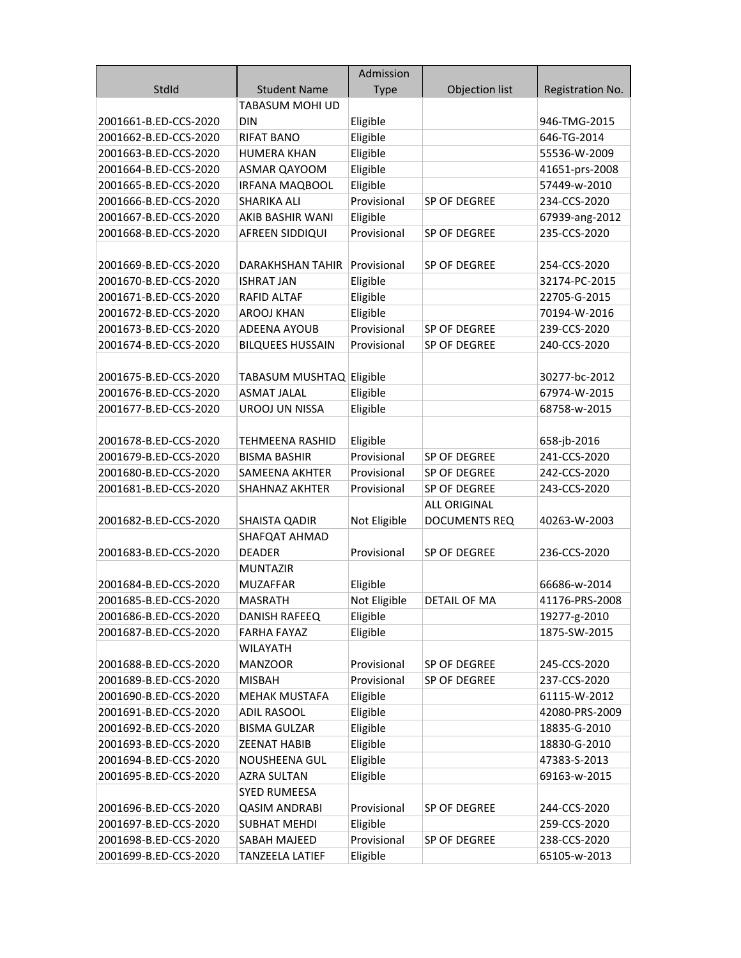|                       |                          | Admission    |                      |                  |
|-----------------------|--------------------------|--------------|----------------------|------------------|
| StdId                 | <b>Student Name</b>      | <b>Type</b>  | Objection list       | Registration No. |
|                       | <b>TABASUM MOHI UD</b>   |              |                      |                  |
| 2001661-B.ED-CCS-2020 | <b>DIN</b>               | Eligible     |                      | 946-TMG-2015     |
| 2001662-B.ED-CCS-2020 | <b>RIFAT BANO</b>        | Eligible     |                      | 646-TG-2014      |
| 2001663-B.ED-CCS-2020 | <b>HUMERA KHAN</b>       | Eligible     |                      | 55536-W-2009     |
| 2001664-B.ED-CCS-2020 | ASMAR QAYOOM             | Eligible     |                      | 41651-prs-2008   |
| 2001665-B.ED-CCS-2020 | <b>IRFANA MAQBOOL</b>    | Eligible     |                      | 57449-w-2010     |
| 2001666-B.ED-CCS-2020 | <b>SHARIKA ALI</b>       | Provisional  | SP OF DEGREE         | 234-CCS-2020     |
| 2001667-B.ED-CCS-2020 | AKIB BASHIR WANI         | Eligible     |                      | 67939-ang-2012   |
| 2001668-B.ED-CCS-2020 | AFREEN SIDDIQUI          | Provisional  | SP OF DEGREE         | 235-CCS-2020     |
|                       |                          |              |                      |                  |
| 2001669-B.ED-CCS-2020 | DARAKHSHAN TAHIR         | Provisional  | SP OF DEGREE         | 254-CCS-2020     |
| 2001670-B.ED-CCS-2020 | <b>ISHRAT JAN</b>        | Eligible     |                      | 32174-PC-2015    |
| 2001671-B.ED-CCS-2020 | RAFID ALTAF              | Eligible     |                      | 22705-G-2015     |
| 2001672-B.ED-CCS-2020 | <b>AROOJ KHAN</b>        | Eligible     |                      | 70194-W-2016     |
| 2001673-B.ED-CCS-2020 | ADEENA AYOUB             | Provisional  | SP OF DEGREE         | 239-CCS-2020     |
| 2001674-B.ED-CCS-2020 | <b>BILQUEES HUSSAIN</b>  | Provisional  | SP OF DEGREE         | 240-CCS-2020     |
|                       |                          |              |                      |                  |
| 2001675-B.ED-CCS-2020 | TABASUM MUSHTAQ Eligible |              |                      | 30277-bc-2012    |
| 2001676-B.ED-CCS-2020 | <b>ASMAT JALAL</b>       | Eligible     |                      | 67974-W-2015     |
| 2001677-B.ED-CCS-2020 | <b>UROOJ UN NISSA</b>    | Eligible     |                      | 68758-w-2015     |
|                       |                          |              |                      |                  |
| 2001678-B.ED-CCS-2020 | <b>TEHMEENA RASHID</b>   | Eligible     |                      | 658-jb-2016      |
| 2001679-B.ED-CCS-2020 | <b>BISMA BASHIR</b>      | Provisional  | SP OF DEGREE         | 241-CCS-2020     |
| 2001680-B.ED-CCS-2020 | SAMEENA AKHTER           | Provisional  | SP OF DEGREE         | 242-CCS-2020     |
| 2001681-B.ED-CCS-2020 | <b>SHAHNAZ AKHTER</b>    | Provisional  | SP OF DEGREE         | 243-CCS-2020     |
|                       |                          |              | <b>ALL ORIGINAL</b>  |                  |
| 2001682-B.ED-CCS-2020 | SHAISTA QADIR            | Not Eligible | <b>DOCUMENTS REQ</b> | 40263-W-2003     |
|                       | SHAFQAT AHMAD            |              |                      |                  |
| 2001683-B.ED-CCS-2020 | <b>DEADER</b>            | Provisional  | SP OF DEGREE         | 236-CCS-2020     |
|                       | <b>MUNTAZIR</b>          |              |                      |                  |
| 2001684-B.ED-CCS-2020 | <b>MUZAFFAR</b>          | Eligible     |                      | 66686-w-2014     |
| 2001685-B.ED-CCS-2020 | MASRATH                  | Not Eligible | <b>DETAIL OF MA</b>  | 41176-PRS-2008   |
| 2001686-B.ED-CCS-2020 | DANISH RAFEEQ            | Eligible     |                      | 19277-g-2010     |
| 2001687-B.ED-CCS-2020 | <b>FARHA FAYAZ</b>       | Eligible     |                      | 1875-SW-2015     |
|                       | <b>WILAYATH</b>          |              |                      |                  |
| 2001688-B.ED-CCS-2020 | <b>MANZOOR</b>           | Provisional  | SP OF DEGREE         | 245-CCS-2020     |
| 2001689-B.ED-CCS-2020 | <b>MISBAH</b>            | Provisional  | SP OF DEGREE         | 237-CCS-2020     |
| 2001690-B.ED-CCS-2020 | <b>MEHAK MUSTAFA</b>     | Eligible     |                      | 61115-W-2012     |
| 2001691-B.ED-CCS-2020 | <b>ADIL RASOOL</b>       | Eligible     |                      | 42080-PRS-2009   |
| 2001692-B.ED-CCS-2020 | <b>BISMA GULZAR</b>      | Eligible     |                      | 18835-G-2010     |
| 2001693-B.ED-CCS-2020 | <b>ZEENAT HABIB</b>      | Eligible     |                      | 18830-G-2010     |
| 2001694-B.ED-CCS-2020 | <b>NOUSHEENA GUL</b>     | Eligible     |                      | 47383-S-2013     |
| 2001695-B.ED-CCS-2020 | <b>AZRA SULTAN</b>       | Eligible     |                      | 69163-w-2015     |
|                       | <b>SYED RUMEESA</b>      |              |                      |                  |
| 2001696-B.ED-CCS-2020 | <b>QASIM ANDRABI</b>     | Provisional  | SP OF DEGREE         | 244-CCS-2020     |
| 2001697-B.ED-CCS-2020 | <b>SUBHAT MEHDI</b>      | Eligible     |                      | 259-CCS-2020     |
| 2001698-B.ED-CCS-2020 | SABAH MAJEED             | Provisional  | SP OF DEGREE         | 238-CCS-2020     |
| 2001699-B.ED-CCS-2020 | <b>TANZEELA LATIEF</b>   | Eligible     |                      | 65105-w-2013     |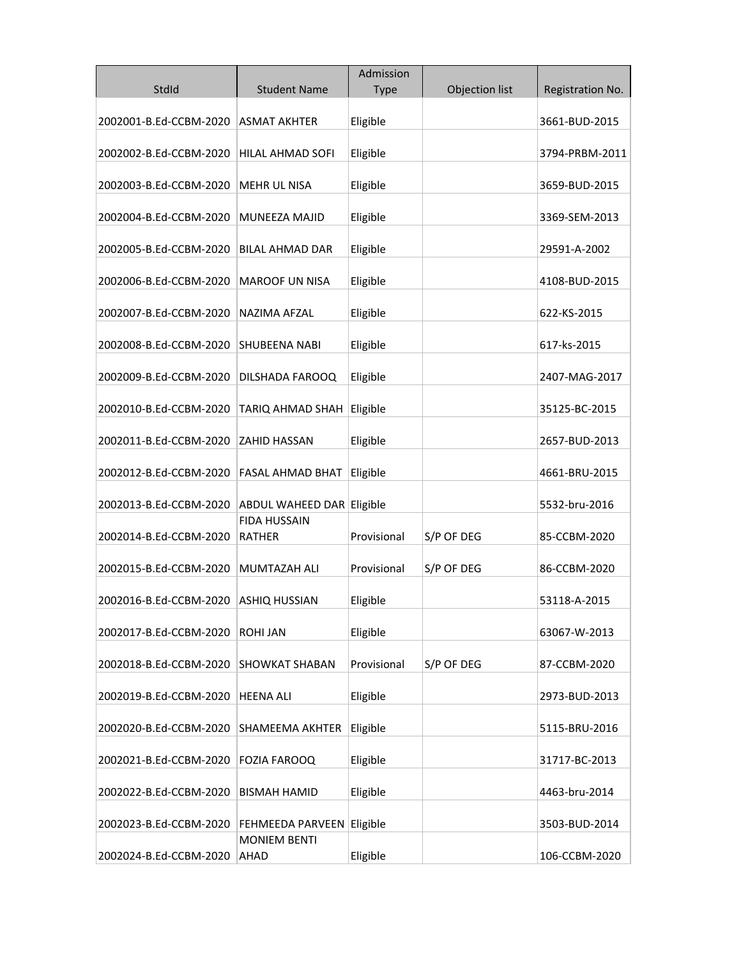|                        |                               | Admission   |                |                  |
|------------------------|-------------------------------|-------------|----------------|------------------|
| StdId                  | <b>Student Name</b>           | <b>Type</b> | Objection list | Registration No. |
| 2002001-B.Ed-CCBM-2020 | <b>ASMAT AKHTER</b>           | Eligible    |                | 3661-BUD-2015    |
| 2002002-B.Ed-CCBM-2020 | HILAL AHMAD SOFI              | Eligible    |                | 3794-PRBM-2011   |
| 2002003-B.Ed-CCBM-2020 | <b>MEHR UL NISA</b>           | Eligible    |                | 3659-BUD-2015    |
| 2002004-B.Ed-CCBM-2020 | MUNEEZA MAJID                 | Eligible    |                | 3369-SEM-2013    |
| 2002005-B.Ed-CCBM-2020 | <b>BILAL AHMAD DAR</b>        | Eligible    |                | 29591-A-2002     |
| 2002006-B.Ed-CCBM-2020 | <b>MAROOF UN NISA</b>         | Eligible    |                | 4108-BUD-2015    |
| 2002007-B.Ed-CCBM-2020 | <b>NAZIMA AFZAL</b>           | Eligible    |                | 622-KS-2015      |
| 2002008-B.Ed-CCBM-2020 | <b>SHUBEENA NABI</b>          | Eligible    |                | 617-ks-2015      |
| 2002009-B.Ed-CCBM-2020 | DILSHADA FAROOQ               | Eligible    |                | 2407-MAG-2017    |
| 2002010-B.Ed-CCBM-2020 | TARIQ AHMAD SHAH              | Eligible    |                | 35125-BC-2015    |
| 2002011-B.Ed-CCBM-2020 | ZAHID HASSAN                  | Eligible    |                | 2657-BUD-2013    |
| 2002012-B.Ed-CCBM-2020 | FASAL AHMAD BHAT              | Eligible    |                | 4661-BRU-2015    |
| 2002013-B.Ed-CCBM-2020 | ABDUL WAHEED DAR Eligible     |             |                | 5532-bru-2016    |
| 2002014-B.Ed-CCBM-2020 | <b>FIDA HUSSAIN</b><br>RATHER | Provisional | S/P OF DEG     | 85-CCBM-2020     |
| 2002015-B.Ed-CCBM-2020 | <b>MUMTAZAH ALI</b>           | Provisional | S/P OF DEG     | 86-CCBM-2020     |
| 2002016-B.Ed-CCBM-2020 | <b>ASHIQ HUSSIAN</b>          | Eligible    |                | 53118-A-2015     |
| 2002017-B.Ed-CCBM-2020 | <b>ROHI JAN</b>               | Eligible    |                | 63067-W-2013     |
| 2002018-B.Ed-CCBM-2020 | <b>SHOWKAT SHABAN</b>         | Provisional | S/P OF DEG     | 87-CCBM-2020     |
| 2002019-B.Ed-CCBM-2020 | <b>HEENA ALI</b>              | Eligible    |                | 2973-BUD-2013    |
| 2002020-B.Ed-CCBM-2020 | <b>SHAMEEMA AKHTER</b>        | Eligible    |                | 5115-BRU-2016    |
| 2002021-B.Ed-CCBM-2020 | FOZIA FAROOQ                  | Eligible    |                | 31717-BC-2013    |
| 2002022-B.Ed-CCBM-2020 | <b>BISMAH HAMID</b>           | Eligible    |                | 4463-bru-2014    |
| 2002023-B.Ed-CCBM-2020 | FEHMEEDA PARVEEN              | Eligible    |                | 3503-BUD-2014    |
| 2002024-B.Ed-CCBM-2020 | <b>MONIEM BENTI</b><br>AHAD   | Eligible    |                | 106-CCBM-2020    |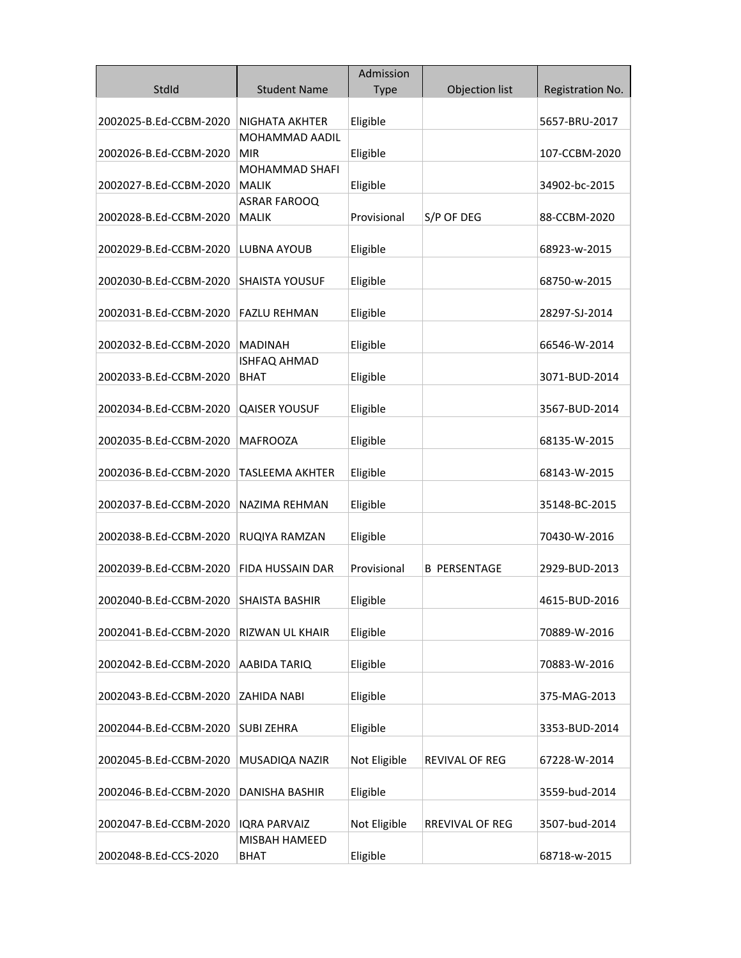|                        |                                | Admission    |                       |                  |
|------------------------|--------------------------------|--------------|-----------------------|------------------|
| StdId                  | <b>Student Name</b>            | <b>Type</b>  | Objection list        | Registration No. |
| 2002025-B.Ed-CCBM-2020 | NIGHATA AKHTER                 | Eligible     |                       | 5657-BRU-2017    |
|                        | MOHAMMAD AADIL                 |              |                       |                  |
| 2002026-B.Ed-CCBM-2020 | MIR                            | Eligible     |                       | 107-CCBM-2020    |
| 2002027-B.Ed-CCBM-2020 | MOHAMMAD SHAFI<br><b>MALIK</b> | Eligible     |                       | 34902-bc-2015    |
|                        | ASRAR FAROOQ                   |              |                       |                  |
| 2002028-B.Ed-CCBM-2020 | <b>MALIK</b>                   | Provisional  | S/P OF DEG            | 88-CCBM-2020     |
| 2002029-B.Ed-CCBM-2020 | LUBNA AYOUB                    | Eligible     |                       | 68923-w-2015     |
| 2002030-B.Ed-CCBM-2020 | <b>SHAISTA YOUSUF</b>          | Eligible     |                       | 68750-w-2015     |
| 2002031-B.Ed-CCBM-2020 | <b>FAZLU REHMAN</b>            | Eligible     |                       | 28297-SJ-2014    |
| 2002032-B.Ed-CCBM-2020 | <b>MADINAH</b>                 | Eligible     |                       | 66546-W-2014     |
| 2002033-B.Ed-CCBM-2020 | ISHFAQ AHMAD<br>BHAT           | Eligible     |                       | 3071-BUD-2014    |
| 2002034-B.Ed-CCBM-2020 | <b>QAISER YOUSUF</b>           | Eligible     |                       | 3567-BUD-2014    |
| 2002035-B.Ed-CCBM-2020 | <b>MAFROOZA</b>                | Eligible     |                       | 68135-W-2015     |
| 2002036-B.Ed-CCBM-2020 | TASLEEMA AKHTER                | Eligible     |                       | 68143-W-2015     |
| 2002037-B.Ed-CCBM-2020 | NAZIMA REHMAN                  | Eligible     |                       | 35148-BC-2015    |
| 2002038-B.Ed-CCBM-2020 | RUQIYA RAMZAN                  | Eligible     |                       | 70430-W-2016     |
| 2002039-B.Ed-CCBM-2020 | <b>FIDA HUSSAIN DAR</b>        | Provisional  | <b>B PERSENTAGE</b>   | 2929-BUD-2013    |
| 2002040-B.Ed-CCBM-2020 | SHAISTA BASHIR                 | Eligible     |                       | 4615-BUD-2016    |
| 2002041-B.Ed-CCBM-2020 | RIZWAN UL KHAIR                | Eligible     |                       | 70889-W-2016     |
| 2002042-B.Ed-CCBM-2020 | AABIDA TARIQ                   | Eligible     |                       | 70883-W-2016     |
| 2002043-B.Ed-CCBM-2020 | ZAHIDA NABI                    | Eligible     |                       | 375-MAG-2013     |
| 2002044-B.Ed-CCBM-2020 | <b>SUBI ZEHRA</b>              | Eligible     |                       | 3353-BUD-2014    |
| 2002045-B.Ed-CCBM-2020 | MUSADIQA NAZIR                 | Not Eligible | <b>REVIVAL OF REG</b> | 67228-W-2014     |
| 2002046-B.Ed-CCBM-2020 | DANISHA BASHIR                 | Eligible     |                       | 3559-bud-2014    |
| 2002047-B.Ed-CCBM-2020 | <b>IQRA PARVAIZ</b>            | Not Eligible | RREVIVAL OF REG       | 3507-bud-2014    |
| 2002048-B.Ed-CCS-2020  | MISBAH HAMEED<br><b>BHAT</b>   | Eligible     |                       | 68718-w-2015     |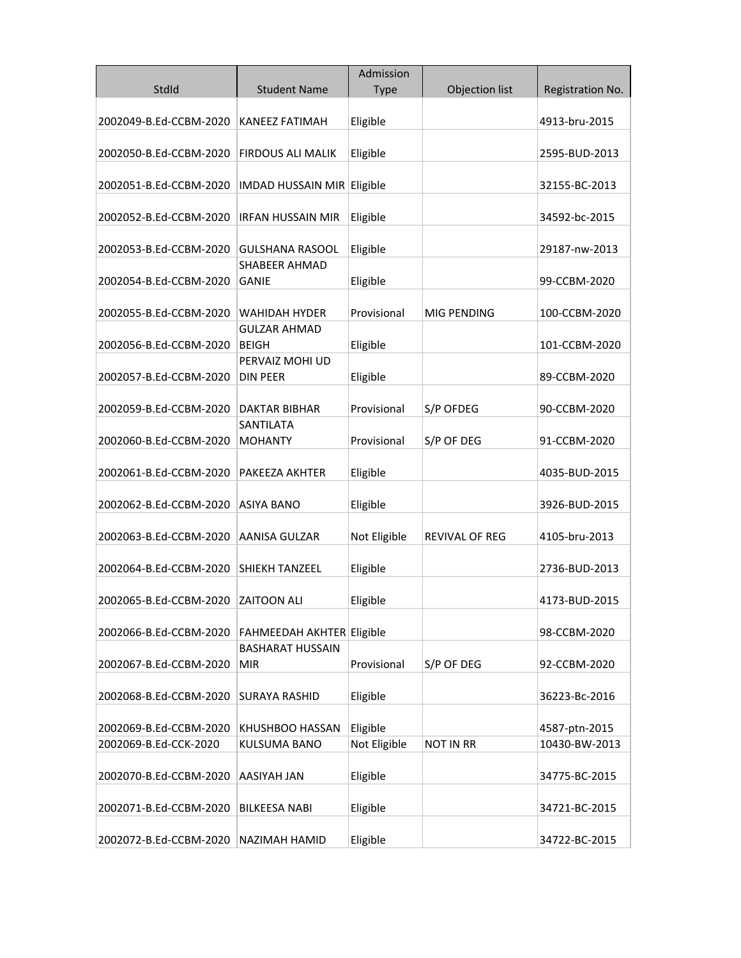|                        |                                     | Admission    |                       |                  |
|------------------------|-------------------------------------|--------------|-----------------------|------------------|
| StdId                  | <b>Student Name</b>                 | <b>Type</b>  | Objection list        | Registration No. |
| 2002049-B.Ed-CCBM-2020 | KANEEZ FATIMAH                      | Eligible     |                       | 4913-bru-2015    |
| 2002050-B.Ed-CCBM-2020 | FIRDOUS ALI MALIK                   | Eligible     |                       | 2595-BUD-2013    |
| 2002051-B.Ed-CCBM-2020 | IMDAD HUSSAIN MIR                   | Eligible     |                       | 32155-BC-2013    |
| 2002052-B.Ed-CCBM-2020 | <b>IRFAN HUSSAIN MIR</b>            | Eligible     |                       | 34592-bc-2015    |
| 2002053-B.Ed-CCBM-2020 | <b>GULSHANA RASOOL</b>              | Eligible     |                       | 29187-nw-2013    |
| 2002054-B.Ed-CCBM-2020 | SHABEER AHMAD<br>GANIE              | Eligible     |                       | 99-CCBM-2020     |
| 2002055-B.Ed-CCBM-2020 | <b>WAHIDAH HYDER</b>                | Provisional  | MIG PENDING           | 100-CCBM-2020    |
| 2002056-B.Ed-CCBM-2020 | <b>GULZAR AHMAD</b><br><b>BEIGH</b> | Eligible     |                       | 101-CCBM-2020    |
| 2002057-B.Ed-CCBM-2020 | PERVAIZ MOHI UD<br><b>DIN PEER</b>  | Eligible     |                       | 89-CCBM-2020     |
| 2002059-B.Ed-CCBM-2020 | <b>DAKTAR BIBHAR</b>                | Provisional  | S/P OFDEG             | 90-CCBM-2020     |
| 2002060-B.Ed-CCBM-2020 | SANTILATA<br><b>MOHANTY</b>         | Provisional  | S/P OF DEG            | 91-CCBM-2020     |
| 2002061-B.Ed-CCBM-2020 | PAKEEZA AKHTER                      | Eligible     |                       | 4035-BUD-2015    |
| 2002062-B.Ed-CCBM-2020 | <b>ASIYA BANO</b>                   | Eligible     |                       | 3926-BUD-2015    |
| 2002063-B.Ed-CCBM-2020 | <b>AANISA GULZAR</b>                | Not Eligible | <b>REVIVAL OF REG</b> | 4105-bru-2013    |
| 2002064-B.Ed-CCBM-2020 | <b>SHIEKH TANZEEL</b>               | Eligible     |                       | 2736-BUD-2013    |
| 2002065-B.Ed-CCBM-2020 | <b>ZAITOON ALI</b>                  | Eligible     |                       | 4173-BUD-2015    |
| 2002066-B.Ed-CCBM-2020 | FAHMEEDAH AKHTER Eligible           |              |                       | 98-CCBM-2020     |
| 2002067-B.Ed-CCBM-2020 | <b>BASHARAT HUSSAIN</b><br>MIR      | Provisional  | S/P OF DEG            | 92-CCBM-2020     |
| 2002068-B.Ed-CCBM-2020 | <b>SURAYA RASHID</b>                | Eligible     |                       | 36223-Bc-2016    |
| 2002069-B.Ed-CCBM-2020 | KHUSHBOO HASSAN                     | Eligible     |                       | 4587-ptn-2015    |
| 2002069-B.Ed-CCK-2020  | KULSUMA BANO                        | Not Eligible | <b>NOT IN RR</b>      | 10430-BW-2013    |
| 2002070-B.Ed-CCBM-2020 | AASIYAH JAN                         | Eligible     |                       | 34775-BC-2015    |
| 2002071-B.Ed-CCBM-2020 | <b>BILKEESA NABI</b>                | Eligible     |                       | 34721-BC-2015    |
| 2002072-B.Ed-CCBM-2020 | NAZIMAH HAMID                       | Eligible     |                       | 34722-BC-2015    |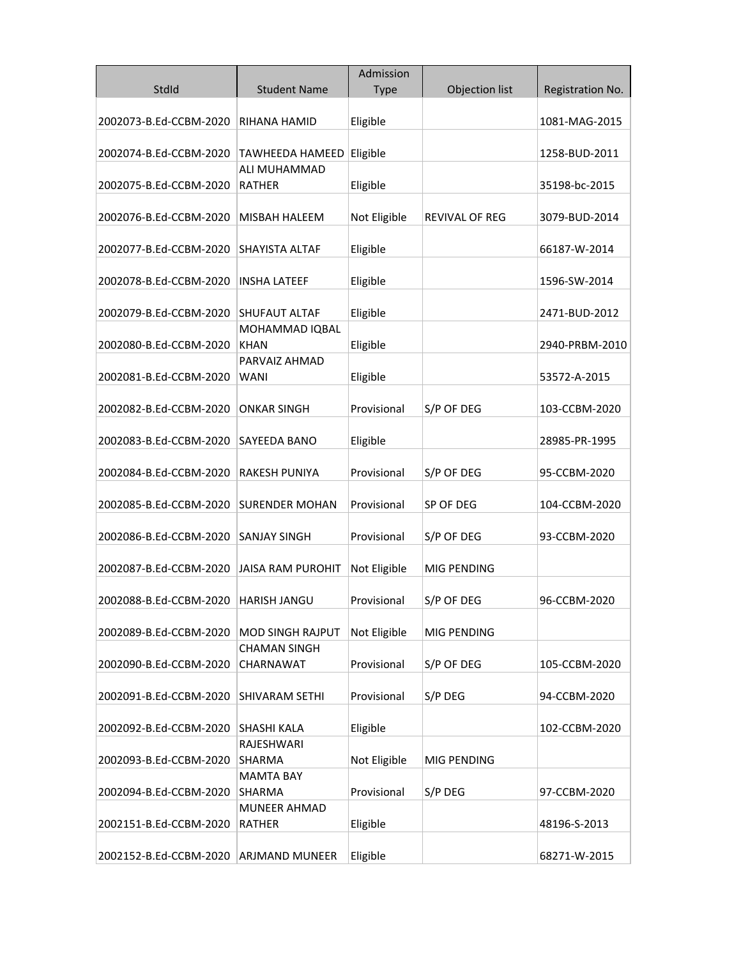| StdId                  | <b>Student Name</b>               | Admission    | Objection list        | Registration No. |
|------------------------|-----------------------------------|--------------|-----------------------|------------------|
|                        |                                   | <b>Type</b>  |                       |                  |
| 2002073-B.Ed-CCBM-2020 | RIHANA HAMID                      | Eligible     |                       | 1081-MAG-2015    |
|                        |                                   |              |                       |                  |
| 2002074-B.Ed-CCBM-2020 | TAWHEEDA HAMEED<br>ALI MUHAMMAD   | Eligible     |                       | 1258-BUD-2011    |
| 2002075-B.Ed-CCBM-2020 | RATHER                            | Eligible     |                       | 35198-bc-2015    |
|                        |                                   |              |                       |                  |
| 2002076-B.Ed-CCBM-2020 | <b>MISBAH HALEEM</b>              | Not Eligible | <b>REVIVAL OF REG</b> | 3079-BUD-2014    |
|                        |                                   |              |                       |                  |
| 2002077-B.Ed-CCBM-2020 | <b>SHAYISTA ALTAF</b>             | Eligible     |                       | 66187-W-2014     |
| 2002078-B.Ed-CCBM-2020 | <b>INSHA LATEEF</b>               | Eligible     |                       | 1596-SW-2014     |
|                        |                                   |              |                       |                  |
| 2002079-B.Ed-CCBM-2020 | <b>SHUFAUT ALTAF</b>              | Eligible     |                       | 2471-BUD-2012    |
|                        | MOHAMMAD IQBAL                    |              |                       |                  |
| 2002080-B.Ed-CCBM-2020 | <b>KHAN</b>                       | Eligible     |                       | 2940-PRBM-2010   |
| 2002081-B.Ed-CCBM-2020 | PARVAIZ AHMAD<br>WANI             | Eligible     |                       | 53572-A-2015     |
|                        |                                   |              |                       |                  |
| 2002082-B.Ed-CCBM-2020 | <b>ONKAR SINGH</b>                | Provisional  | S/P OF DEG            | 103-CCBM-2020    |
|                        |                                   |              |                       |                  |
| 2002083-B.Ed-CCBM-2020 | SAYEEDA BANO                      | Eligible     |                       | 28985-PR-1995    |
|                        |                                   |              |                       |                  |
| 2002084-B.Ed-CCBM-2020 | RAKESH PUNIYA                     | Provisional  | S/P OF DEG            | 95-CCBM-2020     |
| 2002085-B.Ed-CCBM-2020 | <b>SURENDER MOHAN</b>             | Provisional  | SP OF DEG             | 104-CCBM-2020    |
|                        |                                   |              |                       |                  |
| 2002086-B.Ed-CCBM-2020 | <b>SANJAY SINGH</b>               | Provisional  | S/P OF DEG            | 93-CCBM-2020     |
| 2002087-B.Ed-CCBM-2020 | <b>JAISA RAM PUROHIT</b>          | Not Eligible | MIG PENDING           |                  |
|                        |                                   |              |                       |                  |
| 2002088-B.Ed-CCBM-2020 | <b>HARISH JANGU</b>               | Provisional  | S/P OF DEG            | 96-CCBM-2020     |
|                        |                                   |              |                       |                  |
| 2002089-B.Ed-CCBM-2020 | <b>MOD SINGH RAJPUT</b>           | Not Eligible | MIG PENDING           |                  |
|                        | <b>CHAMAN SINGH</b>               |              |                       |                  |
| 2002090-B.Ed-CCBM-2020 | CHARNAWAT                         | Provisional  | S/P OF DEG            | 105-CCBM-2020    |
| 2002091-B.Ed-CCBM-2020 | <b>SHIVARAM SETHI</b>             | Provisional  | S/P DEG               | 94-CCBM-2020     |
|                        |                                   |              |                       |                  |
| 2002092-B.Ed-CCBM-2020 | <b>SHASHI KALA</b>                | Eligible     |                       | 102-CCBM-2020    |
|                        | RAJESHWARI                        |              |                       |                  |
| 2002093-B.Ed-CCBM-2020 | SHARMA                            | Not Eligible | MIG PENDING           |                  |
| 2002094-B.Ed-CCBM-2020 | <b>MAMTA BAY</b><br><b>SHARMA</b> | Provisional  | S/P DEG               | 97-CCBM-2020     |
|                        | <b>MUNEER AHMAD</b>               |              |                       |                  |
| 2002151-B.Ed-CCBM-2020 | RATHER                            | Eligible     |                       | 48196-S-2013     |
|                        |                                   |              |                       |                  |
| 2002152-B.Ed-CCBM-2020 | ARJMAND MUNEER                    | Eligible     |                       | 68271-W-2015     |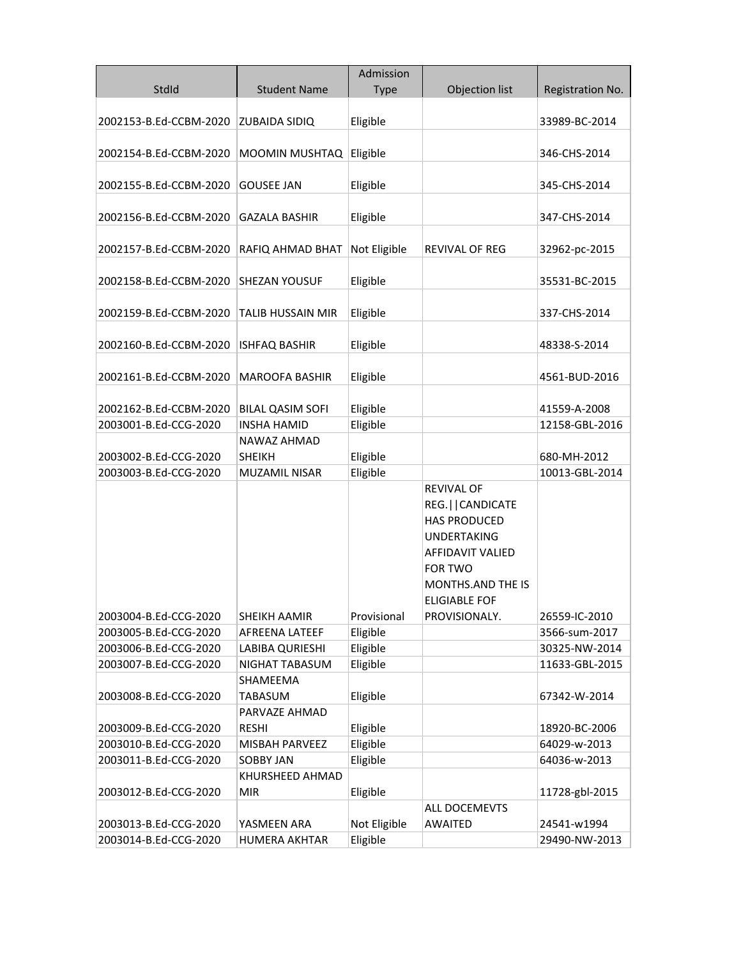|                        |                              | Admission    |                                                                                                                                                                             |                  |
|------------------------|------------------------------|--------------|-----------------------------------------------------------------------------------------------------------------------------------------------------------------------------|------------------|
| StdId                  | <b>Student Name</b>          | <b>Type</b>  | Objection list                                                                                                                                                              | Registration No. |
| 2002153-B.Ed-CCBM-2020 | <b>ZUBAIDA SIDIQ</b>         | Eligible     |                                                                                                                                                                             | 33989-BC-2014    |
| 2002154-B.Ed-CCBM-2020 | MOOMIN MUSHTAQ               | Eligible     |                                                                                                                                                                             | 346-CHS-2014     |
| 2002155-B.Ed-CCBM-2020 | <b>GOUSEE JAN</b>            | Eligible     |                                                                                                                                                                             | 345-CHS-2014     |
| 2002156-B.Ed-CCBM-2020 | <b>GAZALA BASHIR</b>         | Eligible     |                                                                                                                                                                             | 347-CHS-2014     |
| 2002157-B.Ed-CCBM-2020 | RAFIQ AHMAD BHAT             | Not Eligible | REVIVAL OF REG                                                                                                                                                              | 32962-pc-2015    |
| 2002158-B.Ed-CCBM-2020 | <b>SHEZAN YOUSUF</b>         | Eligible     |                                                                                                                                                                             | 35531-BC-2015    |
| 2002159-B.Ed-CCBM-2020 | TALIB HUSSAIN MIR            | Eligible     |                                                                                                                                                                             | 337-CHS-2014     |
| 2002160-B.Ed-CCBM-2020 | <b>ISHFAQ BASHIR</b>         | Eligible     |                                                                                                                                                                             | 48338-S-2014     |
| 2002161-B.Ed-CCBM-2020 | <b>MAROOFA BASHIR</b>        | Eligible     |                                                                                                                                                                             | 4561-BUD-2016    |
| 2002162-B.Ed-CCBM-2020 | <b>BILAL QASIM SOFI</b>      | Eligible     |                                                                                                                                                                             | 41559-A-2008     |
| 2003001-B.Ed-CCG-2020  | <b>INSHA HAMID</b>           | Eligible     |                                                                                                                                                                             | 12158-GBL-2016   |
| 2003002-B.Ed-CCG-2020  | NAWAZ AHMAD<br><b>SHEIKH</b> | Eligible     |                                                                                                                                                                             | 680-MH-2012      |
| 2003003-B.Ed-CCG-2020  | <b>MUZAMIL NISAR</b>         | Eligible     |                                                                                                                                                                             | 10013-GBL-2014   |
|                        |                              |              | <b>REVIVAL OF</b><br>REG.  CANDICATE<br><b>HAS PRODUCED</b><br><b>UNDERTAKING</b><br>AFFIDAVIT VALIED<br><b>FOR TWO</b><br><b>MONTHS.AND THE IS</b><br><b>ELIGIABLE FOF</b> |                  |
| 2003004-B.Ed-CCG-2020  | SHEIKH AAMIR                 | Provisional  | PROVISIONALY.                                                                                                                                                               | 26559-IC-2010    |
| 2003005-B.Ed-CCG-2020  | AFREENA LATEEF               | Eligible     |                                                                                                                                                                             | 3566-sum-2017    |
| 2003006-B.Ed-CCG-2020  | LABIBA QURIESHI              | Eligible     |                                                                                                                                                                             | 30325-NW-2014    |
| 2003007-B.Ed-CCG-2020  | NIGHAT TABASUM               | Eligible     |                                                                                                                                                                             | 11633-GBL-2015   |
|                        | SHAMEEMA                     |              |                                                                                                                                                                             |                  |
| 2003008-B.Ed-CCG-2020  | TABASUM                      | Eligible     |                                                                                                                                                                             | 67342-W-2014     |
|                        | PARVAZE AHMAD                |              |                                                                                                                                                                             |                  |
| 2003009-B.Ed-CCG-2020  | <b>RESHI</b>                 | Eligible     |                                                                                                                                                                             | 18920-BC-2006    |
| 2003010-B.Ed-CCG-2020  | MISBAH PARVEEZ               | Eligible     |                                                                                                                                                                             | 64029-w-2013     |
| 2003011-B.Ed-CCG-2020  | <b>SOBBY JAN</b>             | Eligible     |                                                                                                                                                                             | 64036-w-2013     |
|                        | KHURSHEED AHMAD              |              |                                                                                                                                                                             |                  |
| 2003012-B.Ed-CCG-2020  | <b>MIR</b>                   | Eligible     |                                                                                                                                                                             | 11728-gbl-2015   |
|                        |                              |              | ALL DOCEMEVTS                                                                                                                                                               |                  |
| 2003013-B.Ed-CCG-2020  | YASMEEN ARA                  | Not Eligible | <b>AWAITED</b>                                                                                                                                                              | 24541-w1994      |
| 2003014-B.Ed-CCG-2020  | <b>HUMERA AKHTAR</b>         | Eligible     |                                                                                                                                                                             | 29490-NW-2013    |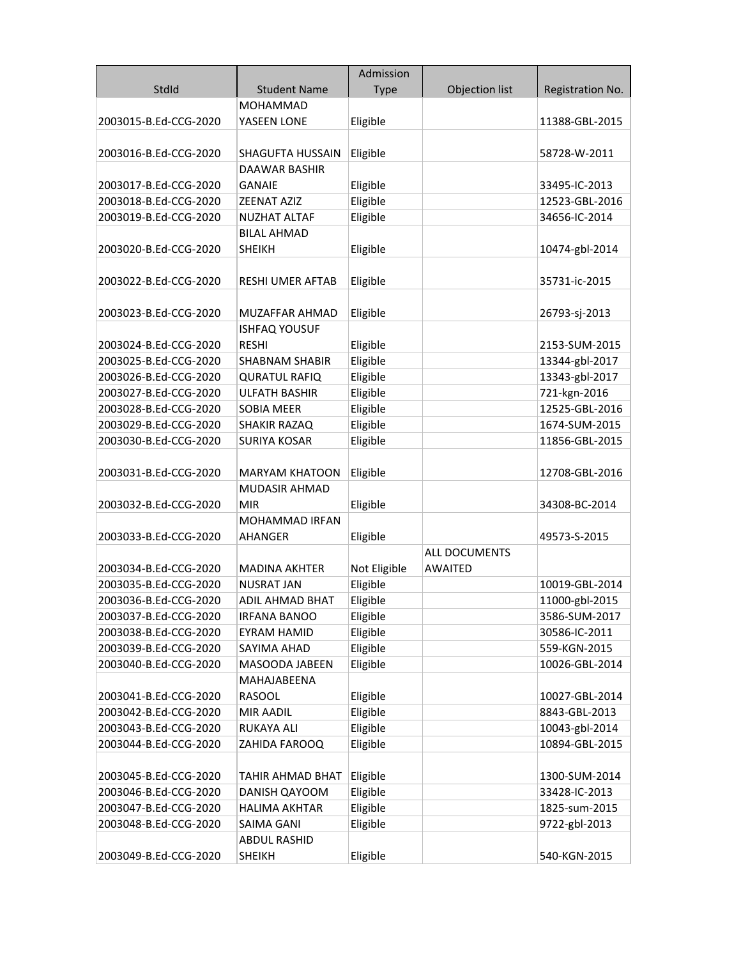|                       |                                     | Admission    |                      |                  |
|-----------------------|-------------------------------------|--------------|----------------------|------------------|
| StdId                 | <b>Student Name</b>                 | <b>Type</b>  | Objection list       | Registration No. |
|                       | <b>MOHAMMAD</b>                     |              |                      |                  |
| 2003015-B.Ed-CCG-2020 | YASEEN LONE                         | Eligible     |                      | 11388-GBL-2015   |
|                       |                                     |              |                      |                  |
| 2003016-B.Ed-CCG-2020 | SHAGUFTA HUSSAIN                    | Eligible     |                      | 58728-W-2011     |
|                       | DAAWAR BASHIR                       |              |                      |                  |
| 2003017-B.Ed-CCG-2020 | <b>GANAIE</b>                       | Eligible     |                      | 33495-IC-2013    |
| 2003018-B.Ed-CCG-2020 | ZEENAT AZIZ                         | Eligible     |                      | 12523-GBL-2016   |
| 2003019-B.Ed-CCG-2020 | <b>NUZHAT ALTAF</b>                 | Eligible     |                      | 34656-IC-2014    |
|                       | <b>BILAL AHMAD</b>                  |              |                      |                  |
| 2003020-B.Ed-CCG-2020 | <b>SHEIKH</b>                       | Eligible     |                      | 10474-gbl-2014   |
|                       |                                     |              |                      |                  |
| 2003022-B.Ed-CCG-2020 | <b>RESHI UMER AFTAB</b>             | Eligible     |                      | 35731-ic-2015    |
|                       |                                     |              |                      |                  |
| 2003023-B.Ed-CCG-2020 | MUZAFFAR AHMAD                      | Eligible     |                      | 26793-sj-2013    |
|                       | <b>ISHFAQ YOUSUF</b>                |              |                      |                  |
| 2003024-B.Ed-CCG-2020 | <b>RESHI</b>                        | Eligible     |                      | 2153-SUM-2015    |
| 2003025-B.Ed-CCG-2020 | <b>SHABNAM SHABIR</b>               | Eligible     |                      | 13344-gbl-2017   |
| 2003026-B.Ed-CCG-2020 | <b>QURATUL RAFIQ</b>                | Eligible     |                      | 13343-gbl-2017   |
| 2003027-B.Ed-CCG-2020 | <b>ULFATH BASHIR</b>                | Eligible     |                      | 721-kgn-2016     |
| 2003028-B.Ed-CCG-2020 | <b>SOBIA MEER</b>                   | Eligible     |                      | 12525-GBL-2016   |
| 2003029-B.Ed-CCG-2020 | SHAKIR RAZAQ                        | Eligible     |                      | 1674-SUM-2015    |
| 2003030-B.Ed-CCG-2020 | <b>SURIYA KOSAR</b>                 | Eligible     |                      | 11856-GBL-2015   |
|                       |                                     |              |                      |                  |
| 2003031-B.Ed-CCG-2020 | <b>MARYAM KHATOON</b>               | Eligible     |                      | 12708-GBL-2016   |
|                       | <b>MUDASIR AHMAD</b>                |              |                      |                  |
| 2003032-B.Ed-CCG-2020 | <b>MIR</b><br><b>MOHAMMAD IRFAN</b> | Eligible     |                      | 34308-BC-2014    |
| 2003033-B.Ed-CCG-2020 | <b>AHANGER</b>                      | Eligible     |                      | 49573-S-2015     |
|                       |                                     |              | <b>ALL DOCUMENTS</b> |                  |
| 2003034-B.Ed-CCG-2020 | <b>MADINA AKHTER</b>                | Not Eligible | <b>AWAITED</b>       |                  |
| 2003035-B.Ed-CCG-2020 | <b>NUSRAT JAN</b>                   | Eligible     |                      | 10019-GBL-2014   |
| 2003036-B.Ed-CCG-2020 | <b>ADIL AHMAD BHAT</b>              | Eligible     |                      | 11000-gbl-2015   |
| 2003037-B.Ed-CCG-2020 | <b>IRFANA BANOO</b>                 | Eligible     |                      | 3586-SUM-2017    |
| 2003038-B.Ed-CCG-2020 | <b>EYRAM HAMID</b>                  | Eligible     |                      | 30586-IC-2011    |
| 2003039-B.Ed-CCG-2020 | SAYIMA AHAD                         | Eligible     |                      | 559-KGN-2015     |
| 2003040-B.Ed-CCG-2020 | MASOODA JABEEN                      | Eligible     |                      | 10026-GBL-2014   |
|                       | MAHAJABEENA                         |              |                      |                  |
| 2003041-B.Ed-CCG-2020 | <b>RASOOL</b>                       | Eligible     |                      | 10027-GBL-2014   |
| 2003042-B.Ed-CCG-2020 | <b>MIR AADIL</b>                    | Eligible     |                      | 8843-GBL-2013    |
| 2003043-B.Ed-CCG-2020 | <b>RUKAYA ALI</b>                   | Eligible     |                      | 10043-gbl-2014   |
| 2003044-B.Ed-CCG-2020 | ZAHIDA FAROOQ                       | Eligible     |                      | 10894-GBL-2015   |
|                       |                                     |              |                      |                  |
| 2003045-B.Ed-CCG-2020 | TAHIR AHMAD BHAT                    | Eligible     |                      | 1300-SUM-2014    |
| 2003046-B.Ed-CCG-2020 | DANISH QAYOOM                       | Eligible     |                      | 33428-IC-2013    |
| 2003047-B.Ed-CCG-2020 | <b>HALIMA AKHTAR</b>                | Eligible     |                      | 1825-sum-2015    |
| 2003048-B.Ed-CCG-2020 | SAIMA GANI                          | Eligible     |                      | 9722-gbl-2013    |
|                       | <b>ABDUL RASHID</b>                 |              |                      |                  |
| 2003049-B.Ed-CCG-2020 | <b>SHEIKH</b>                       | Eligible     |                      | 540-KGN-2015     |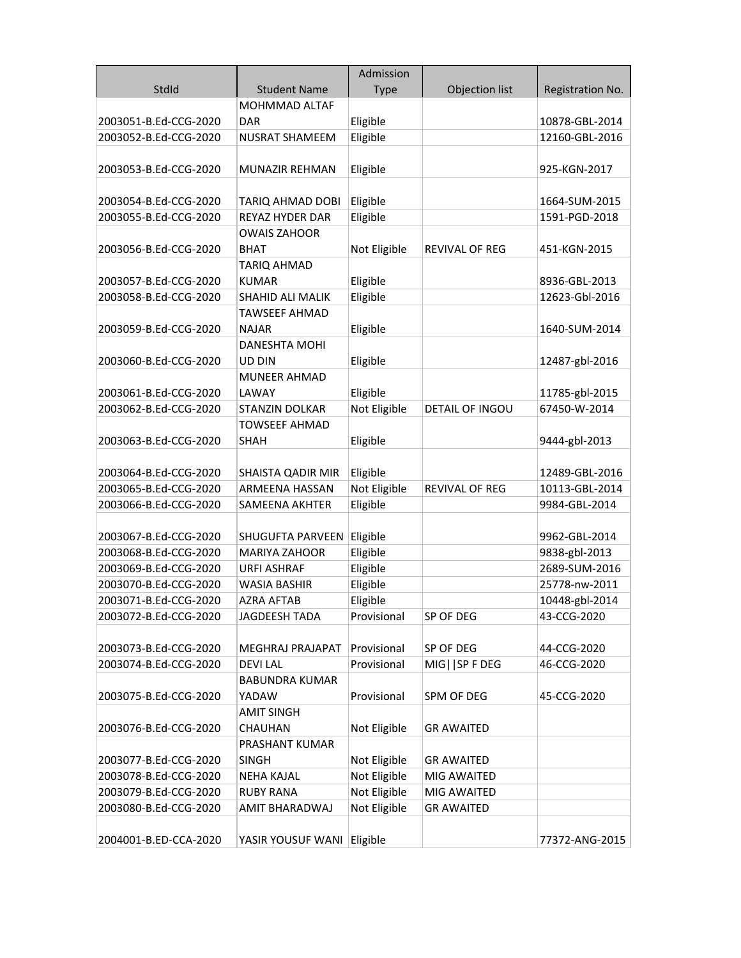|                       |                            | Admission    |                       |                  |
|-----------------------|----------------------------|--------------|-----------------------|------------------|
| StdId                 | <b>Student Name</b>        | <b>Type</b>  | Objection list        | Registration No. |
|                       | <b>MOHMMAD ALTAF</b>       |              |                       |                  |
| 2003051-B.Ed-CCG-2020 | <b>DAR</b>                 | Eligible     |                       | 10878-GBL-2014   |
| 2003052-B.Ed-CCG-2020 | <b>NUSRAT SHAMEEM</b>      | Eligible     |                       | 12160-GBL-2016   |
|                       |                            |              |                       |                  |
| 2003053-B.Ed-CCG-2020 | MUNAZIR REHMAN             | Eligible     |                       | 925-KGN-2017     |
|                       |                            |              |                       |                  |
| 2003054-B.Ed-CCG-2020 | TARIQ AHMAD DOBI           | Eligible     |                       | 1664-SUM-2015    |
| 2003055-B.Ed-CCG-2020 | REYAZ HYDER DAR            | Eligible     |                       | 1591-PGD-2018    |
|                       | <b>OWAIS ZAHOOR</b>        |              |                       |                  |
| 2003056-B.Ed-CCG-2020 | <b>BHAT</b>                | Not Eligible | <b>REVIVAL OF REG</b> | 451-KGN-2015     |
|                       | <b>TARIQ AHMAD</b>         |              |                       |                  |
| 2003057-B.Ed-CCG-2020 | <b>KUMAR</b>               | Eligible     |                       | 8936-GBL-2013    |
| 2003058-B.Ed-CCG-2020 | SHAHID ALI MALIK           | Eligible     |                       | 12623-Gbl-2016   |
|                       | <b>TAWSEEF AHMAD</b>       |              |                       |                  |
| 2003059-B.Ed-CCG-2020 | <b>NAJAR</b>               | Eligible     |                       | 1640-SUM-2014    |
|                       | <b>DANESHTA MOHI</b>       |              |                       |                  |
| 2003060-B.Ed-CCG-2020 | UD DIN                     | Eligible     |                       | 12487-gbl-2016   |
|                       | <b>MUNEER AHMAD</b>        |              |                       |                  |
| 2003061-B.Ed-CCG-2020 | LAWAY                      | Eligible     |                       | 11785-gbl-2015   |
| 2003062-B.Ed-CCG-2020 | STANZIN DOLKAR             | Not Eligible | DETAIL OF INGOU       | 67450-W-2014     |
|                       | <b>TOWSEEF AHMAD</b>       |              |                       |                  |
| 2003063-B.Ed-CCG-2020 | <b>SHAH</b>                | Eligible     |                       | 9444-gbl-2013    |
| 2003064-B.Ed-CCG-2020 | SHAISTA QADIR MIR          | Eligible     |                       | 12489-GBL-2016   |
| 2003065-B.Ed-CCG-2020 | ARMEENA HASSAN             | Not Eligible | REVIVAL OF REG        | 10113-GBL-2014   |
| 2003066-B.Ed-CCG-2020 | SAMEENA AKHTER             | Eligible     |                       | 9984-GBL-2014    |
|                       |                            |              |                       |                  |
| 2003067-B.Ed-CCG-2020 | SHUGUFTA PARVEEN           | Eligible     |                       | 9962-GBL-2014    |
| 2003068-B.Ed-CCG-2020 | <b>MARIYA ZAHOOR</b>       | Eligible     |                       | 9838-gbl-2013    |
| 2003069-B.Ed-CCG-2020 | <b>URFI ASHRAF</b>         | Eligible     |                       | 2689-SUM-2016    |
| 2003070-B.Ed-CCG-2020 | <b>WASIA BASHIR</b>        | Eligible     |                       | 25778-nw-2011    |
| 2003071-B.Ed-CCG-2020 | <b>AZRA AFTAB</b>          | Eligible     |                       | 10448-gbl-2014   |
| 2003072-B.Ed-CCG-2020 | <b>JAGDEESH TADA</b>       | Provisional  | SP OF DEG             | 43-CCG-2020      |
|                       |                            |              |                       |                  |
| 2003073-B.Ed-CCG-2020 | MEGHRAJ PRAJAPAT           | Provisional  | SP OF DEG             | 44-CCG-2020      |
| 2003074-B.Ed-CCG-2020 | <b>DEVILAL</b>             | Provisional  | MIG     SP F DEG      | 46-CCG-2020      |
|                       | <b>BABUNDRA KUMAR</b>      |              |                       |                  |
| 2003075-B.Ed-CCG-2020 | YADAW                      | Provisional  | SPM OF DEG            | 45-CCG-2020      |
|                       | <b>AMIT SINGH</b>          |              |                       |                  |
| 2003076-B.Ed-CCG-2020 | CHAUHAN                    | Not Eligible | <b>GR AWAITED</b>     |                  |
|                       | PRASHANT KUMAR             |              |                       |                  |
| 2003077-B.Ed-CCG-2020 | <b>SINGH</b>               | Not Eligible | <b>GR AWAITED</b>     |                  |
| 2003078-B.Ed-CCG-2020 | <b>NEHA KAJAL</b>          | Not Eligible | MIG AWAITED           |                  |
| 2003079-B.Ed-CCG-2020 | <b>RUBY RANA</b>           | Not Eligible | MIG AWAITED           |                  |
| 2003080-B.Ed-CCG-2020 | AMIT BHARADWAJ             | Not Eligible | <b>GR AWAITED</b>     |                  |
|                       |                            |              |                       |                  |
| 2004001-B.ED-CCA-2020 | YASIR YOUSUF WANI Eligible |              |                       | 77372-ANG-2015   |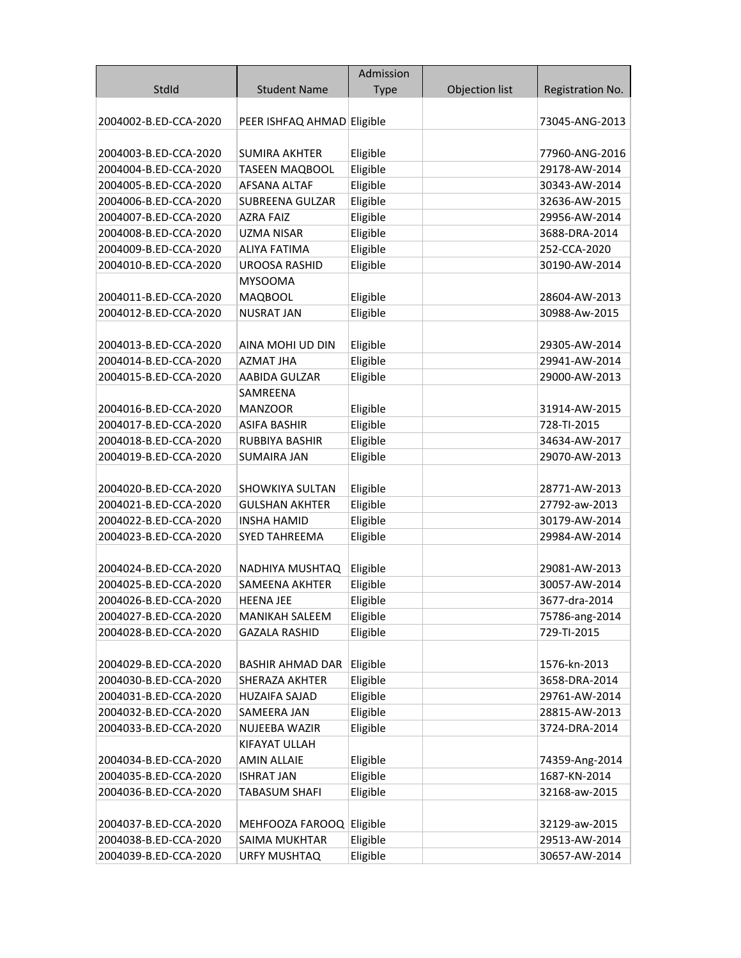|                       |                            | Admission   |                |                  |
|-----------------------|----------------------------|-------------|----------------|------------------|
| StdId                 | <b>Student Name</b>        | <b>Type</b> | Objection list | Registration No. |
|                       |                            |             |                |                  |
| 2004002-B.ED-CCA-2020 | PEER ISHFAQ AHMAD Eligible |             |                | 73045-ANG-2013   |
|                       |                            |             |                |                  |
| 2004003-B.ED-CCA-2020 | <b>SUMIRA AKHTER</b>       | Eligible    |                | 77960-ANG-2016   |
| 2004004-B.ED-CCA-2020 | <b>TASEEN MAQBOOL</b>      | Eligible    |                | 29178-AW-2014    |
| 2004005-B.ED-CCA-2020 | <b>AFSANA ALTAF</b>        | Eligible    |                | 30343-AW-2014    |
| 2004006-B.ED-CCA-2020 | SUBREENA GULZAR            | Eligible    |                | 32636-AW-2015    |
| 2004007-B.ED-CCA-2020 | <b>AZRA FAIZ</b>           | Eligible    |                | 29956-AW-2014    |
| 2004008-B.ED-CCA-2020 | <b>UZMA NISAR</b>          | Eligible    |                | 3688-DRA-2014    |
| 2004009-B.ED-CCA-2020 | <b>ALIYA FATIMA</b>        | Eligible    |                | 252-CCA-2020     |
| 2004010-B.ED-CCA-2020 | <b>UROOSA RASHID</b>       | Eligible    |                | 30190-AW-2014    |
|                       | <b>MYSOOMA</b>             |             |                |                  |
| 2004011-B.ED-CCA-2020 | <b>MAQBOOL</b>             | Eligible    |                | 28604-AW-2013    |
| 2004012-B.ED-CCA-2020 | <b>NUSRAT JAN</b>          | Eligible    |                | 30988-Aw-2015    |
|                       |                            |             |                |                  |
| 2004013-B.ED-CCA-2020 | AINA MOHI UD DIN           | Eligible    |                | 29305-AW-2014    |
| 2004014-B.ED-CCA-2020 | AZMAT JHA                  | Eligible    |                | 29941-AW-2014    |
| 2004015-B.ED-CCA-2020 | AABIDA GULZAR              | Eligible    |                | 29000-AW-2013    |
|                       | SAMREENA                   |             |                |                  |
| 2004016-B.ED-CCA-2020 | <b>MANZOOR</b>             | Eligible    |                | 31914-AW-2015    |
| 2004017-B.ED-CCA-2020 | <b>ASIFA BASHIR</b>        | Eligible    |                | 728-TI-2015      |
| 2004018-B.ED-CCA-2020 | <b>RUBBIYA BASHIR</b>      | Eligible    |                | 34634-AW-2017    |
| 2004019-B.ED-CCA-2020 | <b>SUMAIRA JAN</b>         | Eligible    |                | 29070-AW-2013    |
|                       |                            |             |                |                  |
| 2004020-B.ED-CCA-2020 | SHOWKIYA SULTAN            | Eligible    |                | 28771-AW-2013    |
| 2004021-B.ED-CCA-2020 | <b>GULSHAN AKHTER</b>      | Eligible    |                | 27792-aw-2013    |
| 2004022-B.ED-CCA-2020 | <b>INSHA HAMID</b>         | Eligible    |                | 30179-AW-2014    |
| 2004023-B.ED-CCA-2020 | <b>SYED TAHREEMA</b>       | Eligible    |                | 29984-AW-2014    |
|                       |                            |             |                |                  |
| 2004024-B.ED-CCA-2020 | NADHIYA MUSHTAQ            | Eligible    |                | 29081-AW-2013    |
| 2004025-B.ED-CCA-2020 | SAMEENA AKHTER             | Eligible    |                | 30057-AW-2014    |
| 2004026-B.ED-CCA-2020 | HEENA JEE                  | Eligible    |                | 3677-dra-2014    |
| 2004027-B.ED-CCA-2020 | <b>MANIKAH SALEEM</b>      | Eligible    |                | 75786-ang-2014   |
| 2004028-B.ED-CCA-2020 | <b>GAZALA RASHID</b>       | Eligible    |                | 729-TI-2015      |
|                       |                            |             |                |                  |
| 2004029-B.ED-CCA-2020 | <b>BASHIR AHMAD DAR</b>    | Eligible    |                | 1576-kn-2013     |
| 2004030-B.ED-CCA-2020 | SHERAZA AKHTER             | Eligible    |                | 3658-DRA-2014    |
| 2004031-B.ED-CCA-2020 | <b>HUZAIFA SAJAD</b>       | Eligible    |                | 29761-AW-2014    |
| 2004032-B.ED-CCA-2020 | SAMEERA JAN                | Eligible    |                | 28815-AW-2013    |
| 2004033-B.ED-CCA-2020 | NUJEEBA WAZIR              | Eligible    |                | 3724-DRA-2014    |
|                       | KIFAYAT ULLAH              |             |                |                  |
| 2004034-B.ED-CCA-2020 | <b>AMIN ALLAIE</b>         | Eligible    |                | 74359-Ang-2014   |
| 2004035-B.ED-CCA-2020 | <b>ISHRAT JAN</b>          | Eligible    |                | 1687-KN-2014     |
| 2004036-B.ED-CCA-2020 | TABASUM SHAFI              | Eligible    |                | 32168-aw-2015    |
|                       |                            |             |                |                  |
| 2004037-B.ED-CCA-2020 | MEHFOOZA FAROOQ Eligible   |             |                | 32129-aw-2015    |
| 2004038-B.ED-CCA-2020 | SAIMA MUKHTAR              | Eligible    |                | 29513-AW-2014    |
| 2004039-B.ED-CCA-2020 | URFY MUSHTAQ               | Eligible    |                | 30657-AW-2014    |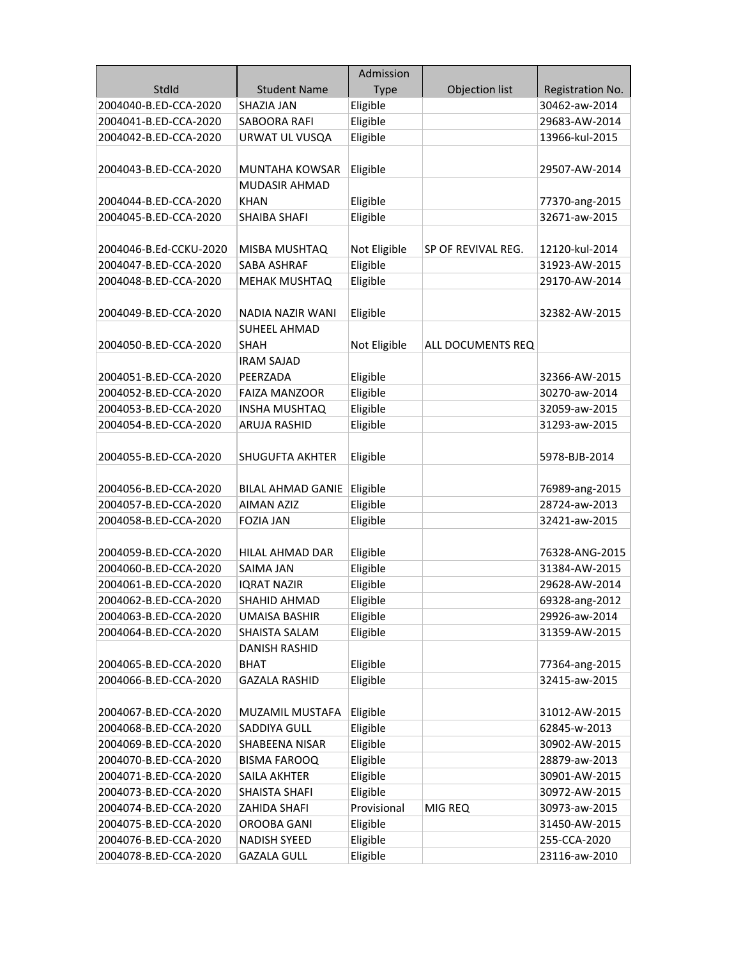|                        |                          | Admission    |                    |                  |
|------------------------|--------------------------|--------------|--------------------|------------------|
| StdId                  | <b>Student Name</b>      | <b>Type</b>  | Objection list     | Registration No. |
| 2004040-B.ED-CCA-2020  | <b>SHAZIA JAN</b>        | Eligible     |                    | 30462-aw-2014    |
| 2004041-B.ED-CCA-2020  | SABOORA RAFI             | Eligible     |                    | 29683-AW-2014    |
| 2004042-B.ED-CCA-2020  | URWAT UL VUSQA           | Eligible     |                    | 13966-kul-2015   |
|                        |                          |              |                    |                  |
| 2004043-B.ED-CCA-2020  | MUNTAHA KOWSAR           | Eligible     |                    | 29507-AW-2014    |
|                        | <b>MUDASIR AHMAD</b>     |              |                    |                  |
| 2004044-B.ED-CCA-2020  | <b>KHAN</b>              | Eligible     |                    | 77370-ang-2015   |
| 2004045-B.ED-CCA-2020  | <b>SHAIBA SHAFI</b>      | Eligible     |                    | 32671-aw-2015    |
|                        |                          |              |                    |                  |
| 2004046-B.Ed-CCKU-2020 | MISBA MUSHTAQ            | Not Eligible | SP OF REVIVAL REG. | 12120-kul-2014   |
| 2004047-B.ED-CCA-2020  | SABA ASHRAF              | Eligible     |                    | 31923-AW-2015    |
| 2004048-B.ED-CCA-2020  | <b>MEHAK MUSHTAQ</b>     | Eligible     |                    | 29170-AW-2014    |
|                        |                          |              |                    |                  |
| 2004049-B.ED-CCA-2020  | NADIA NAZIR WANI         | Eligible     |                    | 32382-AW-2015    |
|                        | <b>SUHEEL AHMAD</b>      |              |                    |                  |
| 2004050-B.ED-CCA-2020  | <b>SHAH</b>              | Not Eligible | ALL DOCUMENTS REQ  |                  |
|                        | <b>IRAM SAJAD</b>        |              |                    |                  |
| 2004051-B.ED-CCA-2020  | PEERZADA                 | Eligible     |                    | 32366-AW-2015    |
| 2004052-B.ED-CCA-2020  | <b>FAIZA MANZOOR</b>     | Eligible     |                    | 30270-aw-2014    |
| 2004053-B.ED-CCA-2020  | <b>INSHA MUSHTAQ</b>     | Eligible     |                    | 32059-aw-2015    |
| 2004054-B.ED-CCA-2020  | <b>ARUJA RASHID</b>      | Eligible     |                    | 31293-aw-2015    |
|                        |                          |              |                    |                  |
| 2004055-B.ED-CCA-2020  | <b>SHUGUFTA AKHTER</b>   | Eligible     |                    | 5978-BJB-2014    |
|                        |                          |              |                    |                  |
| 2004056-B.ED-CCA-2020  | <b>BILAL AHMAD GANIE</b> | Eligible     |                    | 76989-ang-2015   |
| 2004057-B.ED-CCA-2020  | <b>AIMAN AZIZ</b>        | Eligible     |                    | 28724-aw-2013    |
| 2004058-B.ED-CCA-2020  | <b>FOZIA JAN</b>         | Eligible     |                    | 32421-aw-2015    |
|                        |                          |              |                    |                  |
| 2004059-B.ED-CCA-2020  | HILAL AHMAD DAR          | Eligible     |                    | 76328-ANG-2015   |
| 2004060-B.ED-CCA-2020  | SAIMA JAN                | Eligible     |                    | 31384-AW-2015    |
| 2004061-B.ED-CCA-2020  | <b>IQRAT NAZIR</b>       | Eligible     |                    | 29628-AW-2014    |
| 2004062-B.ED-CCA-2020  | SHAHID AHMAD             | Eligible     |                    | 69328-ang-2012   |
| 2004063-B.ED-CCA-2020  | <b>UMAISA BASHIR</b>     | Eligible     |                    | 29926-aw-2014    |
| 2004064-B.ED-CCA-2020  | SHAISTA SALAM            | Eligible     |                    | 31359-AW-2015    |
|                        | <b>DANISH RASHID</b>     |              |                    |                  |
| 2004065-B.ED-CCA-2020  | <b>BHAT</b>              | Eligible     |                    | 77364-ang-2015   |
| 2004066-B.ED-CCA-2020  | <b>GAZALA RASHID</b>     | Eligible     |                    | 32415-aw-2015    |
|                        |                          |              |                    |                  |
| 2004067-B.ED-CCA-2020  | MUZAMIL MUSTAFA          | Eligible     |                    | 31012-AW-2015    |
| 2004068-B.ED-CCA-2020  | SADDIYA GULL             | Eligible     |                    | 62845-w-2013     |
| 2004069-B.ED-CCA-2020  | SHABEENA NISAR           | Eligible     |                    | 30902-AW-2015    |
| 2004070-B.ED-CCA-2020  | <b>BISMA FAROOQ</b>      | Eligible     |                    | 28879-aw-2013    |
| 2004071-B.ED-CCA-2020  | SAILA AKHTER             | Eligible     |                    | 30901-AW-2015    |
| 2004073-B.ED-CCA-2020  | SHAISTA SHAFI            | Eligible     |                    | 30972-AW-2015    |
| 2004074-B.ED-CCA-2020  | ZAHIDA SHAFI             | Provisional  | MIG REQ            | 30973-aw-2015    |
| 2004075-B.ED-CCA-2020  | OROOBA GANI              | Eligible     |                    | 31450-AW-2015    |
| 2004076-B.ED-CCA-2020  | <b>NADISH SYEED</b>      | Eligible     |                    | 255-CCA-2020     |
| 2004078-B.ED-CCA-2020  | <b>GAZALA GULL</b>       | Eligible     |                    | 23116-aw-2010    |
|                        |                          |              |                    |                  |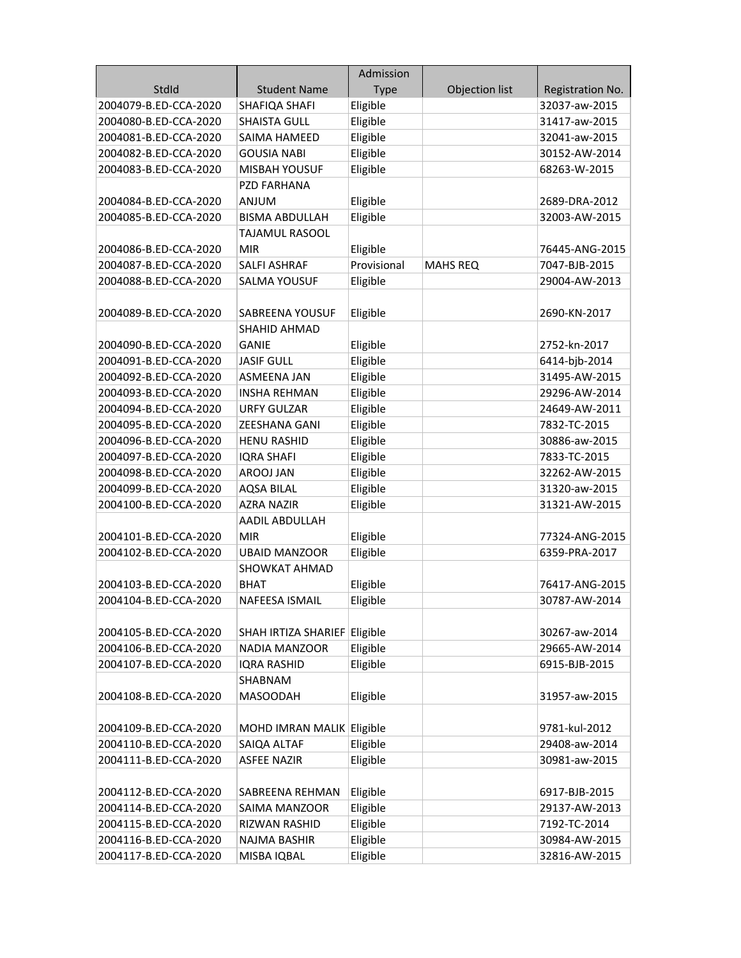|                       |                              | Admission   |                 |                  |
|-----------------------|------------------------------|-------------|-----------------|------------------|
| StdId                 | <b>Student Name</b>          | <b>Type</b> | Objection list  | Registration No. |
| 2004079-B.ED-CCA-2020 | SHAFIQA SHAFI                | Eligible    |                 | 32037-aw-2015    |
| 2004080-B.ED-CCA-2020 | <b>SHAISTA GULL</b>          | Eligible    |                 | 31417-aw-2015    |
| 2004081-B.ED-CCA-2020 | SAIMA HAMEED                 | Eligible    |                 | 32041-aw-2015    |
| 2004082-B.ED-CCA-2020 | <b>GOUSIA NABI</b>           | Eligible    |                 | 30152-AW-2014    |
| 2004083-B.ED-CCA-2020 | <b>MISBAH YOUSUF</b>         | Eligible    |                 | 68263-W-2015     |
|                       | PZD FARHANA                  |             |                 |                  |
| 2004084-B.ED-CCA-2020 | ANJUM                        | Eligible    |                 | 2689-DRA-2012    |
| 2004085-B.ED-CCA-2020 | <b>BISMA ABDULLAH</b>        | Eligible    |                 | 32003-AW-2015    |
|                       | TAJAMUL RASOOL               |             |                 |                  |
| 2004086-B.ED-CCA-2020 | <b>MIR</b>                   | Eligible    |                 | 76445-ANG-2015   |
| 2004087-B.ED-CCA-2020 | <b>SALFI ASHRAF</b>          | Provisional | <b>MAHS REQ</b> | 7047-BJB-2015    |
| 2004088-B.ED-CCA-2020 | <b>SALMA YOUSUF</b>          | Eligible    |                 | 29004-AW-2013    |
|                       |                              |             |                 |                  |
| 2004089-B.ED-CCA-2020 | SABREENA YOUSUF              | Eligible    |                 | 2690-KN-2017     |
|                       | <b>SHAHID AHMAD</b>          |             |                 |                  |
| 2004090-B.ED-CCA-2020 | <b>GANIE</b>                 | Eligible    |                 | 2752-kn-2017     |
| 2004091-B.ED-CCA-2020 | <b>JASIF GULL</b>            | Eligible    |                 | 6414-bjb-2014    |
| 2004092-B.ED-CCA-2020 | <b>ASMEENA JAN</b>           | Eligible    |                 | 31495-AW-2015    |
| 2004093-B.ED-CCA-2020 | <b>INSHA REHMAN</b>          | Eligible    |                 | 29296-AW-2014    |
| 2004094-B.ED-CCA-2020 | <b>URFY GULZAR</b>           | Eligible    |                 | 24649-AW-2011    |
| 2004095-B.ED-CCA-2020 | <b>ZEESHANA GANI</b>         | Eligible    |                 | 7832-TC-2015     |
| 2004096-B.ED-CCA-2020 | <b>HENU RASHID</b>           | Eligible    |                 | 30886-aw-2015    |
| 2004097-B.ED-CCA-2020 | <b>IQRA SHAFI</b>            | Eligible    |                 | 7833-TC-2015     |
| 2004098-B.ED-CCA-2020 | AROOJ JAN                    | Eligible    |                 | 32262-AW-2015    |
| 2004099-B.ED-CCA-2020 | <b>AQSA BILAL</b>            | Eligible    |                 | 31320-aw-2015    |
| 2004100-B.ED-CCA-2020 | <b>AZRA NAZIR</b>            | Eligible    |                 | 31321-AW-2015    |
|                       | AADIL ABDULLAH               |             |                 |                  |
| 2004101-B.ED-CCA-2020 | <b>MIR</b>                   | Eligible    |                 | 77324-ANG-2015   |
| 2004102-B.ED-CCA-2020 | <b>UBAID MANZOOR</b>         | Eligible    |                 | 6359-PRA-2017    |
|                       | <b>SHOWKAT AHMAD</b>         |             |                 |                  |
| 2004103-B.ED-CCA-2020 | <b>BHAT</b>                  | Eligible    |                 | 76417-ANG-2015   |
| 2004104-B.ED-CCA-2020 | <b>NAFEESA ISMAIL</b>        | Eligible    |                 | 30787-AW-2014    |
|                       |                              |             |                 |                  |
| 2004105-B.ED-CCA-2020 | SHAH IRTIZA SHARIEF Eligible |             |                 | 30267-aw-2014    |
| 2004106-B.ED-CCA-2020 | NADIA MANZOOR                | Eligible    |                 | 29665-AW-2014    |
| 2004107-B.ED-CCA-2020 | <b>IQRA RASHID</b>           | Eligible    |                 | 6915-BJB-2015    |
|                       | SHABNAM                      |             |                 |                  |
| 2004108-B.ED-CCA-2020 | <b>MASOODAH</b>              | Eligible    |                 | 31957-aw-2015    |
|                       |                              |             |                 |                  |
| 2004109-B.ED-CCA-2020 | MOHD IMRAN MALIK Eligible    |             |                 | 9781-kul-2012    |
| 2004110-B.ED-CCA-2020 | SAIQA ALTAF                  | Eligible    |                 | 29408-aw-2014    |
| 2004111-B.ED-CCA-2020 | <b>ASFEE NAZIR</b>           | Eligible    |                 | 30981-aw-2015    |
|                       |                              |             |                 |                  |
| 2004112-B.ED-CCA-2020 | SABREENA REHMAN              | Eligible    |                 | 6917-BJB-2015    |
| 2004114-B.ED-CCA-2020 | SAIMA MANZOOR                | Eligible    |                 | 29137-AW-2013    |
| 2004115-B.ED-CCA-2020 | RIZWAN RASHID                | Eligible    |                 | 7192-TC-2014     |
| 2004116-B.ED-CCA-2020 | NAJMA BASHIR                 | Eligible    |                 | 30984-AW-2015    |
| 2004117-B.ED-CCA-2020 | MISBA IQBAL                  | Eligible    |                 | 32816-AW-2015    |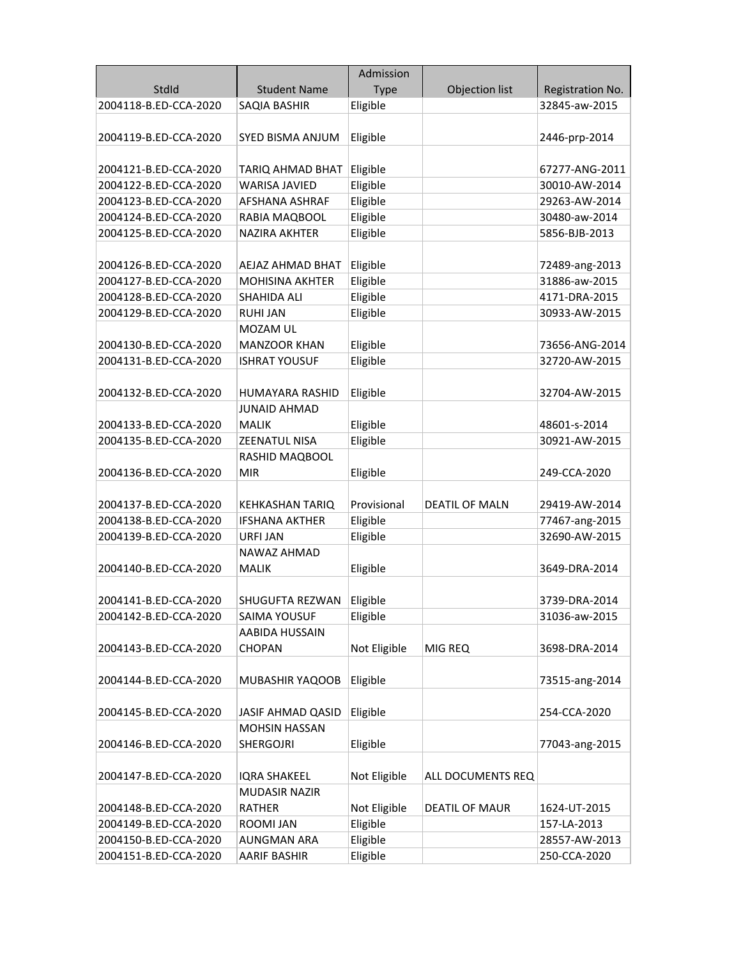|                       |                          | Admission    |                       |                  |
|-----------------------|--------------------------|--------------|-----------------------|------------------|
| StdId                 | <b>Student Name</b>      | <b>Type</b>  | Objection list        | Registration No. |
| 2004118-B.ED-CCA-2020 | SAQIA BASHIR             | Eligible     |                       | 32845-aw-2015    |
|                       |                          |              |                       |                  |
| 2004119-B.ED-CCA-2020 | SYED BISMA ANJUM         | Eligible     |                       | 2446-prp-2014    |
|                       |                          |              |                       |                  |
| 2004121-B.ED-CCA-2020 | TARIQ AHMAD BHAT         | Eligible     |                       | 67277-ANG-2011   |
| 2004122-B.ED-CCA-2020 | <b>WARISA JAVIED</b>     | Eligible     |                       | 30010-AW-2014    |
| 2004123-B.ED-CCA-2020 | AFSHANA ASHRAF           | Eligible     |                       | 29263-AW-2014    |
| 2004124-B.ED-CCA-2020 | RABIA MAQBOOL            | Eligible     |                       | 30480-aw-2014    |
| 2004125-B.ED-CCA-2020 | <b>NAZIRA AKHTER</b>     | Eligible     |                       | 5856-BJB-2013    |
|                       |                          |              |                       |                  |
| 2004126-B.ED-CCA-2020 | AEJAZ AHMAD BHAT         | Eligible     |                       | 72489-ang-2013   |
| 2004127-B.ED-CCA-2020 | <b>MOHISINA AKHTER</b>   | Eligible     |                       | 31886-aw-2015    |
| 2004128-B.ED-CCA-2020 | SHAHIDA ALI              | Eligible     |                       | 4171-DRA-2015    |
| 2004129-B.ED-CCA-2020 | <b>RUHI JAN</b>          | Eligible     |                       | 30933-AW-2015    |
|                       | MOZAM UL                 |              |                       |                  |
| 2004130-B.ED-CCA-2020 | <b>MANZOOR KHAN</b>      | Eligible     |                       | 73656-ANG-2014   |
| 2004131-B.ED-CCA-2020 | <b>ISHRAT YOUSUF</b>     | Eligible     |                       | 32720-AW-2015    |
|                       |                          |              |                       |                  |
| 2004132-B.ED-CCA-2020 | HUMAYARA RASHID          | Eligible     |                       | 32704-AW-2015    |
|                       | <b>JUNAID AHMAD</b>      |              |                       |                  |
| 2004133-B.ED-CCA-2020 | <b>MALIK</b>             | Eligible     |                       | 48601-s-2014     |
| 2004135-B.ED-CCA-2020 | ZEENATUL NISA            | Eligible     |                       | 30921-AW-2015    |
|                       | RASHID MAQBOOL           |              |                       |                  |
| 2004136-B.ED-CCA-2020 | <b>MIR</b>               | Eligible     |                       | 249-CCA-2020     |
|                       |                          |              |                       |                  |
| 2004137-B.ED-CCA-2020 | KEHKASHAN TARIQ          | Provisional  | <b>DEATIL OF MALN</b> | 29419-AW-2014    |
| 2004138-B.ED-CCA-2020 | <b>IFSHANA AKTHER</b>    | Eligible     |                       | 77467-ang-2015   |
| 2004139-B.ED-CCA-2020 | URFI JAN                 | Eligible     |                       | 32690-AW-2015    |
|                       | NAWAZ AHMAD              |              |                       |                  |
| 2004140-B.ED-CCA-2020 | <b>MALIK</b>             | Eligible     |                       | 3649-DRA-2014    |
|                       |                          |              |                       |                  |
| 2004141-B.ED-CCA-2020 | SHUGUFTA REZWAN          | Eligible     |                       | 3739-DRA-2014    |
| 2004142-B.ED-CCA-2020 | <b>SAIMA YOUSUF</b>      | Eligible     |                       | 31036-aw-2015    |
| 2004143-B.ED-CCA-2020 | AABIDA HUSSAIN           |              | MIG REQ               |                  |
|                       | <b>CHOPAN</b>            | Not Eligible |                       | 3698-DRA-2014    |
| 2004144-B.ED-CCA-2020 | MUBASHIR YAQOOB          | Eligible     |                       |                  |
|                       |                          |              |                       | 73515-ang-2014   |
| 2004145-B.ED-CCA-2020 | <b>JASIF AHMAD QASID</b> | Eligible     |                       | 254-CCA-2020     |
|                       | <b>MOHSIN HASSAN</b>     |              |                       |                  |
| 2004146-B.ED-CCA-2020 | <b>SHERGOJRI</b>         | Eligible     |                       | 77043-ang-2015   |
|                       |                          |              |                       |                  |
| 2004147-B.ED-CCA-2020 | <b>IQRA SHAKEEL</b>      | Not Eligible | ALL DOCUMENTS REQ     |                  |
|                       | <b>MUDASIR NAZIR</b>     |              |                       |                  |
| 2004148-B.ED-CCA-2020 | RATHER                   | Not Eligible | <b>DEATIL OF MAUR</b> | 1624-UT-2015     |
| 2004149-B.ED-CCA-2020 | ROOMI JAN                | Eligible     |                       | 157-LA-2013      |
| 2004150-B.ED-CCA-2020 | <b>AUNGMAN ARA</b>       | Eligible     |                       | 28557-AW-2013    |
| 2004151-B.ED-CCA-2020 | <b>AARIF BASHIR</b>      | Eligible     |                       | 250-CCA-2020     |
|                       |                          |              |                       |                  |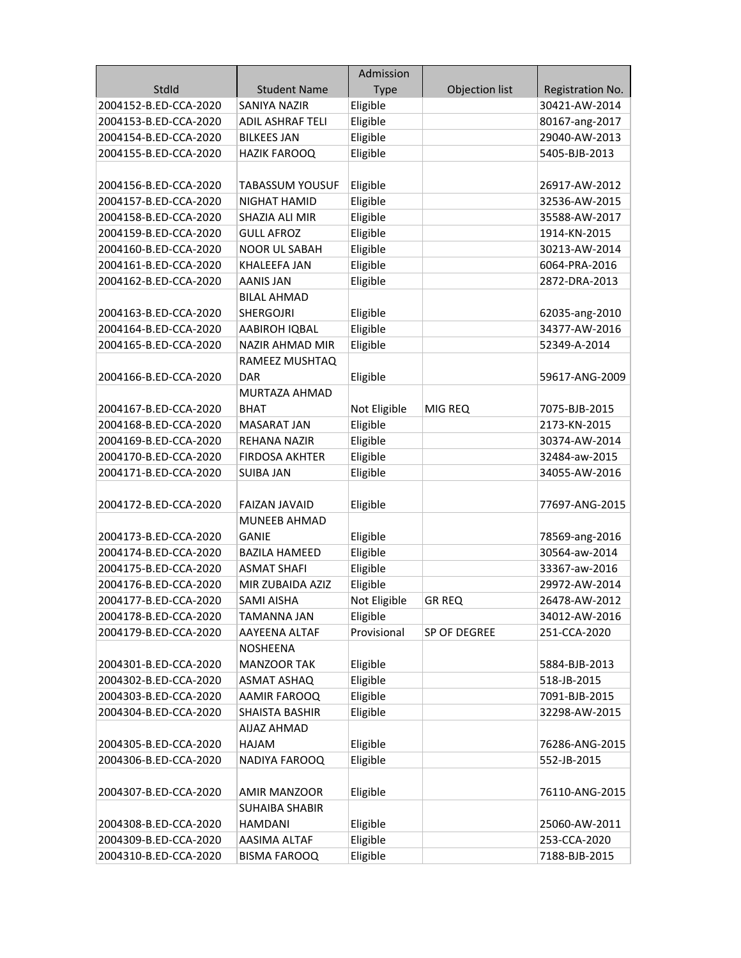|                       |                         | Admission    |                |                  |
|-----------------------|-------------------------|--------------|----------------|------------------|
| StdId                 | <b>Student Name</b>     | <b>Type</b>  | Objection list | Registration No. |
| 2004152-B.ED-CCA-2020 | SANIYA NAZIR            | Eligible     |                | 30421-AW-2014    |
| 2004153-B.ED-CCA-2020 | <b>ADIL ASHRAF TELI</b> | Eligible     |                | 80167-ang-2017   |
| 2004154-B.ED-CCA-2020 | <b>BILKEES JAN</b>      | Eligible     |                | 29040-AW-2013    |
| 2004155-B.ED-CCA-2020 | <b>HAZIK FAROOQ</b>     | Eligible     |                | 5405-BJB-2013    |
|                       |                         |              |                |                  |
| 2004156-B.ED-CCA-2020 | <b>TABASSUM YOUSUF</b>  | Eligible     |                | 26917-AW-2012    |
| 2004157-B.ED-CCA-2020 | NIGHAT HAMID            | Eligible     |                | 32536-AW-2015    |
| 2004158-B.ED-CCA-2020 | SHAZIA ALI MIR          | Eligible     |                | 35588-AW-2017    |
| 2004159-B.ED-CCA-2020 | <b>GULL AFROZ</b>       | Eligible     |                | 1914-KN-2015     |
| 2004160-B.ED-CCA-2020 | <b>NOOR UL SABAH</b>    | Eligible     |                | 30213-AW-2014    |
| 2004161-B.ED-CCA-2020 | <b>KHALEEFA JAN</b>     | Eligible     |                | 6064-PRA-2016    |
| 2004162-B.ED-CCA-2020 | <b>AANIS JAN</b>        | Eligible     |                | 2872-DRA-2013    |
|                       | <b>BILAL AHMAD</b>      |              |                |                  |
| 2004163-B.ED-CCA-2020 | <b>SHERGOJRI</b>        | Eligible     |                | 62035-ang-2010   |
| 2004164-B.ED-CCA-2020 | AABIROH IQBAL           | Eligible     |                | 34377-AW-2016    |
| 2004165-B.ED-CCA-2020 | <b>NAZIR AHMAD MIR</b>  | Eligible     |                | 52349-A-2014     |
|                       | RAMEEZ MUSHTAQ          |              |                |                  |
| 2004166-B.ED-CCA-2020 | <b>DAR</b>              | Eligible     |                | 59617-ANG-2009   |
|                       | MURTAZA AHMAD           |              |                |                  |
| 2004167-B.ED-CCA-2020 | BHAT                    | Not Eligible | MIG REQ        | 7075-BJB-2015    |
| 2004168-B.ED-CCA-2020 | <b>MASARAT JAN</b>      | Eligible     |                | 2173-KN-2015     |
| 2004169-B.ED-CCA-2020 | REHANA NAZIR            | Eligible     |                | 30374-AW-2014    |
| 2004170-B.ED-CCA-2020 | <b>FIRDOSA AKHTER</b>   | Eligible     |                | 32484-aw-2015    |
| 2004171-B.ED-CCA-2020 | <b>SUIBA JAN</b>        | Eligible     |                | 34055-AW-2016    |
|                       |                         |              |                |                  |
| 2004172-B.ED-CCA-2020 | <b>FAIZAN JAVAID</b>    | Eligible     |                | 77697-ANG-2015   |
|                       | <b>MUNEEB AHMAD</b>     |              |                |                  |
| 2004173-B.ED-CCA-2020 | GANIE                   | Eligible     |                | 78569-ang-2016   |
| 2004174-B.ED-CCA-2020 | <b>BAZILA HAMEED</b>    | Eligible     |                | 30564-aw-2014    |
| 2004175-B.ED-CCA-2020 | <b>ASMAT SHAFI</b>      | Eligible     |                | 33367-aw-2016    |
| 2004176-B.ED-CCA-2020 | MIR ZUBAIDA AZIZ        | Eligible     |                | 29972-AW-2014    |
| 2004177-B.ED-CCA-2020 | <b>SAMI AISHA</b>       | Not Eligible | <b>GR REQ</b>  | 26478-AW-2012    |
| 2004178-B.ED-CCA-2020 | <b>TAMANNA JAN</b>      | Eligible     |                | 34012-AW-2016    |
| 2004179-B.ED-CCA-2020 | <b>AAYEENA ALTAF</b>    | Provisional  | SP OF DEGREE   | 251-CCA-2020     |
|                       | <b>NOSHEENA</b>         |              |                |                  |
| 2004301-B.ED-CCA-2020 | <b>MANZOOR TAK</b>      | Eligible     |                | 5884-BJB-2013    |
| 2004302-B.ED-CCA-2020 | ASMAT ASHAQ             | Eligible     |                | 518-JB-2015      |
| 2004303-B.ED-CCA-2020 | AAMIR FAROOQ            | Eligible     |                | 7091-BJB-2015    |
| 2004304-B.ED-CCA-2020 | SHAISTA BASHIR          | Eligible     |                | 32298-AW-2015    |
|                       | <b>AIJAZ AHMAD</b>      |              |                |                  |
| 2004305-B.ED-CCA-2020 | HAJAM                   | Eligible     |                | 76286-ANG-2015   |
| 2004306-B.ED-CCA-2020 | NADIYA FAROOQ           | Eligible     |                | 552-JB-2015      |
|                       |                         |              |                |                  |
| 2004307-B.ED-CCA-2020 | <b>AMIR MANZOOR</b>     | Eligible     |                | 76110-ANG-2015   |
|                       | <b>SUHAIBA SHABIR</b>   |              |                |                  |
| 2004308-B.ED-CCA-2020 | <b>HAMDANI</b>          | Eligible     |                | 25060-AW-2011    |
|                       |                         |              |                |                  |
| 2004309-B.ED-CCA-2020 | AASIMA ALTAF            | Eligible     |                | 253-CCA-2020     |
| 2004310-B.ED-CCA-2020 | <b>BISMA FAROOQ</b>     | Eligible     |                | 7188-BJB-2015    |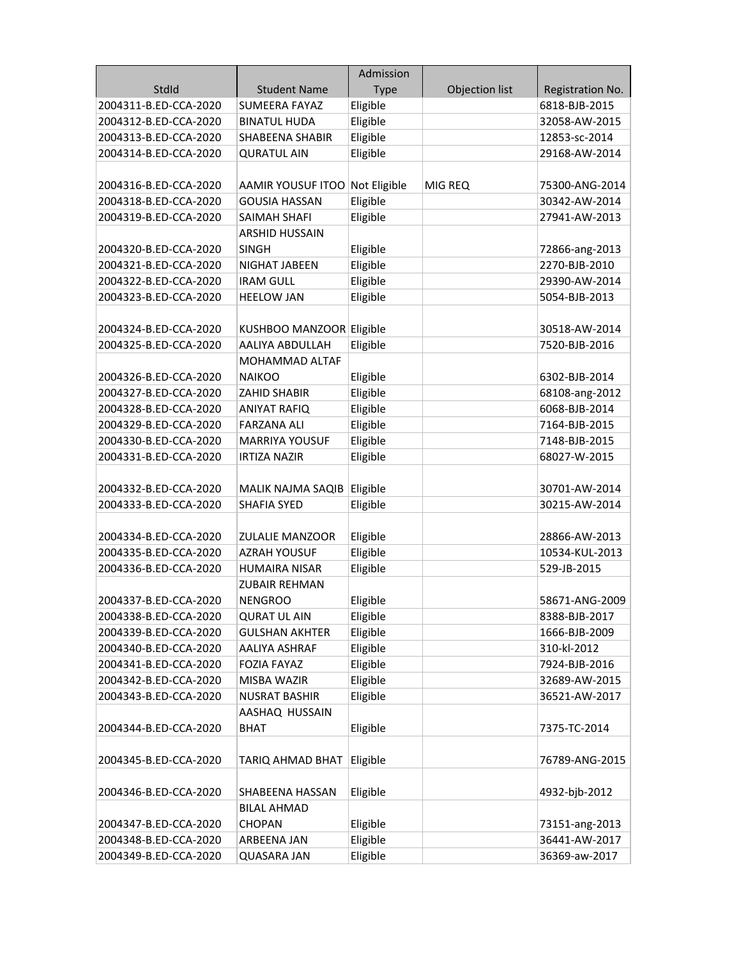|                       |                                | Admission   |                |                  |
|-----------------------|--------------------------------|-------------|----------------|------------------|
| StdId                 | <b>Student Name</b>            | <b>Type</b> | Objection list | Registration No. |
| 2004311-B.ED-CCA-2020 | <b>SUMEERA FAYAZ</b>           | Eligible    |                | 6818-BJB-2015    |
| 2004312-B.ED-CCA-2020 | <b>BINATUL HUDA</b>            | Eligible    |                | 32058-AW-2015    |
| 2004313-B.ED-CCA-2020 | <b>SHABEENA SHABIR</b>         | Eligible    |                | 12853-sc-2014    |
| 2004314-B.ED-CCA-2020 | <b>QURATUL AIN</b>             | Eligible    |                | 29168-AW-2014    |
|                       |                                |             |                |                  |
| 2004316-B.ED-CCA-2020 | AAMIR YOUSUF ITOO Not Eligible |             | MIG REQ        | 75300-ANG-2014   |
| 2004318-B.ED-CCA-2020 | <b>GOUSIA HASSAN</b>           | Eligible    |                | 30342-AW-2014    |
| 2004319-B.ED-CCA-2020 | SAIMAH SHAFI                   | Eligible    |                | 27941-AW-2013    |
|                       | <b>ARSHID HUSSAIN</b>          |             |                |                  |
| 2004320-B.ED-CCA-2020 | <b>SINGH</b>                   | Eligible    |                | 72866-ang-2013   |
| 2004321-B.ED-CCA-2020 | NIGHAT JABEEN                  | Eligible    |                | 2270-BJB-2010    |
| 2004322-B.ED-CCA-2020 | <b>IRAM GULL</b>               | Eligible    |                | 29390-AW-2014    |
| 2004323-B.ED-CCA-2020 | <b>HEELOW JAN</b>              | Eligible    |                | 5054-BJB-2013    |
|                       |                                |             |                |                  |
| 2004324-B.ED-CCA-2020 | KUSHBOO MANZOOR Eligible       |             |                | 30518-AW-2014    |
| 2004325-B.ED-CCA-2020 | AALIYA ABDULLAH                | Eligible    |                | 7520-BJB-2016    |
|                       | MOHAMMAD ALTAF                 |             |                |                  |
| 2004326-B.ED-CCA-2020 | <b>NAIKOO</b>                  | Eligible    |                | 6302-BJB-2014    |
| 2004327-B.ED-CCA-2020 | ZAHID SHABIR                   | Eligible    |                | 68108-ang-2012   |
| 2004328-B.ED-CCA-2020 | ANIYAT RAFIQ                   | Eligible    |                | 6068-BJB-2014    |
| 2004329-B.ED-CCA-2020 | <b>FARZANA ALI</b>             | Eligible    |                | 7164-BJB-2015    |
| 2004330-B.ED-CCA-2020 | <b>MARRIYA YOUSUF</b>          | Eligible    |                | 7148-BJB-2015    |
| 2004331-B.ED-CCA-2020 | <b>IRTIZA NAZIR</b>            | Eligible    |                | 68027-W-2015     |
|                       |                                |             |                |                  |
| 2004332-B.ED-CCA-2020 | MALIK NAJMA SAQIB              | Eligible    |                | 30701-AW-2014    |
| 2004333-B.ED-CCA-2020 | <b>SHAFIA SYED</b>             | Eligible    |                | 30215-AW-2014    |
|                       |                                |             |                |                  |
| 2004334-B.ED-CCA-2020 | <b>ZULALIE MANZOOR</b>         | Eligible    |                | 28866-AW-2013    |
| 2004335-B.ED-CCA-2020 | <b>AZRAH YOUSUF</b>            | Eligible    |                | 10534-KUL-2013   |
| 2004336-B.ED-CCA-2020 | <b>HUMAIRA NISAR</b>           | Eligible    |                | 529-JB-2015      |
|                       | <b>ZUBAIR REHMAN</b>           |             |                |                  |
| 2004337-B.ED-CCA-2020 | NENGROO                        | Eligible    |                | 58671-ANG-2009   |
| 2004338-B.ED-CCA-2020 | <b>QURAT UL AIN</b>            | Eligible    |                | 8388-BJB-2017    |
| 2004339-B.ED-CCA-2020 | <b>GULSHAN AKHTER</b>          | Eligible    |                | 1666-BJB-2009    |
| 2004340-B.ED-CCA-2020 | <b>AALIYA ASHRAF</b>           | Eligible    |                | 310-kl-2012      |
| 2004341-B.ED-CCA-2020 | <b>FOZIA FAYAZ</b>             | Eligible    |                | 7924-BJB-2016    |
| 2004342-B.ED-CCA-2020 | MISBA WAZIR                    | Eligible    |                | 32689-AW-2015    |
| 2004343-B.ED-CCA-2020 | <b>NUSRAT BASHIR</b>           | Eligible    |                | 36521-AW-2017    |
|                       | AASHAQ HUSSAIN                 |             |                |                  |
| 2004344-B.ED-CCA-2020 | BHAT                           | Eligible    |                | 7375-TC-2014     |
|                       |                                |             |                |                  |
| 2004345-B.ED-CCA-2020 | TARIQ AHMAD BHAT               | Eligible    |                | 76789-ANG-2015   |
|                       |                                |             |                |                  |
| 2004346-B.ED-CCA-2020 | SHABEENA HASSAN                | Eligible    |                | 4932-bjb-2012    |
|                       | <b>BILAL AHMAD</b>             |             |                |                  |
| 2004347-B.ED-CCA-2020 | <b>CHOPAN</b>                  | Eligible    |                | 73151-ang-2013   |
| 2004348-B.ED-CCA-2020 | ARBEENA JAN                    | Eligible    |                | 36441-AW-2017    |
| 2004349-B.ED-CCA-2020 | <b>QUASARA JAN</b>             | Eligible    |                | 36369-aw-2017    |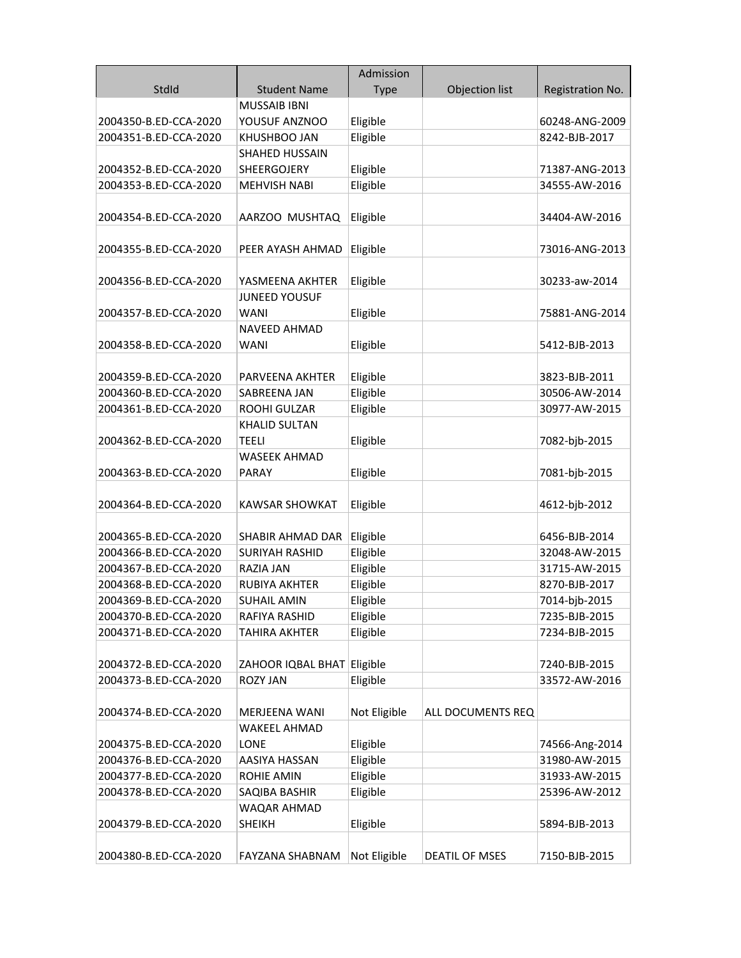|                       |                              | Admission    |                       |                  |
|-----------------------|------------------------------|--------------|-----------------------|------------------|
| StdId                 | <b>Student Name</b>          | <b>Type</b>  | Objection list        | Registration No. |
|                       | <b>MUSSAIB IBNI</b>          |              |                       |                  |
| 2004350-B.ED-CCA-2020 | YOUSUF ANZNOO                | Eligible     |                       | 60248-ANG-2009   |
| 2004351-B.ED-CCA-2020 | KHUSHBOO JAN                 | Eligible     |                       | 8242-BJB-2017    |
|                       | <b>SHAHED HUSSAIN</b>        |              |                       |                  |
| 2004352-B.ED-CCA-2020 | SHEERGOJERY                  | Eligible     |                       | 71387-ANG-2013   |
| 2004353-B.ED-CCA-2020 | <b>MEHVISH NABI</b>          | Eligible     |                       | 34555-AW-2016    |
|                       |                              |              |                       |                  |
| 2004354-B.ED-CCA-2020 | AARZOO MUSHTAQ               | Eligible     |                       | 34404-AW-2016    |
|                       |                              |              |                       |                  |
| 2004355-B.ED-CCA-2020 | PEER AYASH AHMAD             | Eligible     |                       | 73016-ANG-2013   |
|                       |                              |              |                       |                  |
| 2004356-B.ED-CCA-2020 | YASMEENA AKHTER              | Eligible     |                       | 30233-aw-2014    |
|                       | <b>JUNEED YOUSUF</b>         |              |                       |                  |
| 2004357-B.ED-CCA-2020 | <b>WANI</b>                  | Eligible     |                       | 75881-ANG-2014   |
|                       | NAVEED AHMAD                 |              |                       |                  |
| 2004358-B.ED-CCA-2020 | <b>WANI</b>                  | Eligible     |                       | 5412-BJB-2013    |
|                       |                              |              |                       |                  |
| 2004359-B.ED-CCA-2020 | PARVEENA AKHTER              | Eligible     |                       | 3823-BJB-2011    |
| 2004360-B.ED-CCA-2020 | SABREENA JAN                 | Eligible     |                       | 30506-AW-2014    |
| 2004361-B.ED-CCA-2020 | ROOHI GULZAR                 | Eligible     |                       | 30977-AW-2015    |
|                       | <b>KHALID SULTAN</b>         |              |                       |                  |
| 2004362-B.ED-CCA-2020 | <b>TEELI</b>                 | Eligible     |                       | 7082-bjb-2015    |
|                       | <b>WASEEK AHMAD</b>          |              |                       |                  |
| 2004363-B.ED-CCA-2020 | <b>PARAY</b>                 | Eligible     |                       | 7081-bjb-2015    |
|                       |                              |              |                       |                  |
| 2004364-B.ED-CCA-2020 | <b>KAWSAR SHOWKAT</b>        | Eligible     |                       | 4612-bjb-2012    |
|                       |                              |              |                       |                  |
| 2004365-B.ED-CCA-2020 | SHABIR AHMAD DAR             | Eligible     |                       | 6456-BJB-2014    |
| 2004366-B.ED-CCA-2020 | <b>SURIYAH RASHID</b>        | Eligible     |                       | 32048-AW-2015    |
| 2004367-B.ED-CCA-2020 | RAZIA JAN                    | Eligible     |                       | 31715-AW-2015    |
| 2004368-B.ED-CCA-2020 | RUBIYA AKHTER                | Eligible     |                       | 8270-BJB-2017    |
| 2004369-B.ED-CCA-2020 | <b>SUHAIL AMIN</b>           | Eligible     |                       | 7014-bjb-2015    |
| 2004370-B.ED-CCA-2020 | RAFIYA RASHID                | Eligible     |                       | 7235-BJB-2015    |
| 2004371-B.ED-CCA-2020 | TAHIRA AKHTER                | Eligible     |                       | 7234-BJB-2015    |
|                       |                              |              |                       |                  |
| 2004372-B.ED-CCA-2020 | ZAHOOR IQBAL BHAT Eligible   |              |                       | 7240-BJB-2015    |
| 2004373-B.ED-CCA-2020 | <b>ROZY JAN</b>              | Eligible     |                       | 33572-AW-2016    |
|                       |                              |              |                       |                  |
| 2004374-B.ED-CCA-2020 | MERJEENA WANI                | Not Eligible | ALL DOCUMENTS REQ     |                  |
|                       | <b>WAKEEL AHMAD</b>          |              |                       |                  |
| 2004375-B.ED-CCA-2020 | LONE                         | Eligible     |                       | 74566-Ang-2014   |
| 2004376-B.ED-CCA-2020 | AASIYA HASSAN                | Eligible     |                       | 31980-AW-2015    |
| 2004377-B.ED-CCA-2020 | ROHIE AMIN                   | Eligible     |                       | 31933-AW-2015    |
|                       |                              |              |                       |                  |
| 2004378-B.ED-CCA-2020 | SAQIBA BASHIR<br>WAQAR AHMAD | Eligible     |                       | 25396-AW-2012    |
|                       | <b>SHEIKH</b>                |              |                       | 5894-BJB-2013    |
| 2004379-B.ED-CCA-2020 |                              | Eligible     |                       |                  |
| 2004380-B.ED-CCA-2020 | FAYZANA SHABNAM              | Not Eligible | <b>DEATIL OF MSES</b> | 7150-BJB-2015    |
|                       |                              |              |                       |                  |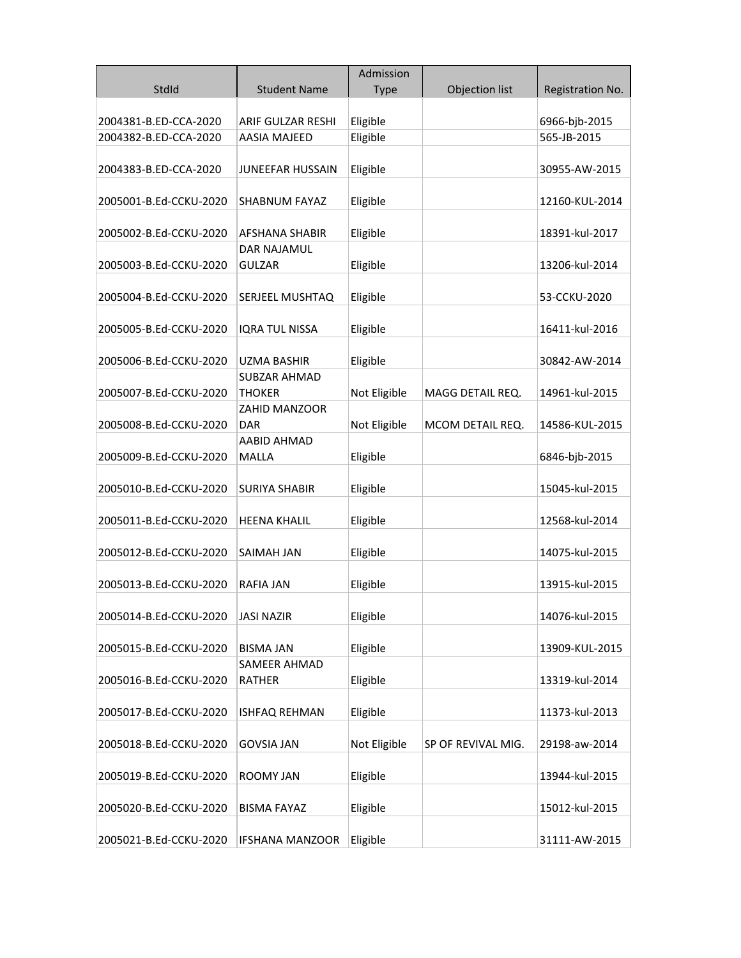|                        |                                       | Admission    |                    |                  |
|------------------------|---------------------------------------|--------------|--------------------|------------------|
| StdId                  | <b>Student Name</b>                   | <b>Type</b>  | Objection list     | Registration No. |
| 2004381-B.ED-CCA-2020  | ARIF GULZAR RESHI                     | Eligible     |                    | 6966-bjb-2015    |
| 2004382-B.ED-CCA-2020  | <b>AASIA MAJEED</b>                   | Eligible     |                    | 565-JB-2015      |
|                        |                                       |              |                    |                  |
| 2004383-B.ED-CCA-2020  | <b>JUNEEFAR HUSSAIN</b>               | Eligible     |                    | 30955-AW-2015    |
| 2005001-B.Ed-CCKU-2020 | SHABNUM FAYAZ                         | Eligible     |                    | 12160-KUL-2014   |
|                        |                                       |              |                    |                  |
| 2005002-B.Ed-CCKU-2020 | AFSHANA SHABIR<br><b>DAR NAJAMUL</b>  | Eligible     |                    | 18391-kul-2017   |
| 2005003-B.Ed-CCKU-2020 | <b>GULZAR</b>                         | Eligible     |                    | 13206-kul-2014   |
|                        |                                       |              |                    |                  |
| 2005004-B.Ed-CCKU-2020 | SERJEEL MUSHTAQ                       | Eligible     |                    | 53-CCKU-2020     |
|                        |                                       |              |                    |                  |
| 2005005-B.Ed-CCKU-2020 | <b>IQRA TUL NISSA</b>                 | Eligible     |                    | 16411-kul-2016   |
|                        |                                       |              |                    |                  |
| 2005006-B.Ed-CCKU-2020 | UZMA BASHIR                           | Eligible     |                    | 30842-AW-2014    |
|                        | SUBZAR AHMAD                          |              |                    |                  |
| 2005007-B.Ed-CCKU-2020 | <b>THOKER</b><br><b>ZAHID MANZOOR</b> | Not Eligible | MAGG DETAIL REQ.   | 14961-kul-2015   |
| 2005008-B.Ed-CCKU-2020 | DAR                                   | Not Eligible | MCOM DETAIL REQ.   | 14586-KUL-2015   |
|                        | AABID AHMAD                           |              |                    |                  |
| 2005009-B.Ed-CCKU-2020 | <b>MALLA</b>                          | Eligible     |                    | 6846-bjb-2015    |
|                        |                                       |              |                    |                  |
| 2005010-B.Ed-CCKU-2020 | <b>SURIYA SHABIR</b>                  | Eligible     |                    | 15045-kul-2015   |
|                        |                                       |              |                    |                  |
| 2005011-B.Ed-CCKU-2020 | <b>HEENA KHALIL</b>                   | Eligible     |                    | 12568-kul-2014   |
| 2005012-B.Ed-CCKU-2020 | SAIMAH JAN                            | Eligible     |                    | 14075-kul-2015   |
|                        |                                       |              |                    |                  |
| 2005013-B.Ed-CCKU-2020 | <b>RAFIA JAN</b>                      | Eligible     |                    | 13915-kul-2015   |
|                        |                                       |              |                    |                  |
| 2005014-B.Ed-CCKU-2020 | <b>JASI NAZIR</b>                     | Eligible     |                    | 14076-kul-2015   |
| 2005015-B.Ed-CCKU-2020 | <b>BISMA JAN</b>                      | Eligible     |                    | 13909-KUL-2015   |
|                        | SAMEER AHMAD                          |              |                    |                  |
| 2005016-B.Ed-CCKU-2020 | <b>RATHER</b>                         | Eligible     |                    | 13319-kul-2014   |
| 2005017-B.Ed-CCKU-2020 | <b>ISHFAQ REHMAN</b>                  | Eligible     |                    | 11373-kul-2013   |
|                        |                                       |              |                    |                  |
| 2005018-B.Ed-CCKU-2020 | <b>GOVSIA JAN</b>                     | Not Eligible | SP OF REVIVAL MIG. | 29198-aw-2014    |
|                        |                                       |              |                    |                  |
| 2005019-B.Ed-CCKU-2020 | <b>ROOMY JAN</b>                      | Eligible     |                    | 13944-kul-2015   |
| 2005020-B.Ed-CCKU-2020 | <b>BISMA FAYAZ</b>                    | Eligible     |                    | 15012-kul-2015   |
|                        |                                       |              |                    |                  |
| 2005021-B.Ed-CCKU-2020 | <b>IFSHANA MANZOOR</b>                | Eligible     |                    | 31111-AW-2015    |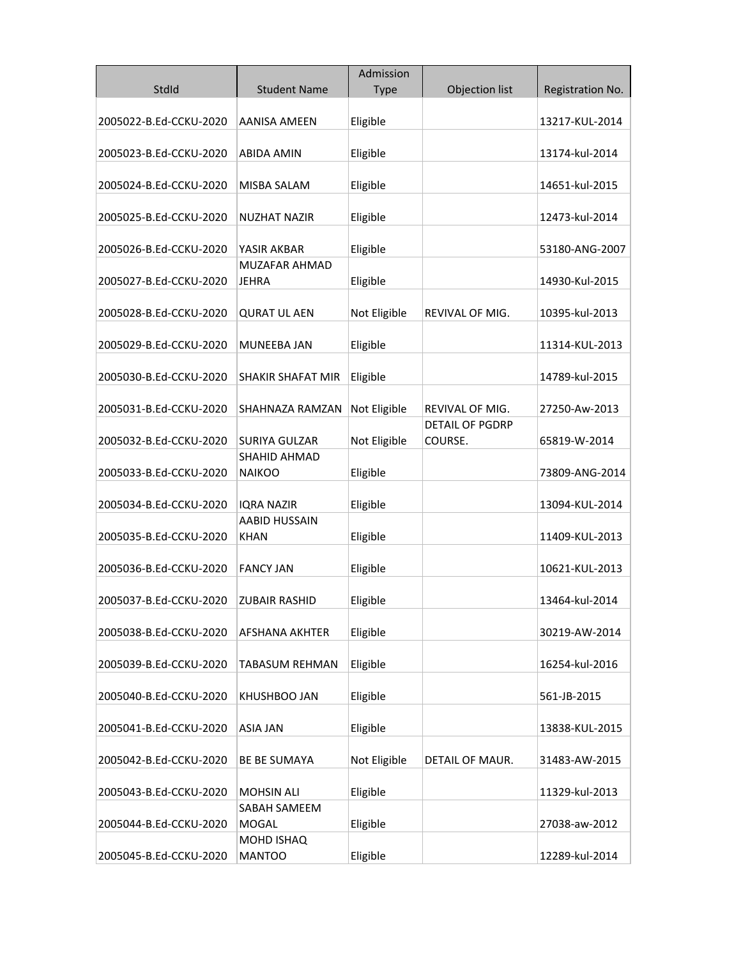|                        |                                           | Admission    |                        |                  |
|------------------------|-------------------------------------------|--------------|------------------------|------------------|
| StdId                  | <b>Student Name</b>                       | <b>Type</b>  | Objection list         | Registration No. |
|                        |                                           |              |                        |                  |
| 2005022-B.Ed-CCKU-2020 | <b>AANISA AMEEN</b>                       | Eligible     |                        | 13217-KUL-2014   |
|                        |                                           |              |                        |                  |
| 2005023-B.Ed-CCKU-2020 | <b>ABIDA AMIN</b>                         | Eligible     |                        | 13174-kul-2014   |
| 2005024-B.Ed-CCKU-2020 | MISBA SALAM                               | Eligible     |                        | 14651-kul-2015   |
|                        |                                           |              |                        |                  |
| 2005025-B.Ed-CCKU-2020 | NUZHAT NAZIR                              | Eligible     |                        | 12473-kul-2014   |
|                        |                                           |              |                        |                  |
| 2005026-B.Ed-CCKU-2020 | YASIR AKBAR                               | Eligible     |                        | 53180-ANG-2007   |
|                        | MUZAFAR AHMAD                             |              |                        |                  |
| 2005027-B.Ed-CCKU-2020 | <b>JEHRA</b>                              | Eligible     |                        | 14930-Kul-2015   |
|                        |                                           |              |                        |                  |
| 2005028-B.Ed-CCKU-2020 | <b>QURAT UL AEN</b>                       | Not Eligible | REVIVAL OF MIG.        | 10395-kul-2013   |
| 2005029-B.Ed-CCKU-2020 | MUNEEBA JAN                               | Eligible     |                        | 11314-KUL-2013   |
|                        |                                           |              |                        |                  |
| 2005030-B.Ed-CCKU-2020 | <b>SHAKIR SHAFAT MIR</b>                  | Eligible     |                        | 14789-kul-2015   |
|                        |                                           |              |                        |                  |
| 2005031-B.Ed-CCKU-2020 | SHAHNAZA RAMZAN                           | Not Eligible | REVIVAL OF MIG.        | 27250-Aw-2013    |
|                        |                                           |              | <b>DETAIL OF PGDRP</b> |                  |
| 2005032-B.Ed-CCKU-2020 | <b>SURIYA GULZAR</b>                      | Not Eligible | COURSE.                | 65819-W-2014     |
|                        | <b>SHAHID AHMAD</b>                       |              |                        |                  |
| 2005033-B.Ed-CCKU-2020 | <b>NAIKOO</b>                             | Eligible     |                        | 73809-ANG-2014   |
|                        |                                           |              |                        |                  |
| 2005034-B.Ed-CCKU-2020 | <b>IQRA NAZIR</b><br><b>AABID HUSSAIN</b> | Eligible     |                        | 13094-KUL-2014   |
| 2005035-B.Ed-CCKU-2020 | KHAN                                      | Eligible     |                        | 11409-KUL-2013   |
|                        |                                           |              |                        |                  |
| 2005036-B.Ed-CCKU-2020 | FANCY JAN                                 | Eligible     |                        | 10621-KUL-2013   |
|                        |                                           |              |                        |                  |
| 2005037-B.Ed-CCKU-2020 | <b>ZUBAIR RASHID</b>                      | Eligible     |                        | 13464-kul-2014   |
|                        |                                           |              |                        |                  |
| 2005038-B.Ed-CCKU-2020 | AFSHANA AKHTER                            | Eligible     |                        | 30219-AW-2014    |
|                        |                                           |              |                        |                  |
| 2005039-B.Ed-CCKU-2020 | TABASUM REHMAN                            | Eligible     |                        | 16254-kul-2016   |
| 2005040-B.Ed-CCKU-2020 | KHUSHBOO JAN                              | Eligible     |                        | 561-JB-2015      |
|                        |                                           |              |                        |                  |
| 2005041-B.Ed-CCKU-2020 | <b>ASIA JAN</b>                           | Eligible     |                        | 13838-KUL-2015   |
|                        |                                           |              |                        |                  |
| 2005042-B.Ed-CCKU-2020 | <b>BE BE SUMAYA</b>                       | Not Eligible | DETAIL OF MAUR.        | 31483-AW-2015    |
|                        |                                           |              |                        |                  |
| 2005043-B.Ed-CCKU-2020 | <b>MOHSIN ALI</b>                         | Eligible     |                        | 11329-kul-2013   |
|                        | SABAH SAMEEM                              |              |                        |                  |
| 2005044-B.Ed-CCKU-2020 | <b>MOGAL</b>                              | Eligible     |                        | 27038-aw-2012    |
| 2005045-B.Ed-CCKU-2020 | MOHD ISHAQ<br><b>MANTOO</b>               | Eligible     |                        | 12289-kul-2014   |
|                        |                                           |              |                        |                  |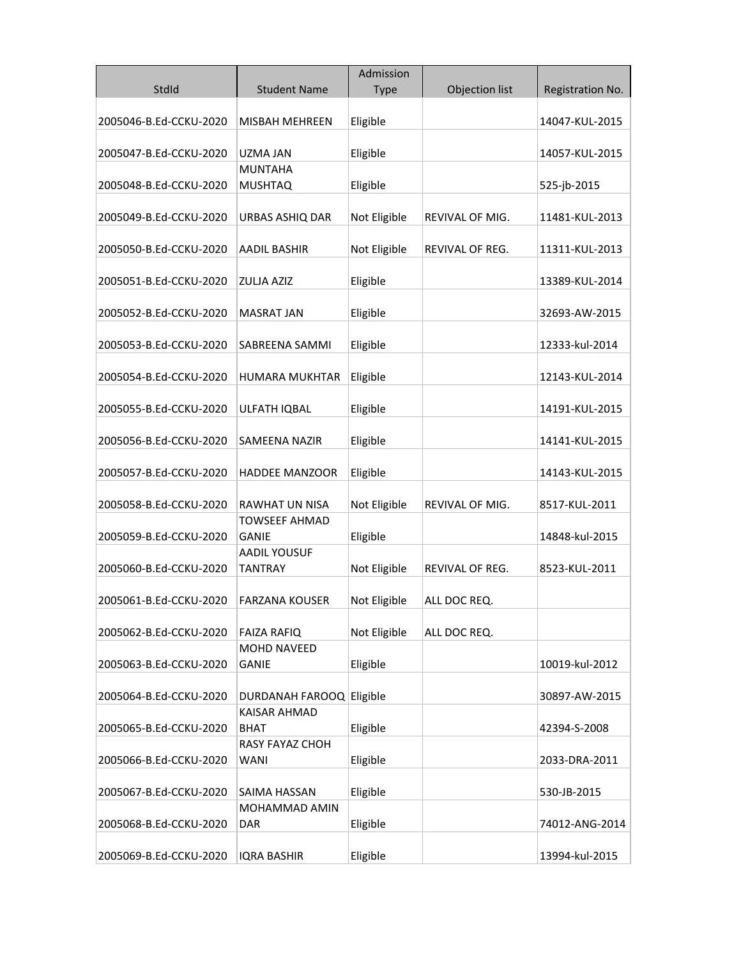|                        |                          | Admission    |                        |                  |
|------------------------|--------------------------|--------------|------------------------|------------------|
| StdId                  | <b>Student Name</b>      | Type         | Objection list         | Registration No. |
|                        |                          |              |                        |                  |
| 2005046-B.Ed-CCKU-2020 | MISBAH MEHREEN           | Eligible     |                        | 14047-KUL-2015   |
|                        |                          |              |                        |                  |
| 2005047-B.Ed-CCKU-2020 | <b>UZMA JAN</b>          | Eligible     |                        | 14057-KUL-2015   |
|                        | <b>MUNTAHA</b>           |              |                        |                  |
| 2005048-B.Ed-CCKU-2020 | <b>MUSHTAQ</b>           | Eligible     |                        | 525-jb-2015      |
| 2005049-B.Ed-CCKU-2020 | URBAS ASHIQ DAR          | Not Eligible | <b>REVIVAL OF MIG.</b> | 11481-KUL-2013   |
|                        |                          |              |                        |                  |
| 2005050-B.Ed-CCKU-2020 | <b>AADIL BASHIR</b>      | Not Eligible | REVIVAL OF REG.        | 11311-KUL-2013   |
|                        |                          |              |                        |                  |
| 2005051-B.Ed-CCKU-2020 | <b>ZULJA AZIZ</b>        | Eligible     |                        | 13389-KUL-2014   |
|                        |                          |              |                        |                  |
| 2005052-B.Ed-CCKU-2020 | <b>MASRAT JAN</b>        | Eligible     |                        | 32693-AW-2015    |
|                        |                          |              |                        |                  |
| 2005053-B.Ed-CCKU-2020 | SABREENA SAMMI           | Eligible     |                        | 12333-kul-2014   |
|                        |                          |              |                        |                  |
| 2005054-B.Ed-CCKU-2020 | HUMARA MUKHTAR           | Eligible     |                        | 12143-KUL-2014   |
| 2005055-B.Ed-CCKU-2020 | ULFATH IQBAL             | Eligible     |                        | 14191-KUL-2015   |
|                        |                          |              |                        |                  |
| 2005056-B.Ed-CCKU-2020 | <b>SAMEENA NAZIR</b>     | Eligible     |                        | 14141-KUL-2015   |
|                        |                          |              |                        |                  |
| 2005057-B.Ed-CCKU-2020 | <b>HADDEE MANZOOR</b>    | Eligible     |                        | 14143-KUL-2015   |
|                        |                          |              |                        |                  |
| 2005058-B.Ed-CCKU-2020 | RAWHAT UN NISA           | Not Eligible | REVIVAL OF MIG.        | 8517-KUL-2011    |
|                        | TOWSEEF AHMAD            |              |                        |                  |
| 2005059-B.Ed-CCKU-2020 | GANIE                    | Eligible     |                        | 14848-kul-2015   |
|                        | <b>AADIL YOUSUF</b>      |              |                        |                  |
| 2005060-B.Ed-CCKU-2020 | TANTRAY                  | Not Eligible | REVIVAL OF REG.        | 8523-KUL-2011    |
|                        |                          |              |                        |                  |
| 2005061-B.Ed-CCKU-2020 | FARZANA KOUSER           | Not Eligible | ALL DOC REQ.           |                  |
| 2005062-B.Ed-CCKU-2020 | <b>FAIZA RAFIQ</b>       | Not Eligible | ALL DOC REQ.           |                  |
|                        | <b>MOHD NAVEED</b>       |              |                        |                  |
| 2005063-B.Ed-CCKU-2020 | <b>GANIE</b>             | Eligible     |                        | 10019-kul-2012   |
|                        |                          |              |                        |                  |
| 2005064-B.Ed-CCKU-2020 | DURDANAH FAROOQ Eligible |              |                        | 30897-AW-2015    |
|                        | <b>KAISAR AHMAD</b>      |              |                        |                  |
| 2005065-B.Ed-CCKU-2020 | <b>BHAT</b>              | Eligible     |                        | 42394-S-2008     |
|                        | <b>RASY FAYAZ CHOH</b>   |              |                        |                  |
| 2005066-B.Ed-CCKU-2020 | <b>WANI</b>              | Eligible     |                        | 2033-DRA-2011    |
|                        |                          |              |                        |                  |
| 2005067-B.Ed-CCKU-2020 | SAIMA HASSAN             | Eligible     |                        | 530-JB-2015      |
|                        | MOHAMMAD AMIN            |              |                        |                  |
| 2005068-B.Ed-CCKU-2020 | DAR                      | Eligible     |                        | 74012-ANG-2014   |
| 2005069-B.Ed-CCKU-2020 | <b>IQRA BASHIR</b>       | Eligible     |                        | 13994-kul-2015   |
|                        |                          |              |                        |                  |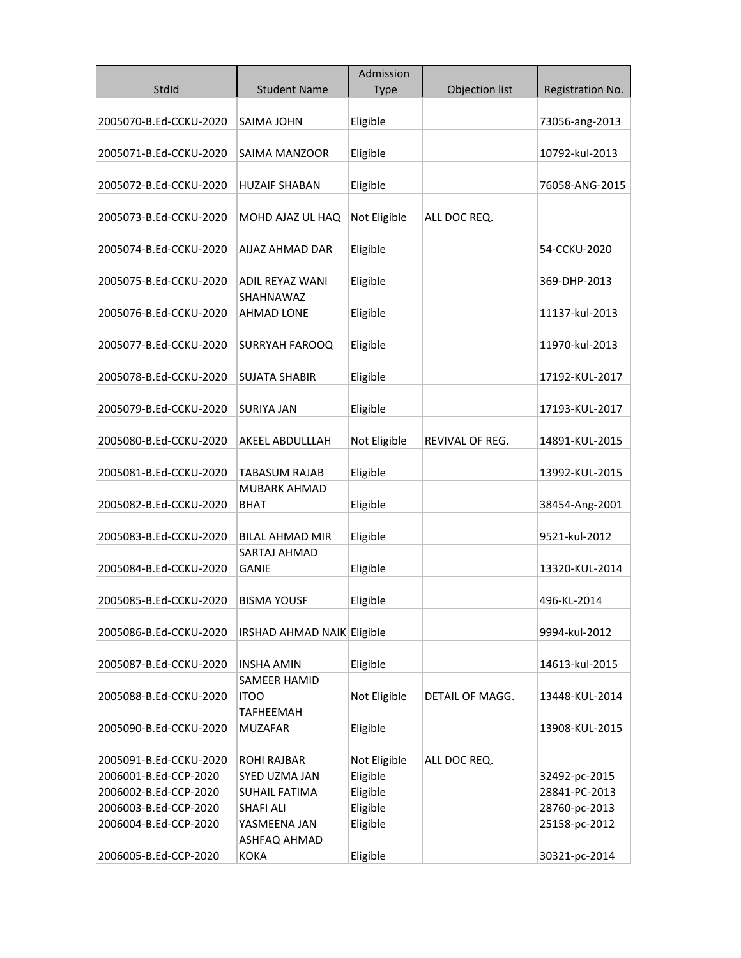|                        |                                          | Admission    |                 |                  |
|------------------------|------------------------------------------|--------------|-----------------|------------------|
| StdId                  | <b>Student Name</b>                      | <b>Type</b>  | Objection list  | Registration No. |
|                        |                                          |              |                 |                  |
| 2005070-B.Ed-CCKU-2020 | SAIMA JOHN                               | Eligible     |                 | 73056-ang-2013   |
|                        |                                          |              |                 |                  |
| 2005071-B.Ed-CCKU-2020 | <b>SAIMA MANZOOR</b>                     | Eligible     |                 | 10792-kul-2013   |
|                        |                                          |              |                 |                  |
| 2005072-B.Ed-CCKU-2020 | <b>HUZAIF SHABAN</b>                     | Eligible     |                 | 76058-ANG-2015   |
|                        |                                          |              |                 |                  |
| 2005073-B.Ed-CCKU-2020 | MOHD AJAZ UL HAQ                         | Not Eligible | ALL DOC REQ.    |                  |
| 2005074-B.Ed-CCKU-2020 | AIJAZ AHMAD DAR                          | Eligible     |                 | 54-CCKU-2020     |
|                        |                                          |              |                 |                  |
| 2005075-B.Ed-CCKU-2020 | ADIL REYAZ WANI                          | Eligible     |                 | 369-DHP-2013     |
|                        | SHAHNAWAZ                                |              |                 |                  |
| 2005076-B.Ed-CCKU-2020 | <b>AHMAD LONE</b>                        | Eligible     |                 | 11137-kul-2013   |
|                        |                                          |              |                 |                  |
| 2005077-B.Ed-CCKU-2020 | <b>SURRYAH FAROOQ</b>                    | Eligible     |                 | 11970-kul-2013   |
|                        |                                          |              |                 |                  |
| 2005078-B.Ed-CCKU-2020 | <b>SUJATA SHABIR</b>                     | Eligible     |                 | 17192-KUL-2017   |
|                        |                                          |              |                 |                  |
| 2005079-B.Ed-CCKU-2020 | SURIYA JAN                               | Eligible     |                 | 17193-KUL-2017   |
|                        |                                          |              |                 |                  |
| 2005080-B.Ed-CCKU-2020 | AKEEL ABDULLLAH                          | Not Eligible | REVIVAL OF REG. | 14891-KUL-2015   |
| 2005081-B.Ed-CCKU-2020 | TABASUM RAJAB                            | Eligible     |                 | 13992-KUL-2015   |
|                        | MUBARK AHMAD                             |              |                 |                  |
| 2005082-B.Ed-CCKU-2020 | BHAT                                     | Eligible     |                 | 38454-Ang-2001   |
|                        |                                          |              |                 |                  |
| 2005083-B.Ed-CCKU-2020 | <b>BILAL AHMAD MIR</b>                   | Eligible     |                 | 9521-kul-2012    |
|                        | SARTAJ AHMAD                             |              |                 |                  |
| 2005084-B.Ed-CCKU-2020 | GANIE                                    | Eligible     |                 | 13320-KUL-2014   |
|                        |                                          |              |                 |                  |
| 2005085-B.Ed-CCKU-2020 | BISMA YOUSF                              | Eligible     |                 | 496-KL-2014      |
|                        |                                          |              |                 |                  |
| 2005086-B.Ed-CCKU-2020 | IRSHAD AHMAD NAIK Eligible               |              |                 | 9994-kul-2012    |
|                        |                                          |              |                 |                  |
| 2005087-B.Ed-CCKU-2020 | <b>INSHA AMIN</b><br><b>SAMEER HAMID</b> | Eligible     |                 | 14613-kul-2015   |
| 2005088-B.Ed-CCKU-2020 | <b>ITOO</b>                              | Not Eligible | DETAIL OF MAGG. | 13448-KUL-2014   |
|                        | <b>TAFHEEMAH</b>                         |              |                 |                  |
| 2005090-B.Ed-CCKU-2020 | <b>MUZAFAR</b>                           | Eligible     |                 | 13908-KUL-2015   |
|                        |                                          |              |                 |                  |
| 2005091-B.Ed-CCKU-2020 | <b>ROHI RAJBAR</b>                       | Not Eligible | ALL DOC REQ.    |                  |
| 2006001-B.Ed-CCP-2020  | SYED UZMA JAN                            | Eligible     |                 | 32492-pc-2015    |
| 2006002-B.Ed-CCP-2020  | <b>SUHAIL FATIMA</b>                     | Eligible     |                 | 28841-PC-2013    |
| 2006003-B.Ed-CCP-2020  | <b>SHAFI ALI</b>                         | Eligible     |                 | 28760-pc-2013    |
| 2006004-B.Ed-CCP-2020  | YASMEENA JAN                             | Eligible     |                 | 25158-pc-2012    |
|                        | ASHFAQ AHMAD                             |              |                 |                  |
| 2006005-B.Ed-CCP-2020  | KOKA                                     | Eligible     |                 | 30321-pc-2014    |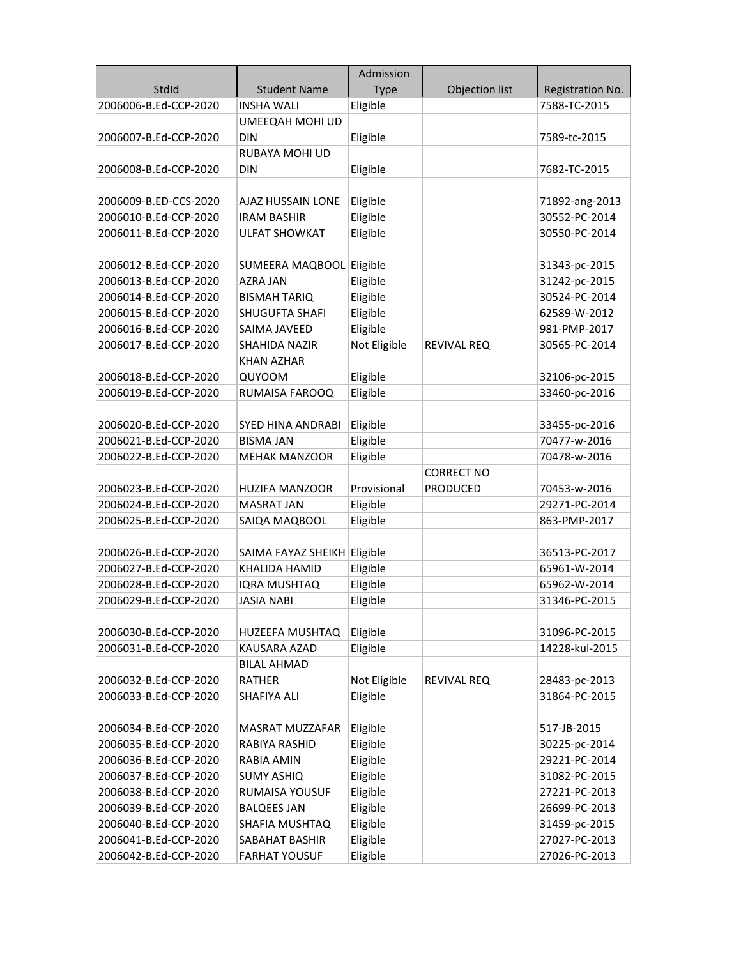|                       |                             | Admission    |                    |                  |
|-----------------------|-----------------------------|--------------|--------------------|------------------|
| StdId                 | <b>Student Name</b>         | <b>Type</b>  | Objection list     | Registration No. |
| 2006006-B.Ed-CCP-2020 | <b>INSHA WALI</b>           | Eligible     |                    | 7588-TC-2015     |
|                       | UMEEQAH MOHI UD             |              |                    |                  |
| 2006007-B.Ed-CCP-2020 | <b>DIN</b>                  | Eligible     |                    | 7589-tc-2015     |
|                       | RUBAYA MOHI UD              |              |                    |                  |
| 2006008-B.Ed-CCP-2020 | <b>DIN</b>                  | Eligible     |                    | 7682-TC-2015     |
|                       |                             |              |                    |                  |
| 2006009-B.ED-CCS-2020 | AJAZ HUSSAIN LONE           | Eligible     |                    | 71892-ang-2013   |
| 2006010-B.Ed-CCP-2020 | <b>IRAM BASHIR</b>          | Eligible     |                    | 30552-PC-2014    |
| 2006011-B.Ed-CCP-2020 | <b>ULFAT SHOWKAT</b>        | Eligible     |                    | 30550-PC-2014    |
|                       |                             |              |                    |                  |
| 2006012-B.Ed-CCP-2020 | SUMEERA MAQBOOL Eligible    |              |                    | 31343-pc-2015    |
| 2006013-B.Ed-CCP-2020 | <b>AZRA JAN</b>             | Eligible     |                    | 31242-pc-2015    |
| 2006014-B.Ed-CCP-2020 | <b>BISMAH TARIQ</b>         | Eligible     |                    | 30524-PC-2014    |
| 2006015-B.Ed-CCP-2020 | SHUGUFTA SHAFI              | Eligible     |                    | 62589-W-2012     |
| 2006016-B.Ed-CCP-2020 | SAIMA JAVEED                | Eligible     |                    | 981-PMP-2017     |
| 2006017-B.Ed-CCP-2020 | SHAHIDA NAZIR               | Not Eligible | REVIVAL REQ        | 30565-PC-2014    |
|                       | <b>KHAN AZHAR</b>           |              |                    |                  |
| 2006018-B.Ed-CCP-2020 | QUYOOM                      | Eligible     |                    | 32106-pc-2015    |
| 2006019-B.Ed-CCP-2020 | RUMAISA FAROOQ              | Eligible     |                    | 33460-pc-2016    |
|                       |                             |              |                    |                  |
| 2006020-B.Ed-CCP-2020 | SYED HINA ANDRABI           | Eligible     |                    | 33455-pc-2016    |
| 2006021-B.Ed-CCP-2020 | <b>BISMA JAN</b>            | Eligible     |                    | 70477-w-2016     |
| 2006022-B.Ed-CCP-2020 | <b>MEHAK MANZOOR</b>        | Eligible     |                    | 70478-w-2016     |
|                       |                             |              | <b>CORRECT NO</b>  |                  |
| 2006023-B.Ed-CCP-2020 | <b>HUZIFA MANZOOR</b>       | Provisional  | <b>PRODUCED</b>    | 70453-w-2016     |
| 2006024-B.Ed-CCP-2020 | <b>MASRAT JAN</b>           | Eligible     |                    | 29271-PC-2014    |
| 2006025-B.Ed-CCP-2020 | SAIQA MAQBOOL               | Eligible     |                    | 863-PMP-2017     |
|                       |                             |              |                    |                  |
| 2006026-B.Ed-CCP-2020 | SAIMA FAYAZ SHEIKH Eligible |              |                    | 36513-PC-2017    |
| 2006027-B.Ed-CCP-2020 | KHALIDA HAMID               | Eligible     |                    | 65961-W-2014     |
| 2006028-B.Ed-CCP-2020 | <b>IQRA MUSHTAQ</b>         | Eligible     |                    | 65962-W-2014     |
| 2006029-B.Ed-CCP-2020 | <b>JASIA NABI</b>           | Eligible     |                    | 31346-PC-2015    |
|                       |                             |              |                    |                  |
| 2006030-B.Ed-CCP-2020 | HUZEEFA MUSHTAQ             | Eligible     |                    | 31096-PC-2015    |
| 2006031-B.Ed-CCP-2020 | <b>KAUSARA AZAD</b>         | Eligible     |                    | 14228-kul-2015   |
|                       | <b>BILAL AHMAD</b>          |              |                    |                  |
| 2006032-B.Ed-CCP-2020 | <b>RATHER</b>               | Not Eligible | <b>REVIVAL REQ</b> | 28483-pc-2013    |
| 2006033-B.Ed-CCP-2020 | SHAFIYA ALI                 | Eligible     |                    | 31864-PC-2015    |
|                       |                             |              |                    |                  |
| 2006034-B.Ed-CCP-2020 | MASRAT MUZZAFAR             | Eligible     |                    | 517-JB-2015      |
| 2006035-B.Ed-CCP-2020 | <b>RABIYA RASHID</b>        | Eligible     |                    | 30225-pc-2014    |
| 2006036-B.Ed-CCP-2020 | <b>RABIA AMIN</b>           | Eligible     |                    | 29221-PC-2014    |
| 2006037-B.Ed-CCP-2020 | <b>SUMY ASHIQ</b>           | Eligible     |                    | 31082-PC-2015    |
| 2006038-B.Ed-CCP-2020 | RUMAISA YOUSUF              | Eligible     |                    | 27221-PC-2013    |
| 2006039-B.Ed-CCP-2020 | <b>BALQEES JAN</b>          | Eligible     |                    | 26699-PC-2013    |
| 2006040-B.Ed-CCP-2020 | SHAFIA MUSHTAQ              | Eligible     |                    | 31459-pc-2015    |
| 2006041-B.Ed-CCP-2020 | SABAHAT BASHIR              | Eligible     |                    | 27027-PC-2013    |
| 2006042-B.Ed-CCP-2020 | <b>FARHAT YOUSUF</b>        | Eligible     |                    | 27026-PC-2013    |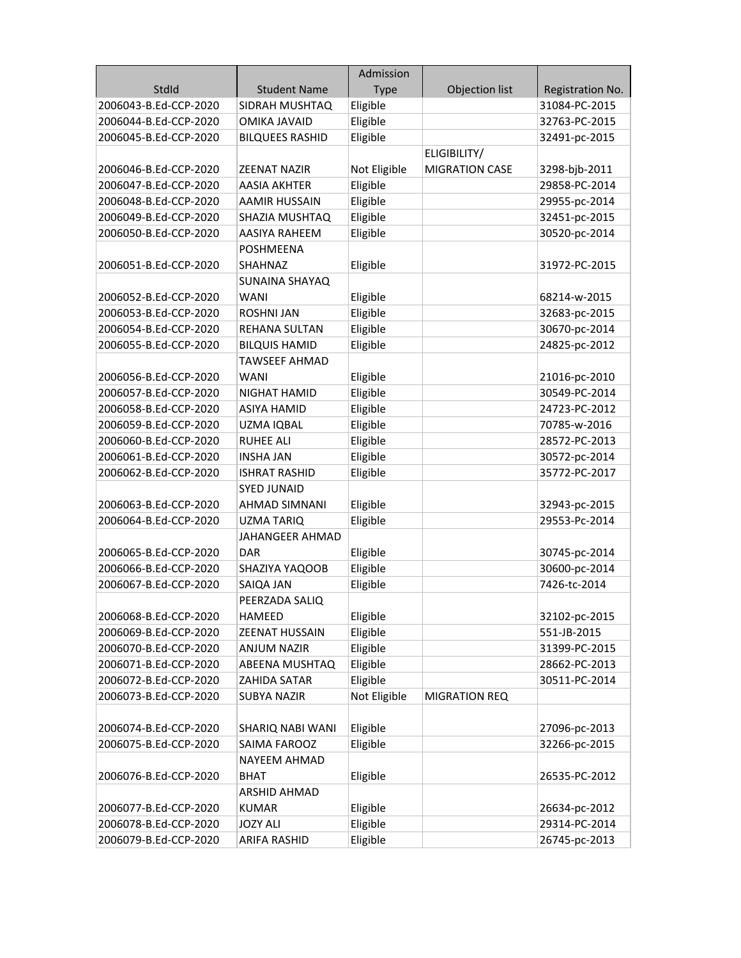|                       |                        | Admission    |                       |                  |
|-----------------------|------------------------|--------------|-----------------------|------------------|
| StdId                 | <b>Student Name</b>    | <b>Type</b>  | Objection list        | Registration No. |
| 2006043-B.Ed-CCP-2020 | SIDRAH MUSHTAQ         | Eligible     |                       | 31084-PC-2015    |
| 2006044-B.Ed-CCP-2020 | <b>OMIKA JAVAID</b>    | Eligible     |                       | 32763-PC-2015    |
| 2006045-B.Ed-CCP-2020 | <b>BILQUEES RASHID</b> | Eligible     |                       | 32491-pc-2015    |
|                       |                        |              | ELIGIBILITY/          |                  |
| 2006046-B.Ed-CCP-2020 | <b>ZEENAT NAZIR</b>    | Not Eligible | <b>MIGRATION CASE</b> | 3298-bjb-2011    |
| 2006047-B.Ed-CCP-2020 | <b>AASIA AKHTER</b>    | Eligible     |                       | 29858-PC-2014    |
| 2006048-B.Ed-CCP-2020 | <b>AAMIR HUSSAIN</b>   | Eligible     |                       | 29955-pc-2014    |
| 2006049-B.Ed-CCP-2020 | SHAZIA MUSHTAQ         | Eligible     |                       | 32451-pc-2015    |
| 2006050-B.Ed-CCP-2020 | <b>AASIYA RAHEEM</b>   | Eligible     |                       | 30520-pc-2014    |
|                       | <b>POSHMEENA</b>       |              |                       |                  |
| 2006051-B.Ed-CCP-2020 | <b>SHAHNAZ</b>         | Eligible     |                       | 31972-PC-2015    |
|                       | <b>SUNAINA SHAYAQ</b>  |              |                       |                  |
| 2006052-B.Ed-CCP-2020 | <b>WANI</b>            | Eligible     |                       | 68214-w-2015     |
| 2006053-B.Ed-CCP-2020 | <b>ROSHNI JAN</b>      | Eligible     |                       | 32683-pc-2015    |
| 2006054-B.Ed-CCP-2020 | REHANA SULTAN          | Eligible     |                       | 30670-pc-2014    |
| 2006055-B.Ed-CCP-2020 | <b>BILQUIS HAMID</b>   | Eligible     |                       | 24825-pc-2012    |
|                       | <b>TAWSEEF AHMAD</b>   |              |                       |                  |
| 2006056-B.Ed-CCP-2020 | WANI                   | Eligible     |                       | 21016-pc-2010    |
| 2006057-B.Ed-CCP-2020 | NIGHAT HAMID           | Eligible     |                       | 30549-PC-2014    |
| 2006058-B.Ed-CCP-2020 | <b>ASIYA HAMID</b>     | Eligible     |                       | 24723-PC-2012    |
| 2006059-B.Ed-CCP-2020 | UZMA IQBAL             | Eligible     |                       | 70785-w-2016     |
| 2006060-B.Ed-CCP-2020 | <b>RUHEE ALI</b>       | Eligible     |                       | 28572-PC-2013    |
| 2006061-B.Ed-CCP-2020 | <b>INSHA JAN</b>       | Eligible     |                       | 30572-pc-2014    |
| 2006062-B.Ed-CCP-2020 | <b>ISHRAT RASHID</b>   | Eligible     |                       | 35772-PC-2017    |
|                       | <b>SYED JUNAID</b>     |              |                       |                  |
| 2006063-B.Ed-CCP-2020 | AHMAD SIMNANI          | Eligible     |                       | 32943-pc-2015    |
| 2006064-B.Ed-CCP-2020 | <b>UZMA TARIQ</b>      | Eligible     |                       | 29553-Pc-2014    |
|                       | <b>JAHANGEER AHMAD</b> |              |                       |                  |
| 2006065-B.Ed-CCP-2020 | DAR                    | Eligible     |                       | 30745-pc-2014    |
| 2006066-B.Ed-CCP-2020 | SHAZIYA YAQOOB         | Eligible     |                       | 30600-pc-2014    |
| 2006067-B.Ed-CCP-2020 | SAIQA JAN              | Eligible     |                       | 7426-tc-2014     |
|                       | PEERZADA SALIQ         |              |                       |                  |
| 2006068-B.Ed-CCP-2020 | HAMEED                 | Eligible     |                       | 32102-pc-2015    |
| 2006069-B.Ed-CCP-2020 | <b>ZEENAT HUSSAIN</b>  | Eligible     |                       | 551-JB-2015      |
| 2006070-B.Ed-CCP-2020 | <b>ANJUM NAZIR</b>     | Eligible     |                       | 31399-PC-2015    |
| 2006071-B.Ed-CCP-2020 | ABEENA MUSHTAQ         | Eligible     |                       | 28662-PC-2013    |
| 2006072-B.Ed-CCP-2020 | ZAHIDA SATAR           | Eligible     |                       | 30511-PC-2014    |
| 2006073-B.Ed-CCP-2020 | <b>SUBYA NAZIR</b>     | Not Eligible | MIGRATION REQ         |                  |
|                       |                        |              |                       |                  |
| 2006074-B.Ed-CCP-2020 | SHARIQ NABI WANI       | Eligible     |                       | 27096-pc-2013    |
| 2006075-B.Ed-CCP-2020 | SAIMA FAROOZ           | Eligible     |                       | 32266-pc-2015    |
|                       | NAYEEM AHMAD           |              |                       |                  |
| 2006076-B.Ed-CCP-2020 | BHAT                   | Eligible     |                       | 26535-PC-2012    |
|                       | ARSHID AHMAD           |              |                       |                  |
| 2006077-B.Ed-CCP-2020 | <b>KUMAR</b>           | Eligible     |                       | 26634-pc-2012    |
| 2006078-B.Ed-CCP-2020 | <b>JOZY ALI</b>        | Eligible     |                       | 29314-PC-2014    |
| 2006079-B.Ed-CCP-2020 | ARIFA RASHID           | Eligible     |                       | 26745-pc-2013    |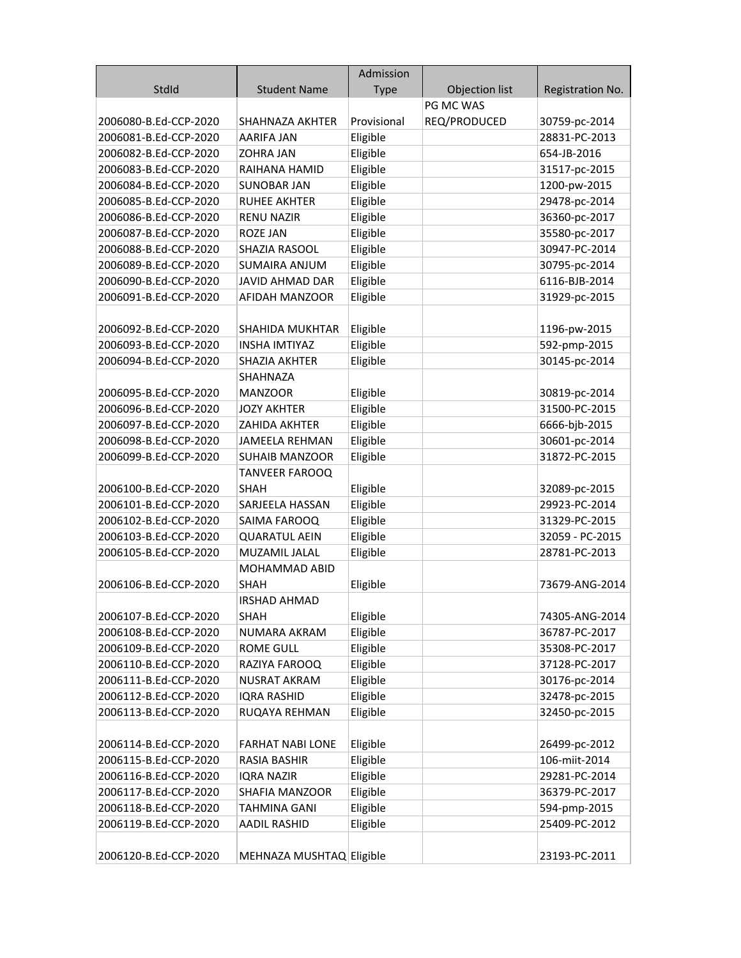|                       |                          | Admission   |                |                  |
|-----------------------|--------------------------|-------------|----------------|------------------|
| StdId                 | <b>Student Name</b>      | <b>Type</b> | Objection list | Registration No. |
|                       |                          |             | PG MC WAS      |                  |
| 2006080-B.Ed-CCP-2020 | SHAHNAZA AKHTER          | Provisional | REQ/PRODUCED   | 30759-pc-2014    |
| 2006081-B.Ed-CCP-2020 | AARIFA JAN               | Eligible    |                | 28831-PC-2013    |
| 2006082-B.Ed-CCP-2020 | <b>ZOHRA JAN</b>         | Eligible    |                | 654-JB-2016      |
| 2006083-B.Ed-CCP-2020 | RAIHANA HAMID            | Eligible    |                | 31517-pc-2015    |
| 2006084-B.Ed-CCP-2020 | <b>SUNOBAR JAN</b>       | Eligible    |                | 1200-pw-2015     |
| 2006085-B.Ed-CCP-2020 | <b>RUHEE AKHTER</b>      | Eligible    |                | 29478-pc-2014    |
| 2006086-B.Ed-CCP-2020 | <b>RENU NAZIR</b>        | Eligible    |                | 36360-pc-2017    |
| 2006087-B.Ed-CCP-2020 | <b>ROZE JAN</b>          | Eligible    |                | 35580-pc-2017    |
| 2006088-B.Ed-CCP-2020 | SHAZIA RASOOL            | Eligible    |                | 30947-PC-2014    |
| 2006089-B.Ed-CCP-2020 | <b>SUMAIRA ANJUM</b>     | Eligible    |                | 30795-pc-2014    |
| 2006090-B.Ed-CCP-2020 | <b>JAVID AHMAD DAR</b>   | Eligible    |                | 6116-BJB-2014    |
| 2006091-B.Ed-CCP-2020 | AFIDAH MANZOOR           | Eligible    |                | 31929-pc-2015    |
|                       |                          |             |                |                  |
| 2006092-B.Ed-CCP-2020 | SHAHIDA MUKHTAR          | Eligible    |                | 1196-pw-2015     |
| 2006093-B.Ed-CCP-2020 | <b>INSHA IMTIYAZ</b>     | Eligible    |                | 592-pmp-2015     |
| 2006094-B.Ed-CCP-2020 | <b>SHAZIA AKHTER</b>     | Eligible    |                | 30145-pc-2014    |
|                       | SHAHNAZA                 |             |                |                  |
| 2006095-B.Ed-CCP-2020 | <b>MANZOOR</b>           | Eligible    |                | 30819-pc-2014    |
| 2006096-B.Ed-CCP-2020 | <b>JOZY AKHTER</b>       | Eligible    |                | 31500-PC-2015    |
| 2006097-B.Ed-CCP-2020 | <b>ZAHIDA AKHTER</b>     | Eligible    |                | 6666-bjb-2015    |
| 2006098-B.Ed-CCP-2020 | JAMEELA REHMAN           | Eligible    |                | 30601-pc-2014    |
| 2006099-B.Ed-CCP-2020 | <b>SUHAIB MANZOOR</b>    | Eligible    |                | 31872-PC-2015    |
|                       | <b>TANVEER FAROOQ</b>    |             |                |                  |
| 2006100-B.Ed-CCP-2020 | <b>SHAH</b>              | Eligible    |                | 32089-pc-2015    |
| 2006101-B.Ed-CCP-2020 | SARJEELA HASSAN          | Eligible    |                | 29923-PC-2014    |
| 2006102-B.Ed-CCP-2020 | SAIMA FAROOQ             | Eligible    |                | 31329-PC-2015    |
| 2006103-B.Ed-CCP-2020 | <b>QUARATUL AEIN</b>     | Eligible    |                | 32059 - PC-2015  |
| 2006105-B.Ed-CCP-2020 | MUZAMIL JALAL            | Eligible    |                | 28781-PC-2013    |
|                       | <b>MOHAMMAD ABID</b>     |             |                |                  |
| 2006106-B.Ed-CCP-2020 | <b>SHAH</b>              | Eligible    |                | 73679-ANG-2014   |
|                       | <b>IRSHAD AHMAD</b>      |             |                |                  |
| 2006107-B.Ed-CCP-2020 | <b>SHAH</b>              | Eligible    |                | 74305-ANG-2014   |
| 2006108-B.Ed-CCP-2020 | NUMARA AKRAM             | Eligible    |                | 36787-PC-2017    |
| 2006109-B.Ed-CCP-2020 | <b>ROME GULL</b>         | Eligible    |                | 35308-PC-2017    |
| 2006110-B.Ed-CCP-2020 | RAZIYA FAROOQ            | Eligible    |                | 37128-PC-2017    |
| 2006111-B.Ed-CCP-2020 | <b>NUSRAT AKRAM</b>      | Eligible    |                | 30176-pc-2014    |
| 2006112-B.Ed-CCP-2020 | <b>IQRA RASHID</b>       | Eligible    |                | 32478-pc-2015    |
| 2006113-B.Ed-CCP-2020 | RUQAYA REHMAN            | Eligible    |                | 32450-pc-2015    |
|                       |                          |             |                |                  |
| 2006114-B.Ed-CCP-2020 | <b>FARHAT NABI LONE</b>  | Eligible    |                | 26499-pc-2012    |
| 2006115-B.Ed-CCP-2020 | <b>RASIA BASHIR</b>      | Eligible    |                | 106-miit-2014    |
| 2006116-B.Ed-CCP-2020 | <b>IQRA NAZIR</b>        | Eligible    |                | 29281-PC-2014    |
| 2006117-B.Ed-CCP-2020 | SHAFIA MANZOOR           | Eligible    |                | 36379-PC-2017    |
| 2006118-B.Ed-CCP-2020 | <b>TAHMINA GANI</b>      | Eligible    |                | 594-pmp-2015     |
| 2006119-B.Ed-CCP-2020 | <b>AADIL RASHID</b>      | Eligible    |                | 25409-PC-2012    |
|                       |                          |             |                |                  |
| 2006120-B.Ed-CCP-2020 | MEHNAZA MUSHTAQ Eligible |             |                | 23193-PC-2011    |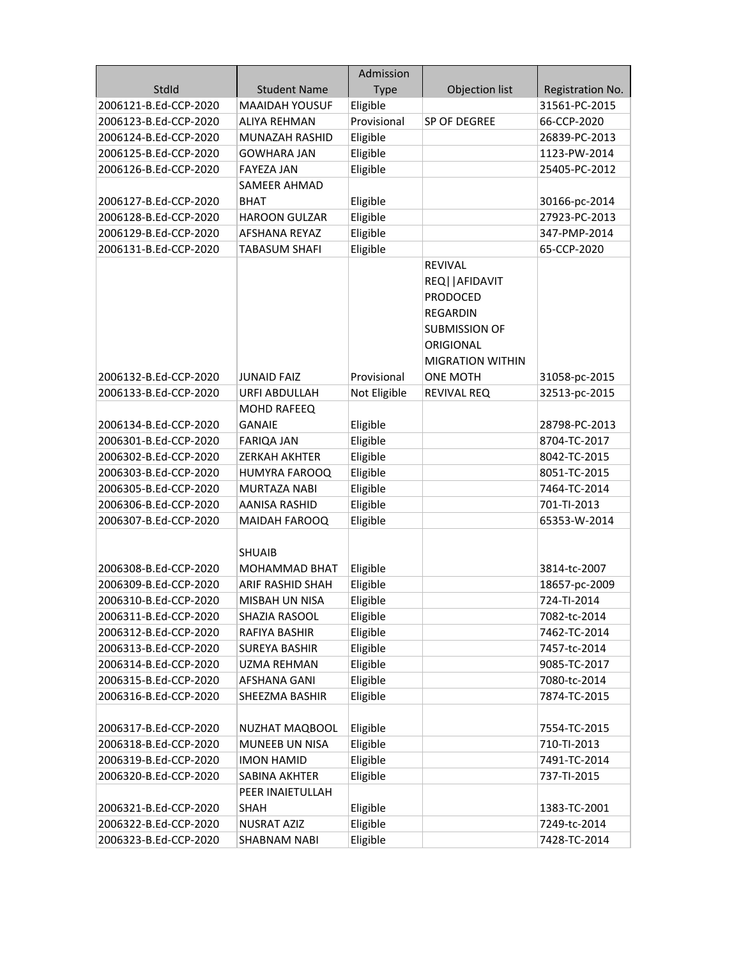|                       |                         | Admission    |                         |                  |
|-----------------------|-------------------------|--------------|-------------------------|------------------|
| StdId                 | <b>Student Name</b>     | <b>Type</b>  | Objection list          | Registration No. |
| 2006121-B.Ed-CCP-2020 | <b>MAAIDAH YOUSUF</b>   | Eligible     |                         | 31561-PC-2015    |
| 2006123-B.Ed-CCP-2020 | <b>ALIYA REHMAN</b>     | Provisional  | SP OF DEGREE            | 66-CCP-2020      |
| 2006124-B.Ed-CCP-2020 | MUNAZAH RASHID          | Eligible     |                         | 26839-PC-2013    |
| 2006125-B.Ed-CCP-2020 | <b>GOWHARA JAN</b>      | Eligible     |                         | 1123-PW-2014     |
| 2006126-B.Ed-CCP-2020 | <b>FAYEZA JAN</b>       | Eligible     |                         | 25405-PC-2012    |
|                       | <b>SAMEER AHMAD</b>     |              |                         |                  |
| 2006127-B.Ed-CCP-2020 | <b>BHAT</b>             | Eligible     |                         | 30166-pc-2014    |
| 2006128-B.Ed-CCP-2020 | <b>HAROON GULZAR</b>    | Eligible     |                         | 27923-PC-2013    |
| 2006129-B.Ed-CCP-2020 | AFSHANA REYAZ           | Eligible     |                         | 347-PMP-2014     |
| 2006131-B.Ed-CCP-2020 | <b>TABASUM SHAFI</b>    | Eligible     |                         | 65-CCP-2020      |
|                       |                         |              | REVIVAL                 |                  |
|                       |                         |              | REQ    AFIDAVIT         |                  |
|                       |                         |              | <b>PRODOCED</b>         |                  |
|                       |                         |              | <b>REGARDIN</b>         |                  |
|                       |                         |              | <b>SUBMISSION OF</b>    |                  |
|                       |                         |              | <b>ORIGIONAL</b>        |                  |
|                       |                         |              | <b>MIGRATION WITHIN</b> |                  |
| 2006132-B.Ed-CCP-2020 | JUNAID FAIZ             | Provisional  | <b>ONE MOTH</b>         | 31058-pc-2015    |
| 2006133-B.Ed-CCP-2020 | <b>URFI ABDULLAH</b>    | Not Eligible | REVIVAL REQ             | 32513-pc-2015    |
|                       | MOHD RAFEEQ             |              |                         |                  |
| 2006134-B.Ed-CCP-2020 | <b>GANAIE</b>           | Eligible     |                         | 28798-PC-2013    |
| 2006301-B.Ed-CCP-2020 | <b>FARIQA JAN</b>       | Eligible     |                         | 8704-TC-2017     |
| 2006302-B.Ed-CCP-2020 | ZERKAH AKHTER           | Eligible     |                         | 8042-TC-2015     |
| 2006303-B.Ed-CCP-2020 | HUMYRA FAROOQ           | Eligible     |                         | 8051-TC-2015     |
| 2006305-B.Ed-CCP-2020 | MURTAZA NABI            | Eligible     |                         | 7464-TC-2014     |
| 2006306-B.Ed-CCP-2020 | AANISA RASHID           | Eligible     |                         | 701-TI-2013      |
| 2006307-B.Ed-CCP-2020 | <b>MAIDAH FAROOQ</b>    | Eligible     |                         | 65353-W-2014     |
|                       |                         |              |                         |                  |
|                       | <b>SHUAIB</b>           |              |                         |                  |
| 2006308-B.Ed-CCP-2020 | <b>MOHAMMAD BHAT</b>    | Eligible     |                         | 3814-tc-2007     |
| 2006309-B.Ed-CCP-2020 | <b>ARIF RASHID SHAH</b> | Eligible     |                         | 18657-pc-2009    |
| 2006310-B.Ed-CCP-2020 | MISBAH UN NISA          | Eligible     |                         | 724-TI-2014      |
| 2006311-B.Ed-CCP-2020 | SHAZIA RASOOL           | Eligible     |                         | 7082-tc-2014     |
| 2006312-B.Ed-CCP-2020 | RAFIYA BASHIR           | Eligible     |                         | 7462-TC-2014     |
| 2006313-B.Ed-CCP-2020 | <b>SUREYA BASHIR</b>    | Eligible     |                         | 7457-tc-2014     |
| 2006314-B.Ed-CCP-2020 | <b>UZMA REHMAN</b>      | Eligible     |                         | 9085-TC-2017     |
| 2006315-B.Ed-CCP-2020 | AFSHANA GANI            | Eligible     |                         | 7080-tc-2014     |
| 2006316-B.Ed-CCP-2020 | SHEEZMA BASHIR          | Eligible     |                         | 7874-TC-2015     |
|                       |                         |              |                         |                  |
| 2006317-B.Ed-CCP-2020 | NUZHAT MAQBOOL          | Eligible     |                         | 7554-TC-2015     |
| 2006318-B.Ed-CCP-2020 | MUNEEB UN NISA          | Eligible     |                         | 710-TI-2013      |
| 2006319-B.Ed-CCP-2020 | <b>IMON HAMID</b>       | Eligible     |                         | 7491-TC-2014     |
| 2006320-B.Ed-CCP-2020 | SABINA AKHTER           | Eligible     |                         | 737-TI-2015      |
|                       | PEER INAIETULLAH        |              |                         |                  |
| 2006321-B.Ed-CCP-2020 | <b>SHAH</b>             | Eligible     |                         | 1383-TC-2001     |
| 2006322-B.Ed-CCP-2020 | <b>NUSRAT AZIZ</b>      | Eligible     |                         | 7249-tc-2014     |
| 2006323-B.Ed-CCP-2020 | SHABNAM NABI            | Eligible     |                         | 7428-TC-2014     |
|                       |                         |              |                         |                  |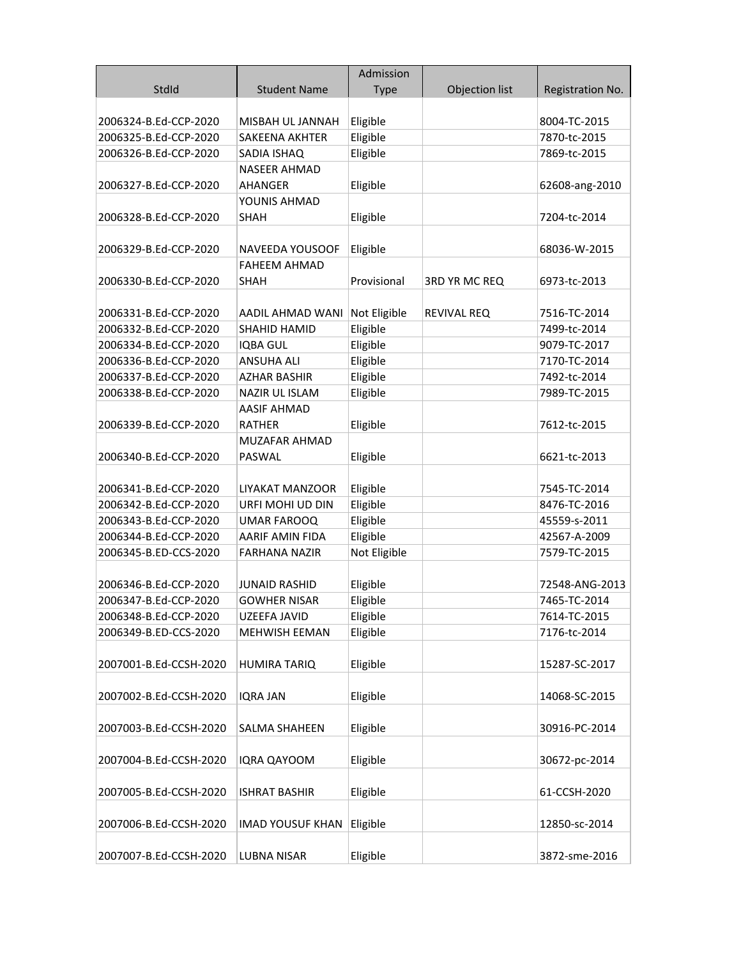|                                                |                                       | Admission            |                |                              |
|------------------------------------------------|---------------------------------------|----------------------|----------------|------------------------------|
| StdId                                          | <b>Student Name</b>                   | <b>Type</b>          | Objection list | Registration No.             |
|                                                |                                       |                      |                |                              |
| 2006324-B.Ed-CCP-2020                          | MISBAH UL JANNAH                      | Eligible             |                | 8004-TC-2015                 |
| 2006325-B.Ed-CCP-2020                          | <b>SAKEENA AKHTER</b>                 | Eligible             |                | 7870-tc-2015                 |
| 2006326-B.Ed-CCP-2020                          | SADIA ISHAQ                           | Eligible             |                | 7869-tc-2015                 |
|                                                | <b>NASEER AHMAD</b>                   |                      |                |                              |
| 2006327-B.Ed-CCP-2020                          | AHANGER                               | Eligible             |                | 62608-ang-2010               |
|                                                | YOUNIS AHMAD                          |                      |                |                              |
| 2006328-B.Ed-CCP-2020                          | <b>SHAH</b>                           | Eligible             |                | 7204-tc-2014                 |
|                                                |                                       |                      |                |                              |
| 2006329-B.Ed-CCP-2020                          | NAVEEDA YOUSOOF                       | Eligible             |                | 68036-W-2015                 |
|                                                | FAHEEM AHMAD                          |                      |                |                              |
| 2006330-B.Ed-CCP-2020                          | <b>SHAH</b>                           | Provisional          | 3RD YR MC REQ  | 6973-tc-2013                 |
|                                                |                                       |                      |                |                              |
| 2006331-B.Ed-CCP-2020                          | AADIL AHMAD WANI                      | Not Eligible         | REVIVAL REQ    | 7516-TC-2014                 |
| 2006332-B.Ed-CCP-2020                          | SHAHID HAMID                          | Eligible             |                | 7499-tc-2014                 |
| 2006334-B.Ed-CCP-2020                          | <b>IQBA GUL</b>                       | Eligible             |                | 9079-TC-2017                 |
| 2006336-B.Ed-CCP-2020                          | <b>ANSUHA ALI</b>                     | Eligible             |                | 7170-TC-2014                 |
| 2006337-B.Ed-CCP-2020                          | <b>AZHAR BASHIR</b>                   | Eligible             |                | 7492-tc-2014                 |
| 2006338-B.Ed-CCP-2020                          | <b>NAZIR UL ISLAM</b>                 | Eligible             |                | 7989-TC-2015                 |
|                                                | <b>AASIF AHMAD</b>                    |                      |                |                              |
| 2006339-B.Ed-CCP-2020                          | <b>RATHER</b>                         | Eligible             |                | 7612-tc-2015                 |
|                                                | <b>MUZAFAR AHMAD</b>                  |                      |                |                              |
| 2006340-B.Ed-CCP-2020                          | <b>PASWAL</b>                         | Eligible             |                | 6621-tc-2013                 |
|                                                |                                       |                      |                |                              |
| 2006341-B.Ed-CCP-2020                          | LIYAKAT MANZOOR                       | Eligible             |                | 7545-TC-2014                 |
| 2006342-B.Ed-CCP-2020                          | URFI MOHI UD DIN                      | Eligible<br>Eligible |                | 8476-TC-2016                 |
| 2006343-B.Ed-CCP-2020<br>2006344-B.Ed-CCP-2020 | <b>UMAR FAROOQ</b><br>AARIF AMIN FIDA | Eligible             |                | 45559-s-2011<br>42567-A-2009 |
| 2006345-B.ED-CCS-2020                          | <b>FARHANA NAZIR</b>                  | Not Eligible         |                | 7579-TC-2015                 |
|                                                |                                       |                      |                |                              |
| 2006346-B.Ed-CCP-2020                          | <b>JUNAID RASHID</b>                  | Eligible             |                | 72548-ANG-2013               |
| 2006347-B.Ed-CCP-2020                          | <b>GOWHER NISAR</b>                   | Eligible             |                | 7465-TC-2014                 |
| 2006348-B.Ed-CCP-2020                          | UZEEFA JAVID                          | Eligible             |                | 7614-TC-2015                 |
| 2006349-B.ED-CCS-2020                          | <b>MEHWISH EEMAN</b>                  | Eligible             |                | 7176-tc-2014                 |
|                                                |                                       |                      |                |                              |
| 2007001-B.Ed-CCSH-2020                         | <b>HUMIRA TARIQ</b>                   | Eligible             |                | 15287-SC-2017                |
|                                                |                                       |                      |                |                              |
| 2007002-B.Ed-CCSH-2020                         | <b>IQRA JAN</b>                       | Eligible             |                | 14068-SC-2015                |
|                                                |                                       |                      |                |                              |
| 2007003-B.Ed-CCSH-2020                         | SALMA SHAHEEN                         | Eligible             |                | 30916-PC-2014                |
|                                                |                                       |                      |                |                              |
| 2007004-B.Ed-CCSH-2020                         | <b>IQRA QAYOOM</b>                    | Eligible             |                | 30672-pc-2014                |
|                                                |                                       |                      |                |                              |
| 2007005-B.Ed-CCSH-2020                         | <b>ISHRAT BASHIR</b>                  | Eligible             |                | 61-CCSH-2020                 |
|                                                |                                       |                      |                |                              |
| 2007006-B.Ed-CCSH-2020                         | <b>IMAD YOUSUF KHAN</b>               | Eligible             |                | 12850-sc-2014                |
|                                                |                                       |                      |                |                              |
| 2007007-B.Ed-CCSH-2020                         | <b>LUBNA NISAR</b>                    | Eligible             |                | 3872-sme-2016                |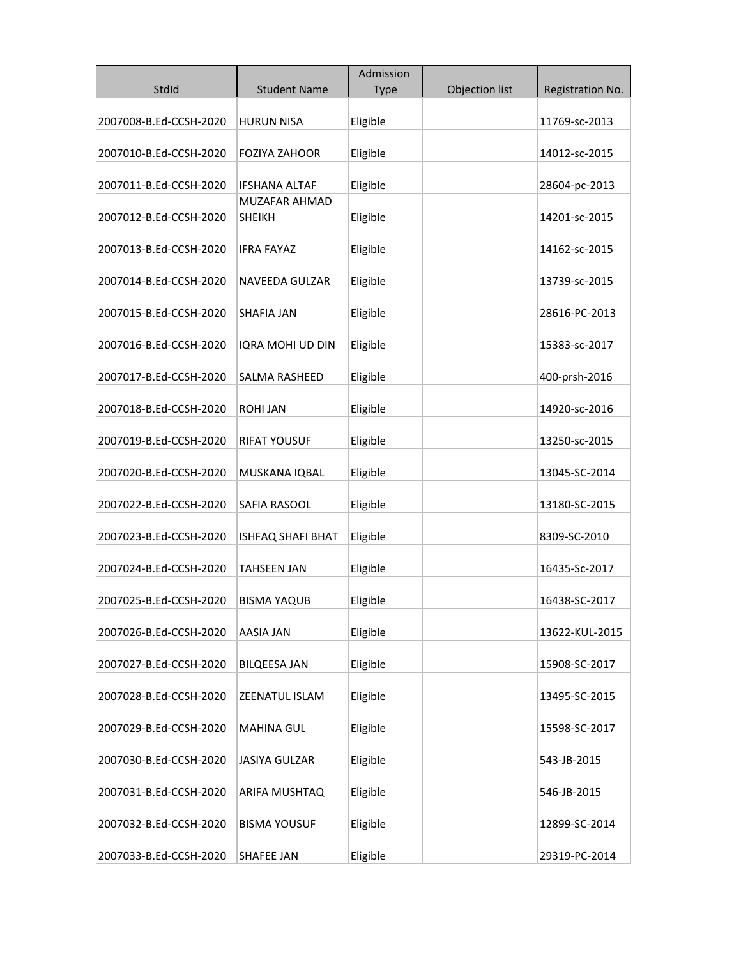|                        |                         | Admission |                |                  |
|------------------------|-------------------------|-----------|----------------|------------------|
| StdId                  | <b>Student Name</b>     | Type      | Objection list | Registration No. |
| 2007008-B.Ed-CCSH-2020 | <b>HURUN NISA</b>       | Eligible  |                | 11769-sc-2013    |
| 2007010-B.Ed-CCSH-2020 | <b>FOZIYA ZAHOOR</b>    | Eligible  |                | 14012-sc-2015    |
| 2007011-B.Ed-CCSH-2020 | <b>IFSHANA ALTAF</b>    | Eligible  |                | 28604-pc-2013    |
| 2007012-B.Ed-CCSH-2020 | MUZAFAR AHMAD<br>SHEIKH | Eligible  |                | 14201-sc-2015    |
|                        |                         |           |                |                  |
| 2007013-B.Ed-CCSH-2020 | IFRA FAYAZ              | Eligible  |                | 14162-sc-2015    |
| 2007014-B.Ed-CCSH-2020 | NAVEEDA GULZAR          | Eligible  |                | 13739-sc-2015    |
| 2007015-B.Ed-CCSH-2020 | <b>SHAFIA JAN</b>       | Eligible  |                | 28616-PC-2013    |
| 2007016-B.Ed-CCSH-2020 | IQRA MOHI UD DIN        | Eligible  |                | 15383-sc-2017    |
| 2007017-B.Ed-CCSH-2020 | <b>SALMA RASHEED</b>    | Eligible  |                | 400-prsh-2016    |
| 2007018-B.Ed-CCSH-2020 | ROHI JAN                | Eligible  |                | 14920-sc-2016    |
| 2007019-B.Ed-CCSH-2020 | <b>RIFAT YOUSUF</b>     | Eligible  |                | 13250-sc-2015    |
| 2007020-B.Ed-CCSH-2020 | MUSKANA IQBAL           | Eligible  |                | 13045-SC-2014    |
| 2007022-B.Ed-CCSH-2020 | SAFIA RASOOL            | Eligible  |                | 13180-SC-2015    |
|                        |                         | Eligible  |                | 8309-SC-2010     |
| 2007023-B.Ed-CCSH-2020 | ISHFAQ SHAFI BHAT       |           |                |                  |
| 2007024-B.Ed-CCSH-2020 | TAHSEEN JAN             | Eligible  |                | 16435-Sc-2017    |
| 2007025-B.Ed-CCSH-2020 | BISMA YAQUB             | Eligible  |                | 16438-SC-2017    |
| 2007026-B.Ed-CCSH-2020 | AASIA JAN               | Eligible  |                | 13622-KUL-2015   |
| 2007027-B.Ed-CCSH-2020 | <b>BILQEESA JAN</b>     | Eligible  |                | 15908-SC-2017    |
| 2007028-B.Ed-CCSH-2020 | ZEENATUL ISLAM          | Eligible  |                | 13495-SC-2015    |
| 2007029-B.Ed-CCSH-2020 | <b>MAHINA GUL</b>       | Eligible  |                | 15598-SC-2017    |
| 2007030-B.Ed-CCSH-2020 | <b>JASIYA GULZAR</b>    | Eligible  |                | 543-JB-2015      |
| 2007031-B.Ed-CCSH-2020 | ARIFA MUSHTAQ           | Eligible  |                | 546-JB-2015      |
| 2007032-B.Ed-CCSH-2020 | <b>BISMA YOUSUF</b>     | Eligible  |                | 12899-SC-2014    |
| 2007033-B.Ed-CCSH-2020 | SHAFEE JAN              | Eligible  |                | 29319-PC-2014    |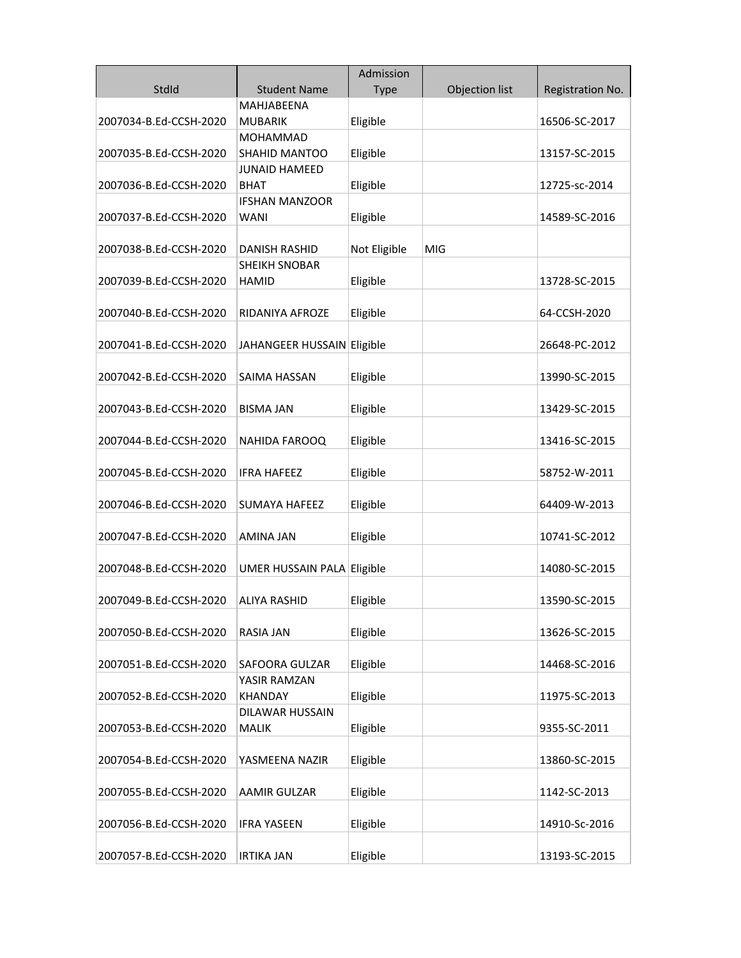|                        |                            | Admission    |                |                  |
|------------------------|----------------------------|--------------|----------------|------------------|
| StdId                  | <b>Student Name</b>        | <b>Type</b>  | Objection list | Registration No. |
|                        | MAHJABEENA                 |              |                |                  |
| 2007034-B.Ed-CCSH-2020 | <b>MUBARIK</b>             | Eligible     |                | 16506-SC-2017    |
|                        | MOHAMMAD                   |              |                |                  |
| 2007035-B.Ed-CCSH-2020 | SHAHID MANTOO              | Eligible     |                | 13157-SC-2015    |
|                        | <b>JUNAID HAMEED</b>       |              |                |                  |
| 2007036-B.Ed-CCSH-2020 | <b>BHAT</b>                | Eligible     |                | 12725-sc-2014    |
|                        | <b>IFSHAN MANZOOR</b>      |              |                |                  |
| 2007037-B.Ed-CCSH-2020 | WANI                       | Eligible     |                | 14589-SC-2016    |
|                        |                            |              |                |                  |
| 2007038-B.Ed-CCSH-2020 | <b>DANISH RASHID</b>       | Not Eligible | <b>MIG</b>     |                  |
|                        | <b>SHEIKH SNOBAR</b>       |              |                |                  |
| 2007039-B.Ed-CCSH-2020 | HAMID                      | Eligible     |                | 13728-SC-2015    |
|                        |                            |              |                |                  |
| 2007040-B.Ed-CCSH-2020 | RIDANIYA AFROZE            | Eligible     |                | 64-CCSH-2020     |
| 2007041-B.Ed-CCSH-2020 | JAHANGEER HUSSAIN Eligible |              |                | 26648-PC-2012    |
|                        |                            |              |                |                  |
| 2007042-B.Ed-CCSH-2020 | SAIMA HASSAN               | Eligible     |                | 13990-SC-2015    |
|                        |                            |              |                |                  |
| 2007043-B.Ed-CCSH-2020 | BISMA JAN                  | Eligible     |                | 13429-SC-2015    |
|                        |                            |              |                |                  |
| 2007044-B.Ed-CCSH-2020 | NAHIDA FAROOQ              | Eligible     |                | 13416-SC-2015    |
|                        |                            |              |                |                  |
| 2007045-B.Ed-CCSH-2020 | <b>IFRA HAFEEZ</b>         | Eligible     |                | 58752-W-2011     |
|                        |                            |              |                |                  |
| 2007046-B.Ed-CCSH-2020 | <b>SUMAYA HAFEEZ</b>       | Eligible     |                | 64409-W-2013     |
|                        |                            |              |                |                  |
| 2007047-B.Ed-CCSH-2020 | AMINA JAN                  | Eligible     |                | 10741-SC-2012    |
|                        |                            |              |                |                  |
| 2007048-B.Ed-CCSH-2020 | UMER HUSSAIN PALA Eligible |              |                | 14080-SC-2015    |
|                        |                            |              |                |                  |
| 2007049-B.Ed-CCSH-2020 | ALIYA RASHID               | Eligible     |                | 13590-SC-2015    |
|                        |                            |              |                |                  |
| 2007050-B.Ed-CCSH-2020 | <b>RASIA JAN</b>           | Eligible     |                | 13626-SC-2015    |
| 2007051-B.Ed-CCSH-2020 | SAFOORA GULZAR             | Eligible     |                | 14468-SC-2016    |
|                        | YASIR RAMZAN               |              |                |                  |
| 2007052-B.Ed-CCSH-2020 | <b>KHANDAY</b>             | Eligible     |                | 11975-SC-2013    |
|                        | <b>DILAWAR HUSSAIN</b>     |              |                |                  |
| 2007053-B.Ed-CCSH-2020 | <b>MALIK</b>               | Eligible     |                | 9355-SC-2011     |
|                        |                            |              |                |                  |
| 2007054-B.Ed-CCSH-2020 | YASMEENA NAZIR             | Eligible     |                | 13860-SC-2015    |
|                        |                            |              |                |                  |
| 2007055-B.Ed-CCSH-2020 | AAMIR GULZAR               | Eligible     |                | 1142-SC-2013     |
|                        |                            |              |                |                  |
| 2007056-B.Ed-CCSH-2020 | <b>IFRA YASEEN</b>         | Eligible     |                | 14910-Sc-2016    |
|                        |                            |              |                |                  |
| 2007057-B.Ed-CCSH-2020 | <b>IRTIKA JAN</b>          | Eligible     |                | 13193-SC-2015    |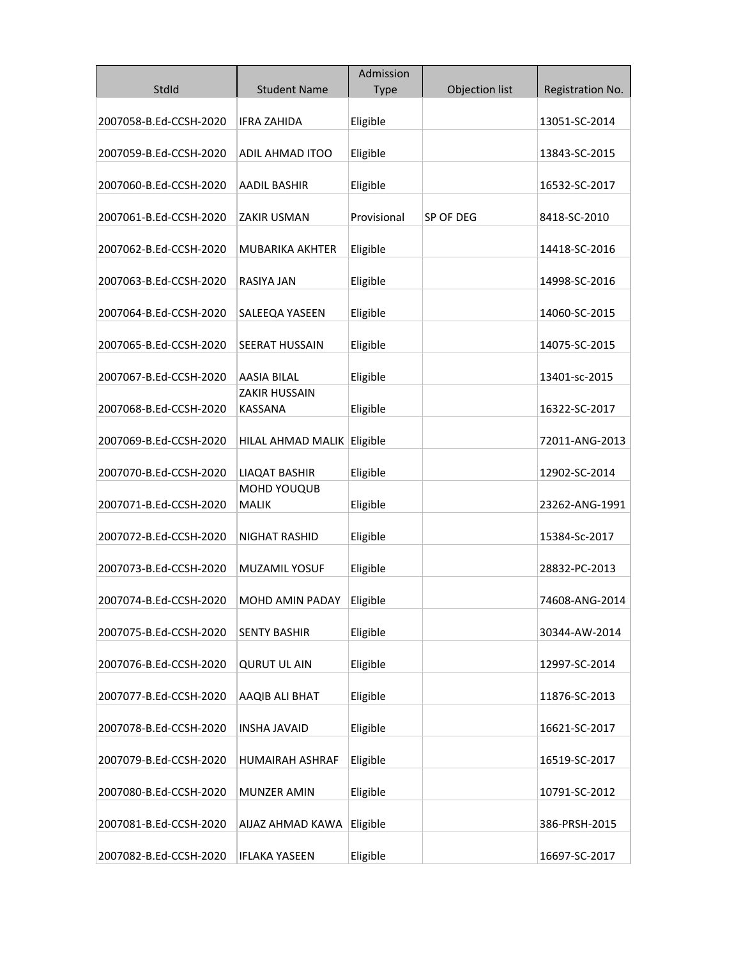|                        |                                        | Admission   |                |                  |
|------------------------|----------------------------------------|-------------|----------------|------------------|
| StdId                  | <b>Student Name</b>                    | <b>Type</b> | Objection list | Registration No. |
| 2007058-B.Ed-CCSH-2020 | <b>IFRA ZAHIDA</b>                     | Eligible    |                | 13051-SC-2014    |
| 2007059-B.Ed-CCSH-2020 | <b>ADIL AHMAD ITOO</b>                 | Eligible    |                | 13843-SC-2015    |
| 2007060-B.Ed-CCSH-2020 | <b>AADIL BASHIR</b>                    | Eligible    |                | 16532-SC-2017    |
| 2007061-B.Ed-CCSH-2020 | <b>ZAKIR USMAN</b>                     | Provisional | SP OF DEG      | 8418-SC-2010     |
| 2007062-B.Ed-CCSH-2020 | <b>MUBARIKA AKHTER</b>                 | Eligible    |                | 14418-SC-2016    |
| 2007063-B.Ed-CCSH-2020 | RASIYA JAN                             | Eligible    |                | 14998-SC-2016    |
| 2007064-B.Ed-CCSH-2020 | SALEEQA YASEEN                         | Eligible    |                | 14060-SC-2015    |
| 2007065-B.Ed-CCSH-2020 | <b>SEERAT HUSSAIN</b>                  | Eligible    |                | 14075-SC-2015    |
| 2007067-B.Ed-CCSH-2020 | <b>AASIA BILAL</b>                     | Eligible    |                | 13401-sc-2015    |
| 2007068-B.Ed-CCSH-2020 | <b>ZAKIR HUSSAIN</b><br><b>KASSANA</b> | Eligible    |                | 16322-SC-2017    |
| 2007069-B.Ed-CCSH-2020 | HILAL AHMAD MALIK                      | Eligible    |                | 72011-ANG-2013   |
| 2007070-B.Ed-CCSH-2020 | <b>LIAQAT BASHIR</b>                   | Eligible    |                | 12902-SC-2014    |
| 2007071-B.Ed-CCSH-2020 | MOHD YOUQUB<br><b>MALIK</b>            | Eligible    |                | 23262-ANG-1991   |
| 2007072-B.Ed-CCSH-2020 | NIGHAT RASHID                          | Eligible    |                | 15384-Sc-2017    |
| 2007073-B.Ed-CCSH-2020 | MUZAMIL YOSUF                          | Eligible    |                | 28832-PC-2013    |
| 2007074-B.Ed-CCSH-2020 | MOHD AMIN PADAY                        | Eligible    |                | 74608-ANG-2014   |
| 2007075-B.Ed-CCSH-2020 | <b>SENTY BASHIR</b>                    | Eligible    |                | 30344-AW-2014    |
| 2007076-B.Ed-CCSH-2020 | <b>QURUT UL AIN</b>                    | Eligible    |                | 12997-SC-2014    |
| 2007077-B.Ed-CCSH-2020 | AAQIB ALI BHAT                         | Eligible    |                | 11876-SC-2013    |
| 2007078-B.Ed-CCSH-2020 | <b>INSHA JAVAID</b>                    | Eligible    |                | 16621-SC-2017    |
| 2007079-B.Ed-CCSH-2020 | HUMAIRAH ASHRAF                        | Eligible    |                | 16519-SC-2017    |
| 2007080-B.Ed-CCSH-2020 | MUNZER AMIN                            | Eligible    |                | 10791-SC-2012    |
| 2007081-B.Ed-CCSH-2020 | AIJAZ AHMAD KAWA                       | Eligible    |                | 386-PRSH-2015    |
| 2007082-B.Ed-CCSH-2020 | <b>IFLAKA YASEEN</b>                   | Eligible    |                | 16697-SC-2017    |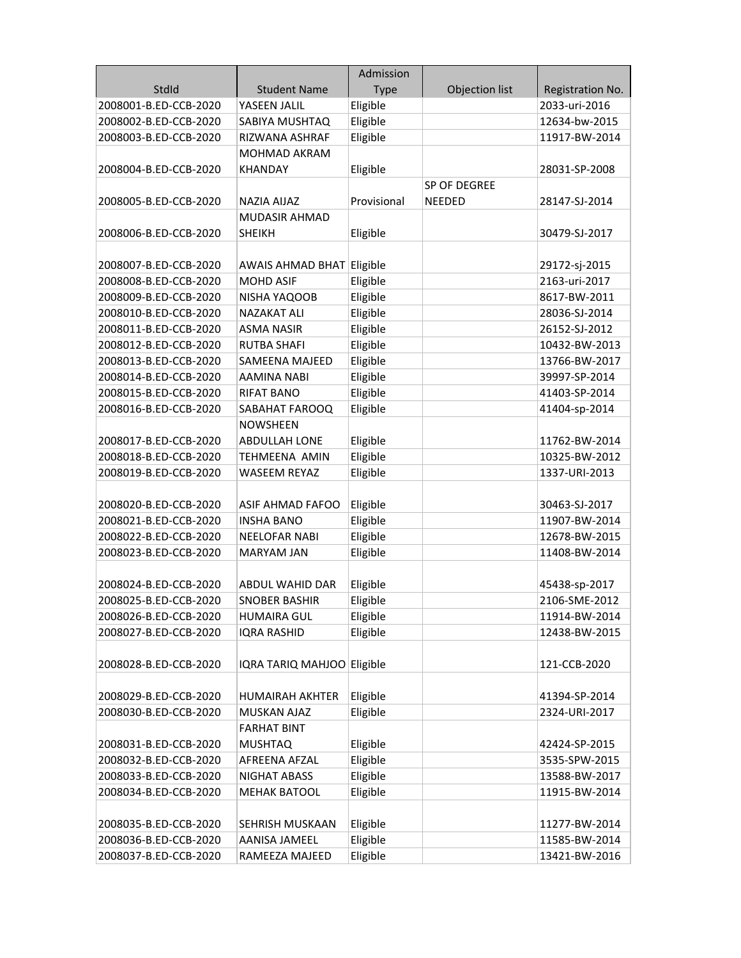|                                                |                                        | Admission            |                |                                |
|------------------------------------------------|----------------------------------------|----------------------|----------------|--------------------------------|
| StdId                                          | <b>Student Name</b>                    | <b>Type</b>          | Objection list | Registration No.               |
| 2008001-B.ED-CCB-2020                          | YASEEN JALIL                           | Eligible             |                | 2033-uri-2016                  |
| 2008002-B.ED-CCB-2020                          | SABIYA MUSHTAQ                         | Eligible             |                | 12634-bw-2015                  |
| 2008003-B.ED-CCB-2020                          | RIZWANA ASHRAF                         | Eligible             |                | 11917-BW-2014                  |
|                                                | MOHMAD AKRAM                           |                      |                |                                |
| 2008004-B.ED-CCB-2020                          | KHANDAY                                | Eligible             |                | 28031-SP-2008                  |
|                                                |                                        |                      | SP OF DEGREE   |                                |
| 2008005-B.ED-CCB-2020                          | <b>NAZIA AIJAZ</b>                     | Provisional          | <b>NEEDED</b>  | 28147-SJ-2014                  |
|                                                | <b>MUDASIR AHMAD</b>                   |                      |                |                                |
| 2008006-B.ED-CCB-2020                          | <b>SHEIKH</b>                          | Eligible             |                | 30479-SJ-2017                  |
|                                                |                                        |                      |                |                                |
| 2008007-B.ED-CCB-2020                          | AWAIS AHMAD BHAT Eligible              |                      |                | 29172-sj-2015                  |
| 2008008-B.ED-CCB-2020                          | <b>MOHD ASIF</b>                       | Eligible             |                | 2163-uri-2017                  |
| 2008009-B.ED-CCB-2020                          | NISHA YAQOOB                           | Eligible             |                | 8617-BW-2011                   |
| 2008010-B.ED-CCB-2020                          | <b>NAZAKAT ALI</b>                     | Eligible             |                | 28036-SJ-2014                  |
| 2008011-B.ED-CCB-2020                          | <b>ASMA NASIR</b>                      | Eligible             |                | 26152-SJ-2012                  |
| 2008012-B.ED-CCB-2020                          | <b>RUTBA SHAFI</b>                     | Eligible             |                | 10432-BW-2013                  |
| 2008013-B.ED-CCB-2020                          | SAMEENA MAJEED                         | Eligible             |                | 13766-BW-2017                  |
| 2008014-B.ED-CCB-2020                          | <b>AAMINA NABI</b>                     | Eligible             |                | 39997-SP-2014                  |
| 2008015-B.ED-CCB-2020                          | <b>RIFAT BANO</b>                      | Eligible             |                | 41403-SP-2014                  |
| 2008016-B.ED-CCB-2020                          | SABAHAT FAROOQ                         | Eligible             |                | 41404-sp-2014                  |
|                                                | <b>NOWSHEEN</b>                        |                      |                |                                |
| 2008017-B.ED-CCB-2020                          | <b>ABDULLAH LONE</b>                   | Eligible             |                | 11762-BW-2014                  |
| 2008018-B.ED-CCB-2020                          | <b>TEHMEENA AMIN</b>                   | Eligible             |                | 10325-BW-2012                  |
| 2008019-B.ED-CCB-2020                          | <b>WASEEM REYAZ</b>                    | Eligible             |                | 1337-URI-2013                  |
|                                                |                                        |                      |                |                                |
| 2008020-B.ED-CCB-2020                          | ASIF AHMAD FAFOO                       | Eligible             |                | 30463-SJ-2017                  |
| 2008021-B.ED-CCB-2020                          | <b>INSHA BANO</b>                      | Eligible             |                | 11907-BW-2014                  |
| 2008022-B.ED-CCB-2020                          | <b>NEELOFAR NABI</b>                   | Eligible             |                | 12678-BW-2015                  |
| 2008023-B.ED-CCB-2020                          | <b>MARYAM JAN</b>                      | Eligible             |                | 11408-BW-2014                  |
|                                                |                                        |                      |                |                                |
| 2008024-B.ED-CCB-2020                          | <b>ABDUL WAHID DAR</b>                 | Eligible             |                | 45438-sp-2017                  |
| 2008025-B.ED-CCB-2020                          | <b>SNOBER BASHIR</b>                   | Eligible             |                | 2106-SME-2012                  |
| 2008026-B.ED-CCB-2020                          | <b>HUMAIRA GUL</b>                     | Eligible             |                | 11914-BW-2014                  |
| 2008027-B.ED-CCB-2020                          | <b>IQRA RASHID</b>                     | Eligible             |                | 12438-BW-2015                  |
|                                                |                                        |                      |                |                                |
| 2008028-B.ED-CCB-2020                          |                                        |                      |                |                                |
|                                                | IQRA TARIQ MAHJOO Eligible             |                      |                | 121-CCB-2020                   |
|                                                |                                        |                      |                |                                |
| 2008029-B.ED-CCB-2020                          | <b>HUMAIRAH AKHTER</b>                 | Eligible             |                | 41394-SP-2014                  |
| 2008030-B.ED-CCB-2020                          | <b>MUSKAN AJAZ</b>                     | Eligible             |                | 2324-URI-2017                  |
|                                                | <b>FARHAT BINT</b>                     |                      |                |                                |
| 2008031-B.ED-CCB-2020                          | <b>MUSHTAQ</b>                         | Eligible             |                | 42424-SP-2015                  |
| 2008032-B.ED-CCB-2020                          | AFREENA AFZAL                          | Eligible             |                | 3535-SPW-2015                  |
| 2008033-B.ED-CCB-2020                          | NIGHAT ABASS                           | Eligible             |                | 13588-BW-2017                  |
| 2008034-B.ED-CCB-2020                          | <b>MEHAK BATOOL</b>                    | Eligible             |                | 11915-BW-2014                  |
|                                                |                                        |                      |                |                                |
| 2008035-B.ED-CCB-2020                          | SEHRISH MUSKAAN                        | Eligible             |                | 11277-BW-2014                  |
| 2008036-B.ED-CCB-2020<br>2008037-B.ED-CCB-2020 | <b>AANISA JAMEEL</b><br>RAMEEZA MAJEED | Eligible<br>Eligible |                | 11585-BW-2014<br>13421-BW-2016 |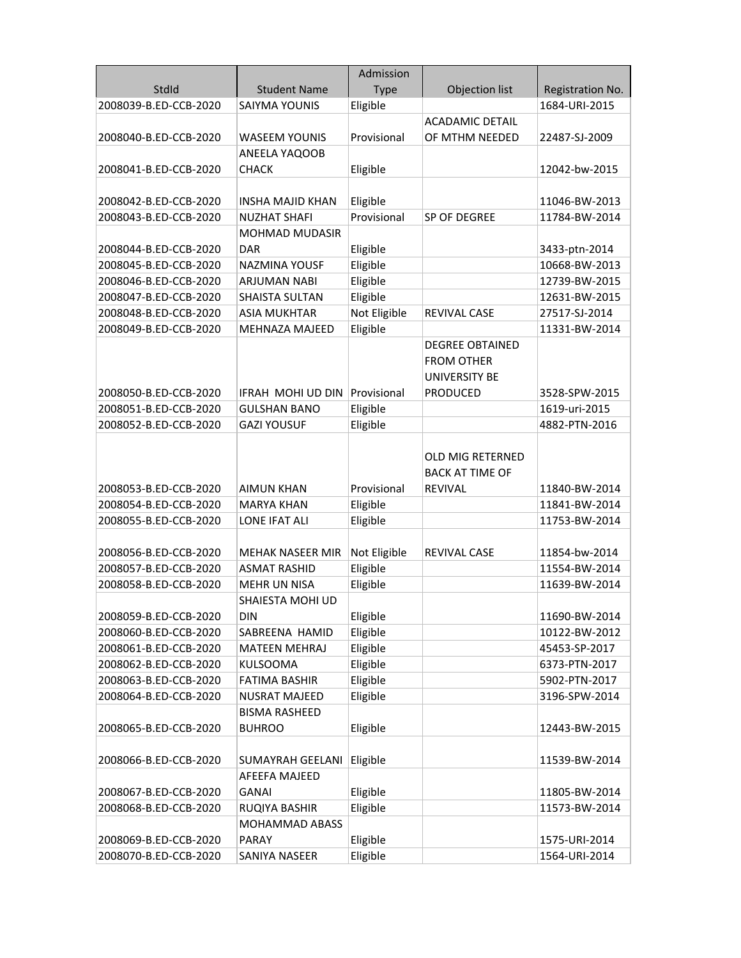|                       |                         | Admission    |                         |                  |
|-----------------------|-------------------------|--------------|-------------------------|------------------|
| StdId                 | <b>Student Name</b>     | <b>Type</b>  | Objection list          | Registration No. |
| 2008039-B.ED-CCB-2020 | <b>SAIYMA YOUNIS</b>    | Eligible     |                         | 1684-URI-2015    |
|                       |                         |              | <b>ACADAMIC DETAIL</b>  |                  |
| 2008040-B.ED-CCB-2020 | <b>WASEEM YOUNIS</b>    | Provisional  | OF MTHM NEEDED          | 22487-SJ-2009    |
|                       | ANEELA YAQOOB           |              |                         |                  |
| 2008041-B.ED-CCB-2020 | <b>CHACK</b>            | Eligible     |                         | 12042-bw-2015    |
|                       |                         |              |                         |                  |
| 2008042-B.ED-CCB-2020 | <b>INSHA MAJID KHAN</b> | Eligible     |                         | 11046-BW-2013    |
| 2008043-B.ED-CCB-2020 | <b>NUZHAT SHAFI</b>     | Provisional  | SP OF DEGREE            | 11784-BW-2014    |
|                       | <b>MOHMAD MUDASIR</b>   |              |                         |                  |
| 2008044-B.ED-CCB-2020 | <b>DAR</b>              | Eligible     |                         | 3433-ptn-2014    |
| 2008045-B.ED-CCB-2020 | <b>NAZMINA YOUSF</b>    | Eligible     |                         | 10668-BW-2013    |
| 2008046-B.ED-CCB-2020 | <b>ARJUMAN NABI</b>     | Eligible     |                         | 12739-BW-2015    |
| 2008047-B.ED-CCB-2020 | SHAISTA SULTAN          | Eligible     |                         | 12631-BW-2015    |
| 2008048-B.ED-CCB-2020 | <b>ASIA MUKHTAR</b>     | Not Eligible | REVIVAL CASE            | 27517-SJ-2014    |
| 2008049-B.ED-CCB-2020 | <b>MEHNAZA MAJEED</b>   | Eligible     |                         | 11331-BW-2014    |
|                       |                         |              | <b>DEGREE OBTAINED</b>  |                  |
|                       |                         |              | <b>FROM OTHER</b>       |                  |
|                       |                         |              | UNIVERSITY BE           |                  |
| 2008050-B.ED-CCB-2020 | IFRAH MOHI UD DIN       | Provisional  | <b>PRODUCED</b>         | 3528-SPW-2015    |
| 2008051-B.ED-CCB-2020 | <b>GULSHAN BANO</b>     | Eligible     |                         | 1619-uri-2015    |
| 2008052-B.ED-CCB-2020 | <b>GAZI YOUSUF</b>      | Eligible     |                         | 4882-PTN-2016    |
|                       |                         |              |                         |                  |
|                       |                         |              | <b>OLD MIG RETERNED</b> |                  |
|                       |                         |              | <b>BACK AT TIME OF</b>  |                  |
| 2008053-B.ED-CCB-2020 | <b>AIMUN KHAN</b>       | Provisional  | <b>REVIVAL</b>          | 11840-BW-2014    |
| 2008054-B.ED-CCB-2020 | <b>MARYA KHAN</b>       | Eligible     |                         | 11841-BW-2014    |
| 2008055-B.ED-CCB-2020 | LONE IFAT ALI           | Eligible     |                         | 11753-BW-2014    |
|                       |                         |              |                         |                  |
| 2008056-B.ED-CCB-2020 | <b>MEHAK NASEER MIR</b> | Not Eligible | <b>REVIVAL CASE</b>     | 11854-bw-2014    |
| 2008057-B.ED-CCB-2020 | <b>ASMAT RASHID</b>     | Eligible     |                         | 11554-BW-2014    |
| 2008058-B.ED-CCB-2020 | <b>MEHR UN NISA</b>     | Eligible     |                         | 11639-BW-2014    |
|                       | SHAIESTA MOHI UD        |              |                         |                  |
| 2008059-B.ED-CCB-2020 | <b>DIN</b>              | Eligible     |                         | 11690-BW-2014    |
| 2008060-B.ED-CCB-2020 | SABREENA HAMID          | Eligible     |                         | 10122-BW-2012    |
| 2008061-B.ED-CCB-2020 | <b>MATEEN MEHRAJ</b>    | Eligible     |                         | 45453-SP-2017    |
| 2008062-B.ED-CCB-2020 | <b>KULSOOMA</b>         | Eligible     |                         | 6373-PTN-2017    |
| 2008063-B.ED-CCB-2020 | <b>FATIMA BASHIR</b>    | Eligible     |                         | 5902-PTN-2017    |
| 2008064-B.ED-CCB-2020 | NUSRAT MAJEED           | Eligible     |                         | 3196-SPW-2014    |
|                       | <b>BISMA RASHEED</b>    |              |                         |                  |
| 2008065-B.ED-CCB-2020 | <b>BUHROO</b>           | Eligible     |                         | 12443-BW-2015    |
|                       |                         |              |                         |                  |
| 2008066-B.ED-CCB-2020 | SUMAYRAH GEELANI        | Eligible     |                         | 11539-BW-2014    |
|                       | AFEEFA MAJEED           |              |                         |                  |
| 2008067-B.ED-CCB-2020 | <b>GANAI</b>            | Eligible     |                         | 11805-BW-2014    |
| 2008068-B.ED-CCB-2020 | RUQIYA BASHIR           | Eligible     |                         | 11573-BW-2014    |
|                       | MOHAMMAD ABASS          |              |                         |                  |
| 2008069-B.ED-CCB-2020 | PARAY                   | Eligible     |                         | 1575-URI-2014    |
| 2008070-B.ED-CCB-2020 | SANIYA NASEER           | Eligible     |                         | 1564-URI-2014    |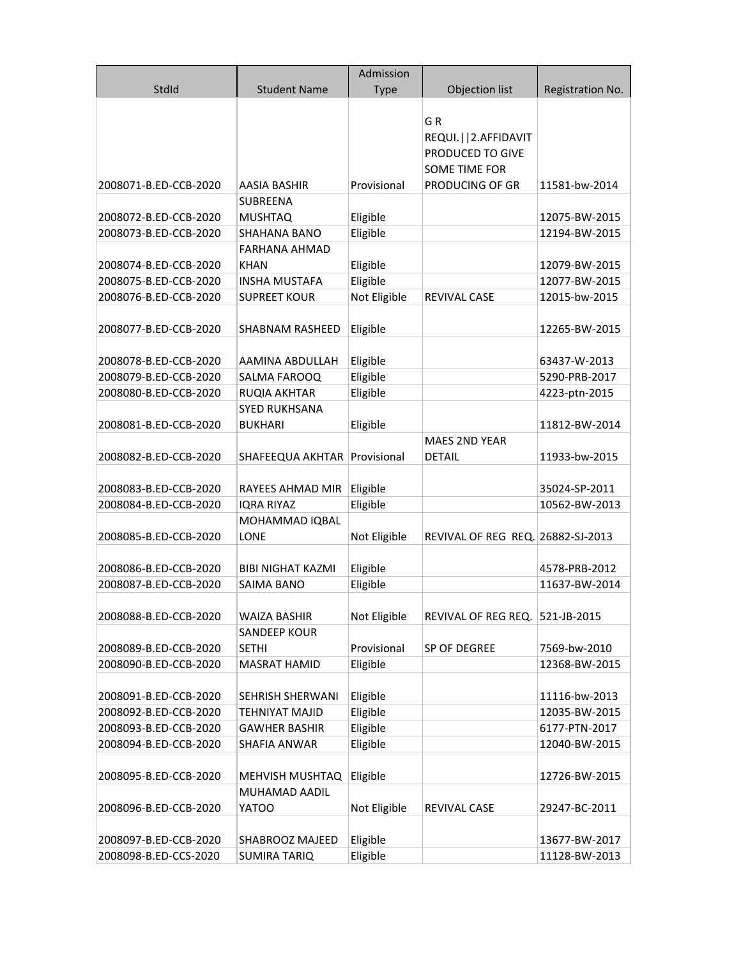|                       |                         | Admission    |                                             |                               |
|-----------------------|-------------------------|--------------|---------------------------------------------|-------------------------------|
| StdId                 | <b>Student Name</b>     | <b>Type</b>  | Objection list                              | Registration No.              |
|                       |                         |              |                                             |                               |
|                       |                         |              | GR                                          |                               |
|                       |                         |              | REQUI.     2. AFFIDAVIT<br>PRODUCED TO GIVE |                               |
|                       |                         |              | <b>SOME TIME FOR</b>                        |                               |
| 2008071-B.ED-CCB-2020 | <b>AASIA BASHIR</b>     | Provisional  | PRODUCING OF GR                             | 11581-bw-2014                 |
|                       | <b>SUBREENA</b>         |              |                                             |                               |
| 2008072-B.ED-CCB-2020 | <b>MUSHTAQ</b>          | Eligible     |                                             | 12075-BW-2015                 |
| 2008073-B.ED-CCB-2020 | <b>SHAHANA BANO</b>     | Eligible     |                                             | 12194-BW-2015                 |
|                       | <b>FARHANA AHMAD</b>    |              |                                             |                               |
| 2008074-B.ED-CCB-2020 | KHAN                    | Eligible     |                                             | 12079-BW-2015                 |
| 2008075-B.ED-CCB-2020 | <b>INSHA MUSTAFA</b>    | Eligible     |                                             | 12077-BW-2015                 |
| 2008076-B.ED-CCB-2020 | <b>SUPREET KOUR</b>     | Not Eligible | <b>REVIVAL CASE</b>                         | 12015-bw-2015                 |
|                       |                         |              |                                             |                               |
| 2008077-B.ED-CCB-2020 | <b>SHABNAM RASHEED</b>  | Eligible     |                                             | 12265-BW-2015                 |
|                       |                         |              |                                             |                               |
| 2008078-B.ED-CCB-2020 | AAMINA ABDULLAH         | Eligible     |                                             | 63437-W-2013                  |
| 2008079-B.ED-CCB-2020 | SALMA FAROOQ            | Eligible     |                                             | 5290-PRB-2017                 |
| 2008080-B.ED-CCB-2020 | RUQIA AKHTAR            | Eligible     |                                             | 4223-ptn-2015                 |
|                       | <b>SYED RUKHSANA</b>    |              |                                             |                               |
| 2008081-B.ED-CCB-2020 | <b>BUKHARI</b>          | Eligible     |                                             | 11812-BW-2014                 |
|                       |                         |              | <b>MAES 2ND YEAR</b>                        |                               |
| 2008082-B.ED-CCB-2020 | SHAFEEQUA AKHTAR        | Provisional  | <b>DETAIL</b>                               | 11933-bw-2015                 |
| 2008083-B.ED-CCB-2020 | RAYEES AHMAD MIR        | Eligible     |                                             | 35024-SP-2011                 |
| 2008084-B.ED-CCB-2020 | <b>IQRA RIYAZ</b>       | Eligible     |                                             | 10562-BW-2013                 |
|                       | MOHAMMAD IQBAL          |              |                                             |                               |
| 2008085-B.ED-CCB-2020 | LONE                    | Not Eligible | REVIVAL OF REG REQ. 26882-SJ-2013           |                               |
|                       |                         |              |                                             |                               |
| 2008086-B.ED-CCB-2020 | BIBI NIGHAT KAZMI       | Eligible     |                                             | 4578-PRB-2012                 |
| 2008087-B.ED-CCB-2020 | SAIMA BANO              | Eligible     |                                             | 11637-BW-2014                 |
|                       |                         |              |                                             |                               |
| 2008088-B.ED-CCB-2020 | <b>WAIZA BASHIR</b>     | Not Eligible | REVIVAL OF REG REQ. 521-JB-2015             |                               |
|                       | <b>SANDEEP KOUR</b>     |              |                                             |                               |
| 2008089-B.ED-CCB-2020 | <b>SETHI</b>            | Provisional  | SP OF DEGREE                                | 7569-bw-2010<br>12368-BW-2015 |
| 2008090-B.ED-CCB-2020 | <b>MASRAT HAMID</b>     | Eligible     |                                             |                               |
| 2008091-B.ED-CCB-2020 | <b>SEHRISH SHERWANI</b> | Eligible     |                                             | 11116-bw-2013                 |
| 2008092-B.ED-CCB-2020 | TEHNIYAT MAJID          | Eligible     |                                             | 12035-BW-2015                 |
| 2008093-B.ED-CCB-2020 | <b>GAWHER BASHIR</b>    | Eligible     |                                             | 6177-PTN-2017                 |
| 2008094-B.ED-CCB-2020 | SHAFIA ANWAR            | Eligible     |                                             | 12040-BW-2015                 |
|                       |                         |              |                                             |                               |
| 2008095-B.ED-CCB-2020 | MEHVISH MUSHTAQ         | Eligible     |                                             | 12726-BW-2015                 |
|                       | MUHAMAD AADIL           |              |                                             |                               |
| 2008096-B.ED-CCB-2020 | YATOO                   | Not Eligible | REVIVAL CASE                                | 29247-BC-2011                 |
|                       |                         |              |                                             |                               |
| 2008097-B.ED-CCB-2020 | SHABROOZ MAJEED         | Eligible     |                                             | 13677-BW-2017                 |
| 2008098-B.ED-CCS-2020 | <b>SUMIRA TARIQ</b>     | Eligible     |                                             | 11128-BW-2013                 |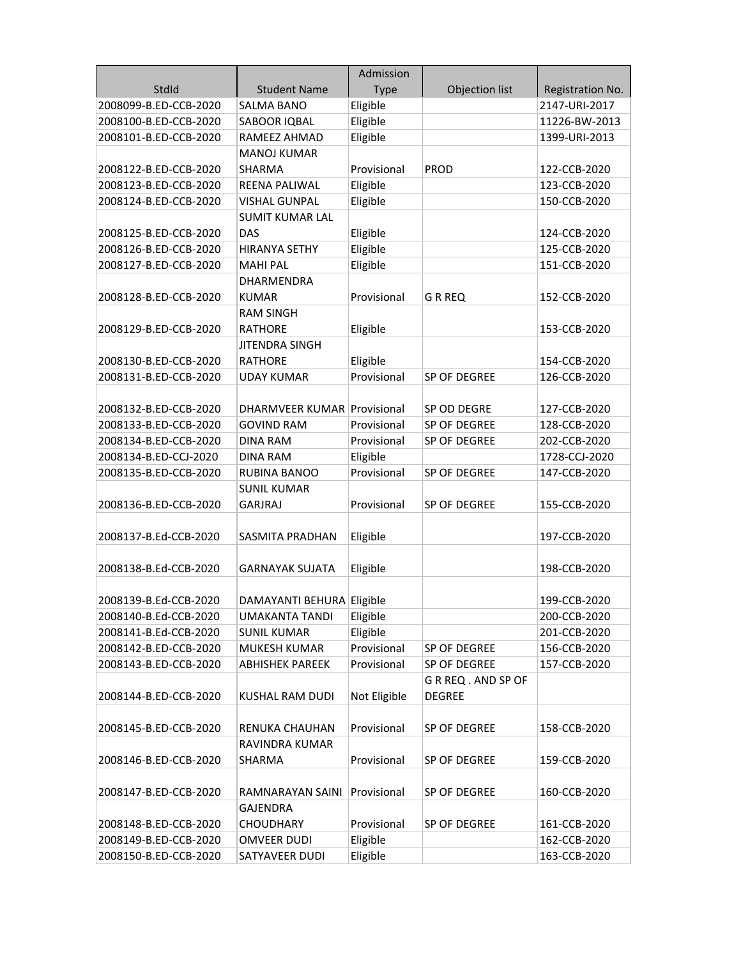| StdId<br><b>Student Name</b><br><b>Type</b><br>Objection list<br>Registration No.<br>2008099-B.ED-CCB-2020<br><b>SALMA BANO</b><br>Eligible<br>2147-URI-2017<br>Eligible<br>2008100-B.ED-CCB-2020<br>11226-BW-2013<br>SABOOR IQBAL<br>Eligible<br>2008101-B.ED-CCB-2020<br>RAMEEZ AHMAD<br>1399-URI-2013<br><b>MANOJ KUMAR</b><br>2008122-B.ED-CCB-2020<br><b>SHARMA</b><br>Provisional<br><b>PROD</b><br>122-CCB-2020<br>2008123-B.ED-CCB-2020<br>Eligible<br>123-CCB-2020<br>REENA PALIWAL<br>Eligible<br>2008124-B.ED-CCB-2020<br><b>VISHAL GUNPAL</b><br>150-CCB-2020<br><b>SUMIT KUMAR LAL</b><br>2008125-B.ED-CCB-2020<br>Eligible<br>DAS<br>124-CCB-2020<br>Eligible<br>2008126-B.ED-CCB-2020<br><b>HIRANYA SETHY</b><br>125-CCB-2020<br>Eligible<br><b>MAHI PAL</b><br>151-CCB-2020<br>2008127-B.ED-CCB-2020<br>DHARMENDRA<br>2008128-B.ED-CCB-2020<br>Provisional<br><b>GRREQ</b><br>152-CCB-2020<br><b>KUMAR</b><br><b>RAM SINGH</b><br>2008129-B.ED-CCB-2020<br><b>RATHORE</b><br>153-CCB-2020<br>Eligible<br><b>JITENDRA SINGH</b><br>Eligible<br>2008130-B.ED-CCB-2020<br><b>RATHORE</b><br>154-CCB-2020<br>Provisional<br>2008131-B.ED-CCB-2020<br><b>UDAY KUMAR</b><br>SP OF DEGREE<br>126-CCB-2020<br>2008132-B.ED-CCB-2020<br>DHARMVEER KUMAR Provisional<br>SP OD DEGRE<br>127-CCB-2020<br>2008133-B.ED-CCB-2020<br>Provisional<br>SP OF DEGREE<br>128-CCB-2020<br><b>GOVIND RAM</b><br><b>DINA RAM</b><br>SP OF DEGREE<br>202-CCB-2020<br>2008134-B.ED-CCB-2020<br>Provisional<br>2008134-B.ED-CCJ-2020<br><b>DINA RAM</b><br>Eligible<br>1728-CCJ-2020<br>2008135-B.ED-CCB-2020<br>Provisional<br>SP OF DEGREE<br>147-CCB-2020<br><b>RUBINA BANOO</b><br><b>SUNIL KUMAR</b><br>2008136-B.ED-CCB-2020<br><b>GARJRAJ</b><br>Provisional<br>155-CCB-2020<br>SP OF DEGREE<br>2008137-B.Ed-CCB-2020<br>SASMITA PRADHAN<br>Eligible<br>197-CCB-2020<br>2008138-B.Ed-CCB-2020<br>Eligible<br><b>GARNAYAK SUJATA</b><br>198-CCB-2020<br>2008139-B.Ed-CCB-2020<br>DAMAYANTI BEHURA Eligible<br>199-CCB-2020<br>2008140-B.Ed-CCB-2020<br><b>UMAKANTA TANDI</b><br>Eligible<br>200-CCB-2020<br>Eligible<br>2008141-B.Ed-CCB-2020<br>201-CCB-2020<br><b>SUNIL KUMAR</b><br>Provisional<br>2008142-B.ED-CCB-2020<br>MUKESH KUMAR<br>SP OF DEGREE<br>156-CCB-2020<br>Provisional<br>SP OF DEGREE<br>2008143-B.ED-CCB-2020<br><b>ABHISHEK PAREEK</b><br>157-CCB-2020<br>G R REQ . AND SP OF<br>2008144-B.ED-CCB-2020<br>KUSHAL RAM DUDI<br>Not Eligible<br><b>DEGREE</b><br>2008145-B.ED-CCB-2020<br>RENUKA CHAUHAN<br>Provisional<br>SP OF DEGREE<br>158-CCB-2020<br>RAVINDRA KUMAR<br>2008146-B.ED-CCB-2020<br>SP OF DEGREE<br>SHARMA<br>Provisional<br>159-CCB-2020<br>SP OF DEGREE<br>2008147-B.ED-CCB-2020<br>RAMNARAYAN SAINI<br>Provisional<br>160-CCB-2020<br><b>GAJENDRA</b> |                       |                  | Admission   |              |              |
|--------------------------------------------------------------------------------------------------------------------------------------------------------------------------------------------------------------------------------------------------------------------------------------------------------------------------------------------------------------------------------------------------------------------------------------------------------------------------------------------------------------------------------------------------------------------------------------------------------------------------------------------------------------------------------------------------------------------------------------------------------------------------------------------------------------------------------------------------------------------------------------------------------------------------------------------------------------------------------------------------------------------------------------------------------------------------------------------------------------------------------------------------------------------------------------------------------------------------------------------------------------------------------------------------------------------------------------------------------------------------------------------------------------------------------------------------------------------------------------------------------------------------------------------------------------------------------------------------------------------------------------------------------------------------------------------------------------------------------------------------------------------------------------------------------------------------------------------------------------------------------------------------------------------------------------------------------------------------------------------------------------------------------------------------------------------------------------------------------------------------------------------------------------------------------------------------------------------------------------------------------------------------------------------------------------------------------------------------------------------------------------------------------------------------------------------------------------------------------------------------------------------------------------------------------------------------------------------------------------------------------------------------------------------------------------------------------------------------------------------------------------------------------------------|-----------------------|------------------|-------------|--------------|--------------|
|                                                                                                                                                                                                                                                                                                                                                                                                                                                                                                                                                                                                                                                                                                                                                                                                                                                                                                                                                                                                                                                                                                                                                                                                                                                                                                                                                                                                                                                                                                                                                                                                                                                                                                                                                                                                                                                                                                                                                                                                                                                                                                                                                                                                                                                                                                                                                                                                                                                                                                                                                                                                                                                                                                                                                                                            |                       |                  |             |              |              |
|                                                                                                                                                                                                                                                                                                                                                                                                                                                                                                                                                                                                                                                                                                                                                                                                                                                                                                                                                                                                                                                                                                                                                                                                                                                                                                                                                                                                                                                                                                                                                                                                                                                                                                                                                                                                                                                                                                                                                                                                                                                                                                                                                                                                                                                                                                                                                                                                                                                                                                                                                                                                                                                                                                                                                                                            |                       |                  |             |              |              |
|                                                                                                                                                                                                                                                                                                                                                                                                                                                                                                                                                                                                                                                                                                                                                                                                                                                                                                                                                                                                                                                                                                                                                                                                                                                                                                                                                                                                                                                                                                                                                                                                                                                                                                                                                                                                                                                                                                                                                                                                                                                                                                                                                                                                                                                                                                                                                                                                                                                                                                                                                                                                                                                                                                                                                                                            |                       |                  |             |              |              |
|                                                                                                                                                                                                                                                                                                                                                                                                                                                                                                                                                                                                                                                                                                                                                                                                                                                                                                                                                                                                                                                                                                                                                                                                                                                                                                                                                                                                                                                                                                                                                                                                                                                                                                                                                                                                                                                                                                                                                                                                                                                                                                                                                                                                                                                                                                                                                                                                                                                                                                                                                                                                                                                                                                                                                                                            |                       |                  |             |              |              |
|                                                                                                                                                                                                                                                                                                                                                                                                                                                                                                                                                                                                                                                                                                                                                                                                                                                                                                                                                                                                                                                                                                                                                                                                                                                                                                                                                                                                                                                                                                                                                                                                                                                                                                                                                                                                                                                                                                                                                                                                                                                                                                                                                                                                                                                                                                                                                                                                                                                                                                                                                                                                                                                                                                                                                                                            |                       |                  |             |              |              |
|                                                                                                                                                                                                                                                                                                                                                                                                                                                                                                                                                                                                                                                                                                                                                                                                                                                                                                                                                                                                                                                                                                                                                                                                                                                                                                                                                                                                                                                                                                                                                                                                                                                                                                                                                                                                                                                                                                                                                                                                                                                                                                                                                                                                                                                                                                                                                                                                                                                                                                                                                                                                                                                                                                                                                                                            |                       |                  |             |              |              |
|                                                                                                                                                                                                                                                                                                                                                                                                                                                                                                                                                                                                                                                                                                                                                                                                                                                                                                                                                                                                                                                                                                                                                                                                                                                                                                                                                                                                                                                                                                                                                                                                                                                                                                                                                                                                                                                                                                                                                                                                                                                                                                                                                                                                                                                                                                                                                                                                                                                                                                                                                                                                                                                                                                                                                                                            |                       |                  |             |              |              |
|                                                                                                                                                                                                                                                                                                                                                                                                                                                                                                                                                                                                                                                                                                                                                                                                                                                                                                                                                                                                                                                                                                                                                                                                                                                                                                                                                                                                                                                                                                                                                                                                                                                                                                                                                                                                                                                                                                                                                                                                                                                                                                                                                                                                                                                                                                                                                                                                                                                                                                                                                                                                                                                                                                                                                                                            |                       |                  |             |              |              |
|                                                                                                                                                                                                                                                                                                                                                                                                                                                                                                                                                                                                                                                                                                                                                                                                                                                                                                                                                                                                                                                                                                                                                                                                                                                                                                                                                                                                                                                                                                                                                                                                                                                                                                                                                                                                                                                                                                                                                                                                                                                                                                                                                                                                                                                                                                                                                                                                                                                                                                                                                                                                                                                                                                                                                                                            |                       |                  |             |              |              |
|                                                                                                                                                                                                                                                                                                                                                                                                                                                                                                                                                                                                                                                                                                                                                                                                                                                                                                                                                                                                                                                                                                                                                                                                                                                                                                                                                                                                                                                                                                                                                                                                                                                                                                                                                                                                                                                                                                                                                                                                                                                                                                                                                                                                                                                                                                                                                                                                                                                                                                                                                                                                                                                                                                                                                                                            |                       |                  |             |              |              |
|                                                                                                                                                                                                                                                                                                                                                                                                                                                                                                                                                                                                                                                                                                                                                                                                                                                                                                                                                                                                                                                                                                                                                                                                                                                                                                                                                                                                                                                                                                                                                                                                                                                                                                                                                                                                                                                                                                                                                                                                                                                                                                                                                                                                                                                                                                                                                                                                                                                                                                                                                                                                                                                                                                                                                                                            |                       |                  |             |              |              |
|                                                                                                                                                                                                                                                                                                                                                                                                                                                                                                                                                                                                                                                                                                                                                                                                                                                                                                                                                                                                                                                                                                                                                                                                                                                                                                                                                                                                                                                                                                                                                                                                                                                                                                                                                                                                                                                                                                                                                                                                                                                                                                                                                                                                                                                                                                                                                                                                                                                                                                                                                                                                                                                                                                                                                                                            |                       |                  |             |              |              |
|                                                                                                                                                                                                                                                                                                                                                                                                                                                                                                                                                                                                                                                                                                                                                                                                                                                                                                                                                                                                                                                                                                                                                                                                                                                                                                                                                                                                                                                                                                                                                                                                                                                                                                                                                                                                                                                                                                                                                                                                                                                                                                                                                                                                                                                                                                                                                                                                                                                                                                                                                                                                                                                                                                                                                                                            |                       |                  |             |              |              |
|                                                                                                                                                                                                                                                                                                                                                                                                                                                                                                                                                                                                                                                                                                                                                                                                                                                                                                                                                                                                                                                                                                                                                                                                                                                                                                                                                                                                                                                                                                                                                                                                                                                                                                                                                                                                                                                                                                                                                                                                                                                                                                                                                                                                                                                                                                                                                                                                                                                                                                                                                                                                                                                                                                                                                                                            |                       |                  |             |              |              |
|                                                                                                                                                                                                                                                                                                                                                                                                                                                                                                                                                                                                                                                                                                                                                                                                                                                                                                                                                                                                                                                                                                                                                                                                                                                                                                                                                                                                                                                                                                                                                                                                                                                                                                                                                                                                                                                                                                                                                                                                                                                                                                                                                                                                                                                                                                                                                                                                                                                                                                                                                                                                                                                                                                                                                                                            |                       |                  |             |              |              |
|                                                                                                                                                                                                                                                                                                                                                                                                                                                                                                                                                                                                                                                                                                                                                                                                                                                                                                                                                                                                                                                                                                                                                                                                                                                                                                                                                                                                                                                                                                                                                                                                                                                                                                                                                                                                                                                                                                                                                                                                                                                                                                                                                                                                                                                                                                                                                                                                                                                                                                                                                                                                                                                                                                                                                                                            |                       |                  |             |              |              |
|                                                                                                                                                                                                                                                                                                                                                                                                                                                                                                                                                                                                                                                                                                                                                                                                                                                                                                                                                                                                                                                                                                                                                                                                                                                                                                                                                                                                                                                                                                                                                                                                                                                                                                                                                                                                                                                                                                                                                                                                                                                                                                                                                                                                                                                                                                                                                                                                                                                                                                                                                                                                                                                                                                                                                                                            |                       |                  |             |              |              |
|                                                                                                                                                                                                                                                                                                                                                                                                                                                                                                                                                                                                                                                                                                                                                                                                                                                                                                                                                                                                                                                                                                                                                                                                                                                                                                                                                                                                                                                                                                                                                                                                                                                                                                                                                                                                                                                                                                                                                                                                                                                                                                                                                                                                                                                                                                                                                                                                                                                                                                                                                                                                                                                                                                                                                                                            |                       |                  |             |              |              |
|                                                                                                                                                                                                                                                                                                                                                                                                                                                                                                                                                                                                                                                                                                                                                                                                                                                                                                                                                                                                                                                                                                                                                                                                                                                                                                                                                                                                                                                                                                                                                                                                                                                                                                                                                                                                                                                                                                                                                                                                                                                                                                                                                                                                                                                                                                                                                                                                                                                                                                                                                                                                                                                                                                                                                                                            |                       |                  |             |              |              |
|                                                                                                                                                                                                                                                                                                                                                                                                                                                                                                                                                                                                                                                                                                                                                                                                                                                                                                                                                                                                                                                                                                                                                                                                                                                                                                                                                                                                                                                                                                                                                                                                                                                                                                                                                                                                                                                                                                                                                                                                                                                                                                                                                                                                                                                                                                                                                                                                                                                                                                                                                                                                                                                                                                                                                                                            |                       |                  |             |              |              |
|                                                                                                                                                                                                                                                                                                                                                                                                                                                                                                                                                                                                                                                                                                                                                                                                                                                                                                                                                                                                                                                                                                                                                                                                                                                                                                                                                                                                                                                                                                                                                                                                                                                                                                                                                                                                                                                                                                                                                                                                                                                                                                                                                                                                                                                                                                                                                                                                                                                                                                                                                                                                                                                                                                                                                                                            |                       |                  |             |              |              |
|                                                                                                                                                                                                                                                                                                                                                                                                                                                                                                                                                                                                                                                                                                                                                                                                                                                                                                                                                                                                                                                                                                                                                                                                                                                                                                                                                                                                                                                                                                                                                                                                                                                                                                                                                                                                                                                                                                                                                                                                                                                                                                                                                                                                                                                                                                                                                                                                                                                                                                                                                                                                                                                                                                                                                                                            |                       |                  |             |              |              |
|                                                                                                                                                                                                                                                                                                                                                                                                                                                                                                                                                                                                                                                                                                                                                                                                                                                                                                                                                                                                                                                                                                                                                                                                                                                                                                                                                                                                                                                                                                                                                                                                                                                                                                                                                                                                                                                                                                                                                                                                                                                                                                                                                                                                                                                                                                                                                                                                                                                                                                                                                                                                                                                                                                                                                                                            |                       |                  |             |              |              |
|                                                                                                                                                                                                                                                                                                                                                                                                                                                                                                                                                                                                                                                                                                                                                                                                                                                                                                                                                                                                                                                                                                                                                                                                                                                                                                                                                                                                                                                                                                                                                                                                                                                                                                                                                                                                                                                                                                                                                                                                                                                                                                                                                                                                                                                                                                                                                                                                                                                                                                                                                                                                                                                                                                                                                                                            |                       |                  |             |              |              |
|                                                                                                                                                                                                                                                                                                                                                                                                                                                                                                                                                                                                                                                                                                                                                                                                                                                                                                                                                                                                                                                                                                                                                                                                                                                                                                                                                                                                                                                                                                                                                                                                                                                                                                                                                                                                                                                                                                                                                                                                                                                                                                                                                                                                                                                                                                                                                                                                                                                                                                                                                                                                                                                                                                                                                                                            |                       |                  |             |              |              |
|                                                                                                                                                                                                                                                                                                                                                                                                                                                                                                                                                                                                                                                                                                                                                                                                                                                                                                                                                                                                                                                                                                                                                                                                                                                                                                                                                                                                                                                                                                                                                                                                                                                                                                                                                                                                                                                                                                                                                                                                                                                                                                                                                                                                                                                                                                                                                                                                                                                                                                                                                                                                                                                                                                                                                                                            |                       |                  |             |              |              |
|                                                                                                                                                                                                                                                                                                                                                                                                                                                                                                                                                                                                                                                                                                                                                                                                                                                                                                                                                                                                                                                                                                                                                                                                                                                                                                                                                                                                                                                                                                                                                                                                                                                                                                                                                                                                                                                                                                                                                                                                                                                                                                                                                                                                                                                                                                                                                                                                                                                                                                                                                                                                                                                                                                                                                                                            |                       |                  |             |              |              |
|                                                                                                                                                                                                                                                                                                                                                                                                                                                                                                                                                                                                                                                                                                                                                                                                                                                                                                                                                                                                                                                                                                                                                                                                                                                                                                                                                                                                                                                                                                                                                                                                                                                                                                                                                                                                                                                                                                                                                                                                                                                                                                                                                                                                                                                                                                                                                                                                                                                                                                                                                                                                                                                                                                                                                                                            |                       |                  |             |              |              |
|                                                                                                                                                                                                                                                                                                                                                                                                                                                                                                                                                                                                                                                                                                                                                                                                                                                                                                                                                                                                                                                                                                                                                                                                                                                                                                                                                                                                                                                                                                                                                                                                                                                                                                                                                                                                                                                                                                                                                                                                                                                                                                                                                                                                                                                                                                                                                                                                                                                                                                                                                                                                                                                                                                                                                                                            |                       |                  |             |              |              |
|                                                                                                                                                                                                                                                                                                                                                                                                                                                                                                                                                                                                                                                                                                                                                                                                                                                                                                                                                                                                                                                                                                                                                                                                                                                                                                                                                                                                                                                                                                                                                                                                                                                                                                                                                                                                                                                                                                                                                                                                                                                                                                                                                                                                                                                                                                                                                                                                                                                                                                                                                                                                                                                                                                                                                                                            |                       |                  |             |              |              |
|                                                                                                                                                                                                                                                                                                                                                                                                                                                                                                                                                                                                                                                                                                                                                                                                                                                                                                                                                                                                                                                                                                                                                                                                                                                                                                                                                                                                                                                                                                                                                                                                                                                                                                                                                                                                                                                                                                                                                                                                                                                                                                                                                                                                                                                                                                                                                                                                                                                                                                                                                                                                                                                                                                                                                                                            |                       |                  |             |              |              |
|                                                                                                                                                                                                                                                                                                                                                                                                                                                                                                                                                                                                                                                                                                                                                                                                                                                                                                                                                                                                                                                                                                                                                                                                                                                                                                                                                                                                                                                                                                                                                                                                                                                                                                                                                                                                                                                                                                                                                                                                                                                                                                                                                                                                                                                                                                                                                                                                                                                                                                                                                                                                                                                                                                                                                                                            |                       |                  |             |              |              |
|                                                                                                                                                                                                                                                                                                                                                                                                                                                                                                                                                                                                                                                                                                                                                                                                                                                                                                                                                                                                                                                                                                                                                                                                                                                                                                                                                                                                                                                                                                                                                                                                                                                                                                                                                                                                                                                                                                                                                                                                                                                                                                                                                                                                                                                                                                                                                                                                                                                                                                                                                                                                                                                                                                                                                                                            |                       |                  |             |              |              |
|                                                                                                                                                                                                                                                                                                                                                                                                                                                                                                                                                                                                                                                                                                                                                                                                                                                                                                                                                                                                                                                                                                                                                                                                                                                                                                                                                                                                                                                                                                                                                                                                                                                                                                                                                                                                                                                                                                                                                                                                                                                                                                                                                                                                                                                                                                                                                                                                                                                                                                                                                                                                                                                                                                                                                                                            |                       |                  |             |              |              |
|                                                                                                                                                                                                                                                                                                                                                                                                                                                                                                                                                                                                                                                                                                                                                                                                                                                                                                                                                                                                                                                                                                                                                                                                                                                                                                                                                                                                                                                                                                                                                                                                                                                                                                                                                                                                                                                                                                                                                                                                                                                                                                                                                                                                                                                                                                                                                                                                                                                                                                                                                                                                                                                                                                                                                                                            |                       |                  |             |              |              |
|                                                                                                                                                                                                                                                                                                                                                                                                                                                                                                                                                                                                                                                                                                                                                                                                                                                                                                                                                                                                                                                                                                                                                                                                                                                                                                                                                                                                                                                                                                                                                                                                                                                                                                                                                                                                                                                                                                                                                                                                                                                                                                                                                                                                                                                                                                                                                                                                                                                                                                                                                                                                                                                                                                                                                                                            |                       |                  |             |              |              |
|                                                                                                                                                                                                                                                                                                                                                                                                                                                                                                                                                                                                                                                                                                                                                                                                                                                                                                                                                                                                                                                                                                                                                                                                                                                                                                                                                                                                                                                                                                                                                                                                                                                                                                                                                                                                                                                                                                                                                                                                                                                                                                                                                                                                                                                                                                                                                                                                                                                                                                                                                                                                                                                                                                                                                                                            |                       |                  |             |              |              |
|                                                                                                                                                                                                                                                                                                                                                                                                                                                                                                                                                                                                                                                                                                                                                                                                                                                                                                                                                                                                                                                                                                                                                                                                                                                                                                                                                                                                                                                                                                                                                                                                                                                                                                                                                                                                                                                                                                                                                                                                                                                                                                                                                                                                                                                                                                                                                                                                                                                                                                                                                                                                                                                                                                                                                                                            |                       |                  |             |              |              |
|                                                                                                                                                                                                                                                                                                                                                                                                                                                                                                                                                                                                                                                                                                                                                                                                                                                                                                                                                                                                                                                                                                                                                                                                                                                                                                                                                                                                                                                                                                                                                                                                                                                                                                                                                                                                                                                                                                                                                                                                                                                                                                                                                                                                                                                                                                                                                                                                                                                                                                                                                                                                                                                                                                                                                                                            |                       |                  |             |              |              |
|                                                                                                                                                                                                                                                                                                                                                                                                                                                                                                                                                                                                                                                                                                                                                                                                                                                                                                                                                                                                                                                                                                                                                                                                                                                                                                                                                                                                                                                                                                                                                                                                                                                                                                                                                                                                                                                                                                                                                                                                                                                                                                                                                                                                                                                                                                                                                                                                                                                                                                                                                                                                                                                                                                                                                                                            |                       |                  |             |              |              |
|                                                                                                                                                                                                                                                                                                                                                                                                                                                                                                                                                                                                                                                                                                                                                                                                                                                                                                                                                                                                                                                                                                                                                                                                                                                                                                                                                                                                                                                                                                                                                                                                                                                                                                                                                                                                                                                                                                                                                                                                                                                                                                                                                                                                                                                                                                                                                                                                                                                                                                                                                                                                                                                                                                                                                                                            |                       |                  |             |              |              |
|                                                                                                                                                                                                                                                                                                                                                                                                                                                                                                                                                                                                                                                                                                                                                                                                                                                                                                                                                                                                                                                                                                                                                                                                                                                                                                                                                                                                                                                                                                                                                                                                                                                                                                                                                                                                                                                                                                                                                                                                                                                                                                                                                                                                                                                                                                                                                                                                                                                                                                                                                                                                                                                                                                                                                                                            |                       |                  |             |              |              |
|                                                                                                                                                                                                                                                                                                                                                                                                                                                                                                                                                                                                                                                                                                                                                                                                                                                                                                                                                                                                                                                                                                                                                                                                                                                                                                                                                                                                                                                                                                                                                                                                                                                                                                                                                                                                                                                                                                                                                                                                                                                                                                                                                                                                                                                                                                                                                                                                                                                                                                                                                                                                                                                                                                                                                                                            |                       |                  |             |              |              |
|                                                                                                                                                                                                                                                                                                                                                                                                                                                                                                                                                                                                                                                                                                                                                                                                                                                                                                                                                                                                                                                                                                                                                                                                                                                                                                                                                                                                                                                                                                                                                                                                                                                                                                                                                                                                                                                                                                                                                                                                                                                                                                                                                                                                                                                                                                                                                                                                                                                                                                                                                                                                                                                                                                                                                                                            |                       |                  |             |              |              |
|                                                                                                                                                                                                                                                                                                                                                                                                                                                                                                                                                                                                                                                                                                                                                                                                                                                                                                                                                                                                                                                                                                                                                                                                                                                                                                                                                                                                                                                                                                                                                                                                                                                                                                                                                                                                                                                                                                                                                                                                                                                                                                                                                                                                                                                                                                                                                                                                                                                                                                                                                                                                                                                                                                                                                                                            |                       |                  |             |              |              |
|                                                                                                                                                                                                                                                                                                                                                                                                                                                                                                                                                                                                                                                                                                                                                                                                                                                                                                                                                                                                                                                                                                                                                                                                                                                                                                                                                                                                                                                                                                                                                                                                                                                                                                                                                                                                                                                                                                                                                                                                                                                                                                                                                                                                                                                                                                                                                                                                                                                                                                                                                                                                                                                                                                                                                                                            |                       |                  |             |              |              |
|                                                                                                                                                                                                                                                                                                                                                                                                                                                                                                                                                                                                                                                                                                                                                                                                                                                                                                                                                                                                                                                                                                                                                                                                                                                                                                                                                                                                                                                                                                                                                                                                                                                                                                                                                                                                                                                                                                                                                                                                                                                                                                                                                                                                                                                                                                                                                                                                                                                                                                                                                                                                                                                                                                                                                                                            | 2008148-B.ED-CCB-2020 | <b>CHOUDHARY</b> | Provisional | SP OF DEGREE | 161-CCB-2020 |
| Eligible<br>2008149-B.ED-CCB-2020<br>162-CCB-2020<br><b>OMVEER DUDI</b>                                                                                                                                                                                                                                                                                                                                                                                                                                                                                                                                                                                                                                                                                                                                                                                                                                                                                                                                                                                                                                                                                                                                                                                                                                                                                                                                                                                                                                                                                                                                                                                                                                                                                                                                                                                                                                                                                                                                                                                                                                                                                                                                                                                                                                                                                                                                                                                                                                                                                                                                                                                                                                                                                                                    |                       |                  |             |              |              |
| 2008150-B.ED-CCB-2020<br>SATYAVEER DUDI<br>Eligible<br>163-CCB-2020                                                                                                                                                                                                                                                                                                                                                                                                                                                                                                                                                                                                                                                                                                                                                                                                                                                                                                                                                                                                                                                                                                                                                                                                                                                                                                                                                                                                                                                                                                                                                                                                                                                                                                                                                                                                                                                                                                                                                                                                                                                                                                                                                                                                                                                                                                                                                                                                                                                                                                                                                                                                                                                                                                                        |                       |                  |             |              |              |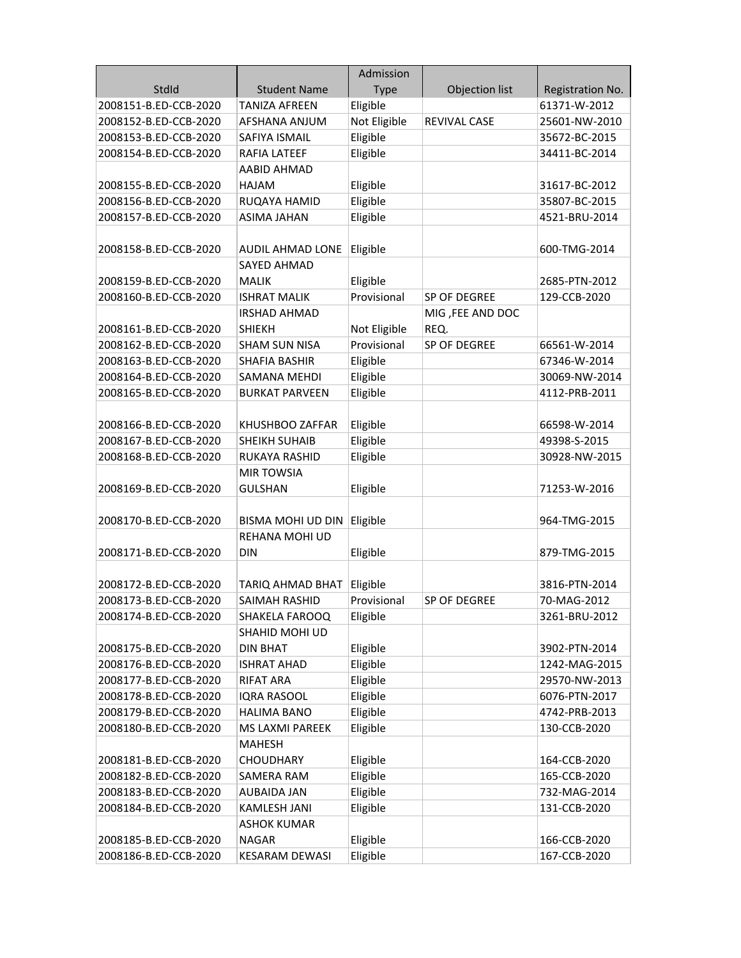|                       |                       | Admission    |                     |                  |
|-----------------------|-----------------------|--------------|---------------------|------------------|
| StdId                 | <b>Student Name</b>   | <b>Type</b>  | Objection list      | Registration No. |
| 2008151-B.ED-CCB-2020 | TANIZA AFREEN         | Eligible     |                     | 61371-W-2012     |
| 2008152-B.ED-CCB-2020 | AFSHANA ANJUM         | Not Eligible | <b>REVIVAL CASE</b> | 25601-NW-2010    |
| 2008153-B.ED-CCB-2020 | SAFIYA ISMAIL         | Eligible     |                     | 35672-BC-2015    |
| 2008154-B.ED-CCB-2020 | RAFIA LATEEF          | Eligible     |                     | 34411-BC-2014    |
|                       | AABID AHMAD           |              |                     |                  |
| 2008155-B.ED-CCB-2020 | HAJAM                 | Eligible     |                     | 31617-BC-2012    |
| 2008156-B.ED-CCB-2020 | RUQAYA HAMID          | Eligible     |                     | 35807-BC-2015    |
| 2008157-B.ED-CCB-2020 | <b>ASIMA JAHAN</b>    | Eligible     |                     | 4521-BRU-2014    |
|                       |                       |              |                     |                  |
| 2008158-B.ED-CCB-2020 | AUDIL AHMAD LONE      | Eligible     |                     | 600-TMG-2014     |
|                       | <b>SAYED AHMAD</b>    |              |                     |                  |
| 2008159-B.ED-CCB-2020 | <b>MALIK</b>          | Eligible     |                     | 2685-PTN-2012    |
| 2008160-B.ED-CCB-2020 | <b>ISHRAT MALIK</b>   | Provisional  | SP OF DEGREE        | 129-CCB-2020     |
|                       | <b>IRSHAD AHMAD</b>   |              | MIG, FEE AND DOC    |                  |
| 2008161-B.ED-CCB-2020 | <b>SHIEKH</b>         | Not Eligible | REQ.                |                  |
| 2008162-B.ED-CCB-2020 | <b>SHAM SUN NISA</b>  | Provisional  | SP OF DEGREE        | 66561-W-2014     |
| 2008163-B.ED-CCB-2020 | SHAFIA BASHIR         | Eligible     |                     | 67346-W-2014     |
| 2008164-B.ED-CCB-2020 | SAMANA MEHDI          | Eligible     |                     | 30069-NW-2014    |
| 2008165-B.ED-CCB-2020 | <b>BURKAT PARVEEN</b> | Eligible     |                     | 4112-PRB-2011    |
|                       |                       |              |                     |                  |
| 2008166-B.ED-CCB-2020 | KHUSHBOO ZAFFAR       | Eligible     |                     | 66598-W-2014     |
| 2008167-B.ED-CCB-2020 | <b>SHEIKH SUHAIB</b>  | Eligible     |                     | 49398-S-2015     |
| 2008168-B.ED-CCB-2020 | RUKAYA RASHID         | Eligible     |                     | 30928-NW-2015    |
|                       | <b>MIR TOWSIA</b>     |              |                     |                  |
| 2008169-B.ED-CCB-2020 | <b>GULSHAN</b>        | Eligible     |                     | 71253-W-2016     |
|                       |                       |              |                     |                  |
| 2008170-B.ED-CCB-2020 | BISMA MOHI UD DIN     | Eligible     |                     | 964-TMG-2015     |
|                       | REHANA MOHI UD        |              |                     |                  |
| 2008171-B.ED-CCB-2020 | <b>DIN</b>            | Eligible     |                     | 879-TMG-2015     |
|                       |                       |              |                     |                  |
| 2008172-B.ED-CCB-2020 | TARIQ AHMAD BHAT      | Eligible     |                     | 3816-PTN-2014    |
| 2008173-B.ED-CCB-2020 | SAIMAH RASHID         | Provisional  | SP OF DEGREE        | 70-MAG-2012      |
| 2008174-B.ED-CCB-2020 | SHAKELA FAROOQ        | Eligible     |                     | 3261-BRU-2012    |
|                       | SHAHID MOHI UD        |              |                     |                  |
| 2008175-B.ED-CCB-2020 | DIN BHAT              | Eligible     |                     | 3902-PTN-2014    |
| 2008176-B.ED-CCB-2020 | <b>ISHRAT AHAD</b>    | Eligible     |                     | 1242-MAG-2015    |
| 2008177-B.ED-CCB-2020 | <b>RIFAT ARA</b>      | Eligible     |                     | 29570-NW-2013    |
| 2008178-B.ED-CCB-2020 | <b>IQRA RASOOL</b>    | Eligible     |                     | 6076-PTN-2017    |
| 2008179-B.ED-CCB-2020 | <b>HALIMA BANO</b>    | Eligible     |                     | 4742-PRB-2013    |
| 2008180-B.ED-CCB-2020 | MS LAXMI PAREEK       | Eligible     |                     | 130-CCB-2020     |
|                       | <b>MAHESH</b>         |              |                     |                  |
| 2008181-B.ED-CCB-2020 | <b>CHOUDHARY</b>      | Eligible     |                     | 164-CCB-2020     |
| 2008182-B.ED-CCB-2020 | SAMERA RAM            | Eligible     |                     | 165-CCB-2020     |
| 2008183-B.ED-CCB-2020 | AUBAIDA JAN           | Eligible     |                     | 732-MAG-2014     |
| 2008184-B.ED-CCB-2020 | <b>KAMLESH JANI</b>   | Eligible     |                     | 131-CCB-2020     |
|                       | <b>ASHOK KUMAR</b>    |              |                     |                  |
| 2008185-B.ED-CCB-2020 | <b>NAGAR</b>          | Eligible     |                     | 166-CCB-2020     |
| 2008186-B.ED-CCB-2020 | <b>KESARAM DEWASI</b> | Eligible     |                     | 167-CCB-2020     |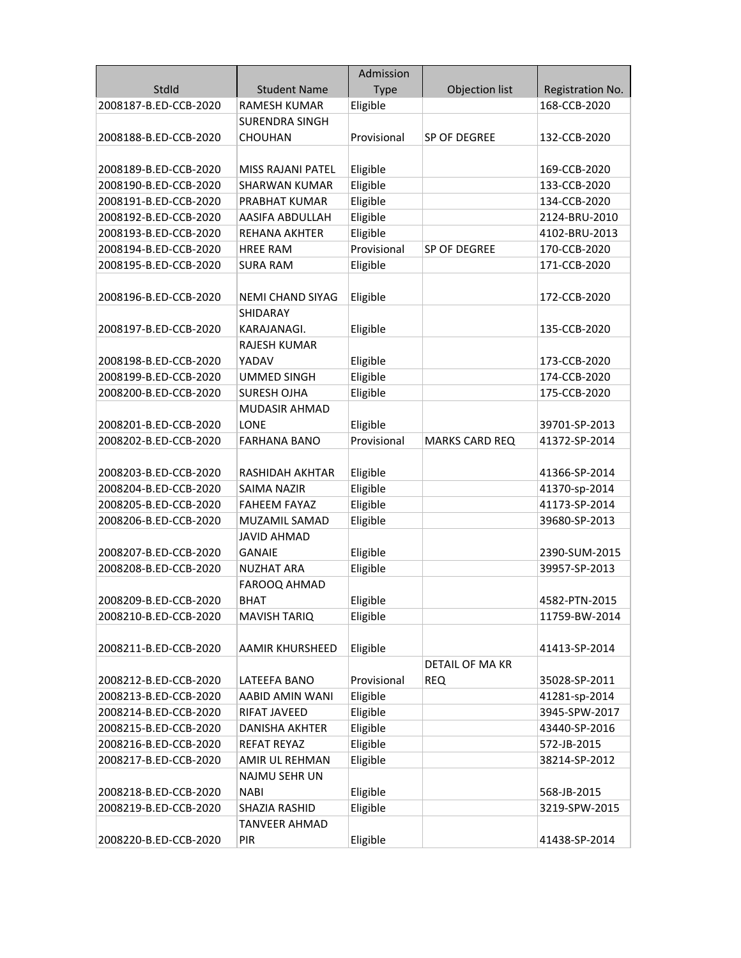|                       |                         | Admission   |                        |                  |
|-----------------------|-------------------------|-------------|------------------------|------------------|
| StdId                 | <b>Student Name</b>     | <b>Type</b> | Objection list         | Registration No. |
| 2008187-B.ED-CCB-2020 | RAMESH KUMAR            | Eligible    |                        | 168-CCB-2020     |
|                       | SURENDRA SINGH          |             |                        |                  |
| 2008188-B.ED-CCB-2020 | <b>CHOUHAN</b>          | Provisional | SP OF DEGREE           | 132-CCB-2020     |
|                       |                         |             |                        |                  |
| 2008189-B.ED-CCB-2020 | MISS RAJANI PATEL       | Eligible    |                        | 169-CCB-2020     |
| 2008190-B.ED-CCB-2020 | <b>SHARWAN KUMAR</b>    | Eligible    |                        | 133-CCB-2020     |
| 2008191-B.ED-CCB-2020 | PRABHAT KUMAR           | Eligible    |                        | 134-CCB-2020     |
| 2008192-B.ED-CCB-2020 | AASIFA ABDULLAH         | Eligible    |                        | 2124-BRU-2010    |
| 2008193-B.ED-CCB-2020 | <b>REHANA AKHTER</b>    | Eligible    |                        | 4102-BRU-2013    |
| 2008194-B.ED-CCB-2020 | <b>HREE RAM</b>         | Provisional | SP OF DEGREE           | 170-CCB-2020     |
| 2008195-B.ED-CCB-2020 | <b>SURA RAM</b>         | Eligible    |                        | 171-CCB-2020     |
|                       |                         |             |                        |                  |
| 2008196-B.ED-CCB-2020 | <b>NEMI CHAND SIYAG</b> | Eligible    |                        | 172-CCB-2020     |
|                       | <b>SHIDARAY</b>         |             |                        |                  |
| 2008197-B.ED-CCB-2020 | KARAJANAGI.             | Eligible    |                        | 135-CCB-2020     |
|                       | <b>RAJESH KUMAR</b>     |             |                        |                  |
| 2008198-B.ED-CCB-2020 | YADAV                   | Eligible    |                        | 173-CCB-2020     |
| 2008199-B.ED-CCB-2020 | <b>UMMED SINGH</b>      | Eligible    |                        | 174-CCB-2020     |
| 2008200-B.ED-CCB-2020 | <b>SURESH OJHA</b>      | Eligible    |                        | 175-CCB-2020     |
|                       | <b>MUDASIR AHMAD</b>    |             |                        |                  |
| 2008201-B.ED-CCB-2020 | <b>LONE</b>             | Eligible    |                        | 39701-SP-2013    |
| 2008202-B.ED-CCB-2020 | <b>FARHANA BANO</b>     | Provisional | <b>MARKS CARD REQ</b>  | 41372-SP-2014    |
|                       |                         |             |                        |                  |
| 2008203-B.ED-CCB-2020 | RASHIDAH AKHTAR         | Eligible    |                        | 41366-SP-2014    |
| 2008204-B.ED-CCB-2020 | <b>SAIMA NAZIR</b>      | Eligible    |                        | 41370-sp-2014    |
| 2008205-B.ED-CCB-2020 | FAHEEM FAYAZ            | Eligible    |                        | 41173-SP-2014    |
| 2008206-B.ED-CCB-2020 | MUZAMIL SAMAD           | Eligible    |                        | 39680-SP-2013    |
|                       | JAVID AHMAD             |             |                        |                  |
| 2008207-B.ED-CCB-2020 | GANAIE                  | Eligible    |                        | 2390-SUM-2015    |
| 2008208-B.ED-CCB-2020 | NUZHAT ARA              | Eligible    |                        | 39957-SP-2013    |
|                       | FAROOQ AHMAD            |             |                        |                  |
| 2008209-B.ED-CCB-2020 | BHAT                    | Eligible    |                        | 4582-PTN-2015    |
| 2008210-B.ED-CCB-2020 | <b>MAVISH TARIQ</b>     | Eligible    |                        | 11759-BW-2014    |
|                       |                         |             |                        |                  |
| 2008211-B.ED-CCB-2020 | AAMIR KHURSHEED         | Eligible    |                        | 41413-SP-2014    |
|                       |                         |             | <b>DETAIL OF MA KR</b> |                  |
| 2008212-B.ED-CCB-2020 | LATEEFA BANO            | Provisional | <b>REQ</b>             | 35028-SP-2011    |
| 2008213-B.ED-CCB-2020 | AABID AMIN WANI         | Eligible    |                        | 41281-sp-2014    |
| 2008214-B.ED-CCB-2020 | RIFAT JAVEED            | Eligible    |                        | 3945-SPW-2017    |
| 2008215-B.ED-CCB-2020 | <b>DANISHA AKHTER</b>   | Eligible    |                        | 43440-SP-2016    |
| 2008216-B.ED-CCB-2020 | REFAT REYAZ             | Eligible    |                        | 572-JB-2015      |
| 2008217-B.ED-CCB-2020 | AMIR UL REHMAN          | Eligible    |                        | 38214-SP-2012    |
|                       | <b>NAJMU SEHR UN</b>    |             |                        |                  |
| 2008218-B.ED-CCB-2020 | NABI                    | Eligible    |                        | 568-JB-2015      |
| 2008219-B.ED-CCB-2020 | SHAZIA RASHID           | Eligible    |                        | 3219-SPW-2015    |
|                       | <b>TANVEER AHMAD</b>    |             |                        |                  |
| 2008220-B.ED-CCB-2020 | PIR                     | Eligible    |                        | 41438-SP-2014    |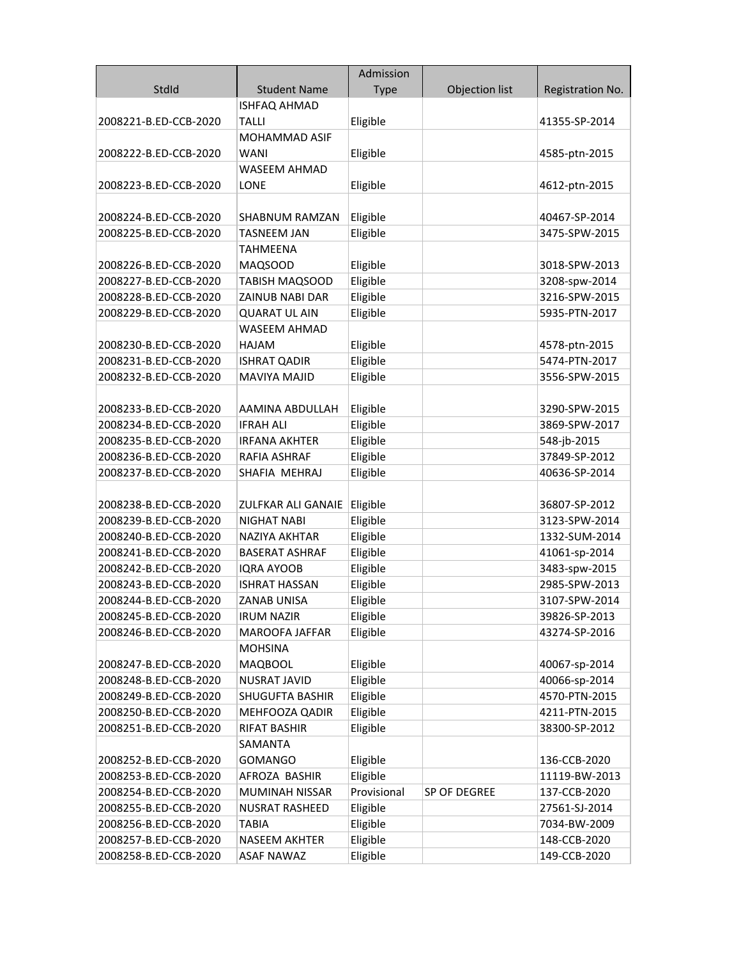|                                                |                                       | Admission   |                |                               |
|------------------------------------------------|---------------------------------------|-------------|----------------|-------------------------------|
| StdId                                          | <b>Student Name</b>                   | <b>Type</b> | Objection list | Registration No.              |
|                                                | <b>ISHFAQ AHMAD</b>                   |             |                |                               |
| 2008221-B.ED-CCB-2020                          | TALLI                                 | Eligible    |                | 41355-SP-2014                 |
|                                                | <b>MOHAMMAD ASIF</b>                  |             |                |                               |
| 2008222-B.ED-CCB-2020                          | <b>WANI</b>                           | Eligible    |                | 4585-ptn-2015                 |
|                                                | WASEEM AHMAD                          |             |                |                               |
| 2008223-B.ED-CCB-2020                          | <b>LONE</b>                           | Eligible    |                | 4612-ptn-2015                 |
|                                                |                                       |             |                |                               |
| 2008224-B.ED-CCB-2020                          | SHABNUM RAMZAN                        | Eligible    |                | 40467-SP-2014                 |
| 2008225-B.ED-CCB-2020                          | TASNEEM JAN                           | Eligible    |                | 3475-SPW-2015                 |
|                                                | <b>TAHMEENA</b>                       |             |                |                               |
| 2008226-B.ED-CCB-2020                          | MAQSOOD                               | Eligible    |                | 3018-SPW-2013                 |
| 2008227-B.ED-CCB-2020                          | <b>TABISH MAQSOOD</b>                 | Eligible    |                | 3208-spw-2014                 |
| 2008228-B.ED-CCB-2020                          | ZAINUB NABI DAR                       | Eligible    |                | 3216-SPW-2015                 |
| 2008229-B.ED-CCB-2020                          | <b>QUARAT UL AIN</b>                  | Eligible    |                | 5935-PTN-2017                 |
|                                                | <b>WASEEM AHMAD</b>                   |             |                |                               |
| 2008230-B.ED-CCB-2020                          | <b>HAJAM</b>                          | Eligible    |                | 4578-ptn-2015                 |
| 2008231-B.ED-CCB-2020                          | <b>ISHRAT QADIR</b>                   | Eligible    |                | 5474-PTN-2017                 |
| 2008232-B.ED-CCB-2020                          | <b>MAVIYA MAJID</b>                   | Eligible    |                | 3556-SPW-2015                 |
|                                                |                                       |             |                |                               |
| 2008233-B.ED-CCB-2020                          | AAMINA ABDULLAH                       | Eligible    |                | 3290-SPW-2015                 |
| 2008234-B.ED-CCB-2020                          | <b>IFRAH ALI</b>                      | Eligible    |                | 3869-SPW-2017                 |
| 2008235-B.ED-CCB-2020                          | <b>IRFANA AKHTER</b>                  | Eligible    |                | 548-jb-2015                   |
| 2008236-B.ED-CCB-2020                          | RAFIA ASHRAF                          | Eligible    |                | 37849-SP-2012                 |
| 2008237-B.ED-CCB-2020                          | SHAFIA MEHRAJ                         | Eligible    |                | 40636-SP-2014                 |
|                                                |                                       |             |                |                               |
| 2008238-B.ED-CCB-2020                          | ZULFKAR ALI GANAIE                    | Eligible    |                | 36807-SP-2012                 |
| 2008239-B.ED-CCB-2020                          | NIGHAT NABI                           | Eligible    |                | 3123-SPW-2014                 |
| 2008240-B.ED-CCB-2020                          | <b>NAZIYA AKHTAR</b>                  | Eligible    |                | 1332-SUM-2014                 |
| 2008241-B.ED-CCB-2020                          | <b>BASERAT ASHRAF</b>                 | Eligible    |                | 41061-sp-2014                 |
| 2008242-B.ED-CCB-2020                          | <b>IQRA AYOOB</b>                     | Eligible    |                | 3483-spw-2015                 |
| 2008243-B.ED-CCB-2020                          | <b>ISHRAT HASSAN</b>                  | Eligible    |                | 2985-SPW-2013                 |
| 2008244-B.ED-CCB-2020                          | <b>ZANAB UNISA</b>                    | Eligible    |                | 3107-SPW-2014                 |
| 2008245-B.ED-CCB-2020                          | <b>IRUM NAZIR</b>                     | Eligible    |                | 39826-SP-2013                 |
| 2008246-B.ED-CCB-2020                          | MAROOFA JAFFAR                        | Eligible    |                | 43274-SP-2016                 |
|                                                | <b>MOHSINA</b>                        |             |                |                               |
| 2008247-B.ED-CCB-2020                          | <b>MAQBOOL</b>                        | Eligible    |                | 40067-sp-2014                 |
| 2008248-B.ED-CCB-2020                          | <b>NUSRAT JAVID</b>                   | Eligible    |                | 40066-sp-2014                 |
| 2008249-B.ED-CCB-2020                          | SHUGUFTA BASHIR                       | Eligible    |                | 4570-PTN-2015                 |
| 2008250-B.ED-CCB-2020                          | MEHFOOZA QADIR                        | Eligible    |                | 4211-PTN-2015                 |
| 2008251-B.ED-CCB-2020                          | <b>RIFAT BASHIR</b><br><b>SAMANTA</b> | Eligible    |                | 38300-SP-2012                 |
| 2008252-B.ED-CCB-2020                          | <b>GOMANGO</b>                        | Eligible    |                | 136-CCB-2020                  |
|                                                | AFROZA BASHIR                         | Eligible    |                |                               |
| 2008253-B.ED-CCB-2020<br>2008254-B.ED-CCB-2020 | MUMINAH NISSAR                        | Provisional | SP OF DEGREE   | 11119-BW-2013<br>137-CCB-2020 |
| 2008255-B.ED-CCB-2020                          | <b>NUSRAT RASHEED</b>                 | Eligible    |                | 27561-SJ-2014                 |
| 2008256-B.ED-CCB-2020                          | <b>TABIA</b>                          | Eligible    |                | 7034-BW-2009                  |
| 2008257-B.ED-CCB-2020                          | <b>NASEEM AKHTER</b>                  | Eligible    |                | 148-CCB-2020                  |
| 2008258-B.ED-CCB-2020                          | <b>ASAF NAWAZ</b>                     | Eligible    |                | 149-CCB-2020                  |
|                                                |                                       |             |                |                               |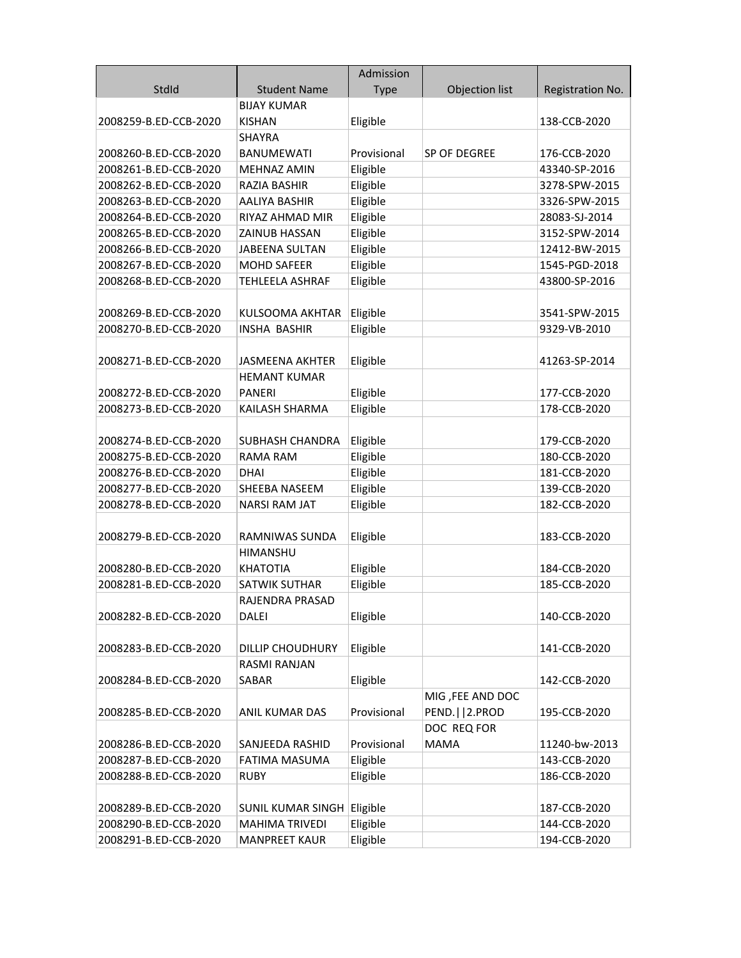|                       |                            | Admission   |                  |                  |
|-----------------------|----------------------------|-------------|------------------|------------------|
| StdId                 | <b>Student Name</b>        | <b>Type</b> | Objection list   | Registration No. |
|                       | <b>BIJAY KUMAR</b>         |             |                  |                  |
| 2008259-B.ED-CCB-2020 | <b>KISHAN</b>              | Eligible    |                  | 138-CCB-2020     |
|                       | SHAYRA                     |             |                  |                  |
| 2008260-B.ED-CCB-2020 | <b>BANUMEWATI</b>          | Provisional | SP OF DEGREE     | 176-CCB-2020     |
| 2008261-B.ED-CCB-2020 | MEHNAZ AMIN                | Eligible    |                  | 43340-SP-2016    |
| 2008262-B.ED-CCB-2020 | <b>RAZIA BASHIR</b>        | Eligible    |                  | 3278-SPW-2015    |
| 2008263-B.ED-CCB-2020 | AALIYA BASHIR              | Eligible    |                  | 3326-SPW-2015    |
| 2008264-B.ED-CCB-2020 | RIYAZ AHMAD MIR            | Eligible    |                  | 28083-SJ-2014    |
| 2008265-B.ED-CCB-2020 | <b>ZAINUB HASSAN</b>       | Eligible    |                  | 3152-SPW-2014    |
| 2008266-B.ED-CCB-2020 | <b>JABEENA SULTAN</b>      | Eligible    |                  | 12412-BW-2015    |
| 2008267-B.ED-CCB-2020 | <b>MOHD SAFEER</b>         | Eligible    |                  | 1545-PGD-2018    |
| 2008268-B.ED-CCB-2020 | <b>TEHLEELA ASHRAF</b>     | Eligible    |                  | 43800-SP-2016    |
|                       |                            |             |                  |                  |
| 2008269-B.ED-CCB-2020 | KULSOOMA AKHTAR            | Eligible    |                  | 3541-SPW-2015    |
| 2008270-B.ED-CCB-2020 | <b>INSHA BASHIR</b>        | Eligible    |                  | 9329-VB-2010     |
|                       |                            |             |                  |                  |
| 2008271-B.ED-CCB-2020 | <b>JASMEENA AKHTER</b>     | Eligible    |                  | 41263-SP-2014    |
|                       | <b>HEMANT KUMAR</b>        |             |                  |                  |
| 2008272-B.ED-CCB-2020 | <b>PANERI</b>              | Eligible    |                  | 177-CCB-2020     |
| 2008273-B.ED-CCB-2020 | KAILASH SHARMA             | Eligible    |                  | 178-CCB-2020     |
|                       |                            |             |                  |                  |
| 2008274-B.ED-CCB-2020 | SUBHASH CHANDRA            | Eligible    |                  | 179-CCB-2020     |
| 2008275-B.ED-CCB-2020 | RAMA RAM                   | Eligible    |                  | 180-CCB-2020     |
| 2008276-B.ED-CCB-2020 | <b>DHAI</b>                | Eligible    |                  | 181-CCB-2020     |
| 2008277-B.ED-CCB-2020 | SHEEBA NASEEM              | Eligible    |                  | 139-CCB-2020     |
| 2008278-B.ED-CCB-2020 | <b>NARSI RAM JAT</b>       | Eligible    |                  | 182-CCB-2020     |
|                       |                            |             |                  |                  |
| 2008279-B.ED-CCB-2020 | RAMNIWAS SUNDA             | Eligible    |                  | 183-CCB-2020     |
|                       | <b>HIMANSHU</b>            |             |                  |                  |
| 2008280-B.ED-CCB-2020 | <b>KHATOTIA</b>            | Eligible    |                  | 184-CCB-2020     |
| 2008281-B.ED-CCB-2020 | SATWIK SUTHAR              | Eligible    |                  | 185-CCB-2020     |
|                       | RAJENDRA PRASAD            |             |                  |                  |
| 2008282-B.ED-CCB-2020 | <b>DALEI</b>               | Eligible    |                  | 140-CCB-2020     |
|                       |                            |             |                  |                  |
| 2008283-B.ED-CCB-2020 | <b>DILLIP CHOUDHURY</b>    | Eligible    |                  | 141-CCB-2020     |
|                       | RASMI RANJAN               |             |                  |                  |
| 2008284-B.ED-CCB-2020 | SABAR                      | Eligible    |                  | 142-CCB-2020     |
|                       |                            |             | MIG, FEE AND DOC |                  |
| 2008285-B.ED-CCB-2020 | ANIL KUMAR DAS             | Provisional | PEND.     2.PROD | 195-CCB-2020     |
|                       |                            |             | DOC REQ FOR      |                  |
| 2008286-B.ED-CCB-2020 | SANJEEDA RASHID            | Provisional | <b>MAMA</b>      | 11240-bw-2013    |
| 2008287-B.ED-CCB-2020 | FATIMA MASUMA              | Eligible    |                  | 143-CCB-2020     |
| 2008288-B.ED-CCB-2020 | RUBY                       | Eligible    |                  | 186-CCB-2020     |
|                       |                            |             |                  |                  |
| 2008289-B.ED-CCB-2020 | SUNIL KUMAR SINGH Eligible |             |                  | 187-CCB-2020     |
| 2008290-B.ED-CCB-2020 | <b>MAHIMA TRIVEDI</b>      | Eligible    |                  | 144-CCB-2020     |
| 2008291-B.ED-CCB-2020 | <b>MANPREET KAUR</b>       | Eligible    |                  | 194-CCB-2020     |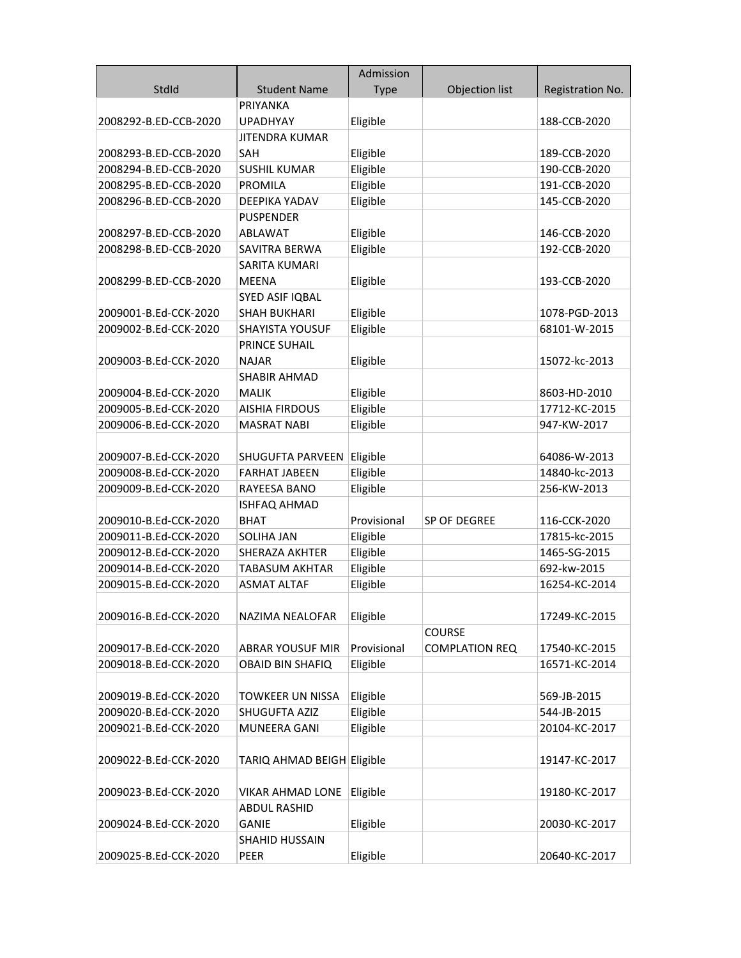|                       |                            | Admission   |                       |                  |
|-----------------------|----------------------------|-------------|-----------------------|------------------|
| StdId                 | <b>Student Name</b>        | <b>Type</b> | Objection list        | Registration No. |
|                       | PRIYANKA                   |             |                       |                  |
| 2008292-B.ED-CCB-2020 | <b>UPADHYAY</b>            | Eligible    |                       | 188-CCB-2020     |
|                       | JITENDRA KUMAR             |             |                       |                  |
| 2008293-B.ED-CCB-2020 | <b>SAH</b>                 | Eligible    |                       | 189-CCB-2020     |
| 2008294-B.ED-CCB-2020 | <b>SUSHIL KUMAR</b>        | Eligible    |                       | 190-CCB-2020     |
| 2008295-B.ED-CCB-2020 | <b>PROMILA</b>             | Eligible    |                       | 191-CCB-2020     |
| 2008296-B.ED-CCB-2020 | <b>DEEPIKA YADAV</b>       | Eligible    |                       | 145-CCB-2020     |
|                       | <b>PUSPENDER</b>           |             |                       |                  |
| 2008297-B.ED-CCB-2020 | <b>ABLAWAT</b>             | Eligible    |                       | 146-CCB-2020     |
| 2008298-B.ED-CCB-2020 | SAVITRA BERWA              | Eligible    |                       | 192-CCB-2020     |
|                       | SARITA KUMARI              |             |                       |                  |
| 2008299-B.ED-CCB-2020 | <b>MEENA</b>               | Eligible    |                       | 193-CCB-2020     |
|                       | SYED ASIF IQBAL            |             |                       |                  |
| 2009001-B.Ed-CCK-2020 | <b>SHAH BUKHARI</b>        | Eligible    |                       | 1078-PGD-2013    |
| 2009002-B.Ed-CCK-2020 | <b>SHAYISTA YOUSUF</b>     | Eligible    |                       | 68101-W-2015     |
|                       | <b>PRINCE SUHAIL</b>       |             |                       |                  |
| 2009003-B.Ed-CCK-2020 | <b>NAJAR</b>               | Eligible    |                       | 15072-kc-2013    |
|                       | SHABIR AHMAD               |             |                       |                  |
| 2009004-B.Ed-CCK-2020 | <b>MALIK</b>               | Eligible    |                       | 8603-HD-2010     |
| 2009005-B.Ed-CCK-2020 | <b>AISHIA FIRDOUS</b>      | Eligible    |                       | 17712-KC-2015    |
| 2009006-B.Ed-CCK-2020 | <b>MASRAT NABI</b>         | Eligible    |                       | 947-KW-2017      |
|                       |                            |             |                       |                  |
| 2009007-B.Ed-CCK-2020 | SHUGUFTA PARVEEN           | Eligible    |                       | 64086-W-2013     |
| 2009008-B.Ed-CCK-2020 | <b>FARHAT JABEEN</b>       | Eligible    |                       | 14840-kc-2013    |
| 2009009-B.Ed-CCK-2020 | <b>RAYEESA BANO</b>        | Eligible    |                       | 256-KW-2013      |
|                       | <b>ISHFAQ AHMAD</b>        |             |                       |                  |
| 2009010-B.Ed-CCK-2020 | <b>BHAT</b>                | Provisional | SP OF DEGREE          | 116-CCK-2020     |
| 2009011-B.Ed-CCK-2020 | <b>SOLIHA JAN</b>          | Eligible    |                       | 17815-kc-2015    |
| 2009012-B.Ed-CCK-2020 | SHERAZA AKHTER             | Eligible    |                       | 1465-SG-2015     |
| 2009014-B.Ed-CCK-2020 | <b>TABASUM AKHTAR</b>      | Eligible    |                       | 692-kw-2015      |
| 2009015-B.Ed-CCK-2020 | <b>ASMAT ALTAF</b>         | Eligible    |                       | 16254-KC-2014    |
|                       |                            |             |                       |                  |
| 2009016-B.Ed-CCK-2020 | NAZIMA NEALOFAR            | Eligible    |                       | 17249-KC-2015    |
|                       |                            |             | <b>COURSE</b>         |                  |
| 2009017-B.Ed-CCK-2020 | <b>ABRAR YOUSUF MIR</b>    | Provisional | <b>COMPLATION REQ</b> | 17540-KC-2015    |
| 2009018-B.Ed-CCK-2020 | <b>OBAID BIN SHAFIQ</b>    | Eligible    |                       | 16571-KC-2014    |
|                       |                            |             |                       |                  |
| 2009019-B.Ed-CCK-2020 | TOWKEER UN NISSA           | Eligible    |                       | 569-JB-2015      |
| 2009020-B.Ed-CCK-2020 | SHUGUFTA AZIZ              | Eligible    |                       | 544-JB-2015      |
| 2009021-B.Ed-CCK-2020 | <b>MUNEERA GANI</b>        | Eligible    |                       | 20104-KC-2017    |
|                       |                            |             |                       |                  |
| 2009022-B.Ed-CCK-2020 | TARIQ AHMAD BEIGH Eligible |             |                       | 19147-KC-2017    |
|                       |                            |             |                       |                  |
| 2009023-B.Ed-CCK-2020 | VIKAR AHMAD LONE           | Eligible    |                       | 19180-KC-2017    |
|                       | <b>ABDUL RASHID</b>        |             |                       |                  |
| 2009024-B.Ed-CCK-2020 | <b>GANIE</b>               | Eligible    |                       | 20030-KC-2017    |
|                       | SHAHID HUSSAIN             |             |                       |                  |
| 2009025-B.Ed-CCK-2020 | <b>PEER</b>                | Eligible    |                       | 20640-KC-2017    |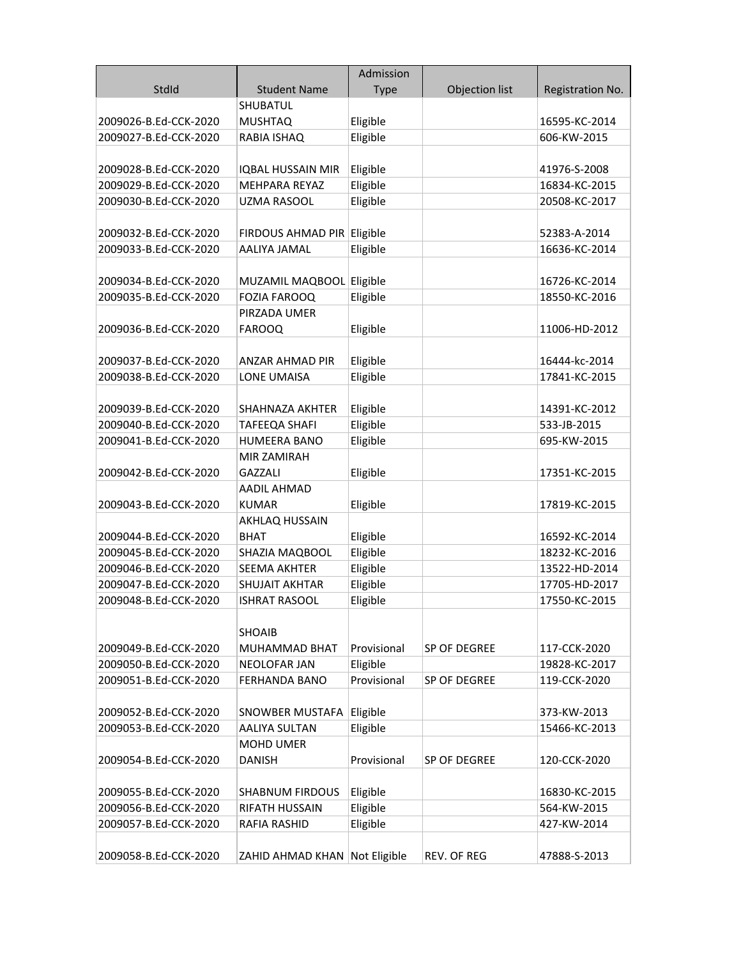|                       |                                          | Admission            |                    |                  |
|-----------------------|------------------------------------------|----------------------|--------------------|------------------|
| StdId                 | <b>Student Name</b>                      | <b>Type</b>          | Objection list     | Registration No. |
|                       | <b>SHUBATUL</b>                          |                      |                    |                  |
| 2009026-B.Ed-CCK-2020 | <b>MUSHTAQ</b>                           | Eligible             |                    | 16595-KC-2014    |
| 2009027-B.Ed-CCK-2020 | RABIA ISHAQ                              | Eligible             |                    | 606-KW-2015      |
|                       |                                          |                      |                    |                  |
| 2009028-B.Ed-CCK-2020 | <b>IQBAL HUSSAIN MIR</b>                 | Eligible             |                    | 41976-S-2008     |
| 2009029-B.Ed-CCK-2020 | MEHPARA REYAZ                            | Eligible             |                    | 16834-KC-2015    |
| 2009030-B.Ed-CCK-2020 | <b>UZMA RASOOL</b>                       | Eligible             |                    | 20508-KC-2017    |
|                       |                                          |                      |                    |                  |
| 2009032-B.Ed-CCK-2020 | FIRDOUS AHMAD PIR Eligible               |                      |                    | 52383-A-2014     |
| 2009033-B.Ed-CCK-2020 | AALIYA JAMAL                             | Eligible             |                    | 16636-KC-2014    |
|                       |                                          |                      |                    |                  |
| 2009034-B.Ed-CCK-2020 | MUZAMIL MAQBOOL Eligible                 |                      |                    | 16726-KC-2014    |
| 2009035-B.Ed-CCK-2020 | <b>FOZIA FAROOQ</b>                      | Eligible             |                    | 18550-KC-2016    |
|                       | PIRZADA UMER                             |                      |                    |                  |
| 2009036-B.Ed-CCK-2020 | <b>FAROOQ</b>                            | Eligible             |                    | 11006-HD-2012    |
|                       |                                          |                      |                    |                  |
| 2009037-B.Ed-CCK-2020 | ANZAR AHMAD PIR                          | Eligible             |                    | 16444-kc-2014    |
| 2009038-B.Ed-CCK-2020 | <b>LONE UMAISA</b>                       | Eligible             |                    | 17841-KC-2015    |
|                       |                                          |                      |                    |                  |
| 2009039-B.Ed-CCK-2020 | <b>SHAHNAZA AKHTER</b>                   | Eligible             |                    | 14391-KC-2012    |
| 2009040-B.Ed-CCK-2020 | TAFEEQA SHAFI                            | Eligible             |                    | 533-JB-2015      |
| 2009041-B.Ed-CCK-2020 | <b>HUMEERA BANO</b>                      | Eligible             |                    | 695-KW-2015      |
|                       | MIR ZAMIRAH                              |                      |                    |                  |
| 2009042-B.Ed-CCK-2020 | <b>GAZZALI</b>                           | Eligible             |                    | 17351-KC-2015    |
|                       | <b>AADIL AHMAD</b>                       |                      |                    |                  |
| 2009043-B.Ed-CCK-2020 | <b>KUMAR</b>                             | Eligible             |                    | 17819-KC-2015    |
|                       | AKHLAQ HUSSAIN                           |                      |                    |                  |
| 2009044-B.Ed-CCK-2020 | <b>BHAT</b>                              | Eligible             |                    | 16592-KC-2014    |
| 2009045-B.Ed-CCK-2020 | SHAZIA MAQBOOL                           | Eligible             |                    | 18232-KC-2016    |
| 2009046-B.Ed-CCK-2020 | <b>SEEMA AKHTER</b>                      | Eligible             |                    | 13522-HD-2014    |
| 2009047-B.Ed-CCK-2020 | <b>SHUJAIT AKHTAR</b>                    | Eligible             |                    | 17705-HD-2017    |
| 2009048-B.Ed-CCK-2020 | <b>ISHRAT RASOOL</b>                     | Eligible             |                    | 17550-KC-2015    |
|                       |                                          |                      |                    |                  |
|                       | <b>SHOAIB</b>                            |                      |                    |                  |
| 2009049-B.Ed-CCK-2020 | <b>MUHAMMAD BHAT</b>                     | Provisional          | SP OF DEGREE       | 117-CCK-2020     |
| 2009050-B.Ed-CCK-2020 | <b>NEOLOFAR JAN</b>                      | Eligible             |                    | 19828-KC-2017    |
| 2009051-B.Ed-CCK-2020 | <b>FERHANDA BANO</b>                     | Provisional          | SP OF DEGREE       | 119-CCK-2020     |
|                       |                                          |                      |                    |                  |
| 2009052-B.Ed-CCK-2020 | SNOWBER MUSTAFA                          | Eligible             |                    | 373-KW-2013      |
| 2009053-B.Ed-CCK-2020 | <b>AALIYA SULTAN</b>                     | Eligible             |                    | 15466-KC-2013    |
|                       | <b>MOHD UMER</b>                         |                      |                    |                  |
| 2009054-B.Ed-CCK-2020 | DANISH                                   | Provisional          | SP OF DEGREE       | 120-CCK-2020     |
| 2009055-B.Ed-CCK-2020 |                                          |                      |                    | 16830-KC-2015    |
| 2009056-B.Ed-CCK-2020 | <b>SHABNUM FIRDOUS</b><br>RIFATH HUSSAIN | Eligible<br>Eligible |                    | 564-KW-2015      |
| 2009057-B.Ed-CCK-2020 | RAFIA RASHID                             | Eligible             |                    | 427-KW-2014      |
|                       |                                          |                      |                    |                  |
| 2009058-B.Ed-CCK-2020 | ZAHID AHMAD KHAN Not Eligible            |                      | <b>REV. OF REG</b> | 47888-S-2013     |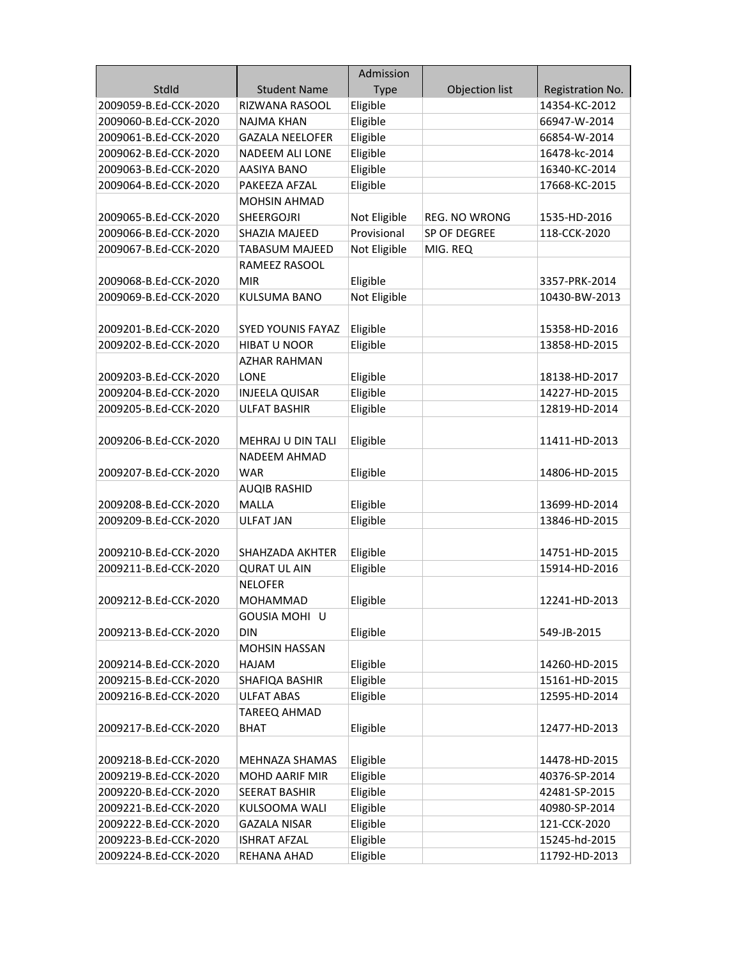|                       |                          | Admission            |                      |                  |
|-----------------------|--------------------------|----------------------|----------------------|------------------|
| StdId                 | <b>Student Name</b>      | <b>Type</b>          | Objection list       | Registration No. |
| 2009059-B.Ed-CCK-2020 | RIZWANA RASOOL           | Eligible             |                      | 14354-KC-2012    |
| 2009060-B.Ed-CCK-2020 | NAJMA KHAN               | Eligible             |                      | 66947-W-2014     |
| 2009061-B.Ed-CCK-2020 | <b>GAZALA NEELOFER</b>   | Eligible             |                      | 66854-W-2014     |
| 2009062-B.Ed-CCK-2020 | NADEEM ALI LONE          | Eligible             |                      | 16478-kc-2014    |
| 2009063-B.Ed-CCK-2020 | AASIYA BANO              | Eligible             |                      | 16340-KC-2014    |
| 2009064-B.Ed-CCK-2020 | PAKEEZA AFZAL            | Eligible             |                      | 17668-KC-2015    |
|                       | <b>MOHSIN AHMAD</b>      |                      |                      |                  |
| 2009065-B.Ed-CCK-2020 | <b>SHEERGOJRI</b>        | Not Eligible         | <b>REG. NO WRONG</b> | 1535-HD-2016     |
| 2009066-B.Ed-CCK-2020 | SHAZIA MAJEED            | Provisional          | SP OF DEGREE         | 118-CCK-2020     |
| 2009067-B.Ed-CCK-2020 | <b>TABASUM MAJEED</b>    | Not Eligible         | MIG. REQ             |                  |
|                       | RAMEEZ RASOOL            |                      |                      |                  |
| 2009068-B.Ed-CCK-2020 | <b>MIR</b>               | Eligible             |                      | 3357-PRK-2014    |
| 2009069-B.Ed-CCK-2020 | <b>KULSUMA BANO</b>      | Not Eligible         |                      | 10430-BW-2013    |
|                       |                          |                      |                      |                  |
| 2009201-B.Ed-CCK-2020 | <b>SYED YOUNIS FAYAZ</b> | Eligible             |                      | 15358-HD-2016    |
| 2009202-B.Ed-CCK-2020 | <b>HIBAT U NOOR</b>      | Eligible             |                      | 13858-HD-2015    |
|                       | AZHAR RAHMAN             |                      |                      |                  |
| 2009203-B.Ed-CCK-2020 | LONE                     | Eligible             |                      | 18138-HD-2017    |
| 2009204-B.Ed-CCK-2020 | <b>INJEELA QUISAR</b>    | Eligible             |                      | 14227-HD-2015    |
| 2009205-B.Ed-CCK-2020 | <b>ULFAT BASHIR</b>      | Eligible             |                      | 12819-HD-2014    |
|                       |                          |                      |                      |                  |
| 2009206-B.Ed-CCK-2020 | MEHRAJ U DIN TALI        | Eligible             |                      | 11411-HD-2013    |
|                       | <b>NADEEM AHMAD</b>      |                      |                      |                  |
| 2009207-B.Ed-CCK-2020 | <b>WAR</b>               | Eligible             |                      | 14806-HD-2015    |
|                       | <b>AUQIB RASHID</b>      |                      |                      |                  |
| 2009208-B.Ed-CCK-2020 | <b>MALLA</b>             | Eligible             |                      | 13699-HD-2014    |
| 2009209-B.Ed-CCK-2020 | ULFAT JAN                | Eligible             |                      | 13846-HD-2015    |
|                       |                          |                      |                      |                  |
| 2009210-B.Ed-CCK-2020 | SHAHZADA AKHTER          | Eligible             |                      | 14751-HD-2015    |
| 2009211-B.Ed-CCK-2020 | <b>QURAT UL AIN</b>      | Eligible             |                      | 15914-HD-2016    |
|                       | <b>NELOFER</b>           |                      |                      |                  |
| 2009212-B.Ed-CCK-2020 | MOHAMMAD                 | Eligible             |                      | 12241-HD-2013    |
|                       | GOUSIA MOHI U            |                      |                      |                  |
| 2009213-B.Ed-CCK-2020 | <b>DIN</b>               | Eligible             |                      | 549-JB-2015      |
|                       | MOHSIN HASSAN            |                      |                      |                  |
| 2009214-B.Ed-CCK-2020 | HAJAM                    | Eligible             |                      | 14260-HD-2015    |
| 2009215-B.Ed-CCK-2020 | SHAFIQA BASHIR           | Eligible             |                      | 15161-HD-2015    |
| 2009216-B.Ed-CCK-2020 | <b>ULFAT ABAS</b>        | Eligible             |                      | 12595-HD-2014    |
|                       | TAREEQ AHMAD             |                      |                      |                  |
| 2009217-B.Ed-CCK-2020 | <b>BHAT</b>              | Eligible             |                      | 12477-HD-2013    |
|                       |                          |                      |                      |                  |
| 2009218-B.Ed-CCK-2020 | MEHNAZA SHAMAS           | Eligible             |                      | 14478-HD-2015    |
| 2009219-B.Ed-CCK-2020 | <b>MOHD AARIF MIR</b>    | Eligible             |                      | 40376-SP-2014    |
| 2009220-B.Ed-CCK-2020 | <b>SEERAT BASHIR</b>     | Eligible             |                      | 42481-SP-2015    |
| 2009221-B.Ed-CCK-2020 | KULSOOMA WALI            | Eligible             |                      | 40980-SP-2014    |
| 2009222-B.Ed-CCK-2020 | <b>GAZALA NISAR</b>      | Eligible<br>Eligible |                      | 121-CCK-2020     |
| 2009223-B.Ed-CCK-2020 | <b>ISHRAT AFZAL</b>      |                      |                      | 15245-hd-2015    |
| 2009224-B.Ed-CCK-2020 | REHANA AHAD              | Eligible             |                      | 11792-HD-2013    |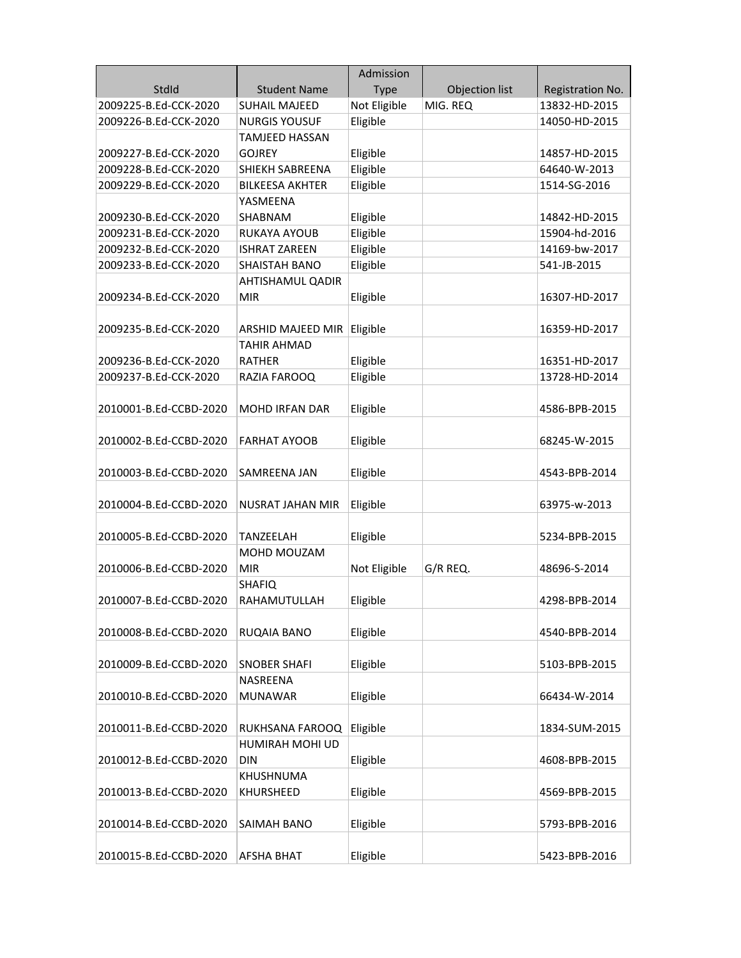|                        |                         | Admission    |                |                  |
|------------------------|-------------------------|--------------|----------------|------------------|
| StdId                  | <b>Student Name</b>     | <b>Type</b>  | Objection list | Registration No. |
| 2009225-B.Ed-CCK-2020  | <b>SUHAIL MAJEED</b>    | Not Eligible | MIG. REQ       | 13832-HD-2015    |
| 2009226-B.Ed-CCK-2020  | <b>NURGIS YOUSUF</b>    | Eligible     |                | 14050-HD-2015    |
|                        | TAMJEED HASSAN          |              |                |                  |
| 2009227-B.Ed-CCK-2020  | <b>GOJREY</b>           | Eligible     |                | 14857-HD-2015    |
| 2009228-B.Ed-CCK-2020  | SHIEKH SABREENA         | Eligible     |                | 64640-W-2013     |
| 2009229-B.Ed-CCK-2020  | <b>BILKEESA AKHTER</b>  | Eligible     |                | 1514-SG-2016     |
|                        | YASMEENA                |              |                |                  |
| 2009230-B.Ed-CCK-2020  | SHABNAM                 | Eligible     |                | 14842-HD-2015    |
| 2009231-B.Ed-CCK-2020  | <b>RUKAYA AYOUB</b>     | Eligible     |                | 15904-hd-2016    |
| 2009232-B.Ed-CCK-2020  | <b>ISHRAT ZAREEN</b>    | Eligible     |                | 14169-bw-2017    |
| 2009233-B.Ed-CCK-2020  | <b>SHAISTAH BANO</b>    | Eligible     |                | 541-JB-2015      |
|                        | <b>AHTISHAMUL QADIR</b> |              |                |                  |
| 2009234-B.Ed-CCK-2020  | <b>MIR</b>              | Eligible     |                | 16307-HD-2017    |
|                        |                         |              |                |                  |
| 2009235-B.Ed-CCK-2020  | ARSHID MAJEED MIR       | Eligible     |                | 16359-HD-2017    |
|                        | <b>TAHIR AHMAD</b>      |              |                |                  |
| 2009236-B.Ed-CCK-2020  | <b>RATHFR</b>           | Eligible     |                | 16351-HD-2017    |
| 2009237-B.Ed-CCK-2020  | RAZIA FAROOQ            | Eligible     |                | 13728-HD-2014    |
|                        |                         |              |                |                  |
| 2010001-B.Ed-CCBD-2020 | MOHD IRFAN DAR          | Eligible     |                | 4586-BPB-2015    |
|                        |                         |              |                |                  |
| 2010002-B.Ed-CCBD-2020 | <b>FARHAT AYOOB</b>     | Eligible     |                | 68245-W-2015     |
|                        |                         |              |                |                  |
| 2010003-B.Ed-CCBD-2020 | SAMREENA JAN            | Eligible     |                | 4543-BPB-2014    |
|                        |                         |              |                |                  |
| 2010004-B.Ed-CCBD-2020 | <b>NUSRAT JAHAN MIR</b> | Eligible     |                | 63975-w-2013     |
|                        |                         |              |                |                  |
| 2010005-B.Ed-CCBD-2020 | TANZEELAH               | Eligible     |                | 5234-BPB-2015    |
|                        | MOHD MOUZAM             |              |                |                  |
| 2010006-B.Ed-CCBD-2020 | <b>MIR</b>              | Not Eligible | G/R REQ.       | 48696-S-2014     |
|                        | <b>SHAFIQ</b>           |              |                |                  |
| 2010007-B.Ed-CCBD-2020 | RAHAMUTULLAH            | Eligible     |                | 4298-BPB-2014    |
|                        |                         |              |                |                  |
| 2010008-B.Ed-CCBD-2020 | RUQAIA BANO             | Eligible     |                | 4540-BPB-2014    |
|                        |                         |              |                |                  |
| 2010009-B.Ed-CCBD-2020 | <b>SNOBER SHAFI</b>     | Eligible     |                | 5103-BPB-2015    |
|                        | NASREENA                |              |                |                  |
| 2010010-B.Ed-CCBD-2020 | <b>MUNAWAR</b>          | Eligible     |                | 66434-W-2014     |
|                        |                         |              |                |                  |
| 2010011-B.Ed-CCBD-2020 | RUKHSANA FAROOQ         | Eligible     |                | 1834-SUM-2015    |
|                        | HUMIRAH MOHI UD         |              |                |                  |
| 2010012-B.Ed-CCBD-2020 | <b>DIN</b>              | Eligible     |                | 4608-BPB-2015    |
|                        | KHUSHNUMA               |              |                |                  |
| 2010013-B.Ed-CCBD-2020 | KHURSHEED               | Eligible     |                | 4569-BPB-2015    |
|                        |                         |              |                |                  |
| 2010014-B.Ed-CCBD-2020 | SAIMAH BANO             | Eligible     |                | 5793-BPB-2016    |
|                        |                         |              |                |                  |
| 2010015-B.Ed-CCBD-2020 | <b>AFSHA BHAT</b>       | Eligible     |                | 5423-BPB-2016    |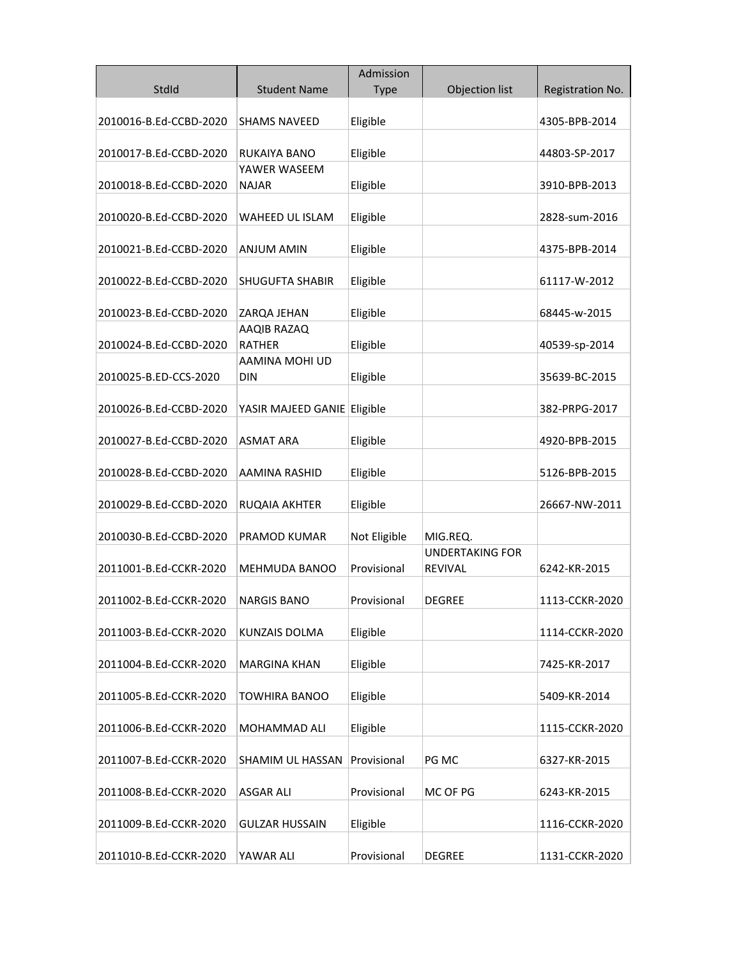|                        |                              | Admission    |                                          |                  |
|------------------------|------------------------------|--------------|------------------------------------------|------------------|
| StdId                  | <b>Student Name</b>          | <b>Type</b>  | Objection list                           | Registration No. |
| 2010016-B.Ed-CCBD-2020 | <b>SHAMS NAVEED</b>          | Eligible     |                                          | 4305-BPB-2014    |
|                        |                              |              |                                          |                  |
| 2010017-B.Ed-CCBD-2020 | RUKAIYA BANO                 | Eligible     |                                          | 44803-SP-2017    |
|                        | YAWER WASEEM                 |              |                                          |                  |
| 2010018-B.Ed-CCBD-2020 | <b>NAJAR</b>                 | Eligible     |                                          | 3910-BPB-2013    |
| 2010020-B.Ed-CCBD-2020 | WAHEED UL ISLAM              | Eligible     |                                          | 2828-sum-2016    |
| 2010021-B.Ed-CCBD-2020 | <b>ANJUM AMIN</b>            | Eligible     |                                          | 4375-BPB-2014    |
| 2010022-B.Ed-CCBD-2020 | <b>SHUGUFTA SHABIR</b>       | Eligible     |                                          | 61117-W-2012     |
| 2010023-B.Ed-CCBD-2020 | ZARQA JEHAN                  | Eligible     |                                          | 68445-w-2015     |
| 2010024-B.Ed-CCBD-2020 | AAQIB RAZAQ<br><b>RATHER</b> | Eligible     |                                          | 40539-sp-2014    |
| 2010025-B.ED-CCS-2020  | AAMINA MOHI UD<br>DIN        | Eligible     |                                          | 35639-BC-2015    |
| 2010026-B.Ed-CCBD-2020 | YASIR MAJEED GANIE Eligible  |              |                                          | 382-PRPG-2017    |
|                        |                              |              |                                          |                  |
| 2010027-B.Ed-CCBD-2020 | <b>ASMAT ARA</b>             | Eligible     |                                          | 4920-BPB-2015    |
| 2010028-B.Ed-CCBD-2020 | AAMINA RASHID                | Eligible     |                                          | 5126-BPB-2015    |
| 2010029-B.Ed-CCBD-2020 | RUQAIA AKHTER                | Eligible     |                                          | 26667-NW-2011    |
| 2010030-B.Ed-CCBD-2020 | PRAMOD KUMAR                 | Not Eligible | MIG.REQ.                                 |                  |
| 2011001-B.Ed-CCKR-2020 | <b>MEHMUDA BANOO</b>         | Provisional  | <b>UNDERTAKING FOR</b><br><b>REVIVAL</b> | 6242-KR-2015     |
| 2011002-B.Ed-CCKR-2020 | NARGIS BANO                  | Provisional  | <b>DEGREE</b>                            | 1113-CCKR-2020   |
| 2011003-B.Ed-CCKR-2020 | KUNZAIS DOLMA                | Eligible     |                                          | 1114-CCKR-2020   |
| 2011004-B.Ed-CCKR-2020 | <b>MARGINA KHAN</b>          | Eligible     |                                          | 7425-KR-2017     |
|                        |                              |              |                                          |                  |
| 2011005-B.Ed-CCKR-2020 | TOWHIRA BANOO                | Eligible     |                                          | 5409-KR-2014     |
| 2011006-B.Ed-CCKR-2020 | MOHAMMAD ALI                 | Eligible     |                                          | 1115-CCKR-2020   |
| 2011007-B.Ed-CCKR-2020 | SHAMIM UL HASSAN             | Provisional  | PG MC                                    | 6327-KR-2015     |
| 2011008-B.Ed-CCKR-2020 | <b>ASGAR ALI</b>             | Provisional  | MC OF PG                                 | 6243-KR-2015     |
| 2011009-B.Ed-CCKR-2020 | <b>GULZAR HUSSAIN</b>        | Eligible     |                                          | 1116-CCKR-2020   |
| 2011010-B.Ed-CCKR-2020 | YAWAR ALI                    | Provisional  | <b>DEGREE</b>                            | 1131-CCKR-2020   |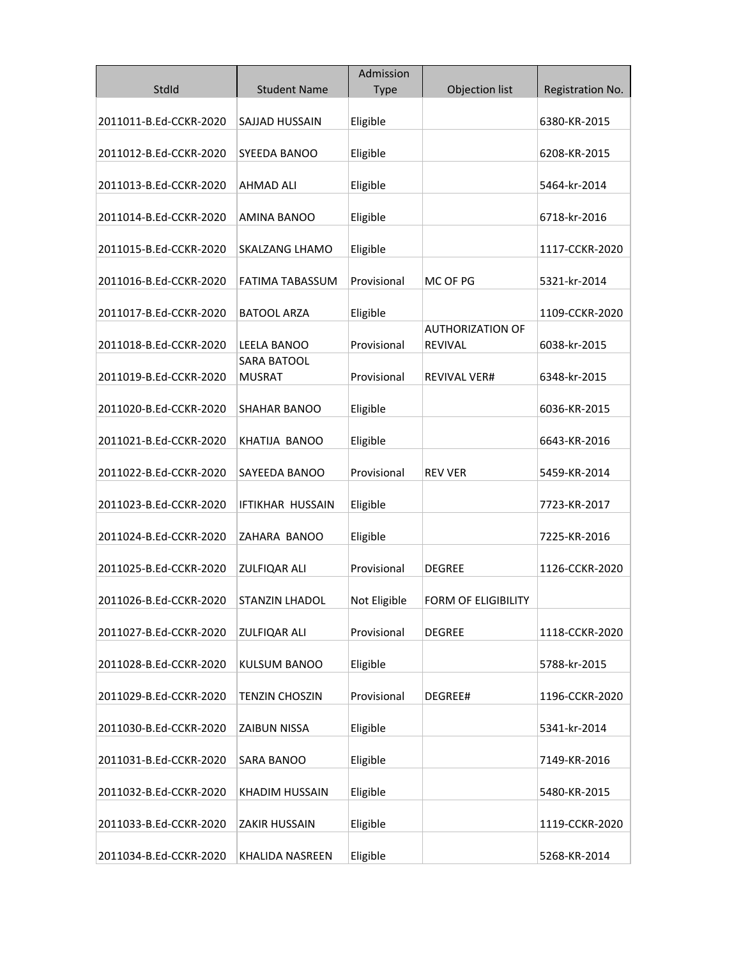|                        |                              | Admission    |                                           |                  |
|------------------------|------------------------------|--------------|-------------------------------------------|------------------|
| StdId                  | <b>Student Name</b>          | <b>Type</b>  | Objection list                            | Registration No. |
| 2011011-B.Ed-CCKR-2020 | SAJJAD HUSSAIN               | Eligible     |                                           | 6380-KR-2015     |
| 2011012-B.Ed-CCKR-2020 | SYEEDA BANOO                 | Eligible     |                                           | 6208-KR-2015     |
| 2011013-B.Ed-CCKR-2020 | <b>AHMAD ALI</b>             | Eligible     |                                           | 5464-kr-2014     |
| 2011014-B.Ed-CCKR-2020 | AMINA BANOO                  | Eligible     |                                           | 6718-kr-2016     |
| 2011015-B.Ed-CCKR-2020 | <b>SKALZANG LHAMO</b>        | Eligible     |                                           | 1117-CCKR-2020   |
| 2011016-B.Ed-CCKR-2020 | FATIMA TABASSUM              | Provisional  | MC OF PG                                  | 5321-kr-2014     |
| 2011017-B.Ed-CCKR-2020 | <b>BATOOL ARZA</b>           | Eligible     |                                           | 1109-CCKR-2020   |
| 2011018-B.Ed-CCKR-2020 | <b>LEELA BANOO</b>           | Provisional  | <b>AUTHORIZATION OF</b><br><b>REVIVAL</b> | 6038-kr-2015     |
| 2011019-B.Ed-CCKR-2020 | SARA BATOOL<br><b>MUSRAT</b> | Provisional  | <b>REVIVAL VER#</b>                       | 6348-kr-2015     |
| 2011020-B.Ed-CCKR-2020 | <b>SHAHAR BANOO</b>          | Eligible     |                                           | 6036-KR-2015     |
| 2011021-B.Ed-CCKR-2020 | KHATIJA BANOO                | Eligible     |                                           | 6643-KR-2016     |
| 2011022-B.Ed-CCKR-2020 | SAYEEDA BANOO                | Provisional  | <b>REV VER</b>                            | 5459-KR-2014     |
| 2011023-B.Ed-CCKR-2020 | <b>IFTIKHAR HUSSAIN</b>      | Eligible     |                                           | 7723-KR-2017     |
| 2011024-B.Ed-CCKR-2020 | ZAHARA BANOO                 | Eligible     |                                           | 7225-KR-2016     |
| 2011025-B.Ed-CCKR-2020 | ZULFIQAR ALI                 | Provisional  | <b>DEGREE</b>                             | 1126-CCKR-2020   |
| 2011026-B.Ed-CCKR-2020 | STANZIN LHADOL               | Not Eligible | <b>FORM OF ELIGIBILITY</b>                |                  |
| 2011027-B.Ed-CCKR-2020 | <b>ZULFIQAR ALI</b>          | Provisional  | <b>DEGREE</b>                             | 1118-CCKR-2020   |
| 2011028-B.Ed-CCKR-2020 | <b>KULSUM BANOO</b>          | Eligible     |                                           | 5788-kr-2015     |
| 2011029-B.Ed-CCKR-2020 | <b>TENZIN CHOSZIN</b>        | Provisional  | DEGREE#                                   | 1196-CCKR-2020   |
| 2011030-B.Ed-CCKR-2020 | <b>ZAIBUN NISSA</b>          | Eligible     |                                           | 5341-kr-2014     |
| 2011031-B.Ed-CCKR-2020 | SARA BANOO                   | Eligible     |                                           | 7149-KR-2016     |
| 2011032-B.Ed-CCKR-2020 | KHADIM HUSSAIN               | Eligible     |                                           | 5480-KR-2015     |
| 2011033-B.Ed-CCKR-2020 | <b>ZAKIR HUSSAIN</b>         | Eligible     |                                           | 1119-CCKR-2020   |
| 2011034-B.Ed-CCKR-2020 | KHALIDA NASREEN              | Eligible     |                                           | 5268-KR-2014     |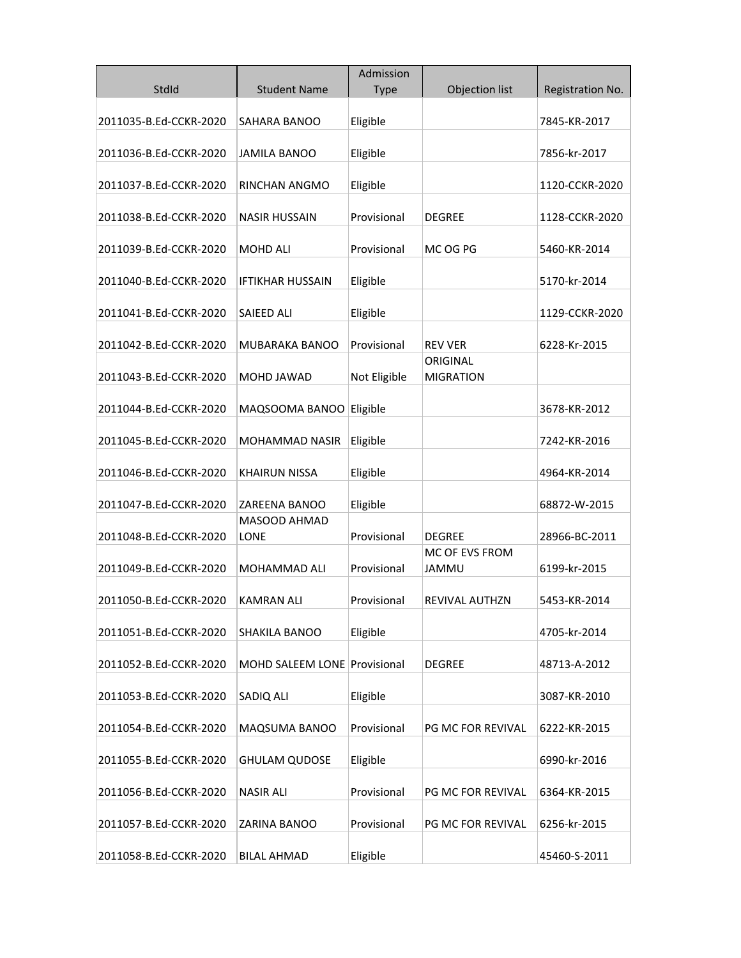| StdId<br><b>Student Name</b><br><b>Type</b><br>Objection list<br>Registration No.<br>2011035-B.Ed-CCKR-2020<br>Eligible<br>SAHARA BANOO<br>7845-KR-2017 |  |
|---------------------------------------------------------------------------------------------------------------------------------------------------------|--|
|                                                                                                                                                         |  |
|                                                                                                                                                         |  |
|                                                                                                                                                         |  |
| 2011036-B.Ed-CCKR-2020<br>7856-kr-2017<br><b>JAMILA BANOO</b><br>Eligible                                                                               |  |
|                                                                                                                                                         |  |
| 2011037-B.Ed-CCKR-2020<br>Eligible<br>1120-CCKR-2020<br><b>RINCHAN ANGMO</b>                                                                            |  |
| 2011038-B.Ed-CCKR-2020<br><b>NASIR HUSSAIN</b><br>Provisional<br><b>DEGREE</b><br>1128-CCKR-2020                                                        |  |
|                                                                                                                                                         |  |
| 2011039-B.Ed-CCKR-2020<br><b>MOHD ALI</b><br>Provisional<br>MC OG PG<br>5460-KR-2014                                                                    |  |
|                                                                                                                                                         |  |
| 5170-kr-2014<br>2011040-B.Ed-CCKR-2020<br>IFTIKHAR HUSSAIN<br>Eligible                                                                                  |  |
| 2011041-B.Ed-CCKR-2020<br><b>SAIEED ALI</b><br>Eligible<br>1129-CCKR-2020                                                                               |  |
|                                                                                                                                                         |  |
| 2011042-B.Ed-CCKR-2020<br>MUBARAKA BANOO<br>Provisional<br><b>REV VER</b><br>6228-Kr-2015                                                               |  |
| ORIGINAL                                                                                                                                                |  |
| Not Eligible<br>2011043-B.Ed-CCKR-2020<br>MOHD JAWAD<br><b>MIGRATION</b>                                                                                |  |
| 2011044-B.Ed-CCKR-2020<br>MAQSOOMA BANOO<br>Eligible<br>3678-KR-2012                                                                                    |  |
|                                                                                                                                                         |  |
| 2011045-B.Ed-CCKR-2020<br>Eligible<br>MOHAMMAD NASIR<br>7242-KR-2016                                                                                    |  |
|                                                                                                                                                         |  |
| 2011046-B.Ed-CCKR-2020<br><b>KHAIRUN NISSA</b><br>Eligible<br>4964-KR-2014                                                                              |  |
| 2011047-B.Ed-CCKR-2020<br>ZAREENA BANOO<br>Eligible<br>68872-W-2015                                                                                     |  |
| MASOOD AHMAD                                                                                                                                            |  |
| 2011048-B.Ed-CCKR-2020<br>LONE<br>Provisional<br><b>DEGREE</b><br>28966-BC-2011                                                                         |  |
| MC OF EVS FROM                                                                                                                                          |  |
| Provisional<br>2011049-B.Ed-CCKR-2020<br>MOHAMMAD ALI<br><b>JAMMU</b><br>6199-kr-2015                                                                   |  |
| 2011050-B.Ed-CCKR-2020<br>KAMRAN ALI<br>Provisional<br>REVIVAL AUTHZN<br>5453-KR-2014                                                                   |  |
|                                                                                                                                                         |  |
| Eligible<br>4705-kr-2014<br>2011051-B.Ed-CCKR-2020<br>SHAKILA BANOO                                                                                     |  |
|                                                                                                                                                         |  |
| 2011052-B.Ed-CCKR-2020<br>MOHD SALEEM LONE Provisional<br><b>DEGREE</b><br>48713-A-2012                                                                 |  |
| 2011053-B.Ed-CCKR-2020<br>SADIQ ALI<br>Eligible<br>3087-KR-2010                                                                                         |  |
|                                                                                                                                                         |  |
| 2011054-B.Ed-CCKR-2020<br>Provisional<br><b>PG MC FOR REVIVAL</b><br>MAQSUMA BANOO<br>6222-KR-2015                                                      |  |
| 2011055-B.Ed-CCKR-2020<br><b>GHULAM QUDOSE</b><br>Eligible<br>6990-kr-2016                                                                              |  |
|                                                                                                                                                         |  |
| 2011056-B.Ed-CCKR-2020<br><b>NASIR ALI</b><br>Provisional<br>PG MC FOR REVIVAL<br>6364-KR-2015                                                          |  |
|                                                                                                                                                         |  |
| Provisional<br><b>PG MC FOR REVIVAL</b><br>6256-kr-2015<br>2011057-B.Ed-CCKR-2020<br>ZARINA BANOO                                                       |  |
| 2011058-B.Ed-CCKR-2020<br>Eligible<br>45460-S-2011<br><b>BILAL AHMAD</b>                                                                                |  |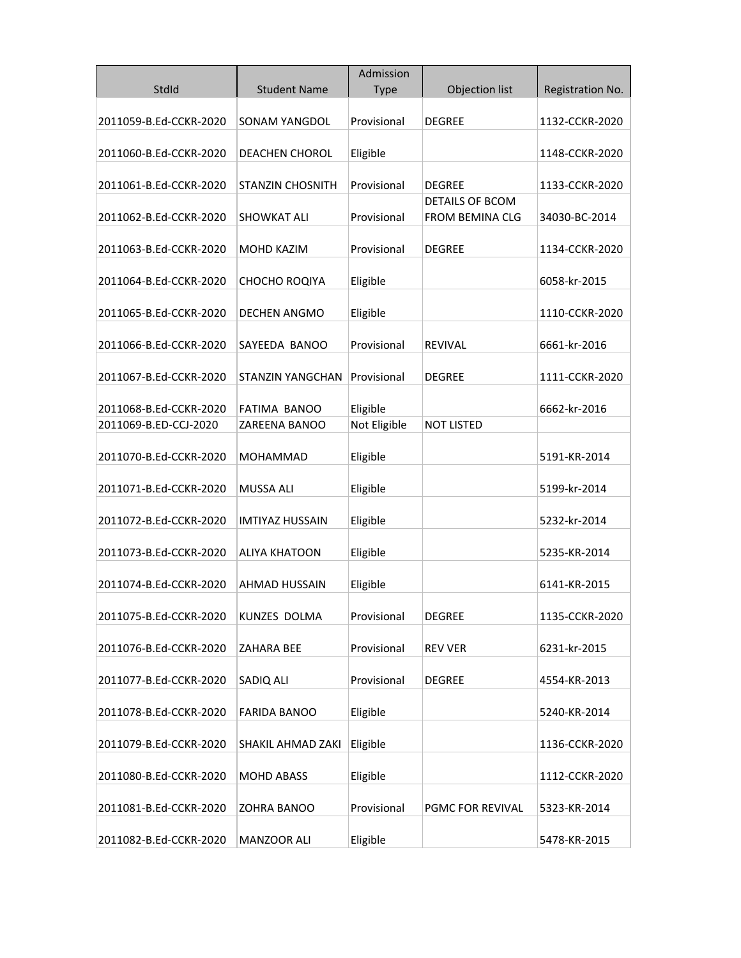|                        |                         | Admission    |                                                  |                  |
|------------------------|-------------------------|--------------|--------------------------------------------------|------------------|
| StdId                  | <b>Student Name</b>     | <b>Type</b>  | Objection list                                   | Registration No. |
| 2011059-B.Ed-CCKR-2020 | <b>SONAM YANGDOL</b>    | Provisional  | <b>DEGREE</b>                                    | 1132-CCKR-2020   |
| 2011060-B.Ed-CCKR-2020 | <b>DEACHEN CHOROL</b>   | Eligible     |                                                  | 1148-CCKR-2020   |
| 2011061-B.Ed-CCKR-2020 | <b>STANZIN CHOSNITH</b> | Provisional  | <b>DEGREE</b>                                    | 1133-CCKR-2020   |
| 2011062-B.Ed-CCKR-2020 | <b>SHOWKAT ALI</b>      | Provisional  | <b>DETAILS OF BCOM</b><br><b>FROM BEMINA CLG</b> | 34030-BC-2014    |
| 2011063-B.Ed-CCKR-2020 | MOHD KAZIM              | Provisional  | <b>DEGREE</b>                                    | 1134-CCKR-2020   |
| 2011064-B.Ed-CCKR-2020 | CHOCHO ROQIYA           | Eligible     |                                                  | 6058-kr-2015     |
| 2011065-B.Ed-CCKR-2020 | <b>DECHEN ANGMO</b>     | Eligible     |                                                  | 1110-CCKR-2020   |
| 2011066-B.Ed-CCKR-2020 | SAYEEDA BANOO           | Provisional  | <b>RFVIVAL</b>                                   | 6661-kr-2016     |
| 2011067-B.Ed-CCKR-2020 | <b>STANZIN YANGCHAN</b> | Provisional  | <b>DEGREE</b>                                    | 1111-CCKR-2020   |
| 2011068-B.Ed-CCKR-2020 | FATIMA BANOO            | Eligible     |                                                  | 6662-kr-2016     |
| 2011069-B.ED-CCJ-2020  | ZAREENA BANOO           | Not Eligible | <b>NOT LISTED</b>                                |                  |
| 2011070-B.Ed-CCKR-2020 | <b>MOHAMMAD</b>         | Eligible     |                                                  | 5191-KR-2014     |
| 2011071-B.Ed-CCKR-2020 | <b>MUSSA ALI</b>        | Eligible     |                                                  | 5199-kr-2014     |
| 2011072-B.Ed-CCKR-2020 | <b>IMTIYAZ HUSSAIN</b>  | Eligible     |                                                  | 5232-kr-2014     |
| 2011073-B.Ed-CCKR-2020 | <b>ALIYA KHATOON</b>    | Eligible     |                                                  | 5235-KR-2014     |
| 2011074-B.Ed-CCKR-2020 | <b>AHMAD HUSSAIN</b>    | Eligible     |                                                  | 6141-KR-2015     |
| 2011075-B.Ed-CCKR-2020 | KUNZES DOLMA            | Provisional  | <b>DEGREE</b>                                    | 1135-CCKR-2020   |
| 2011076-B.Ed-CCKR-2020 | ZAHARA BEE              | Provisional  | <b>REV VER</b>                                   | 6231-kr-2015     |
| 2011077-B.Ed-CCKR-2020 | SADIQ ALI               | Provisional  | <b>DEGREE</b>                                    | 4554-KR-2013     |
| 2011078-B.Ed-CCKR-2020 | <b>FARIDA BANOO</b>     | Eligible     |                                                  | 5240-KR-2014     |
| 2011079-B.Ed-CCKR-2020 | SHAKIL AHMAD ZAKI       | Eligible     |                                                  | 1136-CCKR-2020   |
| 2011080-B.Ed-CCKR-2020 | <b>MOHD ABASS</b>       | Eligible     |                                                  | 1112-CCKR-2020   |
| 2011081-B.Ed-CCKR-2020 | ZOHRA BANOO             | Provisional  | PGMC FOR REVIVAL                                 | 5323-KR-2014     |
| 2011082-B.Ed-CCKR-2020 | MANZOOR ALI             | Eligible     |                                                  | 5478-KR-2015     |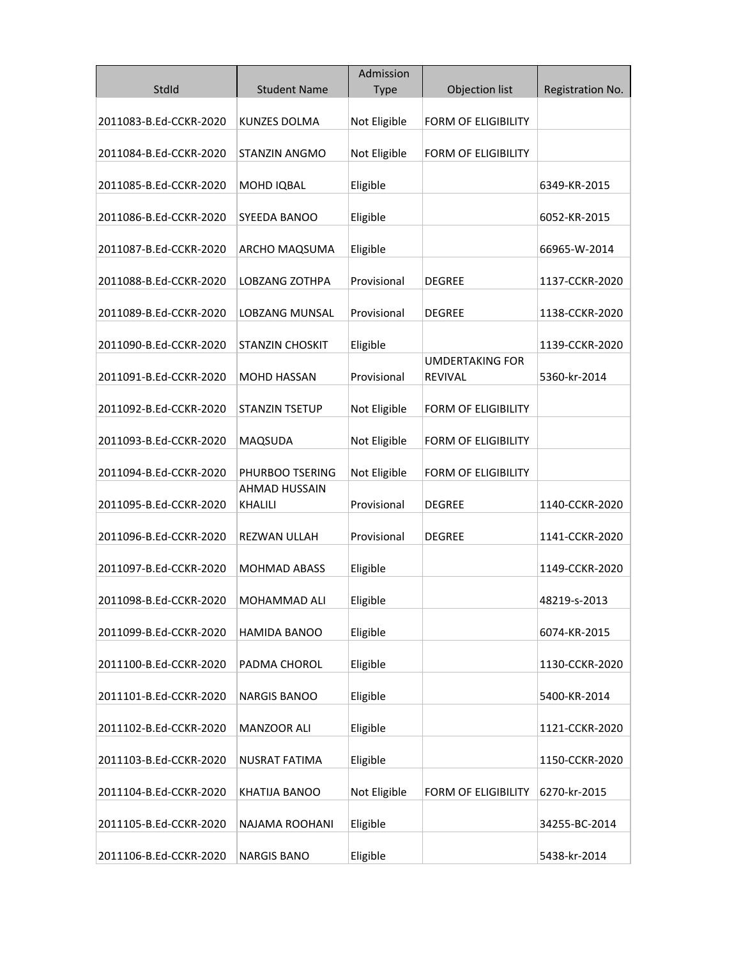|                        |                                 | Admission    |                                          |                  |
|------------------------|---------------------------------|--------------|------------------------------------------|------------------|
| StdId                  | <b>Student Name</b>             | <b>Type</b>  | Objection list                           | Registration No. |
| 2011083-B.Ed-CCKR-2020 | <b>KUNZES DOLMA</b>             | Not Eligible | FORM OF ELIGIBILITY                      |                  |
| 2011084-B.Ed-CCKR-2020 | <b>STANZIN ANGMO</b>            | Not Eligible | <b>FORM OF ELIGIBILITY</b>               |                  |
| 2011085-B.Ed-CCKR-2020 | MOHD IQBAL                      | Eligible     |                                          | 6349-KR-2015     |
| 2011086-B.Ed-CCKR-2020 | SYEEDA BANOO                    | Eligible     |                                          | 6052-KR-2015     |
| 2011087-B.Ed-CCKR-2020 | ARCHO MAQSUMA                   | Eligible     |                                          | 66965-W-2014     |
| 2011088-B.Ed-CCKR-2020 | LOBZANG ZOTHPA                  | Provisional  | DEGREE                                   | 1137-CCKR-2020   |
| 2011089-B.Ed-CCKR-2020 | LOBZANG MUNSAL                  | Provisional  | <b>DEGREE</b>                            | 1138-CCKR-2020   |
| 2011090-B.Ed-CCKR-2020 | <b>STANZIN CHOSKIT</b>          | Eligible     |                                          | 1139-CCKR-2020   |
| 2011091-B.Ed-CCKR-2020 | <b>MOHD HASSAN</b>              | Provisional  | <b>UMDERTAKING FOR</b><br><b>REVIVAL</b> | 5360-kr-2014     |
| 2011092-B.Ed-CCKR-2020 | STANZIN TSETUP                  | Not Eligible | <b>FORM OF ELIGIBILITY</b>               |                  |
| 2011093-B.Ed-CCKR-2020 | MAQSUDA                         | Not Eligible | <b>FORM OF ELIGIBILITY</b>               |                  |
| 2011094-B.Ed-CCKR-2020 | PHURBOO TSERING                 | Not Eligible | <b>FORM OF ELIGIBILITY</b>               |                  |
| 2011095-B.Ed-CCKR-2020 | <b>AHMAD HUSSAIN</b><br>KHALILI | Provisional  | DEGREE                                   | 1140-CCKR-2020   |
| 2011096-B.Ed-CCKR-2020 | <b>REZWAN ULLAH</b>             | Provisional  | <b>DEGREE</b>                            | 1141-CCKR-2020   |
| 2011097-B.Ed-CCKR-2020 | <b>MOHMAD ABASS</b>             | Eligible     |                                          | 1149-CCKR-2020   |
| 2011098-B.Ed-CCKR-2020 | MOHAMMAD ALI                    | Eligible     |                                          | 48219-s-2013     |
| 2011099-B.Ed-CCKR-2020 | HAMIDA BANOO                    | Eligible     |                                          | 6074-KR-2015     |
| 2011100-B.Ed-CCKR-2020 | PADMA CHOROL                    | Eligible     |                                          | 1130-CCKR-2020   |
| 2011101-B.Ed-CCKR-2020 | <b>NARGIS BANOO</b>             | Eligible     |                                          | 5400-KR-2014     |
| 2011102-B.Ed-CCKR-2020 | MANZOOR ALI                     | Eligible     |                                          | 1121-CCKR-2020   |
| 2011103-B.Ed-CCKR-2020 | NUSRAT FATIMA                   | Eligible     |                                          | 1150-CCKR-2020   |
| 2011104-B.Ed-CCKR-2020 | KHATIJA BANOO                   | Not Eligible | <b>FORM OF ELIGIBILITY</b>               | 6270-kr-2015     |
| 2011105-B.Ed-CCKR-2020 | NAJAMA ROOHANI                  | Eligible     |                                          | 34255-BC-2014    |
| 2011106-B.Ed-CCKR-2020 | <b>NARGIS BANO</b>              | Eligible     |                                          | 5438-kr-2014     |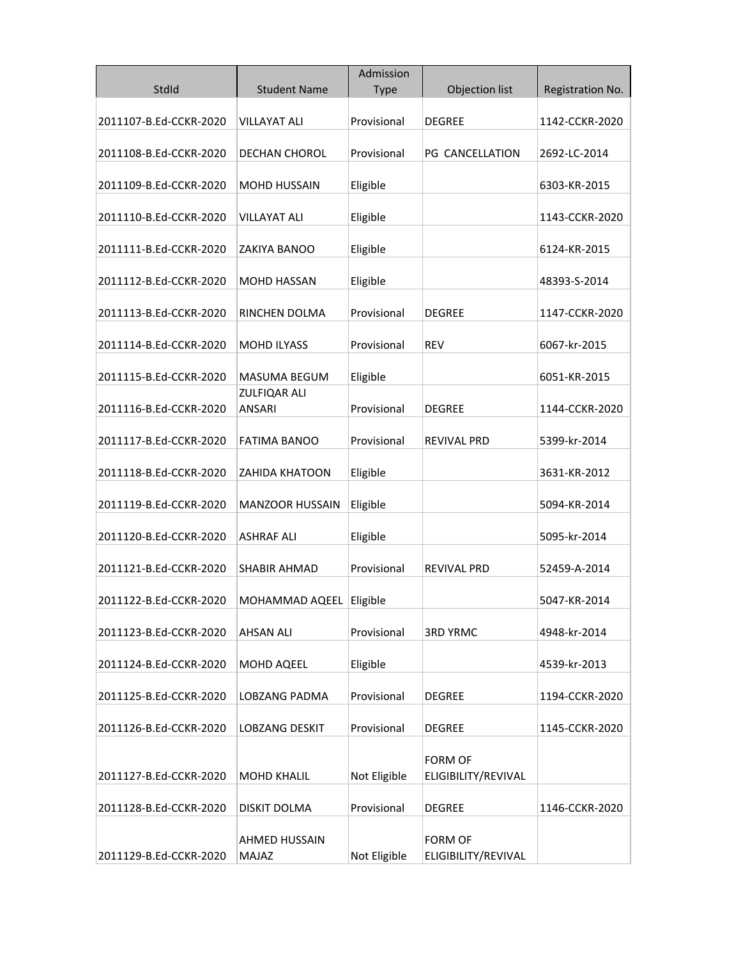|                        |                               | Admission    |                                       |                  |
|------------------------|-------------------------------|--------------|---------------------------------------|------------------|
| StdId                  | <b>Student Name</b>           | <b>Type</b>  | Objection list                        | Registration No. |
| 2011107-B.Ed-CCKR-2020 | <b>VILLAYAT ALI</b>           | Provisional  | <b>DEGREE</b>                         | 1142-CCKR-2020   |
| 2011108-B.Ed-CCKR-2020 | DECHAN CHOROL                 | Provisional  | PG CANCELLATION                       | 2692-LC-2014     |
| 2011109-B.Ed-CCKR-2020 | <b>MOHD HUSSAIN</b>           | Eligible     |                                       | 6303-KR-2015     |
| 2011110-B.Ed-CCKR-2020 | <b>VILLAYAT ALI</b>           | Eligible     |                                       | 1143-CCKR-2020   |
| 2011111-B.Ed-CCKR-2020 | ZAKIYA BANOO                  | Eligible     |                                       | 6124-KR-2015     |
| 2011112-B.Ed-CCKR-2020 | <b>MOHD HASSAN</b>            | Eligible     |                                       | 48393-S-2014     |
| 2011113-B.Ed-CCKR-2020 | RINCHEN DOLMA                 | Provisional  | <b>DEGREE</b>                         | 1147-CCKR-2020   |
| 2011114-B.Ed-CCKR-2020 | <b>MOHD ILYASS</b>            | Provisional  | <b>REV</b>                            | 6067-kr-2015     |
| 2011115-B.Ed-CCKR-2020 | <b>MASUMA BEGUM</b>           | Eligible     |                                       | 6051-KR-2015     |
| 2011116-B.Ed-CCKR-2020 | ZULFIQAR ALI<br><b>ANSARI</b> | Provisional  | <b>DEGREE</b>                         | 1144-CCKR-2020   |
| 2011117-B.Ed-CCKR-2020 | <b>FATIMA BANOO</b>           | Provisional  | <b>REVIVAL PRD</b>                    | 5399-kr-2014     |
| 2011118-B.Ed-CCKR-2020 | ZAHIDA KHATOON                | Eligible     |                                       | 3631-KR-2012     |
| 2011119-B.Ed-CCKR-2020 | <b>MANZOOR HUSSAIN</b>        | Eligible     |                                       | 5094-KR-2014     |
| 2011120-B.Ed-CCKR-2020 | <b>ASHRAF ALI</b>             | Eligible     |                                       | 5095-kr-2014     |
| 2011121-B.Ed-CCKR-2020 | <b>SHABIR AHMAD</b>           | Provisional  | <b>REVIVAL PRD</b>                    | 52459-A-2014     |
| 2011122-B.Ed-CCKR-2020 | MOHAMMAD AQEEL                | Eligible     |                                       | 5047-KR-2014     |
| 2011123-B.Ed-CCKR-2020 | <b>AHSAN ALI</b>              | Provisional  | <b>3RD YRMC</b>                       | 4948-kr-2014     |
| 2011124-B.Ed-CCKR-2020 | MOHD AQEEL                    | Eligible     |                                       | 4539-kr-2013     |
| 2011125-B.Ed-CCKR-2020 | LOBZANG PADMA                 | Provisional  | <b>DEGREE</b>                         | 1194-CCKR-2020   |
| 2011126-B.Ed-CCKR-2020 | <b>LOBZANG DESKIT</b>         | Provisional  | <b>DEGREE</b>                         | 1145-CCKR-2020   |
|                        |                               |              | <b>FORM OF</b>                        |                  |
| 2011127-B.Ed-CCKR-2020 | <b>MOHD KHALIL</b>            | Not Eligible | ELIGIBILITY/REVIVAL                   |                  |
| 2011128-B.Ed-CCKR-2020 | DISKIT DOLMA                  | Provisional  | <b>DEGREE</b>                         | 1146-CCKR-2020   |
| 2011129-B.Ed-CCKR-2020 | AHMED HUSSAIN<br><b>MAJAZ</b> | Not Eligible | <b>FORM OF</b><br>ELIGIBILITY/REVIVAL |                  |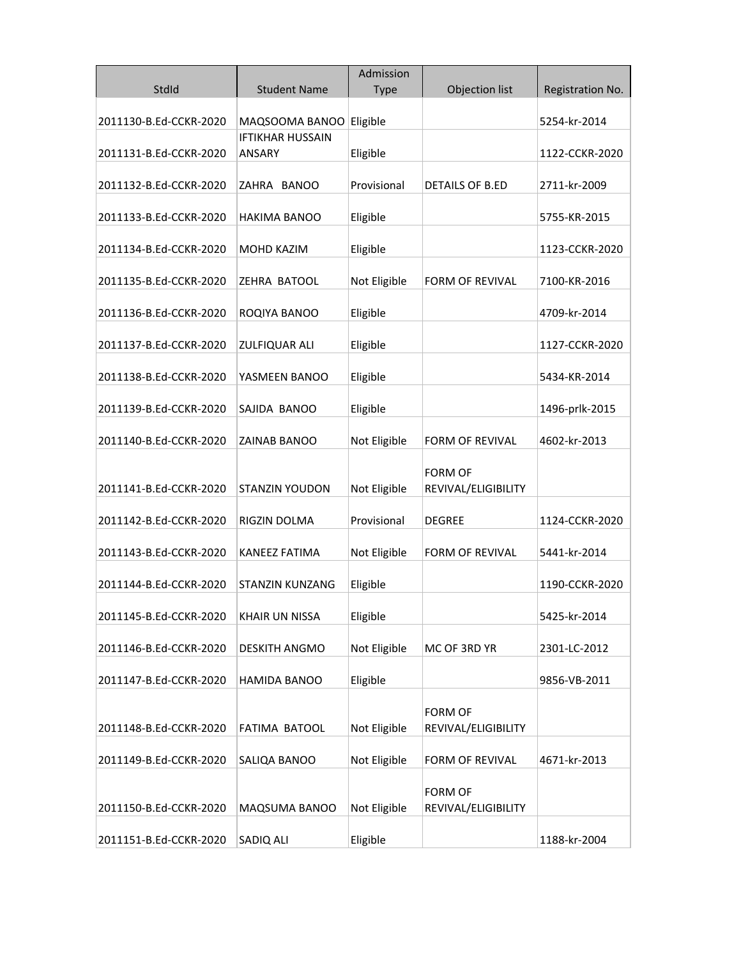| StdId                  | <b>Student Name</b>                      | Admission<br><b>Type</b> | Objection list                        | Registration No. |
|------------------------|------------------------------------------|--------------------------|---------------------------------------|------------------|
| 2011130-B.Ed-CCKR-2020 | MAQSOOMA BANOO                           | Eligible                 |                                       | 5254-kr-2014     |
| 2011131-B.Ed-CCKR-2020 | <b>IFTIKHAR HUSSAIN</b><br><b>ANSARY</b> | Eligible                 |                                       | 1122-CCKR-2020   |
| 2011132-B.Ed-CCKR-2020 | ZAHRA BANOO                              | Provisional              | <b>DETAILS OF B.ED</b>                | 2711-kr-2009     |
| 2011133-B.Ed-CCKR-2020 | <b>HAKIMA BANOO</b>                      | Eligible                 |                                       | 5755-KR-2015     |
| 2011134-B.Ed-CCKR-2020 | MOHD KAZIM                               | Eligible                 |                                       | 1123-CCKR-2020   |
| 2011135-B.Ed-CCKR-2020 | ZEHRA BATOOL                             | Not Eligible             | <b>FORM OF REVIVAL</b>                | 7100-KR-2016     |
| 2011136-B.Ed-CCKR-2020 | ROQIYA BANOO                             | Eligible                 |                                       | 4709-kr-2014     |
| 2011137-B.Ed-CCKR-2020 | <b>ZULFIQUAR ALI</b>                     | Eligible                 |                                       | 1127-CCKR-2020   |
| 2011138-B.Ed-CCKR-2020 | YASMEEN BANOO                            | Eligible                 |                                       | 5434-KR-2014     |
| 2011139-B.Ed-CCKR-2020 | SAJIDA BANOO                             | Eligible                 |                                       | 1496-prlk-2015   |
| 2011140-B.Ed-CCKR-2020 | ZAINAB BANOO                             | Not Eligible             | <b>FORM OF REVIVAL</b>                | 4602-kr-2013     |
| 2011141-B.Ed-CCKR-2020 | <b>STANZIN YOUDON</b>                    | Not Eligible             | <b>FORM OF</b><br>REVIVAL/ELIGIBILITY |                  |
| 2011142-B.Ed-CCKR-2020 | RIGZIN DOLMA                             | Provisional              | <b>DEGREE</b>                         | 1124-CCKR-2020   |
| 2011143-B.Ed-CCKR-2020 | <b>KANEEZ FATIMA</b>                     | Not Eligible             | <b>FORM OF REVIVAL</b>                | 5441-kr-2014     |
| 2011144-B.Ed-CCKR-2020 | <b>STANZIN KUNZANG</b>                   | Eligible                 |                                       | 1190-CCKR-2020   |
| 2011145-B.Ed-CCKR-2020 | <b>KHAIR UN NISSA</b>                    | Eligible                 |                                       | 5425-kr-2014     |
| 2011146-B.Ed-CCKR-2020 | <b>DESKITH ANGMO</b>                     | Not Eligible             | MC OF 3RD YR                          | 2301-LC-2012     |
| 2011147-B.Ed-CCKR-2020 | HAMIDA BANOO                             | Eligible                 |                                       | 9856-VB-2011     |
|                        |                                          |                          | <b>FORM OF</b>                        |                  |
| 2011148-B.Ed-CCKR-2020 | FATIMA BATOOL                            | Not Eligible             | REVIVAL/ELIGIBILITY                   |                  |
| 2011149-B.Ed-CCKR-2020 | SALIQA BANOO                             | Not Eligible             | FORM OF REVIVAL                       | 4671-kr-2013     |
| 2011150-B.Ed-CCKR-2020 | MAQSUMA BANOO                            | Not Eligible             | <b>FORM OF</b><br>REVIVAL/ELIGIBILITY |                  |
| 2011151-B.Ed-CCKR-2020 | SADIQ ALI                                | Eligible                 |                                       | 1188-kr-2004     |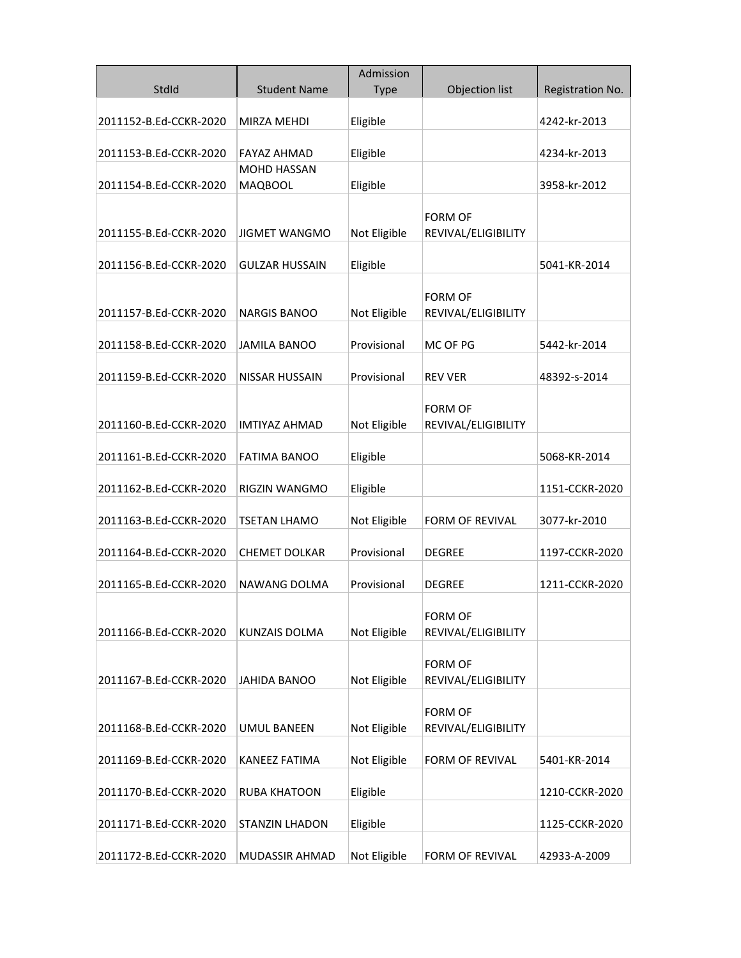|                        |                                      | Admission    |                                       |                  |
|------------------------|--------------------------------------|--------------|---------------------------------------|------------------|
| StdId                  | <b>Student Name</b>                  | <b>Type</b>  | Objection list                        | Registration No. |
| 2011152-B.Ed-CCKR-2020 | MIRZA MEHDI                          | Eligible     |                                       | 4242-kr-2013     |
| 2011153-B.Ed-CCKR-2020 | <b>FAYAZ AHMAD</b>                   | Eligible     |                                       | 4234-kr-2013     |
| 2011154-B.Ed-CCKR-2020 | <b>MOHD HASSAN</b><br><b>MAQBOOL</b> | Eligible     |                                       | 3958-kr-2012     |
| 2011155-B.Ed-CCKR-2020 | <b>JIGMET WANGMO</b>                 | Not Eligible | <b>FORM OF</b><br>REVIVAL/ELIGIBILITY |                  |
| 2011156-B.Ed-CCKR-2020 | <b>GULZAR HUSSAIN</b>                | Eligible     |                                       | 5041-KR-2014     |
| 2011157-B.Ed-CCKR-2020 | <b>NARGIS BANOO</b>                  | Not Eligible | <b>FORM OF</b><br>REVIVAL/ELIGIBILITY |                  |
| 2011158-B.Ed-CCKR-2020 | <b>JAMILA BANOO</b>                  | Provisional  | MC OF PG                              | 5442-kr-2014     |
| 2011159-B.Ed-CCKR-2020 | <b>NISSAR HUSSAIN</b>                | Provisional  | <b>REV VER</b>                        | 48392-s-2014     |
| 2011160-B.Ed-CCKR-2020 | IMTIYAZ AHMAD                        | Not Eligible | <b>FORM OF</b><br>REVIVAL/ELIGIBILITY |                  |
| 2011161-B.Ed-CCKR-2020 | <b>FATIMA BANOO</b>                  | Eligible     |                                       | 5068-KR-2014     |
| 2011162-B.Ed-CCKR-2020 | RIGZIN WANGMO                        | Eligible     |                                       | 1151-CCKR-2020   |
| 2011163-B.Ed-CCKR-2020 | TSETAN LHAMO                         | Not Eligible | <b>FORM OF REVIVAL</b>                | 3077-kr-2010     |
| 2011164-B.Ed-CCKR-2020 | <b>CHEMET DOLKAR</b>                 | Provisional  | <b>DEGREE</b>                         | 1197-CCKR-2020   |
| 2011165-B.Ed-CCKR-2020 | NAWANG DOLMA                         | Provisional  | <b>DEGREE</b>                         | 1211-CCKR-2020   |
| 2011166-B.Ed-CCKR-2020 | KUNZAIS DOLMA                        | Not Eligible | <b>FORM OF</b><br>REVIVAL/ELIGIBILITY |                  |
| 2011167-B.Ed-CCKR-2020 | <b>JAHIDA BANOO</b>                  | Not Eligible | <b>FORM OF</b><br>REVIVAL/ELIGIBILITY |                  |
| 2011168-B.Ed-CCKR-2020 | <b>UMUL BANEEN</b>                   | Not Eligible | <b>FORM OF</b><br>REVIVAL/ELIGIBILITY |                  |
| 2011169-B.Ed-CCKR-2020 | KANEEZ FATIMA                        | Not Eligible | FORM OF REVIVAL                       | 5401-KR-2014     |
| 2011170-B.Ed-CCKR-2020 | RUBA KHATOON                         | Eligible     |                                       | 1210-CCKR-2020   |
| 2011171-B.Ed-CCKR-2020 | <b>STANZIN LHADON</b>                | Eligible     |                                       | 1125-CCKR-2020   |
| 2011172-B.Ed-CCKR-2020 | MUDASSIR AHMAD                       | Not Eligible | FORM OF REVIVAL                       | 42933-A-2009     |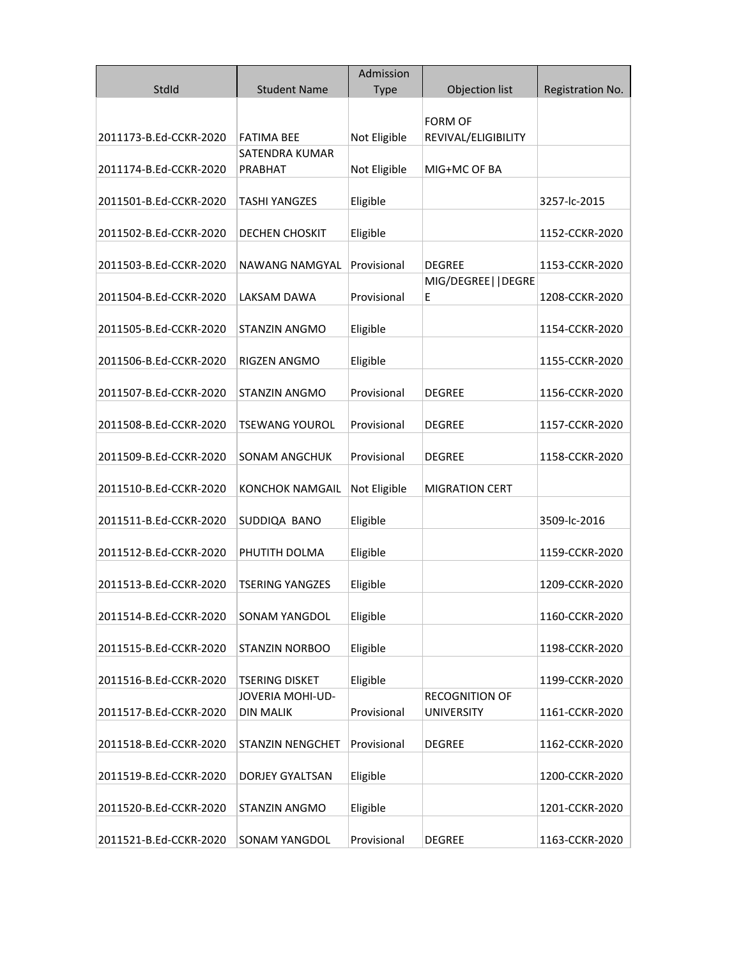|                        |                         | Admission    |                                       |                  |
|------------------------|-------------------------|--------------|---------------------------------------|------------------|
| Stdld                  | <b>Student Name</b>     | <b>Type</b>  | Objection list                        | Registration No. |
|                        |                         |              |                                       |                  |
| 2011173-B.Ed-CCKR-2020 | <b>FATIMA BEE</b>       | Not Eligible | <b>FORM OF</b><br>REVIVAL/ELIGIBILITY |                  |
|                        | <b>SATENDRA KUMAR</b>   |              |                                       |                  |
| 2011174-B.Ed-CCKR-2020 | PRABHAT                 | Not Eligible | MIG+MC OF BA                          |                  |
|                        |                         |              |                                       |                  |
| 2011501-B.Ed-CCKR-2020 | TASHI YANGZES           | Eligible     |                                       | 3257-lc-2015     |
|                        |                         |              |                                       |                  |
| 2011502-B.Ed-CCKR-2020 | DECHEN CHOSKIT          | Eligible     |                                       | 1152-CCKR-2020   |
| 2011503-B.Ed-CCKR-2020 | NAWANG NAMGYAL          | Provisional  | <b>DEGREE</b>                         | 1153-CCKR-2020   |
|                        |                         |              | MIG/DEGREE  DEGRE                     |                  |
| 2011504-B.Ed-CCKR-2020 | LAKSAM DAWA             | Provisional  | E                                     | 1208-CCKR-2020   |
|                        |                         |              |                                       |                  |
| 2011505-B.Ed-CCKR-2020 | STANZIN ANGMO           | Eligible     |                                       | 1154-CCKR-2020   |
| 2011506-B.Ed-CCKR-2020 | RIGZEN ANGMO            | Eligible     |                                       | 1155-CCKR-2020   |
|                        |                         |              |                                       |                  |
| 2011507-B.Ed-CCKR-2020 | <b>STANZIN ANGMO</b>    | Provisional  | <b>DEGREE</b>                         | 1156-CCKR-2020   |
|                        |                         |              |                                       |                  |
| 2011508-B.Ed-CCKR-2020 | TSEWANG YOUROL          | Provisional  | DEGREE                                | 1157-CCKR-2020   |
|                        |                         |              |                                       |                  |
| 2011509-B.Ed-CCKR-2020 | <b>SONAM ANGCHUK</b>    | Provisional  | <b>DEGREE</b>                         | 1158-CCKR-2020   |
| 2011510-B.Ed-CCKR-2020 | <b>KONCHOK NAMGAIL</b>  | Not Eligible | <b>MIGRATION CERT</b>                 |                  |
|                        |                         |              |                                       |                  |
| 2011511-B.Ed-CCKR-2020 | SUDDIQA BANO            | Eligible     |                                       | 3509-lc-2016     |
|                        |                         |              |                                       |                  |
| 2011512-B.Ed-CCKR-2020 | PHUTITH DOLMA           | Eligible     |                                       | 1159-CCKR-2020   |
| 2011513-B.Ed-CCKR-2020 | TSERING YANGZES         | Eligible     |                                       | 1209-CCKR-2020   |
|                        |                         |              |                                       |                  |
| 2011514-B.Ed-CCKR-2020 | <b>SONAM YANGDOL</b>    | Eligible     |                                       | 1160-CCKR-2020   |
|                        |                         |              |                                       |                  |
| 2011515-B.Ed-CCKR-2020 | <b>STANZIN NORBOO</b>   | Eligible     |                                       | 1198-CCKR-2020   |
| 2011516-B.Ed-CCKR-2020 | <b>TSERING DISKET</b>   | Eligible     |                                       | 1199-CCKR-2020   |
|                        | JOVERIA MOHI-UD-        |              | <b>RECOGNITION OF</b>                 |                  |
| 2011517-B.Ed-CCKR-2020 | <b>DIN MALIK</b>        | Provisional  | <b>UNIVERSITY</b>                     | 1161-CCKR-2020   |
|                        |                         |              |                                       |                  |
| 2011518-B.Ed-CCKR-2020 | <b>STANZIN NENGCHET</b> | Provisional  | <b>DEGREE</b>                         | 1162-CCKR-2020   |
| 2011519-B.Ed-CCKR-2020 | DORJEY GYALTSAN         |              |                                       | 1200-CCKR-2020   |
|                        |                         | Eligible     |                                       |                  |
| 2011520-B.Ed-CCKR-2020 | <b>STANZIN ANGMO</b>    | Eligible     |                                       | 1201-CCKR-2020   |
|                        |                         |              |                                       |                  |
| 2011521-B.Ed-CCKR-2020 | SONAM YANGDOL           | Provisional  | <b>DEGREE</b>                         | 1163-CCKR-2020   |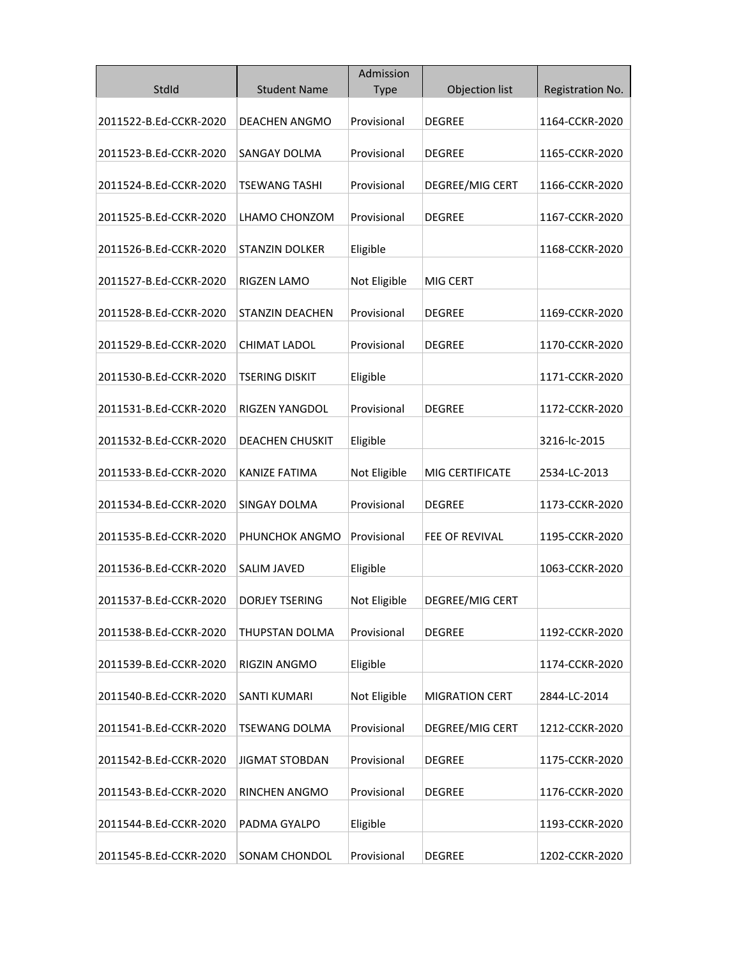|                        |                        | Admission    |                       |                  |
|------------------------|------------------------|--------------|-----------------------|------------------|
| StdId                  | <b>Student Name</b>    | <b>Type</b>  | Objection list        | Registration No. |
| 2011522-B.Ed-CCKR-2020 | <b>DEACHEN ANGMO</b>   | Provisional  | <b>DEGREE</b>         | 1164-CCKR-2020   |
| 2011523-B.Ed-CCKR-2020 | SANGAY DOLMA           | Provisional  | <b>DEGREE</b>         | 1165-CCKR-2020   |
| 2011524-B.Ed-CCKR-2020 | TSEWANG TASHI          | Provisional  | DEGREE/MIG CERT       | 1166-CCKR-2020   |
| 2011525-B.Ed-CCKR-2020 | LHAMO CHONZOM          | Provisional  | <b>DEGREE</b>         | 1167-CCKR-2020   |
| 2011526-B.Ed-CCKR-2020 | STANZIN DOLKER         | Eligible     |                       | 1168-CCKR-2020   |
| 2011527-B.Ed-CCKR-2020 | RIGZEN LAMO            | Not Eligible | MIG CERT              |                  |
| 2011528-B.Ed-CCKR-2020 | <b>STANZIN DEACHEN</b> | Provisional  | <b>DEGREE</b>         | 1169-CCKR-2020   |
| 2011529-B.Ed-CCKR-2020 | CHIMAT LADOL           | Provisional  | <b>DEGREE</b>         | 1170-CCKR-2020   |
| 2011530-B.Ed-CCKR-2020 | TSERING DISKIT         | Eligible     |                       | 1171-CCKR-2020   |
| 2011531-B.Ed-CCKR-2020 | RIGZEN YANGDOL         | Provisional  | <b>DEGREE</b>         | 1172-CCKR-2020   |
| 2011532-B.Ed-CCKR-2020 | <b>DEACHEN CHUSKIT</b> | Eligible     |                       | 3216-lc-2015     |
| 2011533-B.Ed-CCKR-2020 | KANIZE FATIMA          | Not Eligible | MIG CERTIFICATE       | 2534-LC-2013     |
| 2011534-B.Ed-CCKR-2020 | <b>SINGAY DOLMA</b>    | Provisional  | <b>DEGREE</b>         | 1173-CCKR-2020   |
| 2011535-B.Ed-CCKR-2020 | PHUNCHOK ANGMO         | Provisional  | FEE OF REVIVAL        | 1195-CCKR-2020   |
| 2011536-B.Ed-CCKR-2020 | <b>SALIM JAVED</b>     | Eligible     |                       | 1063-CCKR-2020   |
| 2011537-B.Ed-CCKR-2020 | DORJEY TSERING         | Not Eligible | DEGREE/MIG CERT       |                  |
| 2011538-B.Ed-CCKR-2020 | THUPSTAN DOLMA         | Provisional  | DEGREE                | 1192-CCKR-2020   |
| 2011539-B.Ed-CCKR-2020 | RIGZIN ANGMO           | Eligible     |                       | 1174-CCKR-2020   |
| 2011540-B.Ed-CCKR-2020 | <b>SANTI KUMARI</b>    | Not Eligible | <b>MIGRATION CERT</b> | 2844-LC-2014     |
| 2011541-B.Ed-CCKR-2020 | <b>TSEWANG DOLMA</b>   | Provisional  | DEGREE/MIG CERT       | 1212-CCKR-2020   |
| 2011542-B.Ed-CCKR-2020 | <b>JIGMAT STOBDAN</b>  | Provisional  | <b>DEGREE</b>         | 1175-CCKR-2020   |
| 2011543-B.Ed-CCKR-2020 | RINCHEN ANGMO          | Provisional  | <b>DEGREE</b>         | 1176-CCKR-2020   |
| 2011544-B.Ed-CCKR-2020 | PADMA GYALPO           | Eligible     |                       | 1193-CCKR-2020   |
| 2011545-B.Ed-CCKR-2020 | SONAM CHONDOL          | Provisional  | <b>DEGREE</b>         | 1202-CCKR-2020   |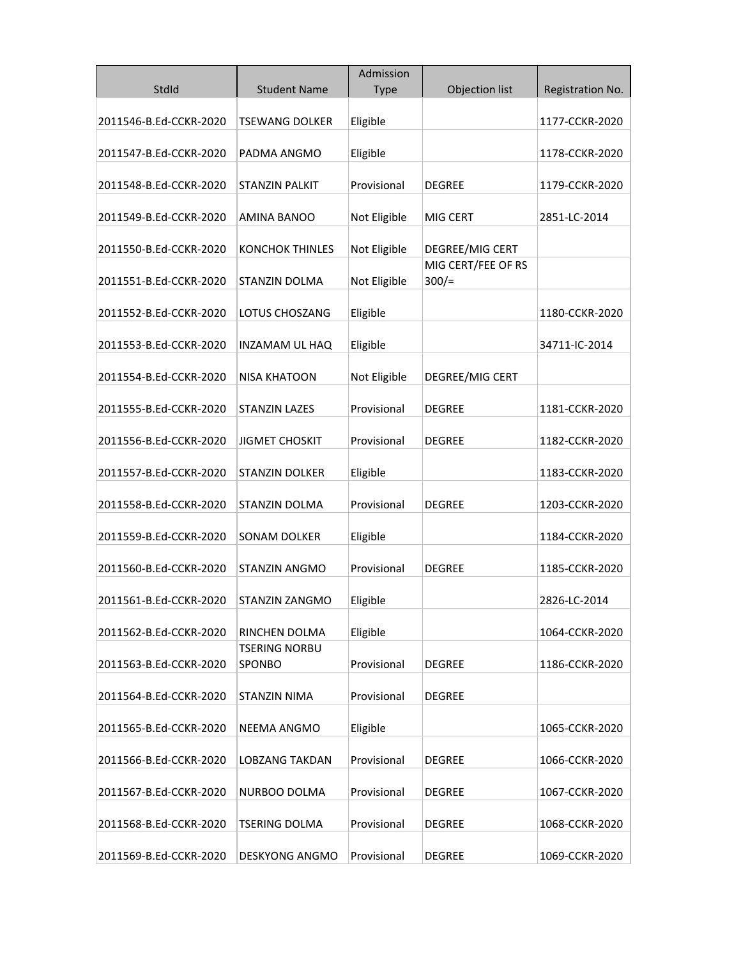|                        |                                       | Admission    |                                |                  |
|------------------------|---------------------------------------|--------------|--------------------------------|------------------|
| StdId                  | <b>Student Name</b>                   | <b>Type</b>  | Objection list                 | Registration No. |
|                        |                                       |              |                                |                  |
| 2011546-B.Ed-CCKR-2020 | TSEWANG DOLKER                        | Eligible     |                                | 1177-CCKR-2020   |
| 2011547-B.Ed-CCKR-2020 | PADMA ANGMO                           | Eligible     |                                | 1178-CCKR-2020   |
|                        |                                       |              |                                |                  |
| 2011548-B.Ed-CCKR-2020 | <b>STANZIN PALKIT</b>                 | Provisional  | <b>DEGREE</b>                  | 1179-CCKR-2020   |
|                        |                                       |              |                                |                  |
| 2011549-B.Ed-CCKR-2020 | AMINA BANOO                           | Not Eligible | MIG CERT                       | 2851-LC-2014     |
|                        |                                       |              |                                |                  |
| 2011550-B.Ed-CCKR-2020 | <b>KONCHOK THINLES</b>                | Not Eligible | DEGREE/MIG CERT                |                  |
| 2011551-B.Ed-CCKR-2020 | <b>STANZIN DOLMA</b>                  | Not Eligible | MIG CERT/FEE OF RS<br>$300/$ = |                  |
|                        |                                       |              |                                |                  |
| 2011552-B.Ed-CCKR-2020 | LOTUS CHOSZANG                        | Eligible     |                                | 1180-CCKR-2020   |
|                        |                                       |              |                                |                  |
| 2011553-B.Ed-CCKR-2020 | INZAMAM UL HAQ                        | Eligible     |                                | 34711-IC-2014    |
|                        |                                       |              |                                |                  |
| 2011554-B.Ed-CCKR-2020 | <b>NISA KHATOON</b>                   | Not Eligible | DEGREE/MIG CERT                |                  |
|                        | <b>STANZIN LAZES</b>                  | Provisional  |                                | 1181-CCKR-2020   |
| 2011555-B.Ed-CCKR-2020 |                                       |              | DEGREE                         |                  |
| 2011556-B.Ed-CCKR-2020 | <b>JIGMET CHOSKIT</b>                 | Provisional  | <b>DEGREE</b>                  | 1182-CCKR-2020   |
|                        |                                       |              |                                |                  |
| 2011557-B.Ed-CCKR-2020 | <b>STANZIN DOLKER</b>                 | Eligible     |                                | 1183-CCKR-2020   |
|                        |                                       |              |                                |                  |
| 2011558-B.Ed-CCKR-2020 | STANZIN DOLMA                         | Provisional  | <b>DEGREE</b>                  | 1203-CCKR-2020   |
|                        | <b>SONAM DOLKER</b>                   |              |                                |                  |
| 2011559-B.Ed-CCKR-2020 |                                       | Eligible     |                                | 1184-CCKR-2020   |
| 2011560-B.Ed-CCKR-2020 | STANZIN ANGMO                         | Provisional  | <b>DEGREE</b>                  | 1185-CCKR-2020   |
|                        |                                       |              |                                |                  |
| 2011561-B.Ed-CCKR-2020 | STANZIN ZANGMO                        | Eligible     |                                | 2826-LC-2014     |
|                        |                                       |              |                                |                  |
| 2011562-B.Ed-CCKR-2020 | RINCHEN DOLMA                         | Eligible     |                                | 1064-CCKR-2020   |
| 2011563-B.Ed-CCKR-2020 | <b>TSERING NORBU</b><br><b>SPONBO</b> | Provisional  | <b>DEGREE</b>                  | 1186-CCKR-2020   |
|                        |                                       |              |                                |                  |
| 2011564-B.Ed-CCKR-2020 | STANZIN NIMA                          | Provisional  | <b>DEGREE</b>                  |                  |
|                        |                                       |              |                                |                  |
| 2011565-B.Ed-CCKR-2020 | <b>NEEMA ANGMO</b>                    | Eligible     |                                | 1065-CCKR-2020   |
|                        |                                       |              |                                |                  |
| 2011566-B.Ed-CCKR-2020 | <b>LOBZANG TAKDAN</b>                 | Provisional  | <b>DEGREE</b>                  | 1066-CCKR-2020   |
|                        |                                       | Provisional  |                                |                  |
| 2011567-B.Ed-CCKR-2020 | NURBOO DOLMA                          |              | DEGREE                         | 1067-CCKR-2020   |
| 2011568-B.Ed-CCKR-2020 | TSERING DOLMA                         | Provisional  | DEGREE                         | 1068-CCKR-2020   |
|                        |                                       |              |                                |                  |
| 2011569-B.Ed-CCKR-2020 | <b>DESKYONG ANGMO</b>                 | Provisional  | <b>DEGREE</b>                  | 1069-CCKR-2020   |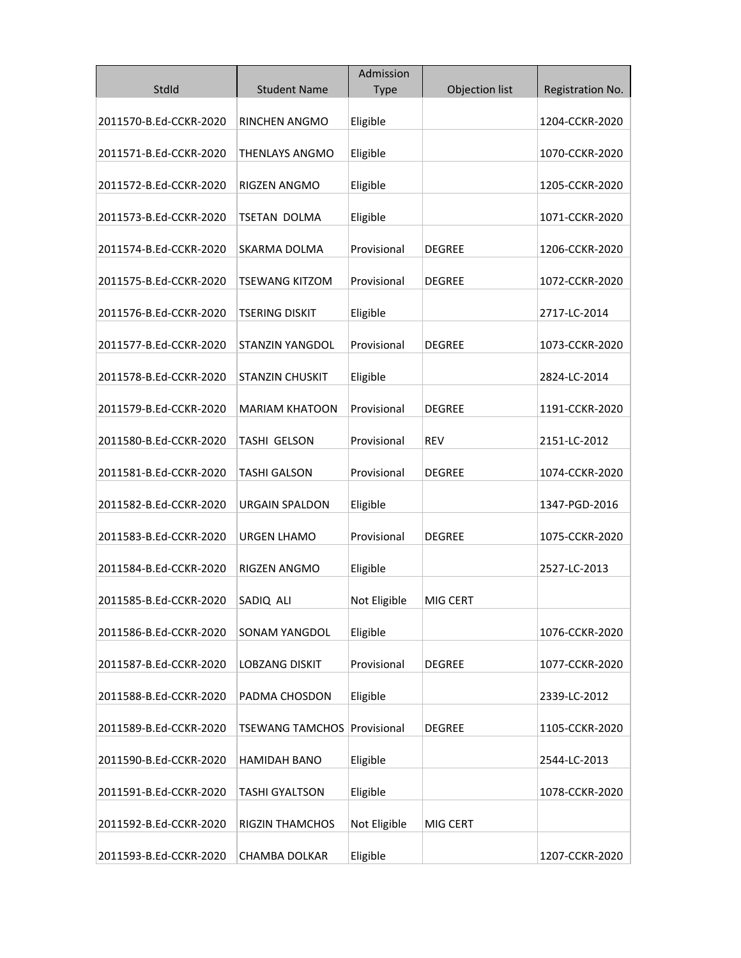|                        |                                    | Admission    |                |                  |
|------------------------|------------------------------------|--------------|----------------|------------------|
| StdId                  | <b>Student Name</b>                | <b>Type</b>  | Objection list | Registration No. |
| 2011570-B.Ed-CCKR-2020 | RINCHEN ANGMO                      | Eligible     |                | 1204-CCKR-2020   |
| 2011571-B.Ed-CCKR-2020 | <b>THENLAYS ANGMO</b>              | Eligible     |                | 1070-CCKR-2020   |
| 2011572-B.Ed-CCKR-2020 | RIGZEN ANGMO                       | Eligible     |                | 1205-CCKR-2020   |
| 2011573-B.Ed-CCKR-2020 | TSETAN DOLMA                       | Eligible     |                | 1071-CCKR-2020   |
| 2011574-B.Ed-CCKR-2020 | SKARMA DOLMA                       | Provisional  | <b>DEGREE</b>  | 1206-CCKR-2020   |
| 2011575-B.Ed-CCKR-2020 | <b>TSEWANG KITZOM</b>              | Provisional  | <b>DEGREE</b>  | 1072-CCKR-2020   |
| 2011576-B.Ed-CCKR-2020 | <b>TSERING DISKIT</b>              | Eligible     |                | 2717-LC-2014     |
| 2011577-B.Ed-CCKR-2020 | <b>STANZIN YANGDOL</b>             | Provisional  | <b>DEGREE</b>  | 1073-CCKR-2020   |
| 2011578-B.Ed-CCKR-2020 | <b>STANZIN CHUSKIT</b>             | Eligible     |                | 2824-LC-2014     |
| 2011579-B.Ed-CCKR-2020 | <b>MARIAM KHATOON</b>              | Provisional  | <b>DEGREE</b>  | 1191-CCKR-2020   |
| 2011580-B.Ed-CCKR-2020 | TASHI GELSON                       | Provisional  | <b>REV</b>     | 2151-LC-2012     |
| 2011581-B.Ed-CCKR-2020 | <b>TASHI GALSON</b>                | Provisional  | <b>DEGREE</b>  | 1074-CCKR-2020   |
| 2011582-B.Ed-CCKR-2020 | <b>URGAIN SPALDON</b>              | Eligible     |                | 1347-PGD-2016    |
| 2011583-B.Ed-CCKR-2020 | <b>URGEN LHAMO</b>                 | Provisional  | <b>DEGREE</b>  | 1075-CCKR-2020   |
| 2011584-B.Ed-CCKR-2020 | RIGZEN ANGMO                       | Eligible     |                | 2527-LC-2013     |
| 2011585-B.Ed-CCKR-2020 | SADIQ ALI                          | Not Eligible | MIG CERT       |                  |
| 2011586-B.Ed-CCKR-2020 | <b>SONAM YANGDOL</b>               | Eligible     |                | 1076-CCKR-2020   |
| 2011587-B.Ed-CCKR-2020 | <b>LOBZANG DISKIT</b>              | Provisional  | <b>DEGREE</b>  | 1077-CCKR-2020   |
| 2011588-B.Ed-CCKR-2020 | PADMA CHOSDON                      | Eligible     |                | 2339-LC-2012     |
| 2011589-B.Ed-CCKR-2020 | <b>TSEWANG TAMCHOS Provisional</b> |              | <b>DEGREE</b>  | 1105-CCKR-2020   |
| 2011590-B.Ed-CCKR-2020 | HAMIDAH BANO                       | Eligible     |                | 2544-LC-2013     |
| 2011591-B.Ed-CCKR-2020 | TASHI GYALTSON                     | Eligible     |                | 1078-CCKR-2020   |
| 2011592-B.Ed-CCKR-2020 | <b>RIGZIN THAMCHOS</b>             | Not Eligible | MIG CERT       |                  |
| 2011593-B.Ed-CCKR-2020 | <b>CHAMBA DOLKAR</b>               | Eligible     |                | 1207-CCKR-2020   |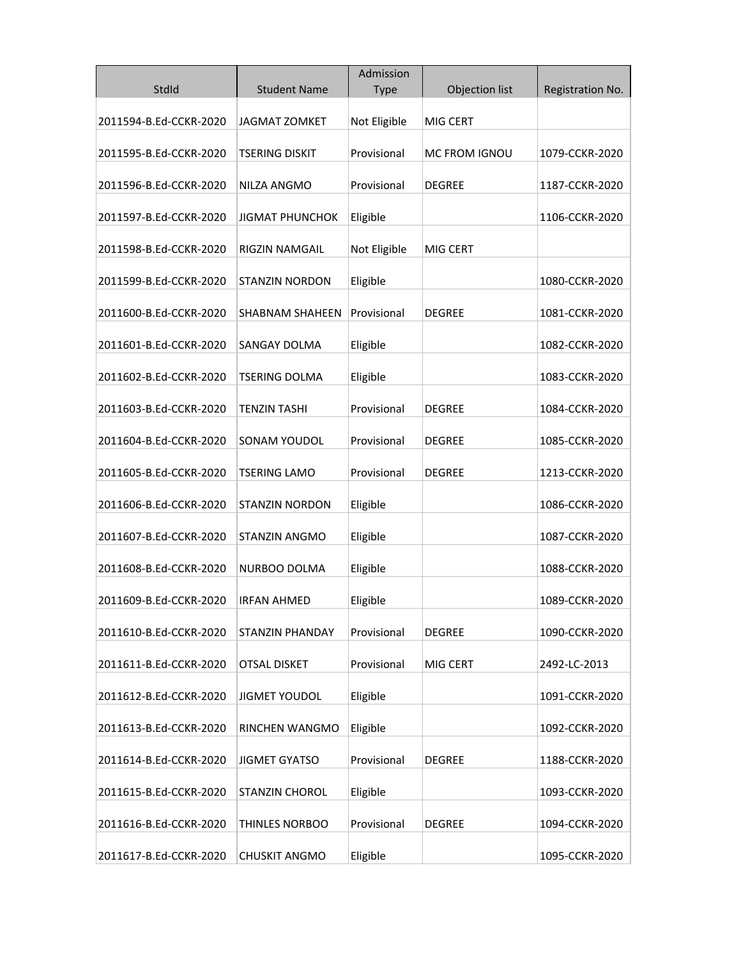|                        |                        | Admission    |                      |                  |
|------------------------|------------------------|--------------|----------------------|------------------|
| StdId                  | <b>Student Name</b>    | <b>Type</b>  | Objection list       | Registration No. |
| 2011594-B.Ed-CCKR-2020 | <b>JAGMAT ZOMKET</b>   | Not Eligible | MIG CERT             |                  |
| 2011595-B.Ed-CCKR-2020 | <b>TSERING DISKIT</b>  | Provisional  | <b>MC FROM IGNOU</b> | 1079-CCKR-2020   |
| 2011596-B.Ed-CCKR-2020 | NILZA ANGMO            | Provisional  | <b>DEGREE</b>        | 1187-CCKR-2020   |
| 2011597-B.Ed-CCKR-2020 | <b>JIGMAT PHUNCHOK</b> | Eligible     |                      | 1106-CCKR-2020   |
| 2011598-B.Ed-CCKR-2020 | RIGZIN NAMGAIL         | Not Eligible | MIG CERT             |                  |
| 2011599-B.Ed-CCKR-2020 | <b>STANZIN NORDON</b>  | Eligible     |                      | 1080-CCKR-2020   |
| 2011600-B.Ed-CCKR-2020 | <b>SHABNAM SHAHEEN</b> | Provisional  | DEGREE               | 1081-CCKR-2020   |
| 2011601-B.Ed-CCKR-2020 | <b>SANGAY DOLMA</b>    | Eligible     |                      | 1082-CCKR-2020   |
| 2011602-B.Ed-CCKR-2020 | TSERING DOLMA          | Eligible     |                      | 1083-CCKR-2020   |
| 2011603-B.Ed-CCKR-2020 | <b>TENZIN TASHI</b>    | Provisional  | <b>DEGREE</b>        | 1084-CCKR-2020   |
| 2011604-B.Ed-CCKR-2020 | SONAM YOUDOL           | Provisional  | <b>DEGREE</b>        | 1085-CCKR-2020   |
| 2011605-B.Ed-CCKR-2020 | <b>TSERING LAMO</b>    | Provisional  | <b>DEGREE</b>        | 1213-CCKR-2020   |
| 2011606-B.Ed-CCKR-2020 | <b>STANZIN NORDON</b>  | Eligible     |                      | 1086-CCKR-2020   |
| 2011607-B.Ed-CCKR-2020 | <b>STANZIN ANGMO</b>   | Eligible     |                      | 1087-CCKR-2020   |
| 2011608-B.Ed-CCKR-2020 | NURBOO DOLMA           | Eligible     |                      | 1088-CCKR-2020   |
| 2011609-B.Ed-CCKR-2020 | IRFAN AHMED            | Eligible     |                      | 1089-CCKR-2020   |
| 2011610-B.Ed-CCKR-2020 | <b>STANZIN PHANDAY</b> | Provisional  | <b>DEGREE</b>        | 1090-CCKR-2020   |
| 2011611-B.Ed-CCKR-2020 | <b>OTSAL DISKET</b>    | Provisional  | MIG CERT             | 2492-LC-2013     |
| 2011612-B.Ed-CCKR-2020 | <b>JIGMET YOUDOL</b>   | Eligible     |                      | 1091-CCKR-2020   |
| 2011613-B.Ed-CCKR-2020 | RINCHEN WANGMO         | Eligible     |                      | 1092-CCKR-2020   |
| 2011614-B.Ed-CCKR-2020 | <b>JIGMET GYATSO</b>   | Provisional  | <b>DEGREE</b>        | 1188-CCKR-2020   |
| 2011615-B.Ed-CCKR-2020 | <b>STANZIN CHOROL</b>  | Eligible     |                      | 1093-CCKR-2020   |
| 2011616-B.Ed-CCKR-2020 | THINLES NORBOO         | Provisional  | <b>DEGREE</b>        | 1094-CCKR-2020   |
| 2011617-B.Ed-CCKR-2020 | <b>CHUSKIT ANGMO</b>   | Eligible     |                      | 1095-CCKR-2020   |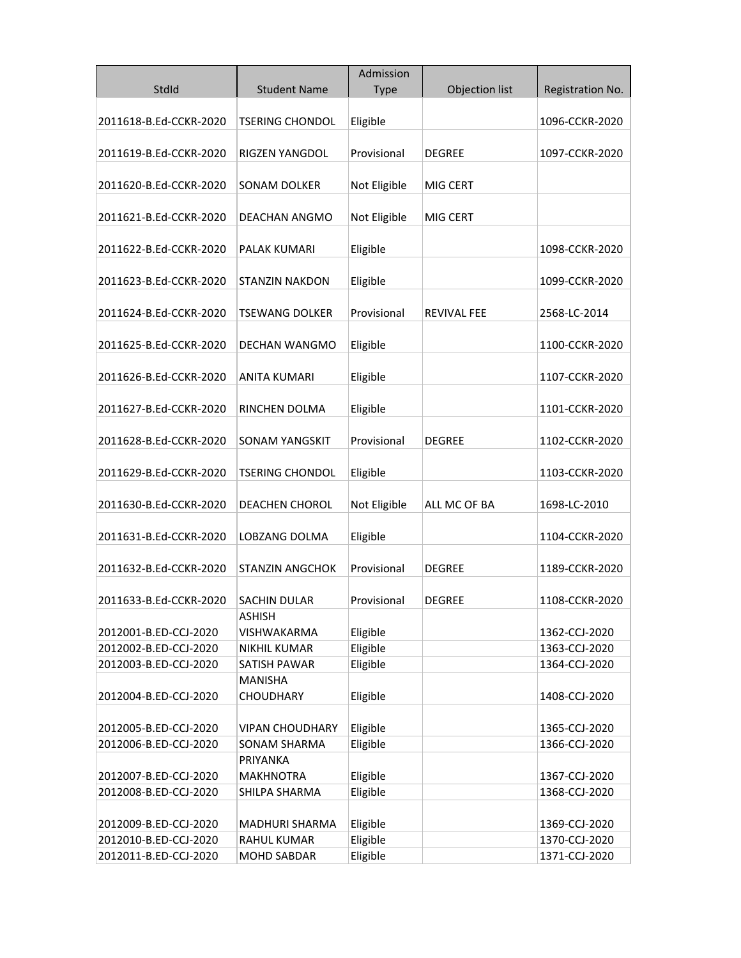|                        |                        | Admission            |                    |                  |
|------------------------|------------------------|----------------------|--------------------|------------------|
| StdId                  | <b>Student Name</b>    | <b>Type</b>          | Objection list     | Registration No. |
|                        |                        |                      |                    |                  |
| 2011618-B.Ed-CCKR-2020 | <b>TSERING CHONDOL</b> | Eligible             |                    | 1096-CCKR-2020   |
|                        |                        |                      |                    |                  |
| 2011619-B.Ed-CCKR-2020 | RIGZEN YANGDOL         | Provisional          | <b>DEGREE</b>      | 1097-CCKR-2020   |
|                        |                        |                      |                    |                  |
| 2011620-B.Ed-CCKR-2020 | SONAM DOLKER           | Not Eligible         | MIG CERT           |                  |
|                        |                        |                      |                    |                  |
| 2011621-B.Ed-CCKR-2020 | DEACHAN ANGMO          | Not Eligible         | MIG CERT           |                  |
| 2011622-B.Ed-CCKR-2020 | PALAK KUMARI           | Eligible             |                    | 1098-CCKR-2020   |
|                        |                        |                      |                    |                  |
| 2011623-B.Ed-CCKR-2020 | <b>STANZIN NAKDON</b>  | Eligible             |                    | 1099-CCKR-2020   |
|                        |                        |                      |                    |                  |
| 2011624-B.Ed-CCKR-2020 | TSEWANG DOLKER         | Provisional          | <b>REVIVAL FEE</b> | 2568-LC-2014     |
|                        |                        |                      |                    |                  |
| 2011625-B.Ed-CCKR-2020 | DECHAN WANGMO          | Eligible             |                    | 1100-CCKR-2020   |
|                        |                        |                      |                    |                  |
| 2011626-B.Ed-CCKR-2020 | <b>ANITA KUMARI</b>    | Eligible             |                    | 1107-CCKR-2020   |
|                        |                        |                      |                    |                  |
| 2011627-B.Ed-CCKR-2020 | RINCHEN DOLMA          | Eligible             |                    | 1101-CCKR-2020   |
| 2011628-B.Ed-CCKR-2020 | <b>SONAM YANGSKIT</b>  | Provisional          | <b>DEGREE</b>      | 1102-CCKR-2020   |
|                        |                        |                      |                    |                  |
| 2011629-B.Ed-CCKR-2020 | <b>TSERING CHONDOL</b> | Eligible             |                    | 1103-CCKR-2020   |
|                        |                        |                      |                    |                  |
| 2011630-B.Ed-CCKR-2020 | <b>DEACHEN CHOROL</b>  | Not Eligible         | ALL MC OF BA       | 1698-LC-2010     |
|                        |                        |                      |                    |                  |
| 2011631-B.Ed-CCKR-2020 | LOBZANG DOLMA          | Eligible             |                    | 1104-CCKR-2020   |
|                        |                        |                      |                    |                  |
| 2011632-B.Ed-CCKR-2020 | <b>STANZIN ANGCHOK</b> | Provisional          | <b>DEGREE</b>      | 1189-CCKR-2020   |
| 2011633-B.Ed-CCKR-2020 | SACHIN DULAR           | Provisional          | <b>DEGREE</b>      | 1108-CCKR-2020   |
|                        | <b>ASHISH</b>          |                      |                    |                  |
| 2012001-B.ED-CCJ-2020  | <b>VISHWAKARMA</b>     | Eligible             |                    | 1362-CCJ-2020    |
| 2012002-B.ED-CCJ-2020  | NIKHIL KUMAR           | Eligible             |                    | 1363-CCJ-2020    |
| 2012003-B.ED-CCJ-2020  | <b>SATISH PAWAR</b>    | Eligible             |                    | 1364-CCJ-2020    |
|                        | MANISHA                |                      |                    |                  |
| 2012004-B.ED-CCJ-2020  | <b>CHOUDHARY</b>       | Eligible             |                    | 1408-CCJ-2020    |
|                        |                        |                      |                    |                  |
| 2012005-B.ED-CCJ-2020  | <b>VIPAN CHOUDHARY</b> | Eligible             |                    | 1365-CCJ-2020    |
| 2012006-B.ED-CCJ-2020  | <b>SONAM SHARMA</b>    | Eligible             |                    | 1366-CCJ-2020    |
|                        | PRIYANKA               |                      |                    |                  |
| 2012007-B.ED-CCJ-2020  | MAKHNOTRA              | Eligible             |                    | 1367-CCJ-2020    |
| 2012008-B.ED-CCJ-2020  | SHILPA SHARMA          | Eligible             |                    | 1368-CCJ-2020    |
|                        |                        |                      |                    |                  |
| 2012009-B.ED-CCJ-2020  | <b>MADHURI SHARMA</b>  | Eligible             |                    | 1369-CCJ-2020    |
| 2012010-B.ED-CCJ-2020  | <b>RAHUL KUMAR</b>     | Eligible<br>Eligible |                    | 1370-CCJ-2020    |
| 2012011-B.ED-CCJ-2020  | <b>MOHD SABDAR</b>     |                      |                    | 1371-CCJ-2020    |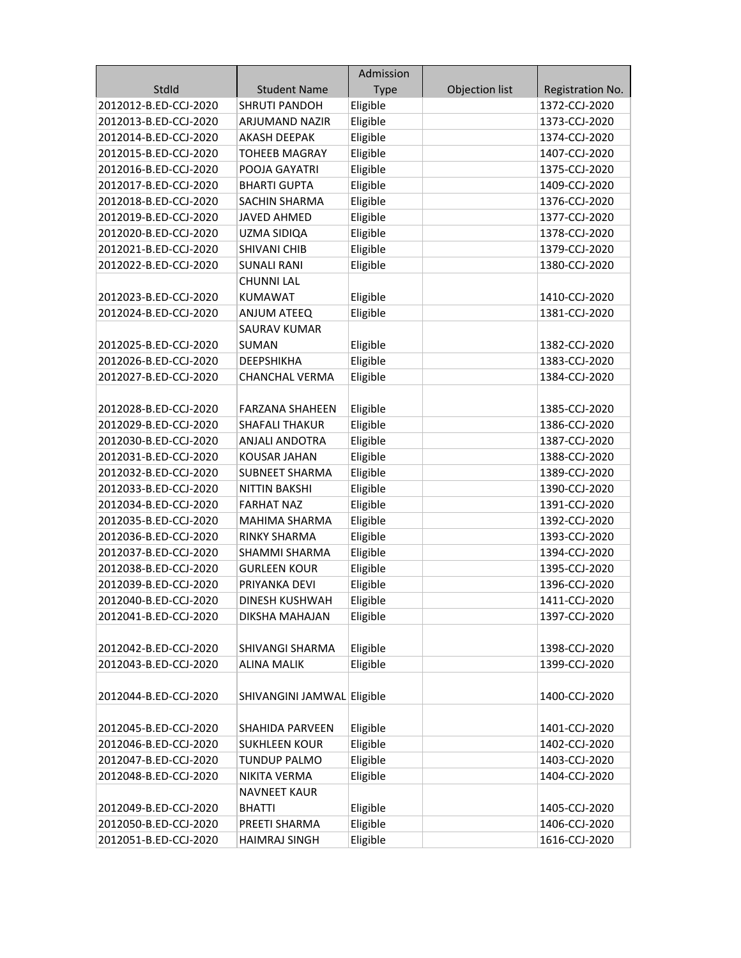|                       |                            | Admission   |                |                  |
|-----------------------|----------------------------|-------------|----------------|------------------|
| StdId                 | <b>Student Name</b>        | <b>Type</b> | Objection list | Registration No. |
| 2012012-B.ED-CCJ-2020 | <b>SHRUTI PANDOH</b>       | Eligible    |                | 1372-CCJ-2020    |
| 2012013-B.ED-CCJ-2020 | ARJUMAND NAZIR             | Eligible    |                | 1373-CCJ-2020    |
| 2012014-B.ED-CCJ-2020 | <b>AKASH DEEPAK</b>        | Eligible    |                | 1374-CCJ-2020    |
| 2012015-B.ED-CCJ-2020 | <b>TOHEEB MAGRAY</b>       | Eligible    |                | 1407-CCJ-2020    |
| 2012016-B.ED-CCJ-2020 | POOJA GAYATRI              | Eligible    |                | 1375-CCJ-2020    |
| 2012017-B.ED-CCJ-2020 | <b>BHARTI GUPTA</b>        | Eligible    |                | 1409-CCJ-2020    |
| 2012018-B.ED-CCJ-2020 | SACHIN SHARMA              | Eligible    |                | 1376-CCJ-2020    |
| 2012019-B.ED-CCJ-2020 | <b>JAVED AHMED</b>         | Eligible    |                | 1377-CCJ-2020    |
| 2012020-B.ED-CCJ-2020 | UZMA SIDIQA                | Eligible    |                | 1378-CCJ-2020    |
| 2012021-B.ED-CCJ-2020 | <b>SHIVANI CHIB</b>        | Eligible    |                | 1379-CCJ-2020    |
| 2012022-B.ED-CCJ-2020 | <b>SUNALI RANI</b>         | Eligible    |                | 1380-CCJ-2020    |
|                       | <b>CHUNNI LAL</b>          |             |                |                  |
| 2012023-B.ED-CCJ-2020 | <b>KUMAWAT</b>             | Eligible    |                | 1410-CCJ-2020    |
| 2012024-B.ED-CCJ-2020 | ANJUM ATEEQ                | Eligible    |                | 1381-CCJ-2020    |
|                       | <b>SAURAV KUMAR</b>        |             |                |                  |
| 2012025-B.ED-CCJ-2020 | <b>SUMAN</b>               | Eligible    |                | 1382-CCJ-2020    |
| 2012026-B.ED-CCJ-2020 | <b>DEEPSHIKHA</b>          | Eligible    |                | 1383-CCJ-2020    |
| 2012027-B.ED-CCJ-2020 | <b>CHANCHAL VERMA</b>      | Eligible    |                | 1384-CCJ-2020    |
|                       |                            |             |                |                  |
| 2012028-B.ED-CCJ-2020 | <b>FARZANA SHAHEEN</b>     | Eligible    |                | 1385-CCJ-2020    |
| 2012029-B.ED-CCJ-2020 | <b>SHAFALI THAKUR</b>      | Eligible    |                | 1386-CCJ-2020    |
| 2012030-B.ED-CCJ-2020 | ANJALI ANDOTRA             | Eligible    |                | 1387-CCJ-2020    |
| 2012031-B.ED-CCJ-2020 | <b>KOUSAR JAHAN</b>        | Eligible    |                | 1388-CCJ-2020    |
| 2012032-B.ED-CCJ-2020 | <b>SUBNEET SHARMA</b>      | Eligible    |                | 1389-CCJ-2020    |
| 2012033-B.ED-CCJ-2020 | <b>NITTIN BAKSHI</b>       | Eligible    |                | 1390-CCJ-2020    |
| 2012034-B.ED-CCJ-2020 | <b>FARHAT NAZ</b>          | Eligible    |                | 1391-CCJ-2020    |
| 2012035-B.ED-CCJ-2020 | <b>MAHIMA SHARMA</b>       | Eligible    |                | 1392-CCJ-2020    |
| 2012036-B.ED-CCJ-2020 | <b>RINKY SHARMA</b>        | Eligible    |                | 1393-CCJ-2020    |
| 2012037-B.ED-CCJ-2020 | <b>SHAMMI SHARMA</b>       | Eligible    |                | 1394-CCJ-2020    |
| 2012038-B.ED-CCJ-2020 | <b>GURLEEN KOUR</b>        | Eligible    |                | 1395-CCJ-2020    |
| 2012039-B.ED-CCJ-2020 | PRIYANKA DEVI              | Eligible    |                | 1396-CCJ-2020    |
| 2012040-B.ED-CCJ-2020 | <b>DINESH KUSHWAH</b>      | Eligible    |                | 1411-CCJ-2020    |
| 2012041-B.ED-CCJ-2020 | DIKSHA MAHAJAN             | Eligible    |                | 1397-CCJ-2020    |
|                       |                            |             |                |                  |
| 2012042-B.ED-CCJ-2020 | SHIVANGI SHARMA            | Eligible    |                | 1398-CCJ-2020    |
| 2012043-B.ED-CCJ-2020 | <b>ALINA MALIK</b>         | Eligible    |                | 1399-CCJ-2020    |
|                       |                            |             |                |                  |
| 2012044-B.ED-CCJ-2020 | SHIVANGINI JAMWAL Eligible |             |                | 1400-CCJ-2020    |
| 2012045-B.ED-CCJ-2020 | SHAHIDA PARVEEN            | Eligible    |                | 1401-CCJ-2020    |
| 2012046-B.ED-CCJ-2020 | <b>SUKHLEEN KOUR</b>       | Eligible    |                | 1402-CCJ-2020    |
| 2012047-B.ED-CCJ-2020 | <b>TUNDUP PALMO</b>        | Eligible    |                | 1403-CCJ-2020    |
| 2012048-B.ED-CCJ-2020 | NIKITA VERMA               | Eligible    |                | 1404-CCJ-2020    |
|                       | <b>NAVNEET KAUR</b>        |             |                |                  |
| 2012049-B.ED-CCJ-2020 | <b>BHATTI</b>              | Eligible    |                | 1405-CCJ-2020    |
| 2012050-B.ED-CCJ-2020 | PREETI SHARMA              | Eligible    |                | 1406-CCJ-2020    |
| 2012051-B.ED-CCJ-2020 | <b>HAIMRAJ SINGH</b>       | Eligible    |                | 1616-CCJ-2020    |
|                       |                            |             |                |                  |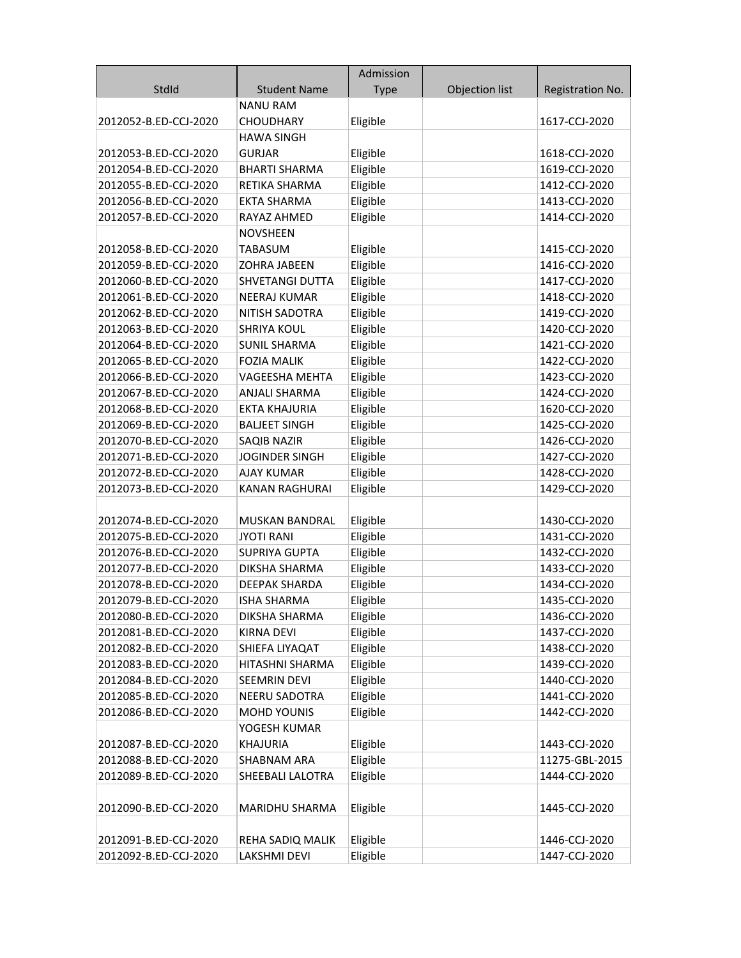|                       |                       | Admission   |                |                  |
|-----------------------|-----------------------|-------------|----------------|------------------|
| StdId                 | <b>Student Name</b>   | <b>Type</b> | Objection list | Registration No. |
|                       | <b>NANU RAM</b>       |             |                |                  |
| 2012052-B.ED-CCJ-2020 | <b>CHOUDHARY</b>      | Eligible    |                | 1617-CCJ-2020    |
|                       | <b>HAWA SINGH</b>     |             |                |                  |
| 2012053-B.ED-CCJ-2020 | <b>GURJAR</b>         | Eligible    |                | 1618-CCJ-2020    |
| 2012054-B.ED-CCJ-2020 | <b>BHARTI SHARMA</b>  | Eligible    |                | 1619-CCJ-2020    |
| 2012055-B.ED-CCJ-2020 | RETIKA SHARMA         | Eligible    |                | 1412-CCJ-2020    |
| 2012056-B.ED-CCJ-2020 | <b>EKTA SHARMA</b>    | Eligible    |                | 1413-CCJ-2020    |
| 2012057-B.ED-CCJ-2020 | RAYAZ AHMED           | Eligible    |                | 1414-CCJ-2020    |
|                       | <b>NOVSHEEN</b>       |             |                |                  |
| 2012058-B.ED-CCJ-2020 | <b>TABASUM</b>        | Eligible    |                | 1415-CCJ-2020    |
| 2012059-B.ED-CCJ-2020 | <b>ZOHRA JABEEN</b>   | Eligible    |                | 1416-CCJ-2020    |
| 2012060-B.ED-CCJ-2020 | SHVETANGI DUTTA       | Eligible    |                | 1417-CCJ-2020    |
| 2012061-B.ED-CCJ-2020 | <b>NEERAJ KUMAR</b>   | Eligible    |                | 1418-CCJ-2020    |
| 2012062-B.ED-CCJ-2020 | NITISH SADOTRA        | Eligible    |                | 1419-CCJ-2020    |
| 2012063-B.ED-CCJ-2020 | <b>SHRIYA KOUL</b>    | Eligible    |                | 1420-CCJ-2020    |
| 2012064-B.ED-CCJ-2020 | <b>SUNIL SHARMA</b>   | Eligible    |                | 1421-CCJ-2020    |
| 2012065-B.ED-CCJ-2020 | <b>FOZIA MALIK</b>    | Eligible    |                | 1422-CCJ-2020    |
| 2012066-B.ED-CCJ-2020 | VAGEESHA MEHTA        | Eligible    |                | 1423-CCJ-2020    |
| 2012067-B.ED-CCJ-2020 | <b>ANJALI SHARMA</b>  | Eligible    |                | 1424-CCJ-2020    |
| 2012068-B.ED-CCJ-2020 | <b>EKTA KHAJURIA</b>  | Eligible    |                | 1620-CCJ-2020    |
| 2012069-B.ED-CCJ-2020 | <b>BALJEET SINGH</b>  | Eligible    |                | 1425-CCJ-2020    |
| 2012070-B.ED-CCJ-2020 | SAQIB NAZIR           | Eligible    |                | 1426-CCJ-2020    |
| 2012071-B.ED-CCJ-2020 | <b>JOGINDER SINGH</b> | Eligible    |                | 1427-CCJ-2020    |
| 2012072-B.ED-CCJ-2020 | <b>AJAY KUMAR</b>     | Eligible    |                | 1428-CCJ-2020    |
| 2012073-B.ED-CCJ-2020 | <b>KANAN RAGHURAI</b> | Eligible    |                | 1429-CCJ-2020    |
|                       |                       |             |                |                  |
| 2012074-B.ED-CCJ-2020 | <b>MUSKAN BANDRAL</b> | Eligible    |                | 1430-CCJ-2020    |
| 2012075-B.ED-CCJ-2020 | <b>JYOTI RANI</b>     | Eligible    |                | 1431-CCJ-2020    |
| 2012076-B.ED-CCJ-2020 | <b>SUPRIYA GUPTA</b>  | Eligible    |                | 1432-CCJ-2020    |
| 2012077-B.ED-CCJ-2020 | DIKSHA SHARMA         | Eligible    |                | 1433-CCJ-2020    |
| 2012078-B.ED-CCJ-2020 | <b>DEEPAK SHARDA</b>  | Eligible    |                | 1434-CCJ-2020    |
| 2012079-B.ED-CCJ-2020 | ISHA SHARMA           | Eligible    |                | 1435-CCJ-2020    |
| 2012080-B.ED-CCJ-2020 | DIKSHA SHARMA         | Eligible    |                | 1436-CCJ-2020    |
| 2012081-B.ED-CCJ-2020 | <b>KIRNA DEVI</b>     | Eligible    |                | 1437-CCJ-2020    |
| 2012082-B.ED-CCJ-2020 | SHIEFA LIYAQAT        | Eligible    |                | 1438-CCJ-2020    |
| 2012083-B.ED-CCJ-2020 | HITASHNI SHARMA       | Eligible    |                | 1439-CCJ-2020    |
| 2012084-B.ED-CCJ-2020 | <b>SEEMRIN DEVI</b>   | Eligible    |                | 1440-CCJ-2020    |
| 2012085-B.ED-CCJ-2020 | <b>NEERU SADOTRA</b>  | Eligible    |                | 1441-CCJ-2020    |
| 2012086-B.ED-CCJ-2020 | <b>MOHD YOUNIS</b>    | Eligible    |                | 1442-CCJ-2020    |
|                       | YOGESH KUMAR          |             |                |                  |
| 2012087-B.ED-CCJ-2020 | <b>KHAJURIA</b>       | Eligible    |                | 1443-CCJ-2020    |
| 2012088-B.ED-CCJ-2020 | <b>SHABNAM ARA</b>    | Eligible    |                | 11275-GBL-2015   |
| 2012089-B.ED-CCJ-2020 | SHEEBALI LALOTRA      | Eligible    |                | 1444-CCJ-2020    |
|                       |                       |             |                |                  |
| 2012090-B.ED-CCJ-2020 | MARIDHU SHARMA        | Eligible    |                | 1445-CCJ-2020    |
|                       |                       |             |                |                  |
| 2012091-B.ED-CCJ-2020 | REHA SADIQ MALIK      | Eligible    |                | 1446-CCJ-2020    |
| 2012092-B.ED-CCJ-2020 | LAKSHMI DEVI          | Eligible    |                | 1447-CCJ-2020    |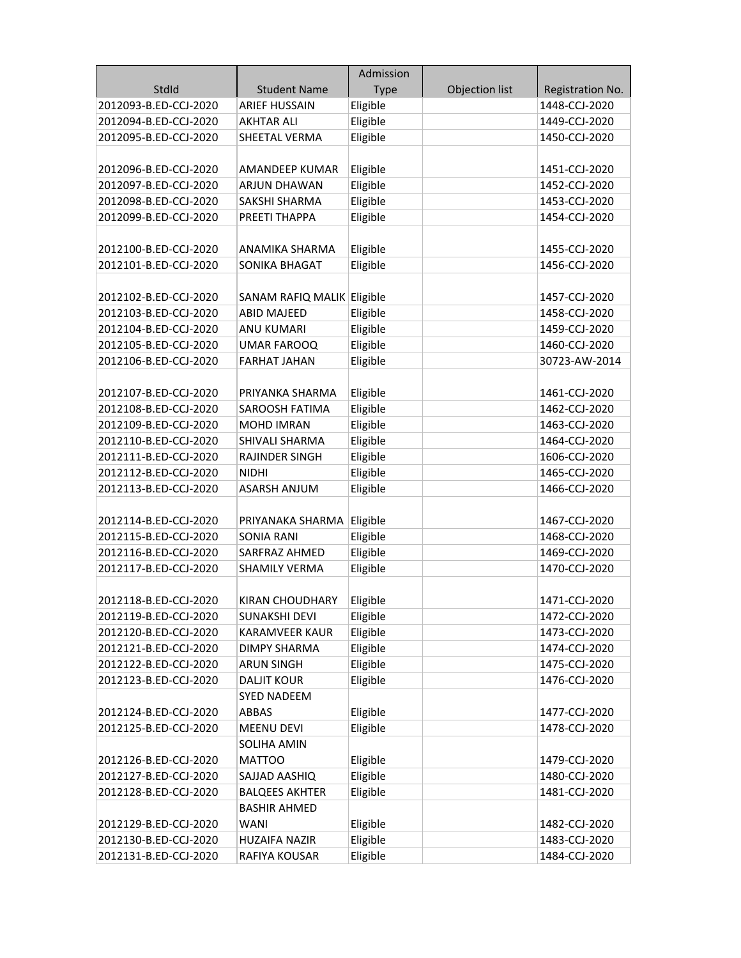|                       |                            | Admission   |                |                  |
|-----------------------|----------------------------|-------------|----------------|------------------|
| StdId                 | <b>Student Name</b>        | <b>Type</b> | Objection list | Registration No. |
| 2012093-B.ED-CCJ-2020 | <b>ARIEF HUSSAIN</b>       | Eligible    |                | 1448-CCJ-2020    |
| 2012094-B.ED-CCJ-2020 | <b>AKHTAR ALI</b>          | Eligible    |                | 1449-CCJ-2020    |
| 2012095-B.ED-CCJ-2020 | <b>SHEETAL VERMA</b>       | Eligible    |                | 1450-CCJ-2020    |
|                       |                            |             |                |                  |
| 2012096-B.ED-CCJ-2020 | AMANDEEP KUMAR             | Eligible    |                | 1451-CCJ-2020    |
| 2012097-B.ED-CCJ-2020 | ARJUN DHAWAN               | Eligible    |                | 1452-CCJ-2020    |
| 2012098-B.ED-CCJ-2020 | SAKSHI SHARMA              | Eligible    |                | 1453-CCJ-2020    |
| 2012099-B.ED-CCJ-2020 | PREETI THAPPA              | Eligible    |                | 1454-CCJ-2020    |
|                       |                            |             |                |                  |
| 2012100-B.ED-CCJ-2020 | ANAMIKA SHARMA             | Eligible    |                | 1455-CCJ-2020    |
| 2012101-B.ED-CCJ-2020 | SONIKA BHAGAT              | Eligible    |                | 1456-CCJ-2020    |
|                       |                            |             |                |                  |
| 2012102-B.ED-CCJ-2020 | SANAM RAFIQ MALIK Eligible |             |                | 1457-CCJ-2020    |
| 2012103-B.ED-CCJ-2020 | <b>ABID MAJEED</b>         | Eligible    |                | 1458-CCJ-2020    |
| 2012104-B.ED-CCJ-2020 | <b>ANU KUMARI</b>          | Eligible    |                | 1459-CCJ-2020    |
| 2012105-B.ED-CCJ-2020 | <b>UMAR FAROOQ</b>         | Eligible    |                | 1460-CCJ-2020    |
| 2012106-B.ED-CCJ-2020 | <b>FARHAT JAHAN</b>        | Eligible    |                | 30723-AW-2014    |
|                       |                            |             |                |                  |
| 2012107-B.ED-CCJ-2020 | PRIYANKA SHARMA            | Eligible    |                | 1461-CCJ-2020    |
| 2012108-B.ED-CCJ-2020 | SAROOSH FATIMA             | Eligible    |                | 1462-CCJ-2020    |
| 2012109-B.ED-CCJ-2020 | <b>MOHD IMRAN</b>          | Eligible    |                | 1463-CCJ-2020    |
| 2012110-B.ED-CCJ-2020 | SHIVALI SHARMA             | Eligible    |                | 1464-CCJ-2020    |
| 2012111-B.ED-CCJ-2020 | RAJINDER SINGH             | Eligible    |                | 1606-CCJ-2020    |
| 2012112-B.ED-CCJ-2020 | NIDHI                      | Eligible    |                | 1465-CCJ-2020    |
| 2012113-B.ED-CCJ-2020 | <b>ASARSH ANJUM</b>        | Eligible    |                | 1466-CCJ-2020    |
|                       |                            |             |                |                  |
| 2012114-B.ED-CCJ-2020 | PRIYANAKA SHARMA           | Eligible    |                | 1467-CCJ-2020    |
| 2012115-B.ED-CCJ-2020 | SONIA RANI                 | Eligible    |                | 1468-CCJ-2020    |
| 2012116-B.ED-CCJ-2020 | SARFRAZ AHMED              | Eligible    |                | 1469-CCJ-2020    |
| 2012117-B.ED-CCJ-2020 | SHAMILY VERMA              | Eligible    |                | 1470-CCJ-2020    |
|                       |                            |             |                |                  |
| 2012118-B.ED-CCJ-2020 | <b>KIRAN CHOUDHARY</b>     | Eligible    |                | 1471-CCJ-2020    |
| 2012119-B.ED-CCJ-2020 | <b>SUNAKSHI DEVI</b>       | Eligible    |                | 1472-CCJ-2020    |
| 2012120-B.ED-CCJ-2020 | <b>KARAMVEER KAUR</b>      | Eligible    |                | 1473-CCJ-2020    |
| 2012121-B.ED-CCJ-2020 | <b>DIMPY SHARMA</b>        | Eligible    |                | 1474-CCJ-2020    |
| 2012122-B.ED-CCJ-2020 | <b>ARUN SINGH</b>          | Eligible    |                | 1475-CCJ-2020    |
| 2012123-B.ED-CCJ-2020 | <b>DALJIT KOUR</b>         | Eligible    |                | 1476-CCJ-2020    |
|                       | <b>SYED NADEEM</b>         |             |                |                  |
| 2012124-B.ED-CCJ-2020 | ABBAS                      | Eligible    |                | 1477-CCJ-2020    |
| 2012125-B.ED-CCJ-2020 | <b>MEENU DEVI</b>          | Eligible    |                | 1478-CCJ-2020    |
|                       | SOLIHA AMIN                |             |                |                  |
| 2012126-B.ED-CCJ-2020 | <b>MATTOO</b>              | Eligible    |                | 1479-CCJ-2020    |
| 2012127-B.ED-CCJ-2020 | SAJJAD AASHIQ              | Eligible    |                | 1480-CCJ-2020    |
| 2012128-B.ED-CCJ-2020 | <b>BALQEES AKHTER</b>      | Eligible    |                | 1481-CCJ-2020    |
|                       | <b>BASHIR AHMED</b>        |             |                |                  |
| 2012129-B.ED-CCJ-2020 | <b>WANI</b>                | Eligible    |                | 1482-CCJ-2020    |
| 2012130-B.ED-CCJ-2020 | <b>HUZAIFA NAZIR</b>       | Eligible    |                | 1483-CCJ-2020    |
| 2012131-B.ED-CCJ-2020 | RAFIYA KOUSAR              | Eligible    |                | 1484-CCJ-2020    |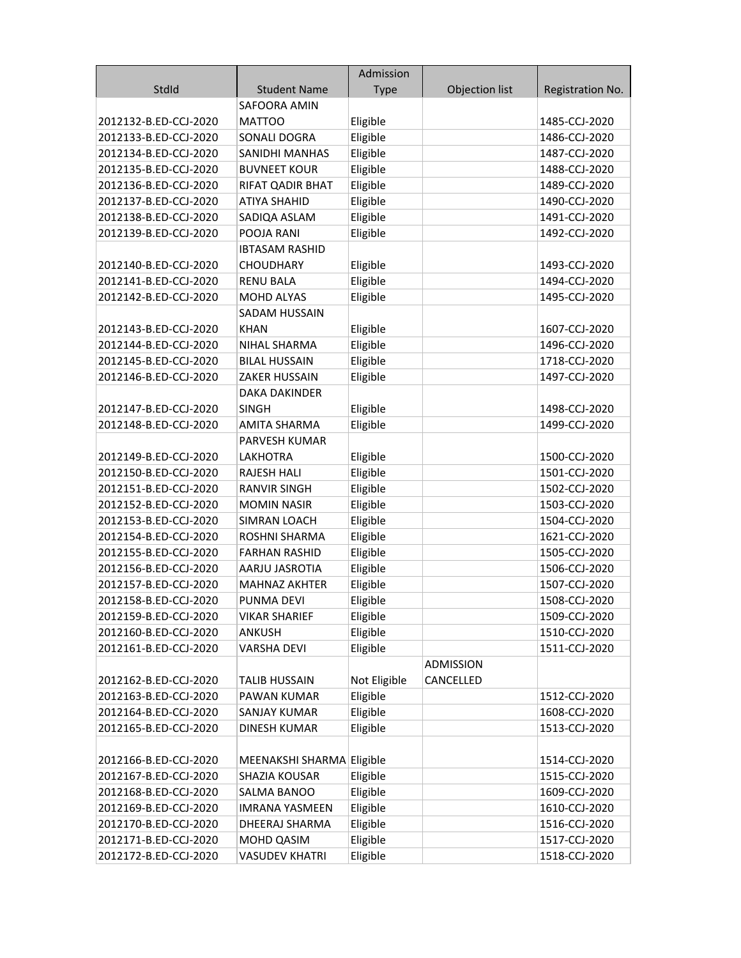|                       |                           | Admission    |                |                  |
|-----------------------|---------------------------|--------------|----------------|------------------|
| StdId                 | <b>Student Name</b>       | <b>Type</b>  | Objection list | Registration No. |
|                       | SAFOORA AMIN              |              |                |                  |
| 2012132-B.ED-CCJ-2020 | <b>MATTOO</b>             | Eligible     |                | 1485-CCJ-2020    |
| 2012133-B.ED-CCJ-2020 | SONALI DOGRA              | Eligible     |                | 1486-CCJ-2020    |
| 2012134-B.ED-CCJ-2020 | <b>SANIDHI MANHAS</b>     | Eligible     |                | 1487-CCJ-2020    |
| 2012135-B.ED-CCJ-2020 | <b>BUVNEET KOUR</b>       | Eligible     |                | 1488-CCJ-2020    |
| 2012136-B.ED-CCJ-2020 | RIFAT QADIR BHAT          | Eligible     |                | 1489-CCJ-2020    |
| 2012137-B.ED-CCJ-2020 | <b>ATIYA SHAHID</b>       | Eligible     |                | 1490-CCJ-2020    |
| 2012138-B.ED-CCJ-2020 | SADIQA ASLAM              | Eligible     |                | 1491-CCJ-2020    |
| 2012139-B.ED-CCJ-2020 | POOJA RANI                | Eligible     |                | 1492-CCJ-2020    |
|                       | <b>IBTASAM RASHID</b>     |              |                |                  |
| 2012140-B.ED-CCJ-2020 | <b>CHOUDHARY</b>          | Eligible     |                | 1493-CCJ-2020    |
| 2012141-B.ED-CCJ-2020 | <b>RENU BALA</b>          | Eligible     |                | 1494-CCJ-2020    |
| 2012142-B.ED-CCJ-2020 | MOHD ALYAS                | Eligible     |                | 1495-CCJ-2020    |
|                       | SADAM HUSSAIN             |              |                |                  |
| 2012143-B.ED-CCJ-2020 | <b>KHAN</b>               | Eligible     |                | 1607-CCJ-2020    |
| 2012144-B.ED-CCJ-2020 | NIHAL SHARMA              | Eligible     |                | 1496-CCJ-2020    |
| 2012145-B.ED-CCJ-2020 | <b>BILAL HUSSAIN</b>      | Eligible     |                | 1718-CCJ-2020    |
| 2012146-B.ED-CCJ-2020 | ZAKER HUSSAIN             | Eligible     |                | 1497-CCJ-2020    |
|                       | DAKA DAKINDER             |              |                |                  |
| 2012147-B.ED-CCJ-2020 | <b>SINGH</b>              | Eligible     |                | 1498-CCJ-2020    |
| 2012148-B.ED-CCJ-2020 | <b>AMITA SHARMA</b>       | Eligible     |                | 1499-CCJ-2020    |
|                       | PARVESH KUMAR             |              |                |                  |
| 2012149-B.ED-CCJ-2020 | LAKHOTRA                  | Eligible     |                | 1500-CCJ-2020    |
| 2012150-B.ED-CCJ-2020 | <b>RAJESH HALI</b>        | Eligible     |                | 1501-CCJ-2020    |
| 2012151-B.ED-CCJ-2020 | <b>RANVIR SINGH</b>       | Eligible     |                | 1502-CCJ-2020    |
| 2012152-B.ED-CCJ-2020 | <b>MOMIN NASIR</b>        | Eligible     |                | 1503-CCJ-2020    |
| 2012153-B.ED-CCJ-2020 | SIMRAN LOACH              | Eligible     |                | 1504-CCJ-2020    |
| 2012154-B.ED-CCJ-2020 | ROSHNI SHARMA             | Eligible     |                | 1621-CCJ-2020    |
| 2012155-B.ED-CCJ-2020 | <b>FARHAN RASHID</b>      | Eligible     |                | 1505-CCJ-2020    |
| 2012156-B.ED-CCJ-2020 | AARJU JASROTIA            | Eligible     |                | 1506-CCJ-2020    |
| 2012157-B.ED-CCJ-2020 | <b>MAHNAZ AKHTER</b>      | Eligible     |                | 1507-CCJ-2020    |
| 2012158-B.ED-CCJ-2020 | PUNMA DEVI                | Eligible     |                | 1508-CCJ-2020    |
| 2012159-B.ED-CCJ-2020 | <b>VIKAR SHARIEF</b>      | Eligible     |                | 1509-CCJ-2020    |
| 2012160-B.ED-CCJ-2020 | <b>ANKUSH</b>             | Eligible     |                | 1510-CCJ-2020    |
| 2012161-B.ED-CCJ-2020 | <b>VARSHA DEVI</b>        | Eligible     |                | 1511-CCJ-2020    |
|                       |                           |              | ADMISSION      |                  |
| 2012162-B.ED-CCJ-2020 | <b>TALIB HUSSAIN</b>      | Not Eligible | CANCELLED      |                  |
| 2012163-B.ED-CCJ-2020 | PAWAN KUMAR               | Eligible     |                | 1512-CCJ-2020    |
| 2012164-B.ED-CCJ-2020 | SANJAY KUMAR              | Eligible     |                | 1608-CCJ-2020    |
| 2012165-B.ED-CCJ-2020 | <b>DINESH KUMAR</b>       | Eligible     |                | 1513-CCJ-2020    |
|                       |                           |              |                |                  |
| 2012166-B.ED-CCJ-2020 | MEENAKSHI SHARMA Eligible |              |                | 1514-CCJ-2020    |
| 2012167-B.ED-CCJ-2020 | SHAZIA KOUSAR             | Eligible     |                | 1515-CCJ-2020    |
| 2012168-B.ED-CCJ-2020 | SALMA BANOO               | Eligible     |                | 1609-CCJ-2020    |
| 2012169-B.ED-CCJ-2020 | <b>IMRANA YASMEEN</b>     | Eligible     |                | 1610-CCJ-2020    |
| 2012170-B.ED-CCJ-2020 | DHEERAJ SHARMA            | Eligible     |                | 1516-CCJ-2020    |
| 2012171-B.ED-CCJ-2020 | MOHD QASIM                | Eligible     |                | 1517-CCJ-2020    |
| 2012172-B.ED-CCJ-2020 | <b>VASUDEV KHATRI</b>     | Eligible     |                | 1518-CCJ-2020    |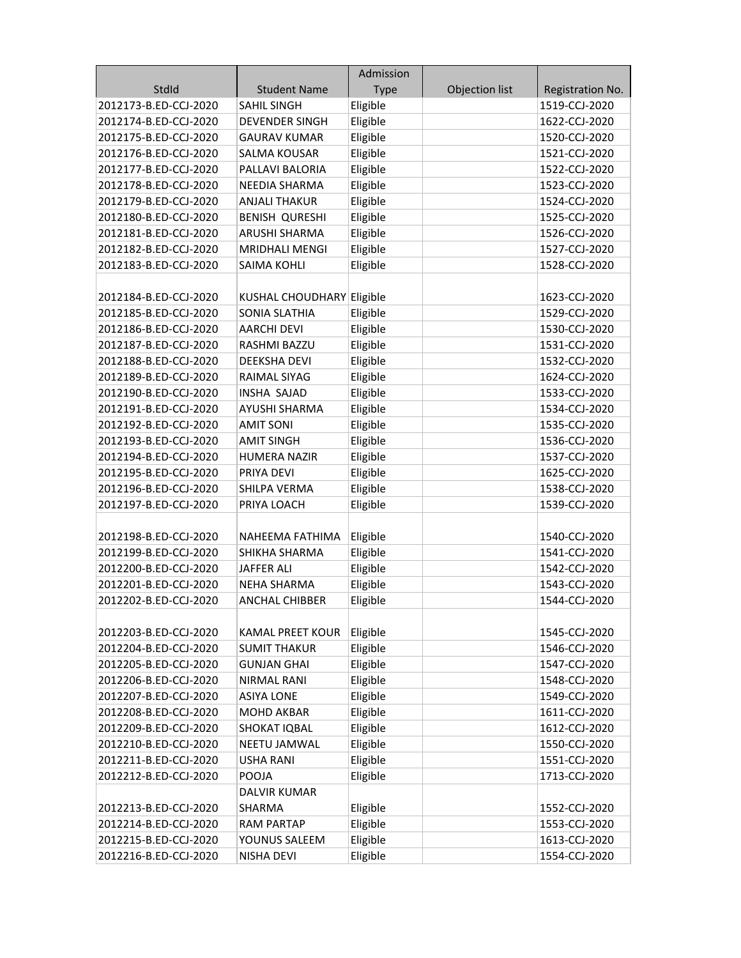|                       |                           | Admission   |                |                  |
|-----------------------|---------------------------|-------------|----------------|------------------|
| StdId                 | <b>Student Name</b>       | <b>Type</b> | Objection list | Registration No. |
| 2012173-B.ED-CCJ-2020 | <b>SAHIL SINGH</b>        | Eligible    |                | 1519-CCJ-2020    |
| 2012174-B.ED-CCJ-2020 | <b>DEVENDER SINGH</b>     | Eligible    |                | 1622-CCJ-2020    |
| 2012175-B.ED-CCJ-2020 | <b>GAURAV KUMAR</b>       | Eligible    |                | 1520-CCJ-2020    |
| 2012176-B.ED-CCJ-2020 | SALMA KOUSAR              | Eligible    |                | 1521-CCJ-2020    |
| 2012177-B.ED-CCJ-2020 | PALLAVI BALORIA           | Eligible    |                | 1522-CCJ-2020    |
| 2012178-B.ED-CCJ-2020 | <b>NEEDIA SHARMA</b>      | Eligible    |                | 1523-CCJ-2020    |
| 2012179-B.ED-CCJ-2020 | <b>ANJALI THAKUR</b>      | Eligible    |                | 1524-CCJ-2020    |
| 2012180-B.ED-CCJ-2020 | <b>BENISH QURESHI</b>     | Eligible    |                | 1525-CCJ-2020    |
| 2012181-B.ED-CCJ-2020 | <b>ARUSHI SHARMA</b>      | Eligible    |                | 1526-CCJ-2020    |
| 2012182-B.ED-CCJ-2020 | <b>MRIDHALI MENGI</b>     | Eligible    |                | 1527-CCJ-2020    |
| 2012183-B.ED-CCJ-2020 | SAIMA KOHLI               | Eligible    |                | 1528-CCJ-2020    |
|                       |                           |             |                |                  |
| 2012184-B.ED-CCJ-2020 | KUSHAL CHOUDHARY Eligible |             |                | 1623-CCJ-2020    |
| 2012185-B.ED-CCJ-2020 | SONIA SLATHIA             | Eligible    |                | 1529-CCJ-2020    |
| 2012186-B.ED-CCJ-2020 | <b>AARCHI DEVI</b>        | Eligible    |                | 1530-CCJ-2020    |
| 2012187-B.ED-CCJ-2020 | RASHMI BAZZU              | Eligible    |                | 1531-CCJ-2020    |
| 2012188-B.ED-CCJ-2020 | <b>DEEKSHA DEVI</b>       | Eligible    |                | 1532-CCJ-2020    |
| 2012189-B.ED-CCJ-2020 | RAIMAL SIYAG              | Eligible    |                | 1624-CCJ-2020    |
| 2012190-B.ED-CCJ-2020 | <b>INSHA SAJAD</b>        | Eligible    |                | 1533-CCJ-2020    |
| 2012191-B.ED-CCJ-2020 | AYUSHI SHARMA             | Eligible    |                | 1534-CCJ-2020    |
| 2012192-B.ED-CCJ-2020 | <b>AMIT SONI</b>          | Eligible    |                | 1535-CCJ-2020    |
| 2012193-B.ED-CCJ-2020 | <b>AMIT SINGH</b>         | Eligible    |                | 1536-CCJ-2020    |
| 2012194-B.ED-CCJ-2020 | HUMERA NAZIR              | Eligible    |                | 1537-CCJ-2020    |
| 2012195-B.ED-CCJ-2020 | PRIYA DEVI                | Eligible    |                | 1625-CCJ-2020    |
| 2012196-B.ED-CCJ-2020 | SHILPA VERMA              | Eligible    |                | 1538-CCJ-2020    |
| 2012197-B.ED-CCJ-2020 | PRIYA LOACH               | Eligible    |                | 1539-CCJ-2020    |
|                       |                           |             |                |                  |
| 2012198-B.ED-CCJ-2020 | NAHEEMA FATHIMA           | Eligible    |                | 1540-CCJ-2020    |
| 2012199-B.ED-CCJ-2020 | SHIKHA SHARMA             | Eligible    |                | 1541-CCJ-2020    |
| 2012200-B.ED-CCJ-2020 | <b>JAFFER ALI</b>         | Eligible    |                | 1542-CCJ-2020    |
| 2012201-B.ED-CCJ-2020 | <b>NEHA SHARMA</b>        | Eligible    |                | 1543-CCJ-2020    |
| 2012202-B.ED-CCJ-2020 | <b>ANCHAL CHIBBER</b>     | Eligible    |                | 1544-CCJ-2020    |
|                       |                           |             |                |                  |
| 2012203-B.ED-CCJ-2020 | KAMAL PREET KOUR          | Eligible    |                | 1545-CCJ-2020    |
| 2012204-B.ED-CCJ-2020 | <b>SUMIT THAKUR</b>       | Eligible    |                | 1546-CCJ-2020    |
| 2012205-B.ED-CCJ-2020 | <b>GUNJAN GHAI</b>        | Eligible    |                | 1547-CCJ-2020    |
| 2012206-B.ED-CCJ-2020 | <b>NIRMAL RANI</b>        | Eligible    |                | 1548-CCJ-2020    |
| 2012207-B.ED-CCJ-2020 | <b>ASIYA LONE</b>         | Eligible    |                | 1549-CCJ-2020    |
| 2012208-B.ED-CCJ-2020 | <b>MOHD AKBAR</b>         | Eligible    |                | 1611-CCJ-2020    |
| 2012209-B.ED-CCJ-2020 | SHOKAT IQBAL              | Eligible    |                | 1612-CCJ-2020    |
| 2012210-B.ED-CCJ-2020 | <b>NEETU JAMWAL</b>       | Eligible    |                | 1550-CCJ-2020    |
| 2012211-B.ED-CCJ-2020 | <b>USHA RANI</b>          | Eligible    |                | 1551-CCJ-2020    |
| 2012212-B.ED-CCJ-2020 | <b>POOJA</b>              | Eligible    |                | 1713-CCJ-2020    |
|                       | <b>DALVIR KUMAR</b>       |             |                |                  |
| 2012213-B.ED-CCJ-2020 | <b>SHARMA</b>             | Eligible    |                | 1552-CCJ-2020    |
| 2012214-B.ED-CCJ-2020 | <b>RAM PARTAP</b>         | Eligible    |                | 1553-CCJ-2020    |
| 2012215-B.ED-CCJ-2020 | YOUNUS SALEEM             | Eligible    |                | 1613-CCJ-2020    |
| 2012216-B.ED-CCJ-2020 | <b>NISHA DEVI</b>         | Eligible    |                | 1554-CCJ-2020    |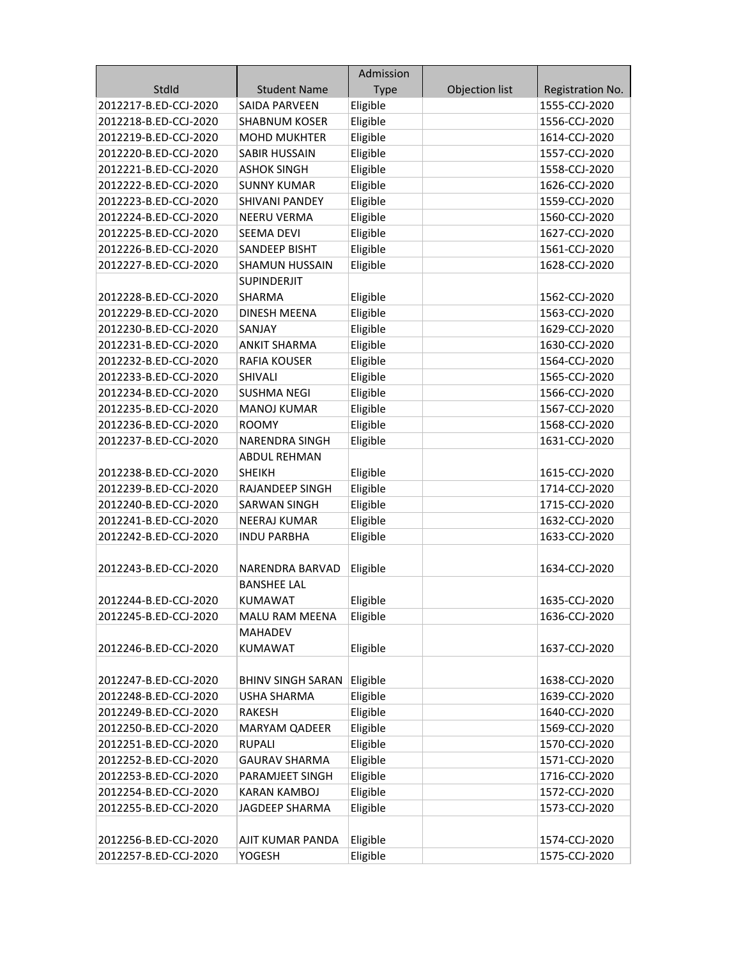|                       |                          | Admission   |                |                  |
|-----------------------|--------------------------|-------------|----------------|------------------|
| StdId                 | <b>Student Name</b>      | <b>Type</b> | Objection list | Registration No. |
| 2012217-B.ED-CCJ-2020 | <b>SAIDA PARVEEN</b>     | Eligible    |                | 1555-CCJ-2020    |
| 2012218-B.ED-CCJ-2020 | <b>SHABNUM KOSER</b>     | Eligible    |                | 1556-CCJ-2020    |
| 2012219-B.ED-CCJ-2020 | <b>MOHD MUKHTER</b>      | Eligible    |                | 1614-CCJ-2020    |
| 2012220-B.ED-CCJ-2020 | <b>SABIR HUSSAIN</b>     | Eligible    |                | 1557-CCJ-2020    |
| 2012221-B.ED-CCJ-2020 | <b>ASHOK SINGH</b>       | Eligible    |                | 1558-CCJ-2020    |
| 2012222-B.ED-CCJ-2020 | <b>SUNNY KUMAR</b>       | Eligible    |                | 1626-CCJ-2020    |
| 2012223-B.ED-CCJ-2020 | <b>SHIVANI PANDEY</b>    | Eligible    |                | 1559-CCJ-2020    |
| 2012224-B.ED-CCJ-2020 | <b>NEERU VERMA</b>       | Eligible    |                | 1560-CCJ-2020    |
| 2012225-B.ED-CCJ-2020 | SEEMA DEVI               | Eligible    |                | 1627-CCJ-2020    |
| 2012226-B.ED-CCJ-2020 | SANDEEP BISHT            | Eligible    |                | 1561-CCJ-2020    |
| 2012227-B.ED-CCJ-2020 | <b>SHAMUN HUSSAIN</b>    | Eligible    |                | 1628-CCJ-2020    |
|                       | <b>SUPINDERJIT</b>       |             |                |                  |
| 2012228-B.ED-CCJ-2020 | SHARMA                   | Eligible    |                | 1562-CCJ-2020    |
| 2012229-B.ED-CCJ-2020 | <b>DINESH MEENA</b>      | Eligible    |                | 1563-CCJ-2020    |
| 2012230-B.ED-CCJ-2020 | SANJAY                   | Eligible    |                | 1629-CCJ-2020    |
| 2012231-B.ED-CCJ-2020 | <b>ANKIT SHARMA</b>      | Eligible    |                | 1630-CCJ-2020    |
| 2012232-B.ED-CCJ-2020 | <b>RAFIA KOUSER</b>      | Eligible    |                | 1564-CCJ-2020    |
| 2012233-B.ED-CCJ-2020 | <b>SHIVALI</b>           | Eligible    |                | 1565-CCJ-2020    |
| 2012234-B.ED-CCJ-2020 | <b>SUSHMA NEGI</b>       | Eligible    |                | 1566-CCJ-2020    |
| 2012235-B.ED-CCJ-2020 | <b>MANOJ KUMAR</b>       | Eligible    |                | 1567-CCJ-2020    |
| 2012236-B.ED-CCJ-2020 | <b>ROOMY</b>             | Eligible    |                | 1568-CCJ-2020    |
| 2012237-B.ED-CCJ-2020 | <b>NARENDRA SINGH</b>    | Eligible    |                | 1631-CCJ-2020    |
|                       | ABDUL REHMAN             |             |                |                  |
| 2012238-B.ED-CCJ-2020 | <b>SHEIKH</b>            | Eligible    |                | 1615-CCJ-2020    |
| 2012239-B.ED-CCJ-2020 | RAJANDEEP SINGH          | Eligible    |                | 1714-CCJ-2020    |
| 2012240-B.ED-CCJ-2020 | <b>SARWAN SINGH</b>      | Eligible    |                | 1715-CCJ-2020    |
| 2012241-B.ED-CCJ-2020 | <b>NEERAJ KUMAR</b>      | Eligible    |                | 1632-CCJ-2020    |
| 2012242-B.ED-CCJ-2020 | <b>INDU PARBHA</b>       | Eligible    |                | 1633-CCJ-2020    |
|                       |                          |             |                |                  |
| 2012243-B.ED-CCJ-2020 | NARENDRA BARVAD          | Eligible    |                | 1634-CCJ-2020    |
|                       | <b>BANSHEE LAL</b>       |             |                |                  |
| 2012244-B.ED-CCJ-2020 | KUMAWAT                  | Eligible    |                | 1635-CCJ-2020    |
| 2012245-B.ED-CCJ-2020 | <b>MALU RAM MEENA</b>    | Eligible    |                | 1636-CCJ-2020    |
|                       | <b>MAHADEV</b>           |             |                |                  |
| 2012246-B.ED-CCJ-2020 | <b>KUMAWAT</b>           | Eligible    |                | 1637-CCJ-2020    |
|                       |                          |             |                |                  |
| 2012247-B.ED-CCJ-2020 | <b>BHINV SINGH SARAN</b> | Eligible    |                | 1638-CCJ-2020    |
| 2012248-B.ED-CCJ-2020 | <b>USHA SHARMA</b>       | Eligible    |                | 1639-CCJ-2020    |
| 2012249-B.ED-CCJ-2020 | RAKESH                   | Eligible    |                | 1640-CCJ-2020    |
| 2012250-B.ED-CCJ-2020 | <b>MARYAM QADEER</b>     | Eligible    |                | 1569-CCJ-2020    |
| 2012251-B.ED-CCJ-2020 | <b>RUPALI</b>            | Eligible    |                | 1570-CCJ-2020    |
| 2012252-B.ED-CCJ-2020 | <b>GAURAV SHARMA</b>     | Eligible    |                | 1571-CCJ-2020    |
| 2012253-B.ED-CCJ-2020 | PARAMJEET SINGH          | Eligible    |                | 1716-CCJ-2020    |
| 2012254-B.ED-CCJ-2020 | <b>KARAN KAMBOJ</b>      | Eligible    |                | 1572-CCJ-2020    |
| 2012255-B.ED-CCJ-2020 | JAGDEEP SHARMA           | Eligible    |                | 1573-CCJ-2020    |
|                       |                          |             |                |                  |
| 2012256-B.ED-CCJ-2020 | AJIT KUMAR PANDA         | Eligible    |                | 1574-CCJ-2020    |
| 2012257-B.ED-CCJ-2020 | YOGESH                   | Eligible    |                | 1575-CCJ-2020    |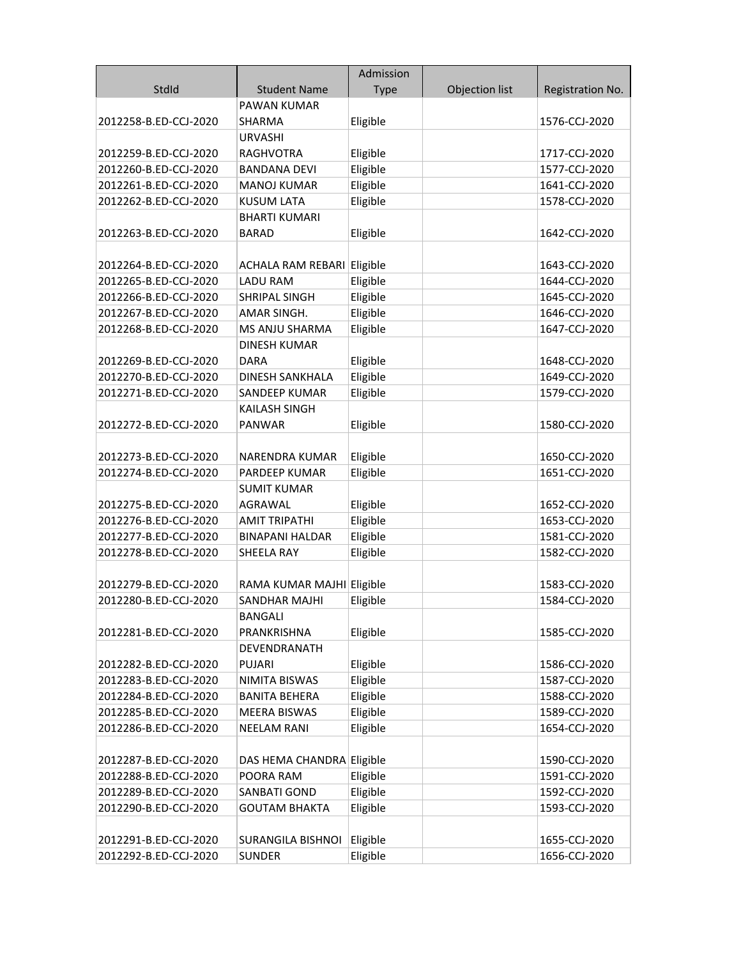|                       |                                 | Admission   |                |                  |
|-----------------------|---------------------------------|-------------|----------------|------------------|
| StdId                 | <b>Student Name</b>             | <b>Type</b> | Objection list | Registration No. |
|                       | PAWAN KUMAR                     |             |                |                  |
| 2012258-B.ED-CCJ-2020 | SHARMA                          | Eligible    |                | 1576-CCJ-2020    |
|                       | <b>URVASHI</b>                  |             |                |                  |
| 2012259-B.ED-CCJ-2020 | <b>RAGHVOTRA</b>                | Eligible    |                | 1717-CCJ-2020    |
| 2012260-B.ED-CCJ-2020 | <b>BANDANA DEVI</b>             | Eligible    |                | 1577-CCJ-2020    |
| 2012261-B.ED-CCJ-2020 | <b>MANOJ KUMAR</b>              | Eligible    |                | 1641-CCJ-2020    |
| 2012262-B.ED-CCJ-2020 | <b>KUSUM LATA</b>               | Eligible    |                | 1578-CCJ-2020    |
|                       | <b>BHARTI KUMARI</b>            |             |                |                  |
| 2012263-B.ED-CCJ-2020 | <b>BARAD</b>                    | Eligible    |                | 1642-CCJ-2020    |
|                       |                                 |             |                |                  |
| 2012264-B.ED-CCJ-2020 | ACHALA RAM REBARI Eligible      |             |                | 1643-CCJ-2020    |
| 2012265-B.ED-CCJ-2020 | <b>LADU RAM</b>                 | Eligible    |                | 1644-CCJ-2020    |
| 2012266-B.ED-CCJ-2020 | SHRIPAL SINGH                   | Eligible    |                | 1645-CCJ-2020    |
| 2012267-B.ED-CCJ-2020 | AMAR SINGH.                     | Eligible    |                | 1646-CCJ-2020    |
| 2012268-B.ED-CCJ-2020 | MS ANJU SHARMA                  | Eligible    |                | 1647-CCJ-2020    |
|                       | <b>DINESH KUMAR</b>             |             |                |                  |
| 2012269-B.ED-CCJ-2020 | <b>DARA</b>                     | Eligible    |                | 1648-CCJ-2020    |
| 2012270-B.ED-CCJ-2020 | <b>DINESH SANKHALA</b>          | Eligible    |                | 1649-CCJ-2020    |
| 2012271-B.ED-CCJ-2020 | SANDEEP KUMAR                   | Eligible    |                | 1579-CCJ-2020    |
|                       | <b>KAILASH SINGH</b>            |             |                |                  |
| 2012272-B.ED-CCJ-2020 | <b>PANWAR</b>                   | Eligible    |                | 1580-CCJ-2020    |
|                       |                                 |             |                |                  |
| 2012273-B.ED-CCJ-2020 | NARENDRA KUMAR                  | Eligible    |                | 1650-CCJ-2020    |
| 2012274-B.ED-CCJ-2020 | PARDEEP KUMAR                   | Eligible    |                | 1651-CCJ-2020    |
|                       | <b>SUMIT KUMAR</b>              |             |                |                  |
| 2012275-B.ED-CCJ-2020 | <b>AGRAWAL</b>                  | Eligible    |                | 1652-CCJ-2020    |
| 2012276-B.ED-CCJ-2020 | AMIT TRIPATHI                   | Eligible    |                | 1653-CCJ-2020    |
| 2012277-B.ED-CCJ-2020 | <b>BINAPANI HALDAR</b>          | Eligible    |                | 1581-CCJ-2020    |
| 2012278-B.ED-CCJ-2020 | SHEELA RAY                      | Eligible    |                | 1582-CCJ-2020    |
|                       |                                 |             |                |                  |
| 2012279-B.ED-CCJ-2020 | RAMA KUMAR MAJHI Eligible       |             |                | 1583-CCJ-2020    |
| 2012280-B.ED-CCJ-2020 | SANDHAR MAJHI<br><b>BANGALI</b> | Eligible    |                | 1584-CCJ-2020    |
| 2012281-B.ED-CCJ-2020 | PRANKRISHNA                     | Eligible    |                | 1585-CCJ-2020    |
|                       | DEVENDRANATH                    |             |                |                  |
| 2012282-B.ED-CCJ-2020 | <b>PUJARI</b>                   | Eligible    |                | 1586-CCJ-2020    |
| 2012283-B.ED-CCJ-2020 | <b>NIMITA BISWAS</b>            | Eligible    |                | 1587-CCJ-2020    |
| 2012284-B.ED-CCJ-2020 | <b>BANITA BEHERA</b>            | Eligible    |                | 1588-CCJ-2020    |
| 2012285-B.ED-CCJ-2020 | <b>MEERA BISWAS</b>             | Eligible    |                | 1589-CCJ-2020    |
| 2012286-B.ED-CCJ-2020 | <b>NEELAM RANI</b>              | Eligible    |                | 1654-CCJ-2020    |
|                       |                                 |             |                |                  |
| 2012287-B.ED-CCJ-2020 | DAS HEMA CHANDRA Eligible       |             |                | 1590-CCJ-2020    |
| 2012288-B.ED-CCJ-2020 | POORA RAM                       | Eligible    |                | 1591-CCJ-2020    |
| 2012289-B.ED-CCJ-2020 | <b>SANBATI GOND</b>             | Eligible    |                | 1592-CCJ-2020    |
| 2012290-B.ED-CCJ-2020 | <b>GOUTAM BHAKTA</b>            | Eligible    |                | 1593-CCJ-2020    |
|                       |                                 |             |                |                  |
| 2012291-B.ED-CCJ-2020 | <b>SURANGILA BISHNOI</b>        | Eligible    |                | 1655-CCJ-2020    |
| 2012292-B.ED-CCJ-2020 | <b>SUNDER</b>                   | Eligible    |                | 1656-CCJ-2020    |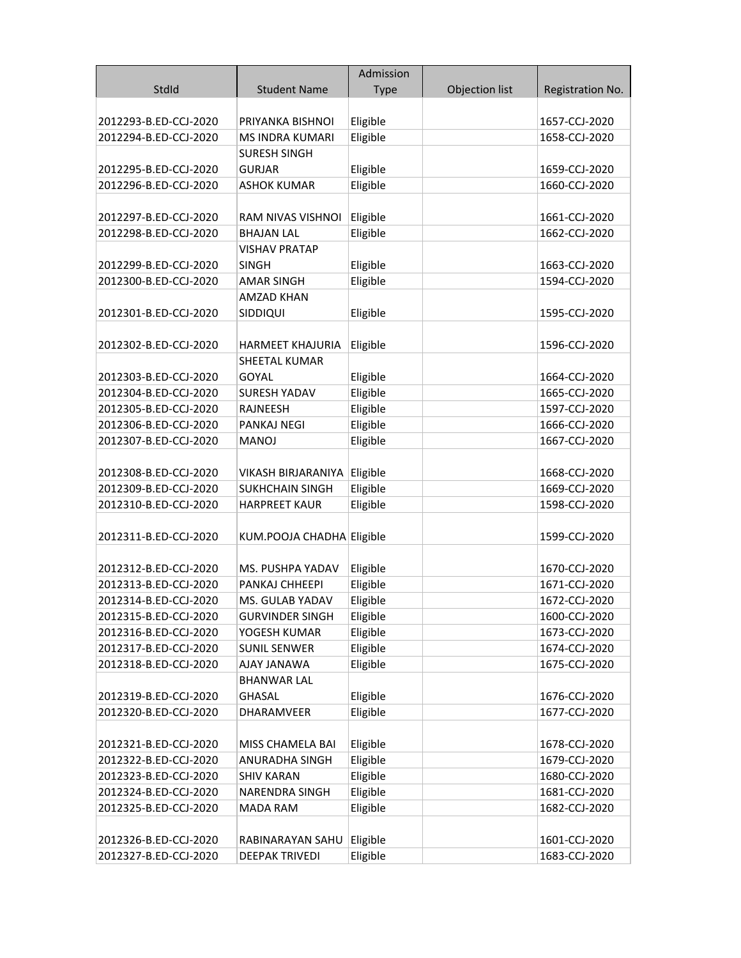|                                                |                                           | Admission            |                |                                |
|------------------------------------------------|-------------------------------------------|----------------------|----------------|--------------------------------|
| StdId                                          | <b>Student Name</b>                       | <b>Type</b>          | Objection list | Registration No.               |
|                                                |                                           |                      |                |                                |
| 2012293-B.ED-CCJ-2020                          | PRIYANKA BISHNOI                          | Eligible             |                | 1657-CCJ-2020                  |
| 2012294-B.ED-CCJ-2020                          | MS INDRA KUMARI                           | Eligible             |                | 1658-CCJ-2020                  |
|                                                | <b>SURESH SINGH</b>                       |                      |                |                                |
| 2012295-B.ED-CCJ-2020                          | <b>GURJAR</b>                             | Eligible             |                | 1659-CCJ-2020                  |
| 2012296-B.ED-CCJ-2020                          | <b>ASHOK KUMAR</b>                        | Eligible             |                | 1660-CCJ-2020                  |
| 2012297-B.ED-CCJ-2020                          | RAM NIVAS VISHNOI                         | Eligible             |                | 1661-CCJ-2020                  |
| 2012298-B.ED-CCJ-2020                          | <b>BHAJAN LAL</b>                         | Eligible             |                | 1662-CCJ-2020                  |
|                                                | <b>VISHAV PRATAP</b>                      |                      |                |                                |
| 2012299-B.ED-CCJ-2020                          | <b>SINGH</b>                              | Eligible             |                | 1663-CCJ-2020                  |
| 2012300-B.ED-CCJ-2020                          | <b>AMAR SINGH</b>                         | Eligible             |                | 1594-CCJ-2020                  |
|                                                | <b>AMZAD KHAN</b>                         |                      |                |                                |
| 2012301-B.ED-CCJ-2020                          | SIDDIQUI                                  | Eligible             |                | 1595-CCJ-2020                  |
|                                                |                                           |                      |                |                                |
| 2012302-B.ED-CCJ-2020                          | <b>HARMEET KHAJURIA</b>                   | Eligible             |                | 1596-CCJ-2020                  |
|                                                | SHEETAL KUMAR                             |                      |                |                                |
| 2012303-B.ED-CCJ-2020                          | GOYAL                                     | Eligible             |                | 1664-CCJ-2020                  |
| 2012304-B.ED-CCJ-2020                          | <b>SURESH YADAV</b>                       | Eligible             |                | 1665-CCJ-2020                  |
| 2012305-B.ED-CCJ-2020                          | RAJNEESH                                  | Eligible             |                | 1597-CCJ-2020                  |
| 2012306-B.ED-CCJ-2020                          | PANKAJ NEGI                               | Eligible             |                | 1666-CCJ-2020                  |
| 2012307-B.ED-CCJ-2020                          | <b>MANOJ</b>                              | Eligible             |                | 1667-CCJ-2020                  |
|                                                |                                           |                      |                |                                |
| 2012308-B.ED-CCJ-2020                          | VIKASH BIRJARANIYA                        | Eligible             |                | 1668-CCJ-2020                  |
| 2012309-B.ED-CCJ-2020                          | <b>SUKHCHAIN SINGH</b>                    | Eligible             |                | 1669-CCJ-2020                  |
| 2012310-B.ED-CCJ-2020                          | <b>HARPREET KAUR</b>                      | Eligible             |                | 1598-CCJ-2020                  |
|                                                |                                           |                      |                |                                |
| 2012311-B.ED-CCJ-2020                          | KUM.POOJA CHADHA Eligible                 |                      |                | 1599-CCJ-2020                  |
|                                                |                                           |                      |                |                                |
| 2012312-B.ED-CCJ-2020<br>2012313-B.ED-CCJ-2020 | MS. PUSHPA YADAV<br>PANKAJ CHHEEPI        | Eligible<br>Eligible |                | 1670-CCJ-2020<br>1671-CCJ-2020 |
| 2012314-B.ED-CCJ-2020                          |                                           | Eligible             |                | 1672-CCJ-2020                  |
| 2012315-B.ED-CCJ-2020                          | MS. GULAB YADAV<br><b>GURVINDER SINGH</b> | Eligible             |                | 1600-CCJ-2020                  |
| 2012316-B.ED-CCJ-2020                          | YOGESH KUMAR                              | Eligible             |                | 1673-CCJ-2020                  |
| 2012317-B.ED-CCJ-2020                          | <b>SUNIL SENWER</b>                       | Eligible             |                | 1674-CCJ-2020                  |
| 2012318-B.ED-CCJ-2020                          | AJAY JANAWA                               | Eligible             |                | 1675-CCJ-2020                  |
|                                                | <b>BHANWAR LAL</b>                        |                      |                |                                |
| 2012319-B.ED-CCJ-2020                          | <b>GHASAL</b>                             | Eligible             |                | 1676-CCJ-2020                  |
| 2012320-B.ED-CCJ-2020                          | DHARAMVEER                                | Eligible             |                | 1677-CCJ-2020                  |
|                                                |                                           |                      |                |                                |
| 2012321-B.ED-CCJ-2020                          | MISS CHAMELA BAI                          | Eligible             |                | 1678-CCJ-2020                  |
| 2012322-B.ED-CCJ-2020                          | ANURADHA SINGH                            | Eligible             |                | 1679-CCJ-2020                  |
| 2012323-B.ED-CCJ-2020                          | <b>SHIV KARAN</b>                         | Eligible             |                | 1680-CCJ-2020                  |
| 2012324-B.ED-CCJ-2020                          | <b>NARENDRA SINGH</b>                     | Eligible             |                | 1681-CCJ-2020                  |
| 2012325-B.ED-CCJ-2020                          | <b>MADA RAM</b>                           | Eligible             |                | 1682-CCJ-2020                  |
|                                                |                                           |                      |                |                                |
| 2012326-B.ED-CCJ-2020                          | RABINARAYAN SAHU                          | Eligible             |                | 1601-CCJ-2020                  |
| 2012327-B.ED-CCJ-2020                          | DEEPAK TRIVEDI                            | Eligible             |                | 1683-CCJ-2020                  |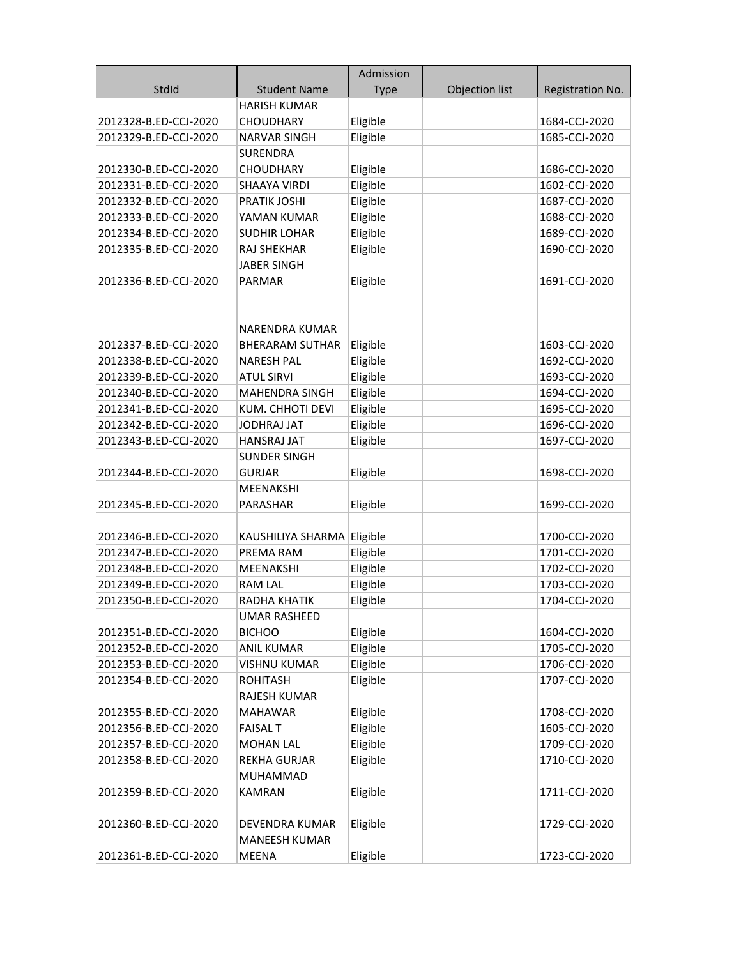|                                                |                                         | Admission   |                |                                |
|------------------------------------------------|-----------------------------------------|-------------|----------------|--------------------------------|
| StdId                                          | <b>Student Name</b>                     | <b>Type</b> | Objection list | Registration No.               |
|                                                | <b>HARISH KUMAR</b>                     |             |                |                                |
| 2012328-B.ED-CCJ-2020                          | <b>CHOUDHARY</b>                        | Eligible    |                | 1684-CCJ-2020                  |
| 2012329-B.ED-CCJ-2020                          | <b>NARVAR SINGH</b>                     | Eligible    |                | 1685-CCJ-2020                  |
|                                                | <b>SURENDRA</b>                         |             |                |                                |
| 2012330-B.ED-CCJ-2020                          | <b>CHOUDHARY</b>                        | Eligible    |                | 1686-CCJ-2020                  |
| 2012331-B.ED-CCJ-2020                          | SHAAYA VIRDI                            | Eligible    |                | 1602-CCJ-2020                  |
| 2012332-B.ED-CCJ-2020                          | <b>PRATIK JOSHI</b>                     | Eligible    |                | 1687-CCJ-2020                  |
| 2012333-B.ED-CCJ-2020                          | YAMAN KUMAR                             | Eligible    |                | 1688-CCJ-2020                  |
| 2012334-B.ED-CCJ-2020                          | <b>SUDHIR LOHAR</b>                     | Eligible    |                | 1689-CCJ-2020                  |
| 2012335-B.ED-CCJ-2020                          | RAJ SHEKHAR                             | Eligible    |                | 1690-CCJ-2020                  |
|                                                | JABER SINGH                             |             |                |                                |
| 2012336-B.ED-CCJ-2020                          | <b>PARMAR</b>                           | Eligible    |                | 1691-CCJ-2020                  |
|                                                | NARENDRA KUMAR                          |             |                |                                |
| 2012337-B.ED-CCJ-2020                          | <b>BHERARAM SUTHAR</b>                  | Eligible    |                | 1603-CCJ-2020                  |
| 2012338-B.ED-CCJ-2020                          | <b>NARESH PAL</b>                       | Eligible    |                | 1692-CCJ-2020                  |
| 2012339-B.ED-CCJ-2020                          | <b>ATUL SIRVI</b>                       | Eligible    |                | 1693-CCJ-2020                  |
| 2012340-B.ED-CCJ-2020                          | MAHENDRA SINGH                          | Eligible    |                | 1694-CCJ-2020                  |
| 2012341-B.ED-CCJ-2020                          | KUM. CHHOTI DEVI                        | Eligible    |                | 1695-CCJ-2020                  |
| 2012342-B.ED-CCJ-2020                          | <b>JODHRAJ JAT</b>                      | Eligible    |                | 1696-CCJ-2020                  |
| 2012343-B.ED-CCJ-2020                          | <b>HANSRAJ JAT</b>                      | Eligible    |                | 1697-CCJ-2020                  |
|                                                | <b>SUNDER SINGH</b>                     |             |                |                                |
| 2012344-B.ED-CCJ-2020                          | <b>GURJAR</b>                           | Eligible    |                | 1698-CCJ-2020                  |
|                                                | MEENAKSHI                               |             |                |                                |
| 2012345-B.ED-CCJ-2020                          | PARASHAR                                | Eligible    |                | 1699-CCJ-2020                  |
|                                                |                                         |             |                |                                |
| 2012346-B.ED-CCJ-2020<br>2012347-B.ED-CCJ-2020 | KAUSHILIYA SHARMA Eligible<br>PREMA RAM | Eligible    |                | 1700-CCJ-2020<br>1701-CCJ-2020 |
| 2012348-B.ED-CCJ-2020                          | MEENAKSHI                               | Eligible    |                | 1702-CCJ-2020                  |
| 2012349-B.ED-CCJ-2020                          | <b>RAM LAL</b>                          | Eligible    |                | 1703-CCJ-2020                  |
| 2012350-B.ED-CCJ-2020                          | RADHA KHATIK                            | Eligible    |                | 1704-CCJ-2020                  |
|                                                | <b>UMAR RASHEED</b>                     |             |                |                                |
| 2012351-B.ED-CCJ-2020                          | <b>BICHOO</b>                           | Eligible    |                | 1604-CCJ-2020                  |
| 2012352-B.ED-CCJ-2020                          | <b>ANIL KUMAR</b>                       | Eligible    |                | 1705-CCJ-2020                  |
| 2012353-B.ED-CCJ-2020                          | <b>VISHNU KUMAR</b>                     | Eligible    |                | 1706-CCJ-2020                  |
| 2012354-B.ED-CCJ-2020                          | <b>ROHITASH</b>                         | Eligible    |                | 1707-CCJ-2020                  |
|                                                | RAJESH KUMAR                            |             |                |                                |
| 2012355-B.ED-CCJ-2020                          | <b>MAHAWAR</b>                          | Eligible    |                | 1708-CCJ-2020                  |
| 2012356-B.ED-CCJ-2020                          | <b>FAISAL T</b>                         | Eligible    |                | 1605-CCJ-2020                  |
| 2012357-B.ED-CCJ-2020                          | <b>MOHAN LAL</b>                        | Eligible    |                | 1709-CCJ-2020                  |
| 2012358-B.ED-CCJ-2020                          | <b>REKHA GURJAR</b>                     | Eligible    |                | 1710-CCJ-2020                  |
|                                                | <b>MUHAMMAD</b>                         |             |                |                                |
| 2012359-B.ED-CCJ-2020                          | <b>KAMRAN</b>                           | Eligible    |                | 1711-CCJ-2020                  |
|                                                |                                         |             |                |                                |
| 2012360-B.ED-CCJ-2020                          | DEVENDRA KUMAR                          | Eligible    |                | 1729-CCJ-2020                  |
|                                                | <b>MANEESH KUMAR</b>                    |             |                |                                |
| 2012361-B.ED-CCJ-2020                          | MEENA                                   | Eligible    |                | 1723-CCJ-2020                  |
|                                                |                                         |             |                |                                |